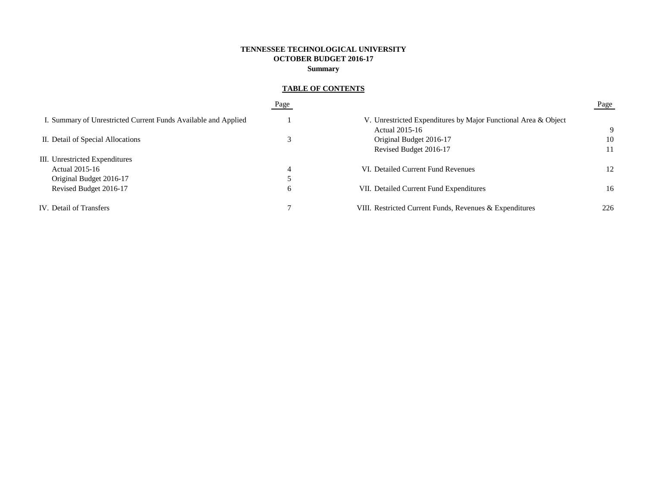# **TENNESSEE TECHNOLOGICAL UNIVERSITY OCTOBER BUDGET 2016-17 Summary**

# **TABLE OF CONTENTS**

|                                                                | Page |                                                                | Page |
|----------------------------------------------------------------|------|----------------------------------------------------------------|------|
| I. Summary of Unrestricted Current Funds Available and Applied |      | V. Unrestricted Expenditures by Major Functional Area & Object |      |
|                                                                |      | Actual 2015-16                                                 | 9    |
| II. Detail of Special Allocations                              |      | Original Budget 2016-17                                        | 10   |
|                                                                |      | Revised Budget 2016-17                                         | 11   |
| III. Unrestricted Expenditures                                 |      |                                                                |      |
| Actual 2015-16                                                 | 4    | VI. Detailed Current Fund Revenues                             | 12   |
| Original Budget 2016-17                                        |      |                                                                |      |
| Revised Budget 2016-17                                         | 6    | VII. Detailed Current Fund Expenditures                        | 16   |
| IV. Detail of Transfers                                        |      | VIII. Restricted Current Funds, Revenues & Expenditures        | 226  |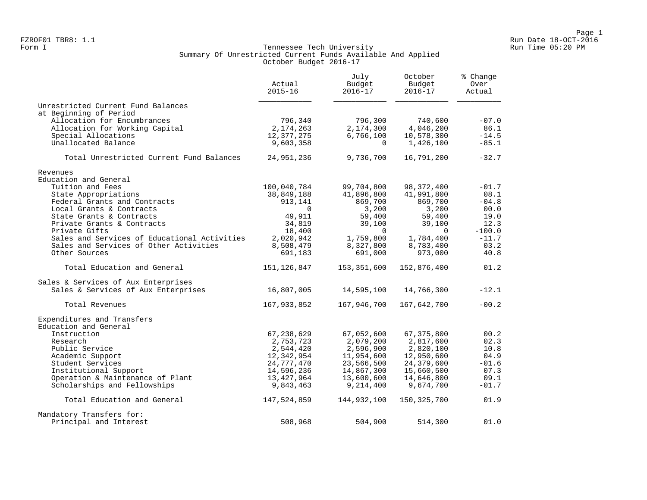### Form I Georgian Communication of the Communication of Tennessee Tech University Communication Run Time 05:20 PM Summary Of Unrestricted Current Funds Available And Applied October Budget 2016-17

|                                              | Actual<br>$2015 - 16$   | July<br>Budget<br>$2016 - 17$ | October<br>Budget<br>$2016 - 17$ | % Change<br>Over<br>Actual |
|----------------------------------------------|-------------------------|-------------------------------|----------------------------------|----------------------------|
| Unrestricted Current Fund Balances           |                         |                               |                                  |                            |
| at Beginning of Period                       |                         |                               |                                  |                            |
| Allocation for Encumbrances                  | 796,340                 | 796,300                       | 740,600                          | $-07.0$                    |
| Allocation for Working Capital               | 2,174,263               | 2,174,300                     | 4,046,200                        | 86.1                       |
| Special Allocations<br>Unallocated Balance   | 12,377,275<br>9,603,358 | 6,766,100<br>$\mathbf{0}$     | 10,578,300<br>1,426,100          | $-14.5$<br>$-85.1$         |
|                                              |                         |                               |                                  |                            |
| Total Unrestricted Current Fund Balances     | 24,951,236              | 9,736,700                     | 16,791,200                       | $-32.7$                    |
| Revenues                                     |                         |                               |                                  |                            |
| Education and General                        |                         |                               |                                  |                            |
| Tuition and Fees                             | 100,040,784             | 99,704,800                    | 98, 372, 400                     | $-01.7$                    |
| State Appropriations                         | 38,849,188              | 41,896,800                    | 41,991,800                       | 08.1                       |
| Federal Grants and Contracts                 | 913,141                 | 869,700                       | 869,700                          | $-04.8$                    |
| Local Grants & Contracts                     | $\Omega$                | 3,200                         | 3,200                            | 00.0                       |
| State Grants & Contracts                     | 49,911                  | 59,400                        | 59,400                           | 19.0                       |
| Private Grants & Contracts                   | 34,819                  | 39,100                        | 39,100                           | 12.3                       |
| Private Gifts                                | 18,400                  | $\Omega$                      | $\Omega$                         | $-100.0$                   |
| Sales and Services of Educational Activities | 2,020,942               | 1,759,800                     | 1,784,400                        | $-11.7$                    |
| Sales and Services of Other Activities       | 8,508,479               | 8,327,800                     | 8,783,400                        | 03.2                       |
| Other Sources                                | 691,183                 | 691,000                       | 973,000                          | 40.8                       |
| Total Education and General                  | 151,126,847             | 153,351,600                   | 152,876,400                      | 01.2                       |
| Sales & Services of Aux Enterprises          |                         |                               |                                  |                            |
| Sales & Services of Aux Enterprises          | 16,807,005              | 14,595,100                    | 14,766,300                       | $-12.1$                    |
| Total Revenues                               | 167,933,852             | 167,946,700                   | 167,642,700                      | $-00.2$                    |
| Expenditures and Transfers                   |                         |                               |                                  |                            |
| Education and General                        |                         |                               |                                  |                            |
| Instruction                                  | 67, 238, 629            | 67,052,600                    | 67, 375, 800                     | 00.2                       |
| Research                                     | 2,753,723               | 2,079,200                     | 2,817,600                        | 02.3                       |
| Public Service                               | 2,544,420               | 2,596,900                     | 2,820,100                        | 10.8                       |
| Academic Support                             | 12,342,954              | 11,954,600                    | 12,950,600                       | 04.9                       |
| Student Services                             | 24,777,470              | 23,566,500                    | 24,379,600                       | $-01.6$                    |
| Institutional Support                        | 14,596,236              | 14,867,300                    | 15,660,500                       | 07.3                       |
| Operation & Maintenance of Plant             | 13,427,964              | 13,600,600                    | 14,646,800                       | 09.1                       |
| Scholarships and Fellowships                 | 9,843,463               | 9,214,400                     | 9,674,700                        | $-01.7$                    |
| Total Education and General                  | 147,524,859             | 144,932,100                   | 150, 325, 700                    | 01.9                       |
| Mandatory Transfers for:                     |                         |                               |                                  |                            |
| Principal and Interest                       | 508,968                 | 504,900                       | 514,300                          | 01.0                       |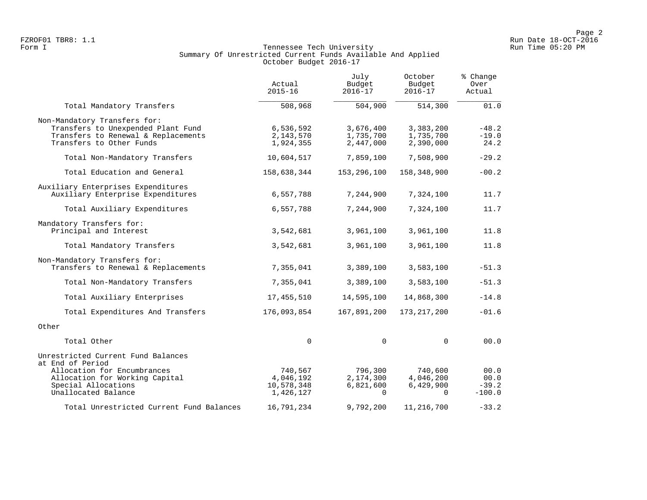# Form I Georgian Communication of the Communication of Tennessee Tech University Communication Run Time 05:20 PM Summary Of Unrestricted Current Funds Available And Applied October Budget 2016-17

|                                                 | Actual<br>$2015 - 16$ | July<br>Budget<br>$2016 - 17$ | October<br>Budget<br>$2016 - 17$ | % Change<br>Over<br>Actual |
|-------------------------------------------------|-----------------------|-------------------------------|----------------------------------|----------------------------|
| Total Mandatory Transfers                       | 508,968               | 504,900                       | 514,300                          | 01.0                       |
| Non-Mandatory Transfers for:                    |                       |                               |                                  |                            |
| Transfers to Unexpended Plant Fund              | 6,536,592             | 3,676,400                     | 3,383,200                        | $-48.2$                    |
| Transfers to Renewal & Replacements             | 2,143,570             | 1,735,700                     | 1,735,700                        | $-19.0$                    |
| Transfers to Other Funds                        | 1,924,355             | 2,447,000                     | 2,390,000                        | 24.2                       |
| Total Non-Mandatory Transfers                   | 10,604,517            | 7,859,100                     | 7,508,900                        | $-29.2$                    |
| Total Education and General                     | 158,638,344           | 153,296,100                   | 158,348,900                      | $-00.2$                    |
| Auxiliary Enterprises Expenditures              |                       |                               |                                  |                            |
| Auxiliary Enterprise Expenditures               | 6,557,788             | 7,244,900                     | 7,324,100                        | 11.7                       |
| Total Auxiliary Expenditures                    | 6,557,788             | 7,244,900                     | 7,324,100                        | 11.7                       |
| Mandatory Transfers for:                        |                       |                               |                                  |                            |
| Principal and Interest                          | 3,542,681             | 3,961,100                     | 3,961,100                        | 11.8                       |
| Total Mandatory Transfers                       | 3,542,681             | 3,961,100                     | 3,961,100                        | 11.8                       |
| Non-Mandatory Transfers for:                    |                       |                               |                                  |                            |
| Transfers to Renewal & Replacements             | 7,355,041             | 3,389,100                     | 3,583,100                        | $-51.3$                    |
| Total Non-Mandatory Transfers                   | 7,355,041             | 3,389,100                     | 3,583,100                        | $-51.3$                    |
| Total Auxiliary Enterprises                     | 17,455,510            | 14,595,100                    | 14,868,300                       | $-14.8$                    |
| Total Expenditures And Transfers                | 176,093,854           | 167,891,200                   | 173, 217, 200                    | $-01.6$                    |
| Other                                           |                       |                               |                                  |                            |
| Total Other                                     | $\Omega$              | $\mathbf 0$                   | $\Omega$                         | 00.0                       |
| Unrestricted Current Fund Balances              |                       |                               |                                  |                            |
| at End of Period<br>Allocation for Encumbrances | 740,567               | 796,300                       | 740,600                          | 00.0                       |
| Allocation for Working Capital                  | 4,046,192             | 2,174,300                     | 4,046,200                        | 00.0                       |
| Special Allocations                             | 10,578,348            | 6,821,600                     | 6,429,900                        | $-39.2$                    |
| Unallocated Balance                             | 1,426,127             | $\Omega$                      | $\Omega$                         | $-100.0$                   |
| Total Unrestricted Current Fund Balances        | 16,791,234            | 9,792,200                     | 11,216,700                       | $-33.2$                    |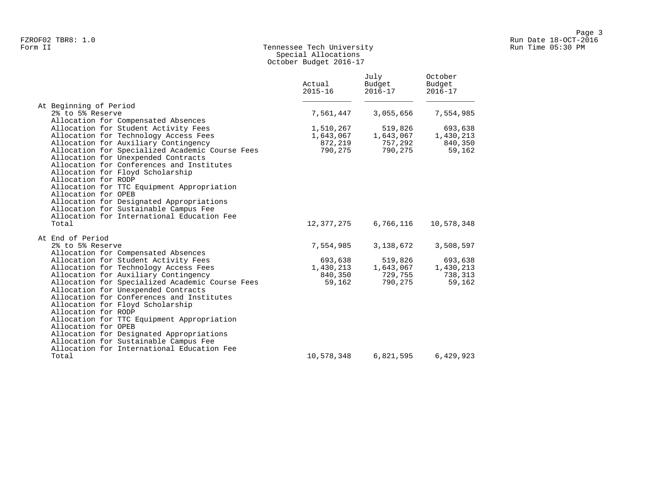# Form II Tennessee Tech University Run Time 05:30 PM Special Allocations October Budget 2016-17

|                                                                                                                                                                         | Actual<br>$2015 - 16$ | July<br>Budget<br>$2016 - 17$ | October<br>Budget<br>$2016 - 17$ |
|-------------------------------------------------------------------------------------------------------------------------------------------------------------------------|-----------------------|-------------------------------|----------------------------------|
| At Beginning of Period                                                                                                                                                  |                       |                               |                                  |
| 2% to 5% Reserve                                                                                                                                                        | 7,561,447             | 3,055,656                     | 7,554,985                        |
| Allocation for Compensated Absences                                                                                                                                     |                       |                               |                                  |
| Allocation for Student Activity Fees                                                                                                                                    | 1,510,267             | 519,826                       | 693,638                          |
| Allocation for Technology Access Fees                                                                                                                                   | 1,643,067             | 1,643,067                     | 1,430,213                        |
| Allocation for Auxiliary Contingency                                                                                                                                    | 872,219               | 757,292                       | 840,350                          |
| Allocation for Specialized Academic Course Fees<br>Allocation for Unexpended Contracts<br>Allocation for Conferences and Institutes<br>Allocation for Floyd Scholarship | 790,275               | 790,275                       | 59,162                           |
| Allocation for RODP                                                                                                                                                     |                       |                               |                                  |
| Allocation for TTC Equipment Appropriation                                                                                                                              |                       |                               |                                  |
| Allocation for OPEB                                                                                                                                                     |                       |                               |                                  |
| Allocation for Designated Appropriations                                                                                                                                |                       |                               |                                  |
| Allocation for Sustainable Campus Fee                                                                                                                                   |                       |                               |                                  |
| Allocation for International Education Fee                                                                                                                              |                       |                               |                                  |
| Total                                                                                                                                                                   | 12,377,275            | 6,766,116                     | 10,578,348                       |
| At End of Period                                                                                                                                                        |                       |                               |                                  |
| 2% to 5% Reserve                                                                                                                                                        | 7,554,985             | 3,138,672                     | 3,508,597                        |
| Allocation for Compensated Absences                                                                                                                                     |                       |                               |                                  |
| Allocation for Student Activity Fees                                                                                                                                    | 693,638               | 519,826                       | 693,638                          |
| Allocation for Technology Access Fees                                                                                                                                   | 1,430,213             | 1,643,067                     | 1,430,213                        |
| Allocation for Auxiliary Contingency                                                                                                                                    | 840,350               | 729,755                       | 738,313                          |
| Allocation for Specialized Academic Course Fees                                                                                                                         | 59,162                | 790,275                       | 59,162                           |
| Allocation for Unexpended Contracts                                                                                                                                     |                       |                               |                                  |
| Allocation for Conferences and Institutes                                                                                                                               |                       |                               |                                  |
| Allocation for Floyd Scholarship                                                                                                                                        |                       |                               |                                  |
| Allocation for RODP                                                                                                                                                     |                       |                               |                                  |
| Allocation for TTC Equipment Appropriation                                                                                                                              |                       |                               |                                  |
| Allocation for OPEB                                                                                                                                                     |                       |                               |                                  |
| Allocation for Designated Appropriations                                                                                                                                |                       |                               |                                  |
| Allocation for Sustainable Campus Fee                                                                                                                                   |                       |                               |                                  |
| Allocation for International Education Fee                                                                                                                              |                       |                               |                                  |
| Total                                                                                                                                                                   | 10,578,348            | 6,821,595                     | 6,429,923                        |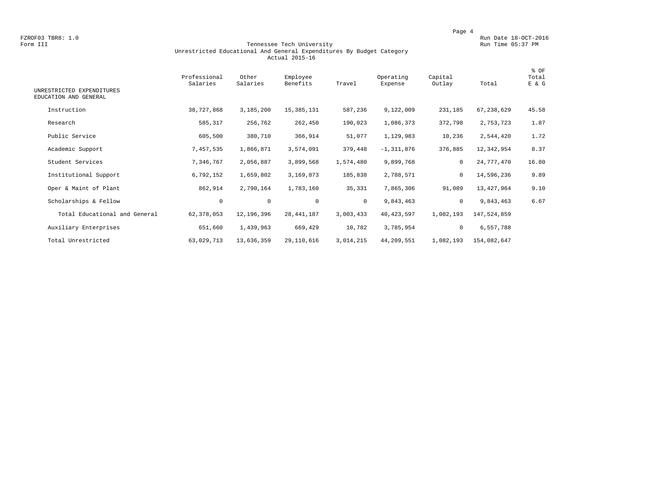FZROF03 TBR8: 1.0<br>Form III Run Date 18-OCT-2016 Run Date 18-OCT-2016 Run Date 18-OCT-2016 Run Date 18-OCT-2016

### Form III Tennessee Tech University Run Time 05:37 PM Unrestricted Educational And General Expenditures By Budget Category Actual 2015-16

| UNRESTRICTED EXPENDITURES<br>EDUCATION AND GENERAL | Professional<br>Salaries | Other<br>Salaries | Employee<br>Benefits | Travel       | Operating<br>Expense | Capital<br>Outlay | Total       | % OF<br>Total<br>E & G |
|----------------------------------------------------|--------------------------|-------------------|----------------------|--------------|----------------------|-------------------|-------------|------------------------|
| Instruction                                        | 38,727,868               | 3,185,200         | 15, 385, 131         | 587,236      | 9,122,009            | 231,185           | 67,238,629  | 45.58                  |
| Research                                           | 585,317                  | 256,762           | 262,450              | 190,023      | 1,086,373            | 372,798           | 2,753,723   | 1.87                   |
| Public Service                                     | 605,500                  | 380,710           | 366,914              | 51,077       | 1,129,983            | 10,236            | 2,544,420   | 1.72                   |
| Academic Support                                   | 7,457,535                | 1,866,871         | 3,574,091            | 379,448      | $-1, 311, 876$       | 376,885           | 12,342,954  | 8.37                   |
| Student Services                                   | 7,346,767                | 2,056,887         | 3,899,568            | 1,574,480    | 9,899,768            | $\mathbf 0$       | 24,777,470  | 16.80                  |
| Institutional Support                              | 6,792,152                | 1,659,802         | 3,169,873            | 185,838      | 2,788,571            | $\mathbf 0$       | 14,596,236  | 9.89                   |
| Oper & Maint of Plant                              | 862,914                  | 2,790,164         | 1,783,160            | 35,331       | 7,865,306            | 91,089            | 13,427,964  | 9.10                   |
| Scholarships & Fellow                              | $\mathbf 0$              | $\mathbf 0$       | $\mathbf 0$          | $\mathbf{0}$ | 9,843,463            | $\mathbf 0$       | 9,843,463   | 6.67                   |
| Total Educational and General                      | 62, 378, 053             | 12,196,396        | 28, 441, 187         | 3,003,433    | 40, 423, 597         | 1,082,193         | 147,524,859 |                        |
| Auxiliary Enterprises                              | 651,660                  | 1,439,963         | 669,429              | 10,782       | 3,785,954            | 0                 | 6,557,788   |                        |
| Total Unrestricted                                 | 63,029,713               | 13,636,359        | 29,110,616           | 3,014,215    | 44,209,551           | 1,082,193         | 154,082,647 |                        |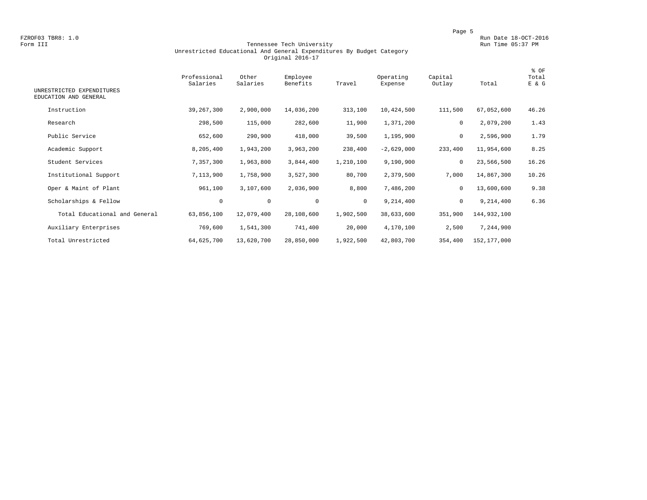FZROF03 TBR8: 1.0<br>Form III Run Date 18-OCT-2016<br>Form III Run Time 05:37 PM

### Form III Tennessee Tech University Run Time 05:37 PM Unrestricted Educational And General Expenditures By Budget Category Original 2016-17

| UNRESTRICTED EXPENDITURES<br>EDUCATION AND GENERAL | Professional<br>Salaries | Other<br>Salaries | Employee<br>Benefits | Travel       | Operating<br>Expense | Capital<br>Outlay | Total       | % OF<br>Total<br>E & G |
|----------------------------------------------------|--------------------------|-------------------|----------------------|--------------|----------------------|-------------------|-------------|------------------------|
| Instruction                                        | 39, 267, 300             | 2,900,000         | 14,036,200           | 313,100      | 10,424,500           | 111,500           | 67,052,600  | 46.26                  |
| Research                                           | 298,500                  | 115,000           | 282,600              | 11,900       | 1,371,200            | 0                 | 2,079,200   | 1.43                   |
| Public Service                                     | 652,600                  | 290,900           | 418,000              | 39,500       | 1,195,900            | 0                 | 2,596,900   | 1.79                   |
| Academic Support                                   | 8,205,400                | 1,943,200         | 3,963,200            | 238,400      | $-2,629,000$         | 233,400           | 11,954,600  | 8.25                   |
| Student Services                                   | 7,357,300                | 1,963,800         | 3,844,400            | 1,210,100    | 9,190,900            | $\mathbf 0$       | 23,566,500  | 16.26                  |
| Institutional Support                              | 7,113,900                | 1,758,900         | 3,527,300            | 80,700       | 2,379,500            | 7,000             | 14,867,300  | 10.26                  |
| Oper & Maint of Plant                              | 961,100                  | 3,107,600         | 2,036,900            | 8,800        | 7,486,200            | $\mathbf 0$       | 13,600,600  | 9.38                   |
| Scholarships & Fellow                              | $\mathbf 0$              | $\circ$           | $\mathbf 0$          | $\mathbf{0}$ | 9,214,400            | 0                 | 9,214,400   | 6.36                   |
| Total Educational and General                      | 63,856,100               | 12,079,400        | 28,108,600           | 1,902,500    | 38,633,600           | 351,900           | 144,932,100 |                        |
| Auxiliary Enterprises                              | 769,600                  | 1,541,300         | 741,400              | 20,000       | 4,170,100            | 2,500             | 7,244,900   |                        |
| Total Unrestricted                                 | 64,625,700               | 13,620,700        | 28,850,000           | 1,922,500    | 42,803,700           | 354,400           | 152,177,000 |                        |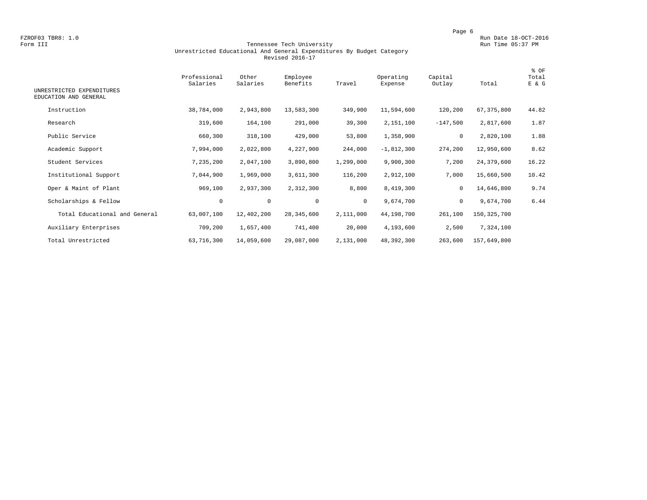FZROF03 TBR8: 1.0<br>Form III Run Date 18-OCT-2016 Run Date 18-OCT-2016 Run Date 18-OCT-2016 Run Date 18-OCT-2016

### Form III Tennessee Tech University Run Time 05:37 PM Unrestricted Educational And General Expenditures By Budget Category Revised 2016-17

| UNRESTRICTED EXPENDITURES     | Professional<br>Salaries | Other<br>Salaries | Employee<br>Benefits | Travel       | Operating<br>Expense | Capital<br>Outlay | Total         | % OF<br>Total<br>E & G |
|-------------------------------|--------------------------|-------------------|----------------------|--------------|----------------------|-------------------|---------------|------------------------|
| EDUCATION AND GENERAL         |                          |                   |                      |              |                      |                   |               |                        |
| Instruction                   | 38,784,000               | 2,943,800         | 13,583,300           | 349,900      | 11,594,600           | 120,200           | 67, 375, 800  | 44.82                  |
| Research                      | 319,600                  | 164,100           | 291,000              | 39,300       | 2,151,100            | $-147,500$        | 2,817,600     | 1.87                   |
| Public Service                | 660,300                  | 318,100           | 429,000              | 53,800       | 1,358,900            | 0                 | 2,820,100     | 1.88                   |
| Academic Support              | 7,994,000                | 2,022,800         | 4,227,900            | 244,000      | $-1,812,300$         | 274,200           | 12,950,600    | 8.62                   |
| Student Services              | 7,235,200                | 2,047,100         | 3,890,800            | 1,299,000    | 9,900,300            | 7,200             | 24,379,600    | 16.22                  |
| Institutional Support         | 7,044,900                | 1,969,000         | 3,611,300            | 116,200      | 2,912,100            | 7,000             | 15,660,500    | 10.42                  |
| Oper & Maint of Plant         | 969,100                  | 2,937,300         | 2,312,300            | 8,800        | 8,419,300            | $\mathbf 0$       | 14,646,800    | 9.74                   |
| Scholarships & Fellow         | $\mathbf 0$              | $\mathbf 0$       | $\mathbf 0$          | $\mathbf{0}$ | 9,674,700            | $\mathbf 0$       | 9,674,700     | 6.44                   |
| Total Educational and General | 63,007,100               | 12,402,200        | 28, 345, 600         | 2,111,000    | 44,198,700           | 261,100           | 150, 325, 700 |                        |
| Auxiliary Enterprises         | 709,200                  | 1,657,400         | 741,400              | 20,000       | 4,193,600            | 2,500             | 7,324,100     |                        |
| Total Unrestricted            | 63,716,300               | 14,059,600        | 29,087,000           | 2,131,000    | 48,392,300           | 263,600           | 157,649,800   |                        |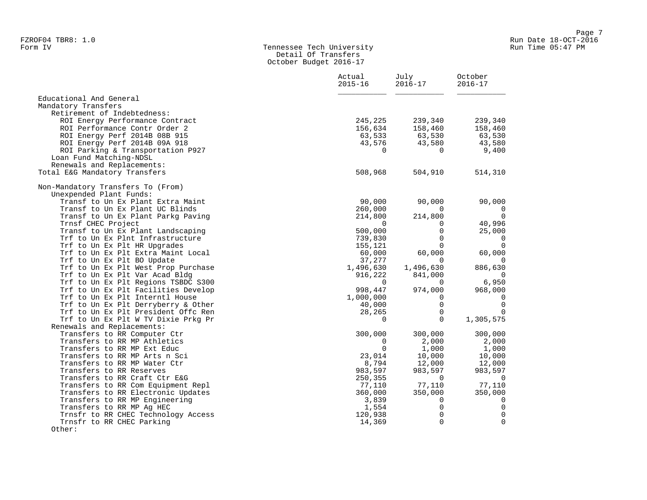### Form IV Tennessee Tech University Run Time 05:47 PM Detail Of Transfers October Budget 2016-17

|                                     | Actual<br>$2015 - 16$ | July<br>$2016 - 17$ | October<br>$2016 - 17$ |  |
|-------------------------------------|-----------------------|---------------------|------------------------|--|
| Educational And General             |                       |                     |                        |  |
| Mandatory Transfers                 |                       |                     |                        |  |
| Retirement of Indebtedness:         |                       |                     |                        |  |
| ROI Energy Performance Contract     | 245,225               | 239,340             | 239,340                |  |
| ROI Performance Contr Order 2       | 156,634               | 158,460             | 158,460                |  |
| ROI Energy Perf 2014B 08B 915       | 63,533                | 63,530              | 63,530                 |  |
| ROI Energy Perf 2014B 09A 918       | 43,576                | 43,580              | 43,580                 |  |
| ROI Parking & Transportation P927   | $\mathbf{0}$          | 0                   | 9,400                  |  |
| Loan Fund Matching-NDSL             |                       |                     |                        |  |
| Renewals and Replacements:          |                       |                     |                        |  |
| Total E&G Mandatory Transfers       | 508,968               | 504,910             | 514,310                |  |
| Non-Mandatory Transfers To (From)   |                       |                     |                        |  |
| Unexpended Plant Funds:             |                       |                     |                        |  |
| Transf to Un Ex Plant Extra Maint   | 90,000                | 90,000              | 90,000                 |  |
| Transf to Un Ex Plant UC Blinds     | 260,000               | $\Omega$            | 0                      |  |
| Transf to Un Ex Plant Parkg Paving  | 214,800               | 214,800             | $\overline{0}$         |  |
| Trnsf CHEC Project                  | $\Omega$              | $\Omega$            | 40,996                 |  |
| Transf to Un Ex Plant Landscaping   | 500,000               | 0                   | 25,000                 |  |
| Trf to Un Ex Plnt Infrastructure    | 739,830               | $\Omega$            | $\mathbf 0$            |  |
| Trf to Un Ex Plt HR Upgrades        | 155,121               | $\Omega$            | $\mathbf 0$            |  |
| Trf to Un Ex Plt Extra Maint Local  | 60,000                | 60,000              | 60,000                 |  |
| Trf to Un Ex Plt BO Update          | 37,277                | $\Omega$            | $\overline{0}$         |  |
| Trf to Un Ex Plt West Prop Purchase | 1,496,630             | 1,496,630           | 886,630                |  |
| Trf to Un Ex Plt Var Acad Bldg      | 916,222               | 841,000             | $\overline{0}$         |  |
| Trf to Un Ex Plt Regions TSBDC S300 | $\Omega$              | 0                   | 6,950                  |  |
| Trf to Un Ex Plt Facilities Develop | 998,447               | 974,000             | 968,000                |  |
| Trf to Un Ex Plt Interntl House     | 1,000,000             | 0                   | $\mathbf 0$            |  |
| Trf to Un Ex Plt Derryberry & Other | 40,000                | $\mathbf 0$         | $\Omega$               |  |
| Trf to Un Ex Plt President Offc Ren | 28,265                | $\mathsf{O}$        | $\mathbf 0$            |  |
| Trf to Un Ex Plt W TV Dixie Prkg Pr | $\Omega$              | $\Omega$            | 1,305,575              |  |
| Renewals and Replacements:          |                       |                     |                        |  |
| Transfers to RR Computer Ctr        | 300,000               | 300,000             | 300,000                |  |
| Transfers to RR MP Athletics        | $\mathbf 0$           | 2,000               | 2,000                  |  |
| Transfers to RR MP Ext Educ         | $\Omega$              | 1,000               | 1,000                  |  |
| Transfers to RR MP Arts n Sci       | 23,014                | 10,000              | 10,000                 |  |
| Transfers to RR MP Water Ctr        | 8,794                 | 12,000              | 12,000                 |  |
| Transfers to RR Reserves            | 983,597               | 983,597             | 983,597                |  |
| Transfers to RR Craft Ctr E&G       | 250,355               | $\overline{0}$      | $\overline{0}$         |  |
| Transfers to RR Com Equipment Repl  | 77,110                | 77,110              | 77,110                 |  |
| Transfers to RR Electronic Updates  | 360,000               | 350,000             | 350,000                |  |
| Transfers to RR MP Engineering      | 3,839                 | $\mathbf{0}$        | $\overline{0}$         |  |
| Transfers to RR MP Ag HEC           | 1,554                 | $\mathbf 0$         | $\mathbf 0$            |  |
| Trnsfr to RR CHEC Technology Access | 120,938               | 0                   | $\Omega$               |  |
| Trnsfr to RR CHEC Parking           | 14,369                | $\Omega$            | $\mathbf{0}$           |  |
| Other:                              |                       |                     |                        |  |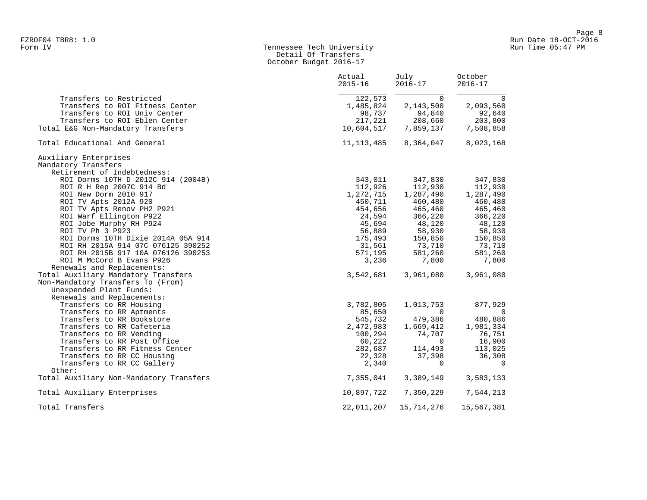# Form IV Tennessee Tech University Run Time 05:47 PM Detail Of Transfers October Budget 2016-17

|                                         | Actual<br>$2015 - 16$ | July<br>$2016 - 17$  | October<br>$2016 - 17$ |
|-----------------------------------------|-----------------------|----------------------|------------------------|
| Transfers to Restricted                 | 122,573               | $\Omega$             | $\overline{0}$         |
| Transfers to ROI Fitness Center         | 1,485,824             | 2,143,500            | 2,093,560              |
| Transfers to ROI Univ Center            | 98,737                | 94,840               | 92,640                 |
| Transfers to ROI Eblen Center           | 217,221               | 208,660              | 203,800                |
| Total E&G Non-Mandatory Transfers       |                       | 10,604,517 7,859,137 | 7,508,858              |
| Total Educational And General           | 11, 113, 485          | 8,364,047            | 8,023,168              |
| Auxiliary Enterprises                   |                       |                      |                        |
| Mandatory Transfers                     |                       |                      |                        |
| Retirement of Indebtedness:             |                       |                      |                        |
| ROI Dorms 10TH D 2012C 914 (2004B)      | 343,011               | 347,830              | 347,830                |
| ROI R H Rep 2007C 914 Bd                | 112,926               | 112,930              | 112,930                |
| ROI New Dorm 2010 917                   | 1,272,715             | 1,287,490            | 1,287,490              |
| ROI TV Apts 2012A 920                   | 450,711               | 460,480              | 460,480                |
| ROI TV Apts Renov PH2 P921              | 454,656               | 465,460              | 465,460                |
| ROI Warf Ellington P922                 | 24,594                | 366,220              | 366,220                |
| ROI Jobe Murphy RH P924                 | 45,694                | 48,120               | 48,120                 |
| ROI TV Ph 3 P923                        | 56,889                | 58,930               | 58,930                 |
| ROI Dorms 10TH Dixie 2014A 05A 914      | 175,493               | 150,850              | 150,850                |
| ROI RH 2015A 914 07C 076125 390252      | 31,561                | 73,710               | 73,710                 |
| ROI RH 2015B 917 10A 076126 390253      | 571,195               | 581,260              | 581,260                |
| ROI M McCord B Evans P926               | 3,236                 | 7,800                | 7,800                  |
| Renewals and Replacements:              |                       |                      |                        |
| Total Auxiliary Mandatory Transfers     |                       | 3,542,681 3,961,080  | 3,961,080              |
| Non-Mandatory Transfers To (From)       |                       |                      |                        |
| Unexpended Plant Funds:                 |                       |                      |                        |
| Renewals and Replacements:              |                       |                      |                        |
| Transfers to RR Housing                 | 3,782,805             | 1,013,753            | 877,929                |
| Transfers to RR Aptments                | 85,650                | $\Omega$             | 0                      |
| Transfers to RR Bookstore               | 545,732               | 479,386              | 480,886                |
| Transfers to RR Cafeteria               | 2,472,983             | 1,669,412            | 1,981,334              |
| Transfers to RR Vending                 | 100,294               | 74,707               | 76,751                 |
| Transfers to RR Post Office             | 60,222                | $\Omega$             | 16,900                 |
| Transfers to RR Fitness Center          | 282,687               | 114,493              | 113,025                |
| Transfers to RR CC Housing              | 22,328                | 37,398               | 36,308                 |
| Transfers to RR CC Gallery              | 2,340                 | $\Omega$             | $\overline{0}$         |
| Other:                                  |                       |                      |                        |
| Total Auxiliary Non-Mandatory Transfers | 7,355,041             | 3,389,149            | 3,583,133              |
| Total Auxiliary Enterprises             | 10,897,722            | 7,350,229            | 7,544,213              |
| Total Transfers                         | 22,011,207            | 15,714,276           | 15,567,381             |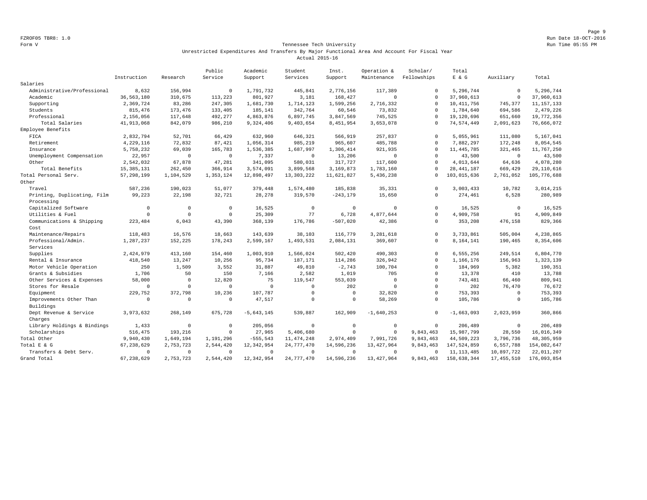Page 9 FZROF05 TBR8: 1.0 Run Date 18-OCT-2016

### Form V Tennessee Tech University Run Time 05:55 PM Unrestricted Expenditures And Transfers By Major Functional Area And Account For Fiscal Year Actual 2015-16

|                             |              |                | Public       | Academic     | Student      | Inst.       | Operation &  | Scholar/    | Total        |              |              |
|-----------------------------|--------------|----------------|--------------|--------------|--------------|-------------|--------------|-------------|--------------|--------------|--------------|
|                             | Instruction  | Research       | Service      | Support      | Services     | Support     | Maintenance  | Fellowships | $E$ & $G$    | Auxiliary    | Total        |
| Salaries                    |              |                |              |              |              |             |              |             |              |              |              |
| Administrative/Professional | 8,632        | 156,994        | $\mathbf{0}$ | 1,791,732    | 445,841      | 2,776,156   | 117,389      | $\mathbf 0$ | 5.296.744    | $\circ$      | 5,296,744    |
| Academic                    | 36, 563, 180 | 310,675        | 113,223      | 801,927      | 3,181        | 168,427     | $\Omega$     | $\Omega$    | 37,960,613   | $\circ$      | 37,960,613   |
| Supporting                  | 2,369,724    | 83,286         | 247,305      | 1,681,730    | 1,714,123    | 1,599,256   | 2,716,332    | $\Omega$    | 10, 411, 756 | 745.377      | 11, 157, 133 |
| Students                    | 815,476      | 173,476        | 133,405      | 185,141      | 342,764      | 60,546      | 73,832       | $\Omega$    | 1,784,640    | 694,586      | 2,479,226    |
| Professional                | 2,156,056    | 117,648        | 492,277      | 4,863,876    | 6,897,745    | 3,847,569   | 745,525      | $\Omega$    | 19,120,696   | 651,660      | 19,772,356   |
| Total Salaries              | 41, 913, 068 | 842,079        | 986,210      | 9,324,406    | 9,403,654    | 8,451,954   | 3,653,078    | $\mathbf 0$ | 74,574,449   | 2,091,623    | 76,666,072   |
| Employee Benefits           |              |                |              |              |              |             |              |             |              |              |              |
| FICA                        | 2,832,794    | 52,701         | 66,429       | 632,960      | 646,321      | 566,919     | 257,837      | $\mathbf 0$ | 5.055.961    | 111,080      | 5,167,041    |
| Retirement                  | 4,229,116    | 72,832         | 87,421       | 1,056,314    | 985,219      | 965,607     | 485,788      | $\mathbf 0$ | 7,882,297    | 172,248      | 8,054,545    |
| Insurance                   | 5,758,232    | 69,039         | 165,783      | 1,536,385    | 1,687,997    | 1,306,414   | 921,935      | $\mathbf 0$ | 11, 445, 785 | 321,465      | 11,767,250   |
| Unemployment Compensation   | 22,957       | $\circ$        | $\mathbf{0}$ | 7,337        | $\Omega$     | 13,206      | $\Omega$     | $\Omega$    | 43,500       | $\circ$      | 43,500       |
| Other                       | 2,542,032    | 67,878         | 47,281       | 341,095      | 580,031      | 317,727     | 117,600      | $\mathbf 0$ | 4,013,644    | 64,636       | 4,078,280    |
| Total Benefits              | 15, 385, 131 | 262,450        | 366,914      | 3,574,091    | 3,899,568    | 3,169,873   | 1,783,160    | $\mathbf 0$ | 28, 441, 187 | 669,429      | 29,110,616   |
| Total Personal Serv.        | 57, 298, 199 | 1,104,529      | 1,353,124    | 12,898,497   | 13, 303, 222 | 11,621,827  | 5,436,238    | $\Omega$    | 103,015,636  | 2,761,052    | 105,776,688  |
| Other                       |              |                |              |              |              |             |              |             |              |              |              |
| Travel                      | 587,236      | 190,023        | 51,077       | 379,448      | 1,574,480    | 185,838     | 35,331       | $\mathbf 0$ | 3,003,433    | 10,782       | 3,014,215    |
| Printing, Duplicating, Film | 99,223       | 22,198         | 32,721       | 28,278       | 319,570      | $-243, 179$ | 15,650       | $\mathbf 0$ | 274,461      | 6,528        | 280,989      |
| Processing                  |              |                |              |              |              |             |              |             |              |              |              |
| Capitalized Software        | $\mathbf 0$  | $\mathbf{0}$   | $\circ$      | 16,525       | $\mathbf 0$  | $\circ$     | $\mathbf{0}$ | $\circ$     | 16,525       | $\circ$      | 16,525       |
| Utilities & Fuel            | $\Omega$     | $\Omega$       | $\Omega$     | 25,309       | 77           | 6,728       | 4,877,644    | $\Omega$    | 4,909,758    | 91           | 4,909,849    |
| Communications & Shipping   | 223,484      | 6,043          | 43,390       | 368,139      | 176,786      | $-507,020$  | 42,386       | $\mathbf 0$ | 353,208      | 476,158      | 829,366      |
| Cost                        |              |                |              |              |              |             |              |             |              |              |              |
| Maintenance/Repairs         | 118,483      | 16,576         | 18,663       | 143,639      | 38,103       | 116,779     | 3,281,618    | $\Omega$    | 3,733,861    | 505,004      | 4,238,865    |
| Professional/Admin.         | 1,287,237    | 152,225        | 178,243      | 2,599,167    | 1,493,531    | 2,084,131   | 369,607      | $\mathbf 0$ | 8,164,141    | 190,465      | 8,354,606    |
| Services                    |              |                |              |              |              |             |              |             |              |              |              |
| Supplies                    | 2,424,979    | 413,160        | 154,460      | 1,003,910    | 1,566,024    | 502,420     | 490,303      | $\mathbf 0$ | 6,555,256    | 249,514      | 6,804,770    |
| Rental & Insurance          | 418,540      | 13,247         | 10,256       | 95,734       | 187,171      | 114,286     | 326,942      | $\mathbf 0$ | 1,166,176    | 156,963      | 1,323,139    |
| Motor Vehicle Operation     | 250          | 1,509          | 3,552        | 31,887       | 49,810       | $-2,743$    | 100,704      | $\mathbf 0$ | 184,969      | 5,382        | 190,351      |
| Grants & Subsidies          | 1,706        | 50             | 150          | 7,166        | 2,582        | 1,019       | 705          | $\Omega$    | 13,378       | 410          | 13,788       |
| Other Services & Expenses   | 58,000       | $\overline{0}$ | 12,820       | 75           | 119,547      | 553,039     | $\Omega$     | $\mathbf 0$ | 743,481      | 66,460       | 809,941      |
| Stores for Resale           | $\mathbf 0$  | $\mathbf 0$    | $\Omega$     | $\circ$      | $\Omega$     | 202         | $\mathbf 0$  | $\mathbf 0$ | 202          | 76,470       | 76,672       |
| Equipment                   | 229,752      | 372,798        | 10,236       | 107,787      | $\Omega$     | $\Omega$    | 32,820       | $\Omega$    | 753,393      | $\circ$      | 753,393      |
| Improvements Other Than     | $\Omega$     | $^{\circ}$     | $\Omega$     | 47,517       | $\Omega$     | $\mathbf 0$ | 58,269       | $\mathbf 0$ | 105,786      | $\mathbf{0}$ | 105,786      |
| Buildings                   |              |                |              |              |              |             |              |             |              |              |              |
| Dept Revenue & Service      | 3,973,632    | 268,149        | 675,728      | $-5,643,145$ | 539,887      | 162,909     | $-1,640,253$ | $\Omega$    | $-1,663,093$ | 2,023,959    | 360,866      |
| Charges                     |              |                |              |              |              |             |              |             |              |              |              |
| Library Holdings & Bindings | 1,433        | $\mathbf 0$    | $\Omega$     | 205,056      | $\circ$      | $\circ$     | $\mathbf{0}$ | $\mathbf 0$ | 206,489      | $\circ$      | 206,489      |
| Scholarships                | 516,475      | 193,216        | $\Omega$     | 27,965       | 5,406,680    | $\Omega$    | $\Omega$     | 9,843,463   | 15,987,799   | 28,550       | 16,016,349   |
| Total Other                 | 9,940,430    | 1,649,194      | 1,191,296    | $-555, 543$  | 11, 474, 248 | 2,974,409   | 7,991,726    | 9,843,463   | 44,509,223   | 3,796,736    | 48, 305, 959 |
| Total E & G                 | 67, 238, 629 | 2,753,723      | 2,544,420    | 12, 342, 954 | 24,777,470   | 14,596,236  | 13, 427, 964 | 9,843,463   | 147,524,859  | 6,557,788    | 154,082,647  |
| Transfers & Debt Serv.      | $^{\circ}$   | $\mathbf{0}$   | $\Omega$     | $^{\circ}$   | $\Omega$     | $\Omega$    | $\Omega$     | $\Omega$    | 11, 113, 485 | 10,897,722   | 22,011,207   |
| Grand Total                 | 67, 238, 629 | 2,753,723      | 2,544,420    | 12,342,954   | 24,777,470   | 14,596,236  | 13, 427, 964 | 9,843,463   | 158,638,344  | 17, 455, 510 | 176,093,854  |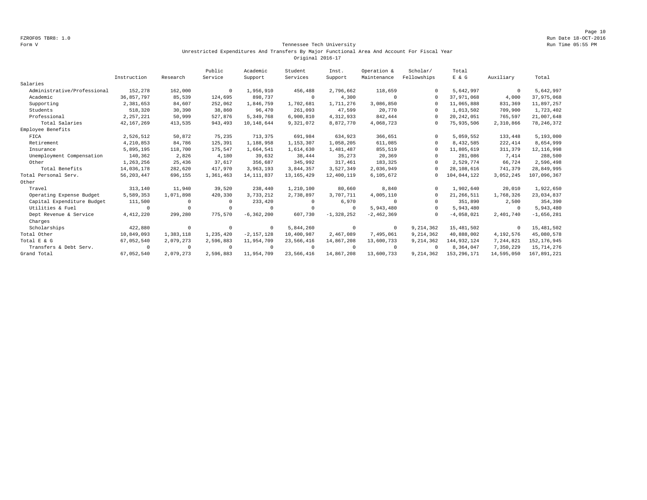Page 10 FZROF05 TBR8: 1.0 Run Date 18-OCT-2016

### Form V Tennessee Tech University Run Time 05:55 PM Unrestricted Expenditures And Transfers By Major Functional Area And Account For Fiscal Year Original 2016-17

|                             |              |            | Public    | Academic       | Student      | Inst.        | Operation &    | Scholar/    | Total         |            |               |
|-----------------------------|--------------|------------|-----------|----------------|--------------|--------------|----------------|-------------|---------------|------------|---------------|
|                             | Instruction  | Research   | Service   | Support        | Services     | Support      | Maintenance    | Fellowships | E & G         | Auxiliary  | Total         |
| Salaries                    |              |            |           |                |              |              |                |             |               |            |               |
| Administrative/Professional | 152,278      | 162,000    | $\Omega$  | 1,956,910      | 456,488      | 2,796,662    | 118,659        | $\Omega$    | 5,642,997     | $^{\circ}$ | 5,642,997     |
| Academic                    | 36,857,797   | 85,539     | 124,695   | 898,737        | $\mathbf 0$  | 4,300        | $^{\circ}$     | $\Omega$    | 37,971,068    | 4,000      | 37,975,068    |
| Supporting                  | 2,381,653    | 84,607     | 252,062   | 1,846,759      | 1,702,681    | 1,711,276    | 3,086,850      |             | 11,065,888    | 831,369    | 11,897,257    |
| Students                    | 518,320      | 30,390     | 38,860    | 96,470         | 261,093      | 47,599       | 20,770         | $\Omega$    | 1,013,502     | 709,900    | 1,723,402     |
| Professional                | 2, 257, 221  | 50,999     | 527,876   | 5,349,768      | 6,900,810    | 4,312,933    | 842,444        | $\Omega$    | 20, 242, 051  | 765,597    | 21,007,648    |
| Total Salaries              | 42, 167, 269 | 413,535    | 943,493   | 10,148,644     | 9,321,072    | 8,872,770    | 4,068,723      | $\Omega$    | 75,935,506    | 2,310,866  | 78, 246, 372  |
| Employee Benefits           |              |            |           |                |              |              |                |             |               |            |               |
| FICA                        | 2,526,512    | 50,872     | 75,235    | 713,375        | 691,984      | 634,923      | 366,651        | $\Omega$    | 5,059,552     | 133,448    | 5,193,000     |
| Retirement                  | 4,210,853    | 84,786     | 125,391   | 1,188,958      | 1,153,307    | 1,058,205    | 611,085        | $\Omega$    | 8,432,585     | 222,414    | 8,654,999     |
| Insurance                   | 5,895,195    | 118,700    | 175,547   | 1,664,541      | 1,614,630    | 1,481,487    | 855,519        |             | 11,805,619    | 311,379    | 12, 116, 998  |
| Unemployment Compensation   | 140,362      | 2,826      | 4,180     | 39,632         | 38,444       | 35,273       | 20,369         |             | 281,086       | 7,414      | 288,500       |
| Other                       | 1,263,256    | 25,436     | 37,617    | 356,687        | 345,992      | 317,461      | 183,325        | $\Omega$    | 2,529,774     | 66,724     | 2,596,498     |
| Total Benefits              | 14,036,178   | 282,620    | 417,970   | 3,963,193      | 3,844,357    | 3,527,349    | 2,036,949      |             | 28,108,616    | 741,379    | 28,849,995    |
| Total Personal Serv.        | 56, 203, 447 | 696,155    | 1,361,463 | 14, 111, 837   | 13, 165, 429 | 12,400,119   | 6,105,672      | $\Omega$    | 104,044,122   | 3,052,245  | 107,096,367   |
| Other                       |              |            |           |                |              |              |                |             |               |            |               |
| Travel                      | 313,140      | 11,940     | 39,520    | 238,440        | 1,210,100    | 80,660       | 8,840          | $\Omega$    | 1,902,640     | 20,010     | 1,922,650     |
| Operating Expense Budget    | 5,589,353    | 1,071,898  | 420,330   | 3,733,212      | 2,738,897    | 3,707,711    | 4,005,110      | $\Omega$    | 21, 266, 511  | 1,768,326  | 23,034,837    |
| Capital Expenditure Budget  | 111,500      | $^{\circ}$ |           | 233,420        | $^{\circ}$   | 6,970        | $^{\circ}$     |             | 351,890       | 2,500      | 354,390       |
| Utilities & Fuel            | $\Omega$     | $\Omega$   |           | $^{\circ}$     | $\Omega$     | $^{\circ}$   | 5,943,480      | $\cap$      | 5,943,480     | $^{\circ}$ | 5,943,480     |
| Dept Revenue & Service      | 4, 412, 220  | 299,280    | 775.570   | $-6, 362, 200$ | 607.730      | $-1,328,252$ | $-2, 462, 369$ | $\cap$      | $-4,058,021$  | 2,401,740  | $-1,656,281$  |
| Charges                     |              |            |           |                |              |              |                |             |               |            |               |
| Scholarships                | 422,880      | $^{\circ}$ | $\Omega$  | $^{\circ}$     | 5,844,260    | $^{\circ}$   | $^{\circ}$     | 9,214,362   | 15,481,502    | $\circ$    | 15,481,502    |
| Total Other                 | 10,849,093   | 1,383,118  | 1,235,420 | $-2.157.128$   | 10,400,987   | 2.467.089    | 7,495,061      | 9, 214, 362 | 40,888,002    | 4,192,576  | 45,080,578    |
| Total E & G                 | 67,052,540   | 2,079,273  | 2,596,883 | 11,954,709     | 23,566,416   | 14,867,208   | 13,600,733     | 9,214,362   | 144, 932, 124 | 7,244,821  | 152, 176, 945 |
| Transfers & Debt Serv.      | $\Omega$     | $^{\circ}$ | $\Omega$  | $^{\circ}$     | $\circ$      | $\Omega$     | $^{\circ}$     | $\Omega$    | 8,364,047     | 7,350,229  | 15,714,276    |
| Grand Total                 | 67,052,540   | 2,079,273  | 2,596,883 | 11,954,709     | 23,566,416   | 14,867,208   | 13,600,733     | 9, 214, 362 | 153, 296, 171 | 14,595,050 | 167,891,221   |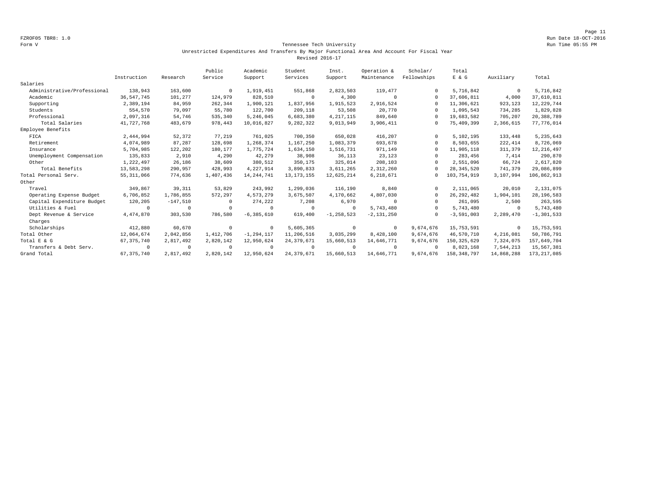Page 11 FZROF05 TBR8: 1.0 Run Date 18-OCT-2016

### Form V Tennessee Tech University Run Time 05:55 PM Unrestricted Expenditures And Transfers By Major Functional Area And Account For Fiscal Year Revised 2016-17

|                             |              |            | Public    | Academic       | Student      | Inst.          | Operation &    | Scholar/    | Total         |            |                |
|-----------------------------|--------------|------------|-----------|----------------|--------------|----------------|----------------|-------------|---------------|------------|----------------|
|                             | Instruction  | Research   | Service   | Support        | Services     | Support        | Maintenance    | Fellowships | E & G         | Auxiliary  | Total          |
| Salaries                    |              |            |           |                |              |                |                |             |               |            |                |
| Administrative/Professional | 138,943      | 163,600    | $\Omega$  | 1,919,451      | 551,868      | 2,823,503      | 119,477        | $\Omega$    | 5,716,842     | $^{\circ}$ | 5,716,842      |
| Academic                    | 36, 547, 745 | 101,277    | 124,979   | 828,510        | $\circ$      | 4,300          | $^{\circ}$     | $\Omega$    | 37,606,811    | 4,000      | 37,610,811     |
| Supporting                  | 2,389,194    | 84,959     | 262,344   | 1,900,121      | 1,837,956    | 1,915,523      | 2,916,524      | $\Omega$    | 11,306,621    | 923,123    | 12, 229, 744   |
| Students                    | 554,570      | 79,097     | 55,780    | 122,700        | 209,118      | 53,508         | 20,770         | $\Omega$    | 1,095,543     | 734,285    | 1,829,828      |
| Professional                | 2,097,316    | 54.746     | 535,340   | 5,246,045      | 6,683,380    | 4, 217, 115    | 849.640        | $\Omega$    | 19,683,582    | 705,207    | 20,388,789     |
| Total Salaries              | 41,727,768   | 483,679    | 978,443   | 10,016,827     | 9,282,322    | 9,013,949      | 3,906,411      | $\circ$     | 75,409,399    | 2,366,615  | 77,776,014     |
| Employee Benefits           |              |            |           |                |              |                |                |             |               |            |                |
| FICA                        | 2,444,994    | 52,372     | 77,219    | 761,025        | 700,350      | 650,028        | 416,207        | $\Omega$    | 5,102,195     | 133,448    | 5, 235, 643    |
| Retirement                  | 4,074,989    | 87,287     | 128,698   | 1,268,374      | 1,167,250    | 1,083,379      | 693,678        | $\Omega$    | 8,503,655     | 222, 414   | 8,726,069      |
| Insurance                   | 5,704,985    | 122,202    | 180,177   | 1,775,724      | 1,634,150    | 1,516,731      | 971,149        | $\Omega$    | 11,905,118    | 311,379    | 12, 216, 497   |
| Unemployment Compensation   | 135,833      | 2,910      | 4,290     | 42.279         | 38,908       | 36,113         | 23,123         | $\Omega$    | 283,456       | 7.414      | 290,870        |
| Other                       | 1,222,497    | 26,186     | 38,609    | 380,512        | 350,175      | 325,014        | 208,103        | $\Omega$    | 2,551,096     | 66,724     | 2,617,820      |
| Total Benefits              | 13,583,298   | 290,957    | 428,993   | 4,227,914      | 3,890,833    | 3,611,265      | 2,312,260      | $\Omega$    | 28, 345, 520  | 741,379    | 29,086,899     |
| Total Personal Serv.        | 55, 311, 066 | 774,636    | 1,407,436 | 14, 244, 741   | 13, 173, 155 | 12,625,214     | 6,218,671      | 0           | 103,754,919   | 3,107,994  | 106,862,913    |
| Other                       |              |            |           |                |              |                |                |             |               |            |                |
| Travel                      | 349,867      | 39, 311    | 53,829    | 243,992        | 1,299,036    | 116,190        | 8,840          | $\Omega$    | 2,111,065     | 20,010     | 2,131,075      |
| Operating Expense Budget    | 6,706,852    | 1,786,855  | 572,297   | 4,573,279      | 3,675,507    | 4,170,662      | 4,807,030      | $\Omega$    | 26, 292, 482  | 1,904,101  | 28, 196, 583   |
| Capital Expenditure Budget  | 120,205      | $-147,510$ | $\Omega$  | 274,222        | 7,208        | 6,970          | $\Omega$       | $\Omega$    | 261,095       | 2,500      | 263,595        |
| Utilities & Fuel            | $\Omega$     | $^{\circ}$ | $\cap$    | $^{\circ}$     | $\circ$      | $\Omega$       | 5,743,480      | $\Omega$    | 5,743,480     | $^{\circ}$ | 5,743,480      |
| Dept Revenue & Service      | 4,474,870    | 303,530    | 786,580   | $-6, 385, 610$ | 619,400      | $-1, 258, 523$ | $-2, 131, 250$ | $\Omega$    | $-3,591,003$  | 2,289,470  | $-1, 301, 533$ |
| Charges                     |              |            |           |                |              |                |                |             |               |            |                |
| Scholarships                | 412,880      | 60,670     | $\Omega$  | $^{\circ}$     | 5,605,365    | $^{\circ}$     | $^{\circ}$     | 9,674,676   | 15,753,591    | 0          | 15,753,591     |
| Total Other                 | 12,064,674   | 2,042,856  | 1,412,706 | $-1, 294, 117$ | 11,206,516   | 3,035,299      | 8,428,100      | 9,674,676   | 46,570,710    | 4,216,081  | 50,786,791     |
| Total E & G                 | 67, 375, 740 | 2,817,492  | 2,820,142 | 12,950,624     | 24, 379, 671 | 15,660,513     | 14,646,771     | 9,674,676   | 150, 325, 629 | 7,324,075  | 157,649,704    |
| Transfers & Debt Serv.      | $\Omega$     | $^{\circ}$ | $\Omega$  | $\Omega$       | $\circ$      | $\Omega$       | $^{\circ}$     | $\Omega$    | 8,023,168     | 7,544,213  | 15,567,381     |
| Grand Total                 | 67, 375, 740 | 2,817,492  | 2,820,142 | 12,950,624     | 24, 379, 671 | 15,660,513     | 14,646,771     | 9,674,676   | 158, 348, 797 | 14,868,288 | 173, 217, 085  |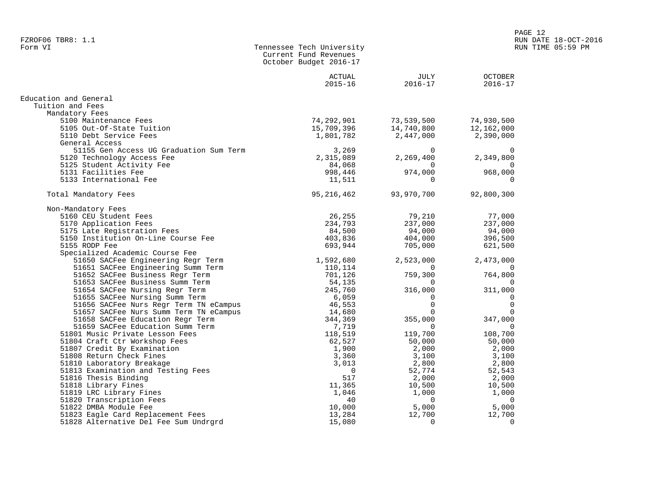| Form VI<br>Tennessee Tech University<br>RUN TIME 05:59 PM<br>Current Fund Revenues<br>October Budget 2016-17<br>JULY<br>2016-17<br>ACTUAL<br>OCTOBER<br>$2015 - 16$<br>2016-17<br>Education and General<br>Tuition and Fees<br>Mandatory Fees<br>74, 292, 901<br>15, 709, 396<br>1, 801, 782<br>$73,539,500$<br>$14,740,75$<br>5100 Maintenance Fees<br>74,930,500<br>12,162,000<br>5105 Out-Of-State Tuition<br>2,447,000<br>2,390,000<br>5110 Debt Service Fees<br>General Access<br>51155 Gen Access UG Graduation Sum Term<br>3,269<br>Fee 3,269<br>Fee 2,315,089<br>ee 34,068<br>998,446<br>11,511<br>$2,269,400$<br>974,000<br>968,000<br>968,000<br>5120 Technology Access Fee<br>5125 Student Activity Fee<br>5131 Facilities Fee<br>$\overline{0}$<br>5133 International Fee<br>$\Omega$<br>93,970,700<br>95,216,462<br>92,800,300<br>Total Mandatory Fees<br>Non-Mandatory Fees<br>96,255<br>1-Mandatory Fees<br>5170 Application Fees<br>5175 Late Registration Fees<br>5175 Late Registration Fees<br>5150 Institution On-Line Course Fee<br>693,944<br>507<br>5150 Institution On-Line Course Fee<br>693,944<br>$79,210$<br>$237,000$<br>$94,000$<br>$404,000$<br>$705,000$<br>77,000<br>26,255<br>237,000<br>94,000<br>55 RODP Fee<br>Solution On-Line Course Fee<br>Solution On-Line Course Fee<br>Solution Addemic Course Tee<br>Solution Addemic Course Term<br>Solution Addemic Scare Business Regr Term<br>10,114<br>51653 SACPee Business Regr Term<br>10,114<br><br>Specialized Academic Course Fee<br>$\begin{array}{c} 0 \\ 759,300 \end{array}$<br>355,000<br>347,000<br>$\overline{0}$<br>$\overline{0}$<br>51801 Music Private Lesson Fees<br>119,700<br>108,700<br>51804 Craft Ctr Workshop Fees<br>50,000<br>50,000<br>2,000<br>3,100<br>51807 Credit By Examination<br>2,000<br>3,100<br>51808 Return Check Fines<br>2,800<br>2,800<br>51810 Laboratory Breakage<br>52,774<br>51813 Examination and Testing Fees<br>52,543<br>2,000<br>51816 Thesis Binding<br>2,000<br>51818 Library Fines<br>$10,000$<br>1,000<br>1,000<br>51819 LRC Library Fines<br>$\Omega$<br>51820 Transcription Fees<br>$\overline{0}$<br>5,000<br>5,000<br>51822 DMBA Module Fee<br>12,700<br>12,700<br>51823 Eagle Card Replacement Fees<br>$\bigcirc$<br>$\Omega$ | FZROF06 TBR8: 1.1                     |  | RUN DATE 18-OCT-2016 |
|---------------------------------------------------------------------------------------------------------------------------------------------------------------------------------------------------------------------------------------------------------------------------------------------------------------------------------------------------------------------------------------------------------------------------------------------------------------------------------------------------------------------------------------------------------------------------------------------------------------------------------------------------------------------------------------------------------------------------------------------------------------------------------------------------------------------------------------------------------------------------------------------------------------------------------------------------------------------------------------------------------------------------------------------------------------------------------------------------------------------------------------------------------------------------------------------------------------------------------------------------------------------------------------------------------------------------------------------------------------------------------------------------------------------------------------------------------------------------------------------------------------------------------------------------------------------------------------------------------------------------------------------------------------------------------------------------------------------------------------------------------------------------------------------------------------------------------------------------------------------------------------------------------------------------------------------------------------------------------------------------------------------------------------------------------------------------------------------------------------------------------------------------------------------------------------------------------------------------------------------------------------------------|---------------------------------------|--|----------------------|
|                                                                                                                                                                                                                                                                                                                                                                                                                                                                                                                                                                                                                                                                                                                                                                                                                                                                                                                                                                                                                                                                                                                                                                                                                                                                                                                                                                                                                                                                                                                                                                                                                                                                                                                                                                                                                                                                                                                                                                                                                                                                                                                                                                                                                                                                           |                                       |  |                      |
|                                                                                                                                                                                                                                                                                                                                                                                                                                                                                                                                                                                                                                                                                                                                                                                                                                                                                                                                                                                                                                                                                                                                                                                                                                                                                                                                                                                                                                                                                                                                                                                                                                                                                                                                                                                                                                                                                                                                                                                                                                                                                                                                                                                                                                                                           |                                       |  |                      |
|                                                                                                                                                                                                                                                                                                                                                                                                                                                                                                                                                                                                                                                                                                                                                                                                                                                                                                                                                                                                                                                                                                                                                                                                                                                                                                                                                                                                                                                                                                                                                                                                                                                                                                                                                                                                                                                                                                                                                                                                                                                                                                                                                                                                                                                                           |                                       |  |                      |
|                                                                                                                                                                                                                                                                                                                                                                                                                                                                                                                                                                                                                                                                                                                                                                                                                                                                                                                                                                                                                                                                                                                                                                                                                                                                                                                                                                                                                                                                                                                                                                                                                                                                                                                                                                                                                                                                                                                                                                                                                                                                                                                                                                                                                                                                           |                                       |  |                      |
|                                                                                                                                                                                                                                                                                                                                                                                                                                                                                                                                                                                                                                                                                                                                                                                                                                                                                                                                                                                                                                                                                                                                                                                                                                                                                                                                                                                                                                                                                                                                                                                                                                                                                                                                                                                                                                                                                                                                                                                                                                                                                                                                                                                                                                                                           |                                       |  |                      |
|                                                                                                                                                                                                                                                                                                                                                                                                                                                                                                                                                                                                                                                                                                                                                                                                                                                                                                                                                                                                                                                                                                                                                                                                                                                                                                                                                                                                                                                                                                                                                                                                                                                                                                                                                                                                                                                                                                                                                                                                                                                                                                                                                                                                                                                                           |                                       |  |                      |
|                                                                                                                                                                                                                                                                                                                                                                                                                                                                                                                                                                                                                                                                                                                                                                                                                                                                                                                                                                                                                                                                                                                                                                                                                                                                                                                                                                                                                                                                                                                                                                                                                                                                                                                                                                                                                                                                                                                                                                                                                                                                                                                                                                                                                                                                           |                                       |  |                      |
|                                                                                                                                                                                                                                                                                                                                                                                                                                                                                                                                                                                                                                                                                                                                                                                                                                                                                                                                                                                                                                                                                                                                                                                                                                                                                                                                                                                                                                                                                                                                                                                                                                                                                                                                                                                                                                                                                                                                                                                                                                                                                                                                                                                                                                                                           |                                       |  |                      |
|                                                                                                                                                                                                                                                                                                                                                                                                                                                                                                                                                                                                                                                                                                                                                                                                                                                                                                                                                                                                                                                                                                                                                                                                                                                                                                                                                                                                                                                                                                                                                                                                                                                                                                                                                                                                                                                                                                                                                                                                                                                                                                                                                                                                                                                                           |                                       |  |                      |
|                                                                                                                                                                                                                                                                                                                                                                                                                                                                                                                                                                                                                                                                                                                                                                                                                                                                                                                                                                                                                                                                                                                                                                                                                                                                                                                                                                                                                                                                                                                                                                                                                                                                                                                                                                                                                                                                                                                                                                                                                                                                                                                                                                                                                                                                           |                                       |  |                      |
|                                                                                                                                                                                                                                                                                                                                                                                                                                                                                                                                                                                                                                                                                                                                                                                                                                                                                                                                                                                                                                                                                                                                                                                                                                                                                                                                                                                                                                                                                                                                                                                                                                                                                                                                                                                                                                                                                                                                                                                                                                                                                                                                                                                                                                                                           |                                       |  |                      |
|                                                                                                                                                                                                                                                                                                                                                                                                                                                                                                                                                                                                                                                                                                                                                                                                                                                                                                                                                                                                                                                                                                                                                                                                                                                                                                                                                                                                                                                                                                                                                                                                                                                                                                                                                                                                                                                                                                                                                                                                                                                                                                                                                                                                                                                                           |                                       |  |                      |
|                                                                                                                                                                                                                                                                                                                                                                                                                                                                                                                                                                                                                                                                                                                                                                                                                                                                                                                                                                                                                                                                                                                                                                                                                                                                                                                                                                                                                                                                                                                                                                                                                                                                                                                                                                                                                                                                                                                                                                                                                                                                                                                                                                                                                                                                           |                                       |  |                      |
|                                                                                                                                                                                                                                                                                                                                                                                                                                                                                                                                                                                                                                                                                                                                                                                                                                                                                                                                                                                                                                                                                                                                                                                                                                                                                                                                                                                                                                                                                                                                                                                                                                                                                                                                                                                                                                                                                                                                                                                                                                                                                                                                                                                                                                                                           |                                       |  |                      |
|                                                                                                                                                                                                                                                                                                                                                                                                                                                                                                                                                                                                                                                                                                                                                                                                                                                                                                                                                                                                                                                                                                                                                                                                                                                                                                                                                                                                                                                                                                                                                                                                                                                                                                                                                                                                                                                                                                                                                                                                                                                                                                                                                                                                                                                                           |                                       |  |                      |
|                                                                                                                                                                                                                                                                                                                                                                                                                                                                                                                                                                                                                                                                                                                                                                                                                                                                                                                                                                                                                                                                                                                                                                                                                                                                                                                                                                                                                                                                                                                                                                                                                                                                                                                                                                                                                                                                                                                                                                                                                                                                                                                                                                                                                                                                           |                                       |  |                      |
|                                                                                                                                                                                                                                                                                                                                                                                                                                                                                                                                                                                                                                                                                                                                                                                                                                                                                                                                                                                                                                                                                                                                                                                                                                                                                                                                                                                                                                                                                                                                                                                                                                                                                                                                                                                                                                                                                                                                                                                                                                                                                                                                                                                                                                                                           |                                       |  |                      |
|                                                                                                                                                                                                                                                                                                                                                                                                                                                                                                                                                                                                                                                                                                                                                                                                                                                                                                                                                                                                                                                                                                                                                                                                                                                                                                                                                                                                                                                                                                                                                                                                                                                                                                                                                                                                                                                                                                                                                                                                                                                                                                                                                                                                                                                                           |                                       |  |                      |
|                                                                                                                                                                                                                                                                                                                                                                                                                                                                                                                                                                                                                                                                                                                                                                                                                                                                                                                                                                                                                                                                                                                                                                                                                                                                                                                                                                                                                                                                                                                                                                                                                                                                                                                                                                                                                                                                                                                                                                                                                                                                                                                                                                                                                                                                           |                                       |  |                      |
|                                                                                                                                                                                                                                                                                                                                                                                                                                                                                                                                                                                                                                                                                                                                                                                                                                                                                                                                                                                                                                                                                                                                                                                                                                                                                                                                                                                                                                                                                                                                                                                                                                                                                                                                                                                                                                                                                                                                                                                                                                                                                                                                                                                                                                                                           |                                       |  |                      |
|                                                                                                                                                                                                                                                                                                                                                                                                                                                                                                                                                                                                                                                                                                                                                                                                                                                                                                                                                                                                                                                                                                                                                                                                                                                                                                                                                                                                                                                                                                                                                                                                                                                                                                                                                                                                                                                                                                                                                                                                                                                                                                                                                                                                                                                                           |                                       |  |                      |
|                                                                                                                                                                                                                                                                                                                                                                                                                                                                                                                                                                                                                                                                                                                                                                                                                                                                                                                                                                                                                                                                                                                                                                                                                                                                                                                                                                                                                                                                                                                                                                                                                                                                                                                                                                                                                                                                                                                                                                                                                                                                                                                                                                                                                                                                           |                                       |  |                      |
|                                                                                                                                                                                                                                                                                                                                                                                                                                                                                                                                                                                                                                                                                                                                                                                                                                                                                                                                                                                                                                                                                                                                                                                                                                                                                                                                                                                                                                                                                                                                                                                                                                                                                                                                                                                                                                                                                                                                                                                                                                                                                                                                                                                                                                                                           |                                       |  |                      |
|                                                                                                                                                                                                                                                                                                                                                                                                                                                                                                                                                                                                                                                                                                                                                                                                                                                                                                                                                                                                                                                                                                                                                                                                                                                                                                                                                                                                                                                                                                                                                                                                                                                                                                                                                                                                                                                                                                                                                                                                                                                                                                                                                                                                                                                                           |                                       |  |                      |
|                                                                                                                                                                                                                                                                                                                                                                                                                                                                                                                                                                                                                                                                                                                                                                                                                                                                                                                                                                                                                                                                                                                                                                                                                                                                                                                                                                                                                                                                                                                                                                                                                                                                                                                                                                                                                                                                                                                                                                                                                                                                                                                                                                                                                                                                           |                                       |  |                      |
|                                                                                                                                                                                                                                                                                                                                                                                                                                                                                                                                                                                                                                                                                                                                                                                                                                                                                                                                                                                                                                                                                                                                                                                                                                                                                                                                                                                                                                                                                                                                                                                                                                                                                                                                                                                                                                                                                                                                                                                                                                                                                                                                                                                                                                                                           |                                       |  |                      |
|                                                                                                                                                                                                                                                                                                                                                                                                                                                                                                                                                                                                                                                                                                                                                                                                                                                                                                                                                                                                                                                                                                                                                                                                                                                                                                                                                                                                                                                                                                                                                                                                                                                                                                                                                                                                                                                                                                                                                                                                                                                                                                                                                                                                                                                                           |                                       |  |                      |
|                                                                                                                                                                                                                                                                                                                                                                                                                                                                                                                                                                                                                                                                                                                                                                                                                                                                                                                                                                                                                                                                                                                                                                                                                                                                                                                                                                                                                                                                                                                                                                                                                                                                                                                                                                                                                                                                                                                                                                                                                                                                                                                                                                                                                                                                           |                                       |  |                      |
|                                                                                                                                                                                                                                                                                                                                                                                                                                                                                                                                                                                                                                                                                                                                                                                                                                                                                                                                                                                                                                                                                                                                                                                                                                                                                                                                                                                                                                                                                                                                                                                                                                                                                                                                                                                                                                                                                                                                                                                                                                                                                                                                                                                                                                                                           |                                       |  |                      |
|                                                                                                                                                                                                                                                                                                                                                                                                                                                                                                                                                                                                                                                                                                                                                                                                                                                                                                                                                                                                                                                                                                                                                                                                                                                                                                                                                                                                                                                                                                                                                                                                                                                                                                                                                                                                                                                                                                                                                                                                                                                                                                                                                                                                                                                                           |                                       |  |                      |
|                                                                                                                                                                                                                                                                                                                                                                                                                                                                                                                                                                                                                                                                                                                                                                                                                                                                                                                                                                                                                                                                                                                                                                                                                                                                                                                                                                                                                                                                                                                                                                                                                                                                                                                                                                                                                                                                                                                                                                                                                                                                                                                                                                                                                                                                           |                                       |  |                      |
|                                                                                                                                                                                                                                                                                                                                                                                                                                                                                                                                                                                                                                                                                                                                                                                                                                                                                                                                                                                                                                                                                                                                                                                                                                                                                                                                                                                                                                                                                                                                                                                                                                                                                                                                                                                                                                                                                                                                                                                                                                                                                                                                                                                                                                                                           |                                       |  |                      |
|                                                                                                                                                                                                                                                                                                                                                                                                                                                                                                                                                                                                                                                                                                                                                                                                                                                                                                                                                                                                                                                                                                                                                                                                                                                                                                                                                                                                                                                                                                                                                                                                                                                                                                                                                                                                                                                                                                                                                                                                                                                                                                                                                                                                                                                                           |                                       |  |                      |
|                                                                                                                                                                                                                                                                                                                                                                                                                                                                                                                                                                                                                                                                                                                                                                                                                                                                                                                                                                                                                                                                                                                                                                                                                                                                                                                                                                                                                                                                                                                                                                                                                                                                                                                                                                                                                                                                                                                                                                                                                                                                                                                                                                                                                                                                           |                                       |  |                      |
|                                                                                                                                                                                                                                                                                                                                                                                                                                                                                                                                                                                                                                                                                                                                                                                                                                                                                                                                                                                                                                                                                                                                                                                                                                                                                                                                                                                                                                                                                                                                                                                                                                                                                                                                                                                                                                                                                                                                                                                                                                                                                                                                                                                                                                                                           |                                       |  |                      |
|                                                                                                                                                                                                                                                                                                                                                                                                                                                                                                                                                                                                                                                                                                                                                                                                                                                                                                                                                                                                                                                                                                                                                                                                                                                                                                                                                                                                                                                                                                                                                                                                                                                                                                                                                                                                                                                                                                                                                                                                                                                                                                                                                                                                                                                                           |                                       |  |                      |
|                                                                                                                                                                                                                                                                                                                                                                                                                                                                                                                                                                                                                                                                                                                                                                                                                                                                                                                                                                                                                                                                                                                                                                                                                                                                                                                                                                                                                                                                                                                                                                                                                                                                                                                                                                                                                                                                                                                                                                                                                                                                                                                                                                                                                                                                           |                                       |  |                      |
|                                                                                                                                                                                                                                                                                                                                                                                                                                                                                                                                                                                                                                                                                                                                                                                                                                                                                                                                                                                                                                                                                                                                                                                                                                                                                                                                                                                                                                                                                                                                                                                                                                                                                                                                                                                                                                                                                                                                                                                                                                                                                                                                                                                                                                                                           |                                       |  |                      |
|                                                                                                                                                                                                                                                                                                                                                                                                                                                                                                                                                                                                                                                                                                                                                                                                                                                                                                                                                                                                                                                                                                                                                                                                                                                                                                                                                                                                                                                                                                                                                                                                                                                                                                                                                                                                                                                                                                                                                                                                                                                                                                                                                                                                                                                                           |                                       |  |                      |
|                                                                                                                                                                                                                                                                                                                                                                                                                                                                                                                                                                                                                                                                                                                                                                                                                                                                                                                                                                                                                                                                                                                                                                                                                                                                                                                                                                                                                                                                                                                                                                                                                                                                                                                                                                                                                                                                                                                                                                                                                                                                                                                                                                                                                                                                           |                                       |  |                      |
|                                                                                                                                                                                                                                                                                                                                                                                                                                                                                                                                                                                                                                                                                                                                                                                                                                                                                                                                                                                                                                                                                                                                                                                                                                                                                                                                                                                                                                                                                                                                                                                                                                                                                                                                                                                                                                                                                                                                                                                                                                                                                                                                                                                                                                                                           |                                       |  |                      |
|                                                                                                                                                                                                                                                                                                                                                                                                                                                                                                                                                                                                                                                                                                                                                                                                                                                                                                                                                                                                                                                                                                                                                                                                                                                                                                                                                                                                                                                                                                                                                                                                                                                                                                                                                                                                                                                                                                                                                                                                                                                                                                                                                                                                                                                                           |                                       |  |                      |
|                                                                                                                                                                                                                                                                                                                                                                                                                                                                                                                                                                                                                                                                                                                                                                                                                                                                                                                                                                                                                                                                                                                                                                                                                                                                                                                                                                                                                                                                                                                                                                                                                                                                                                                                                                                                                                                                                                                                                                                                                                                                                                                                                                                                                                                                           |                                       |  |                      |
|                                                                                                                                                                                                                                                                                                                                                                                                                                                                                                                                                                                                                                                                                                                                                                                                                                                                                                                                                                                                                                                                                                                                                                                                                                                                                                                                                                                                                                                                                                                                                                                                                                                                                                                                                                                                                                                                                                                                                                                                                                                                                                                                                                                                                                                                           | 51828 Alternative Del Fee Sum Undrgrd |  |                      |

PAGE 12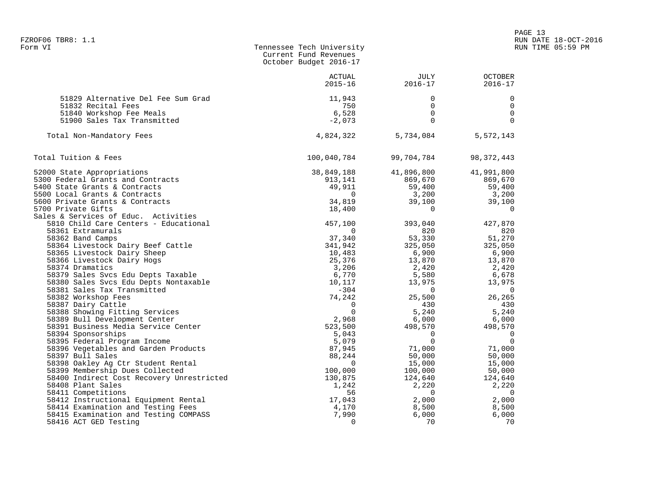|                                                                | Current Fund Revenues<br>October Budget 2016-17 |                     |                               |
|----------------------------------------------------------------|-------------------------------------------------|---------------------|-------------------------------|
|                                                                | ACTUAL<br>$2015 - 16$                           | JULY<br>$2016 - 17$ | <b>OCTOBER</b><br>$2016 - 17$ |
| 51829 Alternative Del Fee Sum Grad                             | 11,943                                          | 0                   | 0                             |
| 51832 Recital Fees                                             | 750                                             | 0                   | $\mathsf{O}$                  |
| 51840 Workshop Fee Meals                                       | 6,528                                           | $\Omega$            | $\mathbf 0$                   |
| 51900 Sales Tax Transmitted                                    | $-2,073$                                        | $\Omega$            | $\Omega$                      |
| Total Non-Mandatory Fees                                       | 4,824,322                                       | 5,734,084           | 5,572,143                     |
| Total Tuition & Fees                                           | 100,040,784                                     | 99,704,784          | 98, 372, 443                  |
| 52000 State Appropriations                                     | 38,849,188                                      | 41,896,800          | 41,991,800                    |
| 5300 Federal Grants and Contracts                              | 913,141                                         | 869,670             | 869,670                       |
| 5400 State Grants & Contracts                                  | 49,911                                          |                     | 59,400                        |
| 5500 Local Grants & Contracts                                  | $\overline{0}$                                  | 59,400<br>3,200     | 3,200                         |
| 5600 Private Grants & Contracts                                | 34,819                                          | 39,100              | 39,100                        |
| 5700 Private Gifts                                             | 18,400                                          | $\overline{0}$      | $\overline{0}$                |
| Sales & Services of Educ. Activities                           |                                                 |                     |                               |
| 5810 Child Care Centers - Educational                          | 457,100                                         | 393,040             | 427,870                       |
| 58361 Extramurals                                              | $\Omega$                                        | 820                 | 820                           |
| 58362 Band Camps                                               | 37,340                                          | 53,330              | 51,270                        |
| 58364 Livestock Dairy Beef Cattle                              | 341,942                                         | 325,050             | 325,050                       |
| 58365 Livestock Dairy Sheep                                    | 10,483                                          | 6,900               | 6,900                         |
| 58366 Livestock Dairy Hogs                                     | 25,376                                          | 13,870              | 13,870                        |
| 58374 Dramatics                                                | 3,206                                           | 2,420               | 2,420                         |
| 58379 Sales Svcs Edu Depts Taxable                             | 6,770                                           | 5,580               | 6,678                         |
| 58380 Sales Svcs Edu Depts Nontaxable                          | 10,117                                          | 13,975              | 13,975                        |
| 58381 Sales Tax Transmitted                                    | $-304$                                          | $\Omega$            | $\overline{0}$                |
| 58382 Workshop Fees                                            | 74,242                                          | 25,500              | 26,265                        |
| 58387 Dairy Cattle                                             | $\Omega$                                        | 430                 | 430                           |
| 58388 Showing Fitting Services                                 | $\mathbf 0$                                     | 5,240               | 5,240                         |
| 58389 Bull Development Center                                  | 2,968                                           | 6,000               | 6,000                         |
| 58391 Business Media Service Center                            | 523,500                                         | 498,570             | 498,570                       |
| 58394 Sponsorships                                             | 5,043                                           | $\overline{0}$      | $\overline{0}$                |
| 58395 Federal Program Income                                   | 5,079                                           | $\Omega$            | $\overline{0}$                |
| 58396 Vegetables and Garden Products                           | 87,945                                          | 71,000              | 71,000                        |
| 58397 Bull Sales                                               | 88,244                                          | 50,000              | 50,000                        |
| 58398 Oakley Aq Ctr Student Rental                             | $\overline{0}$                                  | 15,000              | 15,000                        |
| 58399 Membership Dues Collected                                | 100,000                                         | 100,000             | 50,000                        |
| 58400 Indirect Cost Recovery Unrestricted                      | 130,875                                         | 124,640             | 124,640                       |
| 58408 Plant Sales                                              | 1,242                                           | 2,220               | 2,220                         |
| 58411 Competitions                                             | 56                                              | $\sim$ 0            | $\overline{\phantom{0}}$      |
| 58412 Instructional Equipment Rental                           | 17,043                                          | 2,000<br>8,500      | 2,000                         |
| 58414 Examination and Testing Fees                             | 4,170<br>7,990                                  |                     | 8,500<br>6,000                |
| 58415 Examination and Testing COMPASS<br>58416 ACT GED Testing | $\Omega$                                        | 6,000<br>70         | 70                            |
|                                                                |                                                 |                     |                               |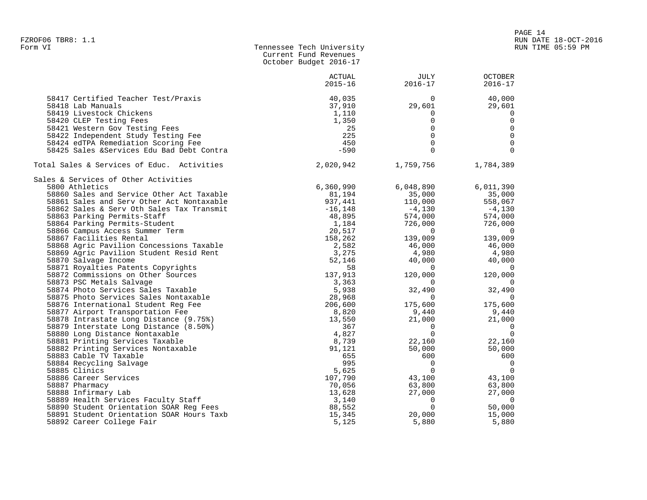| Form VI | Tennessee Tech University |
|---------|---------------------------|
|         | Current Fund Revenues     |
|         | October Budget 2016-17    |

|                                            | <b>ACTUAL</b><br>$2015 - 16$ | <b>JULY</b><br>$2016 - 17$ | <b>OCTOBER</b><br>$2016 - 17$ |
|--------------------------------------------|------------------------------|----------------------------|-------------------------------|
|                                            |                              |                            |                               |
| 58417 Certified Teacher Test/Praxis        | 40,035                       | $\Omega$                   | 40,000                        |
| 58418 Lab Manuals                          | 37,910                       | 29,601                     | 29,601                        |
| 58419 Livestock Chickens                   | 1,110                        | 0                          | 0                             |
| 58420 CLEP Testing Fees                    | 1,350                        | $\mathbf 0$                | 0                             |
| 58421 Western Gov Testing Fees             | 25                           | $\Omega$                   | $\mathbf 0$                   |
| 58422 Independent Study Testing Fee        | 225                          | $\Omega$                   | $\Omega$                      |
| 58424 edTPA Remediation Scoring Fee        | 450                          | $\mathbf 0$                | $\overline{0}$                |
| 58425 Sales & Services Edu Bad Debt Contra | $-590$                       | $\Omega$                   | $\Omega$                      |
| Total Sales & Services of Educ. Activities | 2,020,942                    | 1,759,756                  | 1,784,389                     |
| Sales & Services of Other Activities       |                              |                            |                               |
| 5800 Athletics                             | 6,360,990                    | 6,048,890                  | 6,011,390                     |
| 58860 Sales and Service Other Act Taxable  | 81,194                       | 35,000                     | 35,000                        |
| 58861 Sales and Serv Other Act Nontaxable  | 937,441                      | 110,000                    | 558,067                       |
| 58862 Sales & Serv Oth Sales Tax Transmit  | $-16, 148$                   | $-4,130$                   | $-4,130$                      |
| 58863 Parking Permits-Staff                | 48,895                       | 574,000                    | 574,000                       |
| 58864 Parking Permits-Student              | 1,184                        | 726,000                    | 726,000                       |
| 58866 Campus Access Summer Term            | 20,517                       | $\overline{0}$             | $\Omega$                      |
| 58867 Facilities Rental                    | 158,262                      | 139,009                    | 139,009                       |
| 58868 Agric Pavilion Concessions Taxable   | 2,582                        | 46,000                     | 46,000                        |
| 58869 Agric Pavilion Student Resid Rent    | 3,275                        | 4,980                      | 4,980                         |
| 58870 Salvage Income                       | 52,146                       | 40,000                     | 40,000                        |
| 58871 Royalties Patents Copyrights         | 58                           | $\Omega$                   | $\Omega$                      |
| 58872 Commissions on Other Sources         | 137,913                      | 120,000                    | 120,000                       |
| 58873 PSC Metals Salvage                   | 3,363                        | $\Omega$                   |                               |
| 58874 Photo Services Sales Taxable         | 5,938                        | 32,490                     | 32,490                        |
| 58875 Photo Services Sales Nontaxable      | 28,968                       | $\Omega$                   | $\Omega$                      |
| 58876 International Student Reg Fee        | 206,600                      | 175,600                    | 175,600                       |
| 58877 Airport Transportation Fee           | 8,820                        | 9,440                      | 9,440                         |
| 58878 Intrastate Long Distance (9.75%)     | 13,550                       | 21,000                     | 21,000                        |
| 58879 Interstate Long Distance (8.50%)     | 367                          | $\mathbf 0$                | 0                             |
| 58880 Long Distance Nontaxable             | 4,827                        | $\Omega$                   | $\Omega$                      |
| 58881 Printing Services Taxable            | 8,739                        | 22,160                     | 22,160                        |
| 58882 Printing Services Nontaxable         | 91,121                       | 50,000                     | 50,000                        |
| 58883 Cable TV Taxable                     | 655                          | 600                        | 600                           |
| 58884 Recycling Salvage                    | 995                          | 0                          | $\mathbf 0$                   |
| 58885 Clinics                              | 5,625                        | $\overline{0}$             | $\Omega$                      |
| 58886 Career Services                      | 107,790                      | 43,100                     | 43,100                        |
| 58887 Pharmacy                             | 70,056                       | 63,800                     | 63,800                        |
| 58888 Infirmary Lab                        | 13,628                       | 27,000                     | 27,000                        |
| 58889 Health Services Faculty Staff        | 3,140                        | $\Omega$                   | $\Omega$                      |
| 58890 Student Orientation SOAR Reg Fees    | 88,552                       | $\Omega$                   | 50,000                        |
| 58891 Student Orientation SOAR Hours Taxb  | 15,345                       | 20,000                     | 15,000                        |
| 58892 Career College Fair                  | 5,125                        | 5,880                      | 5,880                         |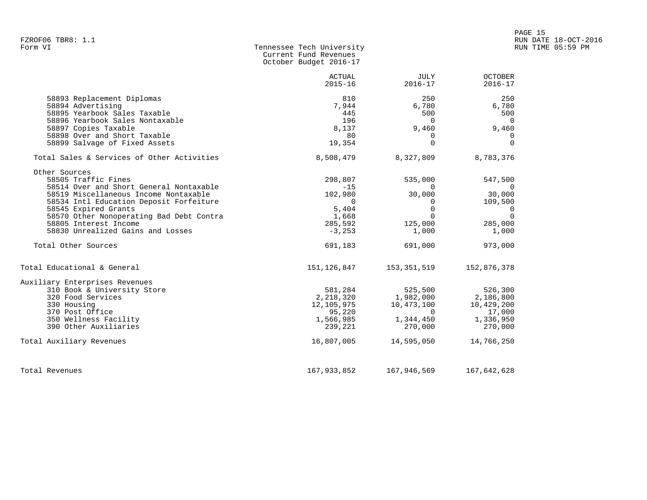|                                                                  | Current Fund Revenues<br>October Budget 2016-17 |                                         |                                            |
|------------------------------------------------------------------|-------------------------------------------------|-----------------------------------------|--------------------------------------------|
|                                                                  | ACTUAL<br>$2015 - 16$                           | JULY<br>$2016 - 17$                     | <b>OCTOBER</b><br>$2016 - 17$              |
| 58893 Replacement Diplomas                                       | 810                                             | 250                                     | 250                                        |
| 58894 Advertising                                                | 7,944                                           | 6,780                                   | 6,780                                      |
| 58895 Yearbook Sales Taxable                                     | 445                                             | 500                                     | 500                                        |
| 58896 Yearbook Sales Nontaxable                                  | 196                                             | 0                                       | $\overline{0}$                             |
| 58897 Copies Taxable                                             | 8,137                                           | 9,460                                   | 9,460                                      |
| 58898 Over and Short Taxable                                     | 80                                              | $\Omega$                                | $\Omega$                                   |
| 58899 Salvage of Fixed Assets                                    | 19,354                                          | $\Omega$                                | $\Omega$                                   |
| Total Sales & Services of Other Activities                       | 8,508,479                                       | 8,327,809                               | 8,783,376                                  |
| Other Sources                                                    |                                                 |                                         |                                            |
| 58505 Traffic Fines                                              | 298,807                                         | 535,000                                 | 547,500                                    |
| 58514 Over and Short General Nontaxable                          | $-15$                                           | $\sim$ 0                                | $\sim$ 0                                   |
| 58519 Miscellaneous Income Nontaxable                            | 102,980                                         | 30,000                                  | 30,000                                     |
| 58534 Intl Education Deposit Forfeiture                          | $\overline{\phantom{0}}$<br>5,404               | $\overline{\phantom{0}}$<br>$\mathbf 0$ | 109,500                                    |
| 58545 Expired Grants<br>58570 Other Nonoperating Bad Debt Contra | 1,668                                           | $\Omega$                                | $\overline{\phantom{0}}$<br>$\overline{0}$ |
| 58805 Interest Income                                            | 285,592                                         | 125,000                                 | 285,000                                    |
| 58830 Unrealized Gains and Losses                                | $-3,253$                                        | 1,000                                   | 1,000                                      |
|                                                                  |                                                 |                                         |                                            |
| Total Other Sources                                              | 691,183                                         | 691,000                                 | 973,000                                    |
| Total Educational & General                                      | 151,126,847                                     | 153,351,519                             | 152,876,378                                |
| Auxiliary Enterprises Revenues                                   |                                                 |                                         |                                            |
| 310 Book & University Store                                      | 581,284                                         | 525,500                                 | 526,300                                    |
| 320 Food Services                                                | 2,218,320                                       | 1,982,000                               | 2,186,800                                  |
| 330 Housing                                                      | 12,105,975                                      | 10,473,100                              | 10,429,200                                 |
| 370 Post Office                                                  | 95,220                                          | $\overline{0}$                          | 17,000                                     |
| 350 Wellness Facility                                            | 1,566,985                                       | 1,344,450                               | 1,336,950                                  |
| 390 Other Auxiliaries                                            | 239,221                                         | 270,000                                 | 270,000                                    |
| Total Auxiliary Revenues                                         | 16,807,005                                      | 14,595,050                              | 14,766,250                                 |
| Total Revenues                                                   | 167,933,852                                     | 167,946,569                             | 167,642,628                                |

Tennessee Tech University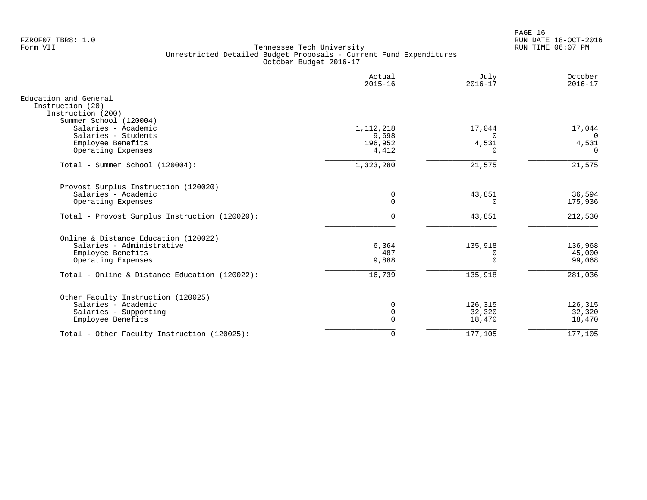PAGE 16 FZROF07 TBR8: 1.0 RUN DATE 18-OCT-2016

|                                                                | Actual<br>$2015 - 16$ | July<br>$2016 - 17$ | October<br>$2016 - 17$ |
|----------------------------------------------------------------|-----------------------|---------------------|------------------------|
| Education and General<br>Instruction (20)<br>Instruction (200) |                       |                     |                        |
| Summer School (120004)<br>Salaries - Academic                  | 1, 112, 218           | 17,044              | 17,044                 |
| Salaries - Students                                            | 9,698                 | $\Omega$            | $\Omega$               |
| Employee Benefits                                              | 196,952               | 4,531               | 4,531                  |
| Operating Expenses                                             | 4,412                 | 0                   | $\Omega$               |
| Total - Summer School (120004):                                | 1,323,280             | 21,575              | 21,575                 |
| Provost Surplus Instruction (120020)                           |                       |                     |                        |
| Salaries - Academic                                            | 0                     | 43,851              | 36,594                 |
| Operating Expenses                                             | $\mathbf 0$           | 0                   | 175,936                |
| Total - Provost Surplus Instruction (120020):                  | $\mathbf 0$           | 43,851              | 212,530                |
| Online & Distance Education (120022)                           |                       |                     |                        |
| Salaries - Administrative                                      | 6,364                 | 135,918             | 136,968                |
| Employee Benefits                                              | 487                   | 0                   | 45,000                 |
| Operating Expenses                                             | 9,888                 | $\Omega$            | 99,068                 |
| Total - Online & Distance Education (120022):                  | 16,739                | 135,918             | 281,036                |
| Other Faculty Instruction (120025)                             |                       |                     |                        |
| Salaries - Academic                                            | $\mathbf 0$           | 126,315             | 126,315                |
| Salaries - Supporting                                          | $\mathbf 0$           | 32,320              | 32,320                 |
| Employee Benefits                                              | $\mathbf 0$           | 18,470              | 18,470                 |
| Total - Other Faculty Instruction (120025):                    | $\mathbf 0$           | 177,105             | 177,105                |
|                                                                |                       |                     |                        |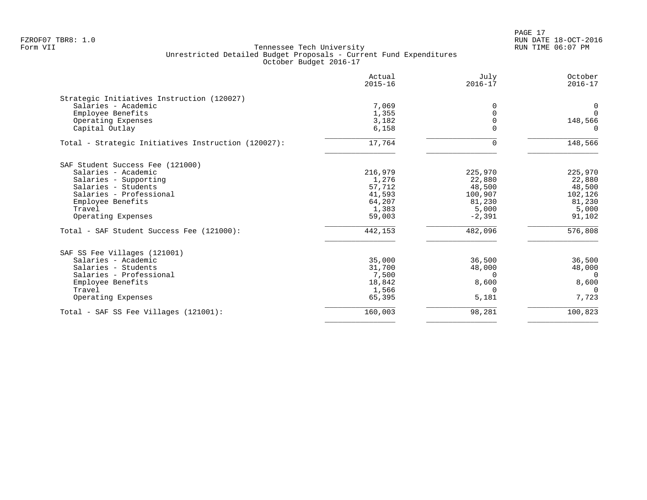|                                                     | Actual<br>$2015 - 16$ | July<br>$2016 - 17$ | October<br>$2016 - 17$ |
|-----------------------------------------------------|-----------------------|---------------------|------------------------|
| Strategic Initiatives Instruction (120027)          |                       |                     |                        |
| Salaries - Academic                                 | 7,069                 | 0                   | 0                      |
| Employee Benefits                                   | 1,355                 | 0                   | $\Omega$               |
| Operating Expenses                                  | 3,182                 | U                   | 148,566                |
| Capital Outlay                                      | 6,158                 |                     |                        |
| Total - Strategic Initiatives Instruction (120027): | 17,764                | 0                   | 148,566                |
| SAF Student Success Fee (121000)                    |                       |                     |                        |
| Salaries - Academic                                 | 216,979               | 225,970             | 225,970                |
| Salaries - Supporting                               | 1,276                 | 22,880              | 22,880                 |
| Salaries - Students                                 | 57,712                | 48,500              | 48,500                 |
| Salaries - Professional                             | 41,593                | 100,907             | 102,126                |
| Employee Benefits                                   | 64,207                | 81,230              | 81,230                 |
| Travel                                              | 1,383                 | 5,000               | 5,000                  |
| Operating Expenses                                  | 59,003                | $-2,391$            | 91,102                 |
| Total - SAF Student Success Fee (121000):           | 442,153               | 482,096             | 576,808                |
| SAF SS Fee Villages (121001)                        |                       |                     |                        |
| Salaries - Academic                                 | 35,000                | 36,500              | 36,500                 |
| Salaries - Students                                 | 31,700                | 48,000              | 48,000                 |
| Salaries - Professional                             | 7,500                 | $\Omega$            | $\Omega$               |
| Employee Benefits                                   | 18,842                | 8,600               | 8,600                  |
| Travel                                              | 1,566                 | 0                   | $\cap$                 |
| Operating Expenses                                  | 65,395                | 5,181               | 7,723                  |
| Total - SAF SS Fee Villages (121001):               | 160,003               | 98,281              | 100,823                |
|                                                     |                       |                     |                        |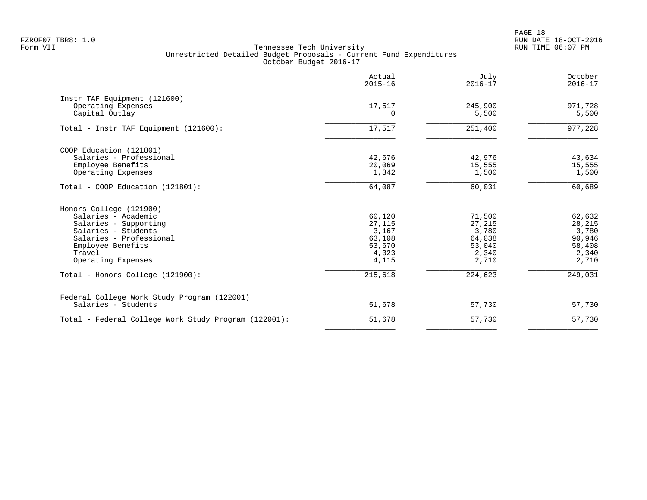PAGE 18 FZROF07 TBR8: 1.0 RUN DATE 18-OCT-2016

|                                                                      | Actual<br>$2015 - 16$ | July<br>$2016 - 17$ | October<br>$2016 - 17$ |
|----------------------------------------------------------------------|-----------------------|---------------------|------------------------|
| Instr TAF Equipment (121600)<br>Operating Expenses<br>Capital Outlay | 17,517<br>$\Omega$    | 245,900<br>5,500    | 971,728<br>5,500       |
| Total - Instr TAF Equipment (121600):                                | 17,517                | 251,400             | 977,228                |
| COOP Education (121801)                                              |                       |                     |                        |
| Salaries - Professional                                              | 42,676                | 42,976              | 43,634                 |
| Employee Benefits                                                    | 20,069                | 15,555              | 15,555                 |
| Operating Expenses                                                   | 1,342                 | 1,500               | 1,500                  |
| Total - COOP Education (121801):                                     | 64,087                | 60,031              | 60,689                 |
| Honors College (121900)                                              |                       |                     |                        |
| Salaries - Academic                                                  | 60,120                | 71,500              | 62,632                 |
| Salaries - Supporting                                                | 27,115                | 27,215              | 28,215                 |
| Salaries - Students                                                  | 3,167                 | 3,780               | 3,780                  |
| Salaries - Professional                                              | 63,108                | 64,038              | 90,946                 |
| Employee Benefits                                                    | 53,670                | 53,040              | 58,408                 |
| Travel                                                               | 4,323                 | 2,340               | 2,340                  |
| Operating Expenses                                                   | 4,115                 | 2,710               | 2,710                  |
| Total - Honors College (121900):                                     | 215,618               | 224,623             | 249,031                |
| Federal College Work Study Program (122001)                          |                       |                     |                        |
| Salaries - Students                                                  | 51,678                | 57,730              | 57,730                 |
| Total - Federal College Work Study Program (122001):                 | 51,678                | 57,730              | 57,730                 |
|                                                                      |                       |                     |                        |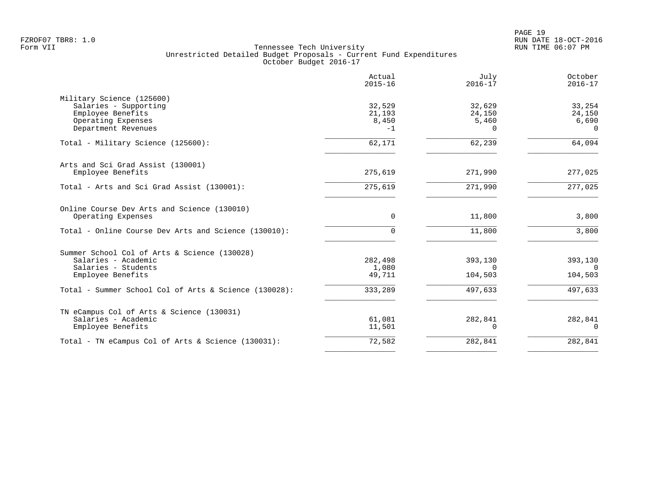PAGE 19 FZROF07 TBR8: 1.0 RUN DATE 18-OCT-2016

|                                                                                                                      | Actual<br>$2015 - 16$             | July<br>$2016 - 17$                   | October<br>$2016 - 17$                |
|----------------------------------------------------------------------------------------------------------------------|-----------------------------------|---------------------------------------|---------------------------------------|
| Military Science (125600)<br>Salaries - Supporting<br>Employee Benefits<br>Operating Expenses<br>Department Revenues | 32,529<br>21,193<br>8,450<br>$-1$ | 32,629<br>24,150<br>5,460<br>$\Omega$ | 33,254<br>24,150<br>6,690<br>$\Omega$ |
| Total - Military Science (125600):                                                                                   | 62,171                            | 62,239                                | 64,094                                |
| Arts and Sci Grad Assist (130001)<br>Employee Benefits                                                               | 275,619                           | 271,990                               | 277,025                               |
| Total - Arts and Sci Grad Assist (130001):                                                                           | 275,619                           | 271,990                               | 277,025                               |
| Online Course Dev Arts and Science (130010)<br>Operating Expenses                                                    | $\Omega$                          | 11,800                                | 3,800                                 |
| Total - Online Course Dev Arts and Science (130010):                                                                 | 0                                 | 11,800                                | 3,800                                 |
| Summer School Col of Arts & Science (130028)<br>Salaries - Academic<br>Salaries - Students<br>Employee Benefits      | 282,498<br>1,080<br>49,711        | 393,130<br>$\Omega$<br>104,503        | 393,130<br>$\Omega$<br>104,503        |
| Total - Summer School Col of Arts & Science (130028):                                                                | 333,289                           | 497,633                               | 497,633                               |
| TN eCampus Col of Arts & Science (130031)<br>Salaries - Academic<br>Employee Benefits                                | 61,081<br>11,501                  | 282,841<br>$\Omega$                   | 282,841<br>$\Omega$                   |
| Total - TN eCampus Col of Arts & Science (130031):                                                                   | 72,582                            | 282,841                               | 282,841                               |
|                                                                                                                      |                                   |                                       |                                       |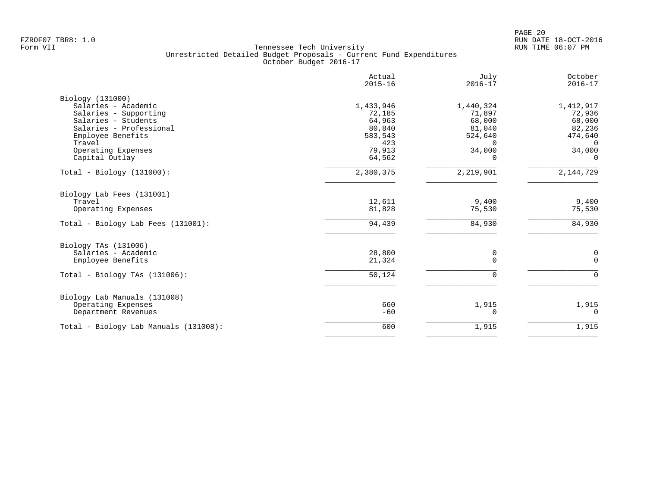|                                       | Actual<br>$2015 - 16$ | July<br>$2016 - 17$ | October<br>$2016 - 17$ |
|---------------------------------------|-----------------------|---------------------|------------------------|
| Biology (131000)                      |                       |                     |                        |
| Salaries - Academic                   | 1,433,946             | 1,440,324           | 1,412,917              |
| Salaries - Supporting                 | 72,185                | 71,897              | 72,936                 |
| Salaries - Students                   | 64,963                | 68,000              | 68,000                 |
| Salaries - Professional               | 80,840                | 81,040              | 82,236                 |
| Employee Benefits                     | 583,543               | 524,640             | 474,640                |
| Travel                                | 423                   | $\Omega$            | $\mathbf{0}$           |
| Operating Expenses                    | 79,913                | 34,000              | 34,000                 |
| Capital Outlay                        | 64,562                | $\Omega$            | $\Omega$               |
| $Total - Biology (131000):$           | 2,380,375             | 2,219,901           | 2,144,729              |
| Biology Lab Fees (131001)             |                       |                     |                        |
| Travel                                | 12,611                | 9,400               | 9,400                  |
| Operating Expenses                    | 81,828                | 75,530              | 75,530                 |
| Total - Biology Lab Fees (131001):    | 94,439                | 84,930              | 84,930                 |
| Biology TAs (131006)                  |                       |                     |                        |
| Salaries - Academic                   | 28,800                | 0                   | $\mathbf 0$            |
| Employee Benefits                     | 21,324                | $\Omega$            | $\Omega$               |
| Total - Biology TAs $(131006)$ :      | 50,124                | $\Omega$            | $\Omega$               |
| Biology Lab Manuals (131008)          |                       |                     |                        |
| Operating Expenses                    | 660                   | 1,915               | 1,915                  |
| Department Revenues                   | $-60$                 | 0                   | 0                      |
| Total - Biology Lab Manuals (131008): | 600                   | 1,915               | 1,915                  |
|                                       |                       |                     |                        |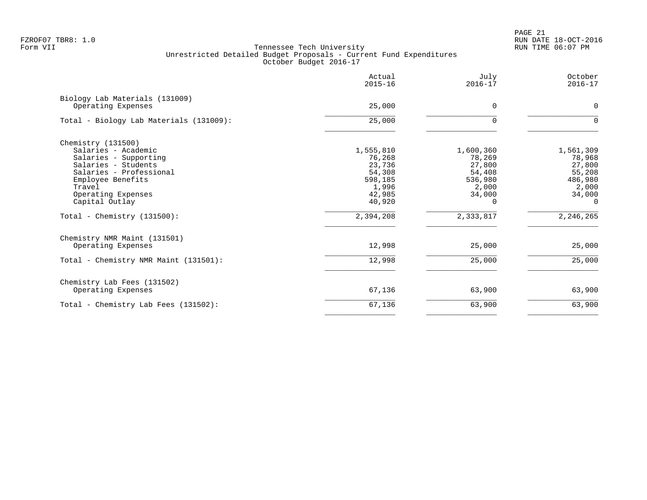PAGE 21 FZROF07 TBR8: 1.0 RUN DATE 18-OCT-2016

|                                                      | Actual<br>$2015 - 16$ | July<br>$2016 - 17$ | October<br>$2016 - 17$ |
|------------------------------------------------------|-----------------------|---------------------|------------------------|
| Biology Lab Materials (131009)<br>Operating Expenses | 25,000                | $\Omega$            | $\mathbf 0$            |
| Total - Biology Lab Materials (131009):              | 25,000                |                     | $\Omega$               |
| Chemistry (131500)                                   |                       |                     |                        |
| Salaries - Academic                                  | 1,555,810             | 1,600,360           | 1,561,309              |
| Salaries - Supporting                                | 76,268                | 78,269              | 78,968                 |
| Salaries - Students                                  | 23,736                | 27,800              | 27,800                 |
| Salaries - Professional                              | 54,308                | 54,408              | 55,208                 |
| Employee Benefits                                    | 598,185               | 536,980             | 486,980                |
| Travel                                               | 1,996                 | 2,000               | 2,000                  |
| Operating Expenses<br>Capital Outlay                 | 42,985<br>40,920      | 34,000<br>0         | 34,000<br>$\Omega$     |
|                                                      |                       |                     |                        |
| Total - Chemistry $(131500)$ :                       | 2,394,208             | 2,333,817           | 2, 246, 265            |
| Chemistry NMR Maint (131501)                         |                       |                     |                        |
| Operating Expenses                                   | 12,998                | 25,000              | 25,000                 |
| Total - Chemistry NMR Maint (131501):                | 12,998                | 25,000              | 25,000                 |
| Chemistry Lab Fees (131502)                          |                       |                     |                        |
| Operating Expenses                                   | 67,136                | 63,900              | 63,900                 |
| Total - Chemistry Lab Fees (131502):                 | 67,136                | 63,900              | 63,900                 |
|                                                      |                       |                     |                        |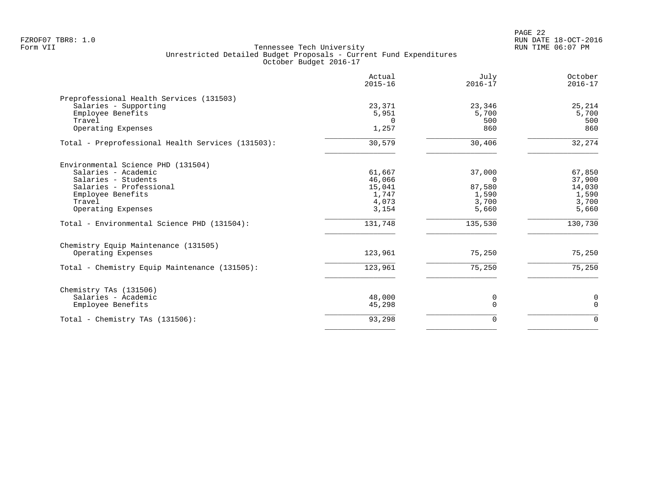PAGE 22 FZROF07 TBR8: 1.0 RUN DATE 18-OCT-2016

|                                                   | Actual<br>$2015 - 16$ | July<br>$2016 - 17$ | October<br>$2016 - 17$ |
|---------------------------------------------------|-----------------------|---------------------|------------------------|
| Preprofessional Health Services (131503)          |                       |                     |                        |
| Salaries - Supporting                             | 23,371                | 23,346              | 25,214                 |
| Employee Benefits                                 | 5,951                 | 5,700               | 5,700                  |
| Travel                                            | $\Omega$              | 500                 | 500                    |
| Operating Expenses                                | 1,257                 | 860                 | 860                    |
| Total - Preprofessional Health Services (131503): | 30,579                | 30,406              | 32,274                 |
| Environmental Science PHD (131504)                |                       |                     |                        |
| Salaries - Academic                               | 61,667                | 37,000              | 67,850                 |
| Salaries - Students                               | 46,066                | $\Omega$            | 37,900                 |
| Salaries - Professional                           | 15,041                | 87,580              | 14,030                 |
| Employee Benefits                                 | 1,747                 | 1,590               | 1,590                  |
| Travel                                            | 4,073                 | 3,700               | 3,700                  |
| Operating Expenses                                | 3,154                 | 5,660               | 5,660                  |
| Total - Environmental Science PHD (131504):       | 131,748               | 135,530             | 130,730                |
| Chemistry Equip Maintenance (131505)              |                       |                     |                        |
| Operating Expenses                                | 123,961               | 75,250              | 75,250                 |
| Total - Chemistry Equip Maintenance (131505):     | 123,961               | 75,250              | 75,250                 |
| Chemistry TAs (131506)                            |                       |                     |                        |
| Salaries - Academic                               | 48,000                | 0                   | $\mathsf{O}\xspace$    |
| Employee Benefits                                 | 45,298                | $\Omega$            | $\mathbf 0$            |
| Total - Chemistry TAs (131506):                   | 93,298                | $\Omega$            | $\Omega$               |
|                                                   |                       |                     |                        |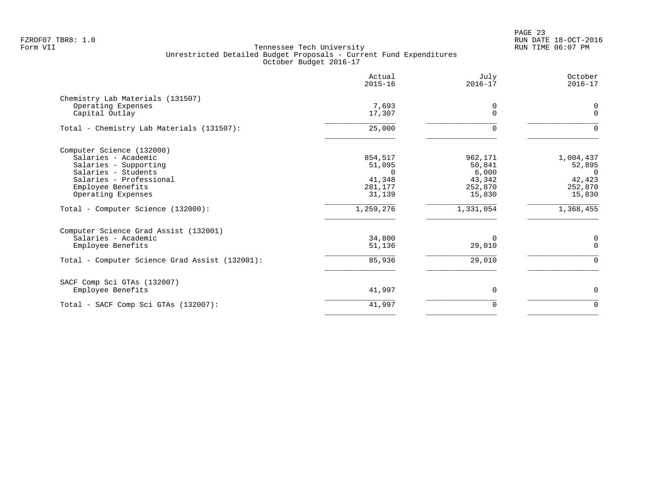PAGE 23 FZROF07 TBR8: 1.0 RUN DATE 18-OCT-2016

|                                                                                                                                                                        | Actual<br>$2015 - 16$                                      | July<br>$2016 - 17$                                       | October<br>$2016 - 17$                                         |
|------------------------------------------------------------------------------------------------------------------------------------------------------------------------|------------------------------------------------------------|-----------------------------------------------------------|----------------------------------------------------------------|
| Chemistry Lab Materials (131507)<br>Operating Expenses<br>Capital Outlay                                                                                               | 7,693<br>17,307                                            | 0<br>$\Omega$                                             | $\mathbf 0$<br>$\Omega$                                        |
| Total - Chemistry Lab Materials (131507):                                                                                                                              | 25,000                                                     | $\mathbf 0$                                               | $\Omega$                                                       |
| Computer Science (132000)<br>Salaries - Academic<br>Salaries - Supporting<br>Salaries - Students<br>Salaries - Professional<br>Employee Benefits<br>Operating Expenses | 854,517<br>51,095<br>$\cap$<br>41,348<br>281,177<br>31,139 | 962,171<br>50,841<br>6,000<br>43,342<br>252,870<br>15,830 | 1,004,437<br>52,895<br>$\Omega$<br>42,423<br>252,870<br>15,830 |
| Total - Computer Science (132000):                                                                                                                                     | 1,259,276                                                  | 1,331,054                                                 | 1,368,455                                                      |
| Computer Science Grad Assist (132001)<br>Salaries - Academic<br>Employee Benefits<br>Total - Computer Science Grad Assist (132001):                                    | 34,800<br>51,136<br>85,936                                 | 0<br>29,010<br>29,010                                     | 0<br>$\mathbf 0$<br>$\Omega$                                   |
| SACF Comp Sci GTAs (132007)<br>Employee Benefits                                                                                                                       | 41,997                                                     | 0                                                         | $\Omega$                                                       |
| Total - SACF Comp Sci GTAs (132007):                                                                                                                                   | 41,997                                                     | 0                                                         | $\mathbf 0$                                                    |
|                                                                                                                                                                        |                                                            |                                                           |                                                                |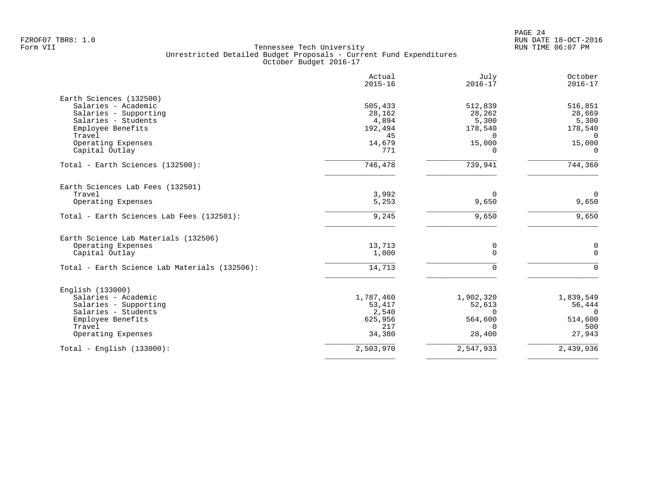|                                               | Actual<br>$2015 - 16$ | July<br>$2016 - 17$ | October<br>$2016 - 17$ |
|-----------------------------------------------|-----------------------|---------------------|------------------------|
| Earth Sciences (132500)                       |                       |                     |                        |
| Salaries - Academic                           | 505,433               | 512,839             | 516,851                |
| Salaries - Supporting                         | 28,162                | 28,262              | 28,669                 |
| Salaries - Students                           | 4,894                 | 5,300               | 5,300                  |
| Employee Benefits                             | 192,494               | 178,540             | 178,540                |
| Travel                                        | 45                    | $\Omega$            | $\Omega$               |
| Operating Expenses                            | 14,679                | 15,000              | 15,000                 |
| Capital Outlay                                | 771                   | $\Omega$            | $\Omega$               |
| Total - Earth Sciences (132500):              | 746,478               | 739,941             | 744,360                |
| Earth Sciences Lab Fees (132501)              |                       |                     |                        |
| Travel                                        | 3,992                 | 0                   | $\overline{0}$         |
| Operating Expenses                            | 5,253                 | 9,650               | 9,650                  |
| Total - Earth Sciences Lab Fees (132501):     | 9,245                 | 9,650               | 9,650                  |
| Earth Science Lab Materials (132506)          |                       |                     |                        |
| Operating Expenses                            | 13,713                | 0                   | 0                      |
| Capital Outlay                                | 1,000                 | $\Omega$            | $\Omega$               |
| Total - Earth Science Lab Materials (132506): | 14,713                | $\Omega$            | $\Omega$               |
| English (133000)                              |                       |                     |                        |
| Salaries - Academic                           | 1,787,460             | 1,902,320           | 1,839,549              |
| Salaries - Supporting                         | 53,417                | 52,613              | 56,444                 |
| Salaries - Students                           | 2,540                 | $\Omega$            | $\Omega$               |
| Employee Benefits                             | 625,956               | 564,600             | 514,600                |
| Travel                                        | 217                   | $\Omega$            | 500                    |
| Operating Expenses                            | 34,380                | 28,400              | 27,943                 |
| Total - English $(133000)$ :                  | 2,503,970             | 2,547,933           | 2,439,036              |
|                                               |                       |                     |                        |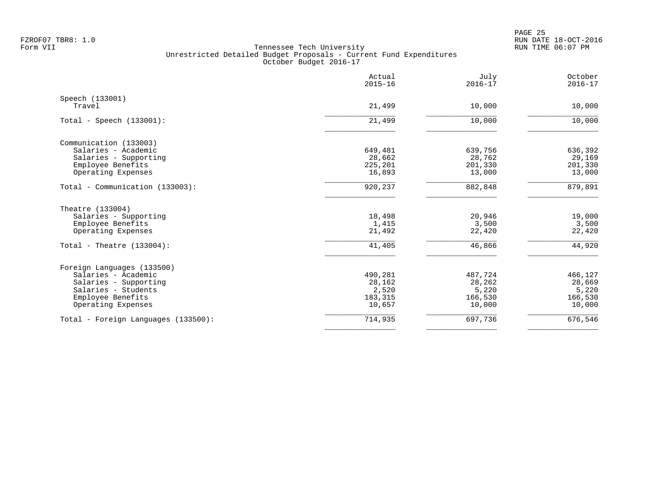|                                     | Actual<br>$2015 - 16$ | July<br>$2016 - 17$ | October<br>$2016 - 17$ |
|-------------------------------------|-----------------------|---------------------|------------------------|
| Speech (133001)                     |                       |                     |                        |
| Travel                              | 21,499                | 10,000              | 10,000                 |
| Total - Speech $(133001)$ :         | 21,499                | 10,000              | 10,000                 |
| Communication (133003)              |                       |                     |                        |
| Salaries - Academic                 | 649,481               | 639,756             | 636,392                |
| Salaries - Supporting               | 28,662                | 28,762              | 29,169                 |
| Employee Benefits                   | 225,201               | 201,330             | 201,330                |
| Operating Expenses                  | 16,893                | 13,000              | 13,000                 |
| Total - Communication (133003):     | 920,237               | 882,848             | 879,891                |
| Theatre (133004)                    |                       |                     |                        |
| Salaries - Supporting               | 18,498                | 20,946              | 19,000                 |
| Employee Benefits                   | 1,415                 | 3,500               | 3,500                  |
| Operating Expenses                  | 21,492                | 22,420              | 22,420                 |
| Total - Theatre $(133004)$ :        | 41,405                | 46,866              | 44,920                 |
| Foreign Languages (133500)          |                       |                     |                        |
| Salaries - Academic                 | 490,281               | 487,724             | 466,127                |
| Salaries - Supporting               | 28,162                | 28,262              | 28,669                 |
| Salaries - Students                 | 2,520                 | 5,220               | 5,220                  |
| Employee Benefits                   | 183,315               | 166,530             | 166,530                |
| Operating Expenses                  | 10,657                | 10,000              | 10,000                 |
| Total - Foreign Languages (133500): | 714,935               | 697,736             | 676,546                |
|                                     |                       |                     |                        |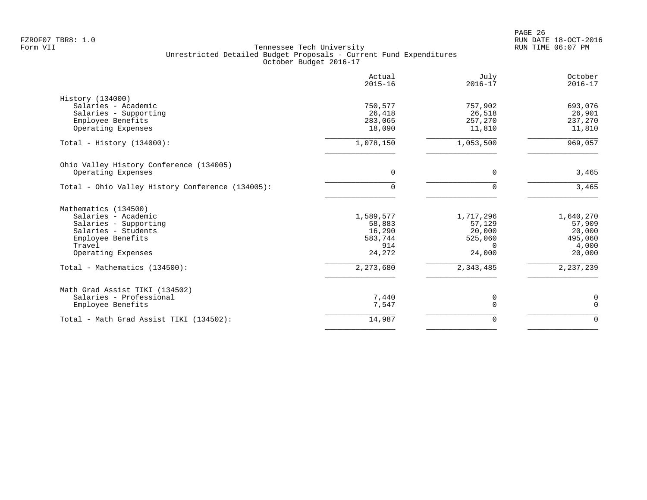PAGE 26 FZROF07 TBR8: 1.0 RUN DATE 18-OCT-2016

|                                                  | Actual<br>$2015 - 16$ | July<br>$2016 - 17$ | October<br>$2016 - 17$ |
|--------------------------------------------------|-----------------------|---------------------|------------------------|
| History (134000)                                 |                       |                     |                        |
| Salaries - Academic                              | 750,577               | 757,902             | 693,076                |
| Salaries - Supporting                            | 26,418                | 26,518              | 26,901                 |
| Employee Benefits                                | 283,065               | 257,270             | 237,270                |
| Operating Expenses                               | 18,090                | 11,810              | 11,810                 |
| Total - History $(134000)$ :                     | 1,078,150             | 1,053,500           | 969,057                |
| Ohio Valley History Conference (134005)          |                       |                     |                        |
| Operating Expenses                               | $\Omega$              | $\Omega$            | 3,465                  |
| Total - Ohio Valley History Conference (134005): |                       | 0                   | 3,465                  |
| Mathematics (134500)                             |                       |                     |                        |
| Salaries - Academic                              | 1,589,577             | 1,717,296           | 1,640,270              |
| Salaries - Supporting                            | 58,883                | 57,129              | 57,909                 |
| Salaries - Students                              | 16,290                | 20,000              | 20,000                 |
| Employee Benefits                                | 583,744               | 525,060             | 495,060                |
| Travel                                           | 914                   | $\Omega$            | 4,000                  |
| Operating Expenses                               | 24,272                | 24,000              | 20,000                 |
| Total - Mathematics (134500):                    | 2,273,680             | 2,343,485           | 2, 237, 239            |
| Math Grad Assist TIKI (134502)                   |                       |                     |                        |
| Salaries - Professional                          | 7,440                 | 0                   | 0                      |
| Employee Benefits                                | 7,547                 | $\Omega$            | $\mathbf 0$            |
| Total - Math Grad Assist TIKI (134502):          | 14,987                | $\Omega$            | $\Omega$               |
|                                                  |                       |                     |                        |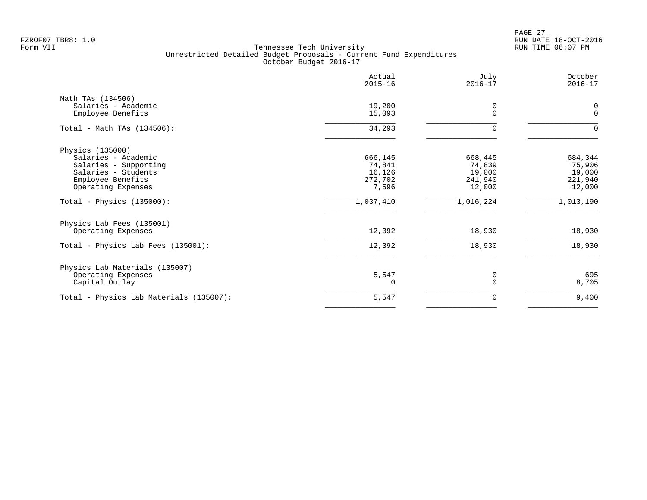PAGE 27 FZROF07 TBR8: 1.0 RUN DATE 18-OCT-2016

|                                              | Actual<br>$2015 - 16$ | July<br>$2016 - 17$ | October<br>$2016 - 17$ |
|----------------------------------------------|-----------------------|---------------------|------------------------|
| Math TAs (134506)<br>Salaries - Academic     | 19,200                | 0                   | 0                      |
| Employee Benefits                            | 15,093                | $\Omega$            | $\mathbf{0}$           |
| Total - Math TAs $(134506)$ :                | 34,293                | $\Omega$            | $\Omega$               |
| Physics (135000)                             |                       |                     |                        |
| Salaries - Academic                          | 666,145               | 668,445             | 684,344                |
| Salaries - Supporting<br>Salaries - Students | 74,841<br>16,126      | 74,839<br>19,000    | 75,906<br>19,000       |
| Employee Benefits                            | 272,702               | 241,940             | 221,940                |
| Operating Expenses                           | 7,596                 | 12,000              | 12,000                 |
| Total - Physics $(135000)$ :                 | 1,037,410             | 1,016,224           | 1,013,190              |
| Physics Lab Fees (135001)                    |                       |                     |                        |
| Operating Expenses                           | 12,392                | 18,930              | 18,930                 |
| Total - Physics Lab Fees (135001):           | 12,392                | 18,930              | 18,930                 |
| Physics Lab Materials (135007)               |                       |                     |                        |
| Operating Expenses<br>Capital Outlay         | 5,547<br>O            | 0<br>$\Omega$       | 695<br>8,705           |
| Total - Physics Lab Materials (135007):      | 5,547                 | 0                   | 9,400                  |
|                                              |                       |                     |                        |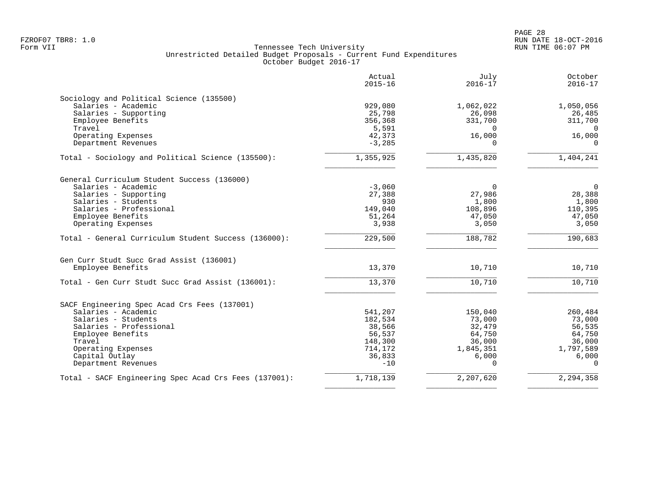|                                                       | Actual<br>$2015 - 16$ | July<br>$2016 - 17$ | October<br>$2016 - 17$ |
|-------------------------------------------------------|-----------------------|---------------------|------------------------|
| Sociology and Political Science (135500)              |                       |                     |                        |
| Salaries - Academic                                   | 929,080               | 1,062,022           | 1,050,056              |
| Salaries - Supporting                                 | 25,798                | 26,098              | 26,485                 |
| Employee Benefits                                     | 356,368               | 331,700             | 311,700                |
| Travel                                                | 5,591                 | $\Omega$            | $\Omega$               |
| Operating Expenses                                    | 42,373                | 16,000              | 16,000                 |
| Department Revenues                                   | $-3,285$              | $\Omega$            | $\Omega$               |
| Total - Sociology and Political Science (135500):     | 1,355,925             | 1,435,820           | 1,404,241              |
| General Curriculum Student Success (136000)           |                       |                     |                        |
| Salaries - Academic                                   | $-3,060$              | $\mathbf 0$         | $\overline{0}$         |
| Salaries - Supporting                                 | 27,388                | 27,986              | 28,388                 |
| Salaries - Students                                   | 930                   | 1,800               | 1,800                  |
| Salaries - Professional                               | 149,040               | 108,896             | 110,395                |
| Employee Benefits                                     | 51,264                | 47,050              | 47,050                 |
| Operating Expenses                                    | 3,938                 | 3,050               | 3,050                  |
| Total - General Curriculum Student Success (136000):  | 229,500               | 188,782             | 190,683                |
| Gen Curr Studt Succ Grad Assist (136001)              |                       |                     |                        |
| Employee Benefits                                     | 13,370                | 10,710              | 10,710                 |
| Total - Gen Curr Studt Succ Grad Assist (136001):     | 13,370                | 10,710              | 10,710                 |
| SACF Engineering Spec Acad Crs Fees (137001)          |                       |                     |                        |
| Salaries - Academic                                   | 541,207               | 150,040             | 260,484                |
| Salaries - Students                                   | 182,534               | 73,000              | 73,000                 |
| Salaries - Professional                               | 38,566                | 32,479              | 56,535                 |
| Employee Benefits                                     | 56,537                | 64,750              | 64,750                 |
| Travel                                                | 148,300               | 36,000              | 36,000                 |
| Operating Expenses                                    | 714,172               | 1,845,351           | 1,797,589              |
| Capital Outlay<br>Department Revenues                 | 36,833<br>$-10$       | 6,000<br>$\Omega$   | 6,000<br>$\Omega$      |
| Total - SACF Engineering Spec Acad Crs Fees (137001): | 1,718,139             | 2,207,620           | 2,294,358              |
|                                                       |                       |                     |                        |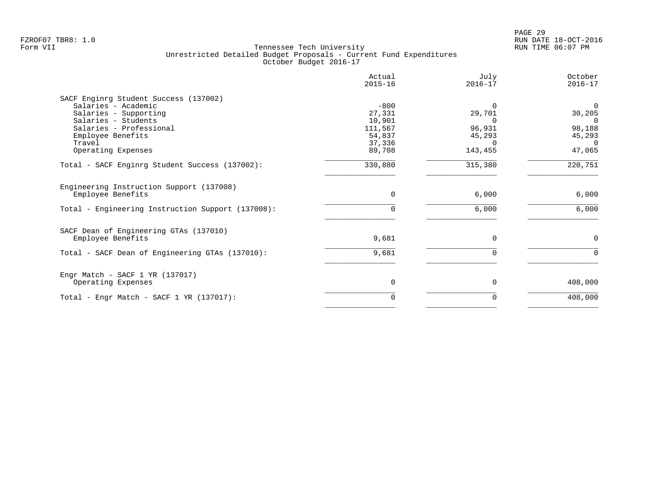|                                                   | Actual<br>$2015 - 16$ | July<br>$2016 - 17$ | October<br>$2016 - 17$ |
|---------------------------------------------------|-----------------------|---------------------|------------------------|
| SACF Enginrg Student Success (137002)             |                       |                     |                        |
| Salaries - Academic                               | $-800$                |                     | $\mathbf 0$            |
| Salaries - Supporting                             | 27,331                | 29,701              | 30,205                 |
| Salaries - Students                               | 10,901                |                     | $\Omega$               |
| Salaries - Professional                           | 111,567               | 96,931              | 98,188                 |
| Employee Benefits                                 | 54,837                | 45,293              | 45,293                 |
| Travel                                            | 37,336                |                     | $\Omega$               |
| Operating Expenses                                | 89,708                | 143,455             | 47,065                 |
| Total - SACF Enginrg Student Success (137002):    | 330,880               | 315,380             | 220,751                |
| Engineering Instruction Support (137008)          |                       |                     |                        |
| Employee Benefits                                 | $\Omega$              | 6,000               | 6,000                  |
| Total - Engineering Instruction Support (137008): |                       | 6,000               | 6,000                  |
| SACF Dean of Engineering GTAs (137010)            |                       |                     |                        |
| Employee Benefits                                 | 9,681                 | $\Omega$            | 0                      |
| Total - SACF Dean of Engineering GTAs (137010):   | 9,681                 |                     | $\Omega$               |
| Engr Match - SACF $1$ YR (137017)                 |                       |                     |                        |
| Operating Expenses                                | $\Omega$              | $\Omega$            | 408,000                |
| Total - Engr Match - SACF $1$ YR (137017):        | 0                     |                     | 408,000                |
|                                                   |                       |                     |                        |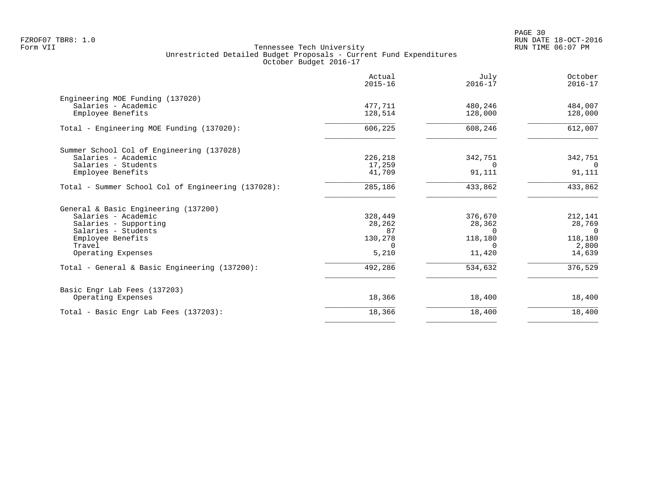| Actual<br>$2015 - 16$ | July<br>$2016 - 17$                     | October<br>$2016 - 17$                  |
|-----------------------|-----------------------------------------|-----------------------------------------|
|                       |                                         |                                         |
|                       |                                         | 484,007                                 |
| 128,514               | 128,000                                 | 128,000                                 |
| 606,225               | 608,246                                 | 612,007                                 |
|                       |                                         |                                         |
| 226,218               | 342,751                                 | 342,751                                 |
| 17,259                | $\Omega$                                | $\Omega$                                |
| 41,709                | 91,111                                  | 91,111                                  |
| 285,186               | 433,862                                 | 433,862                                 |
|                       |                                         |                                         |
|                       |                                         | 212,141                                 |
|                       |                                         | 28,769                                  |
| 87                    | $\Omega$                                | $\Omega$                                |
|                       |                                         | 118,180                                 |
| $\Omega$              | $\Omega$                                | 2,800                                   |
| 5,210                 | 11,420                                  | 14,639                                  |
| 492,286               | 534,632                                 | 376,529                                 |
|                       |                                         |                                         |
| 18,366                | 18,400                                  | 18,400                                  |
| 18,366                | 18,400                                  | 18,400                                  |
|                       | 477,711<br>328,449<br>28,262<br>130,278 | 480,246<br>376,670<br>28,362<br>118,180 |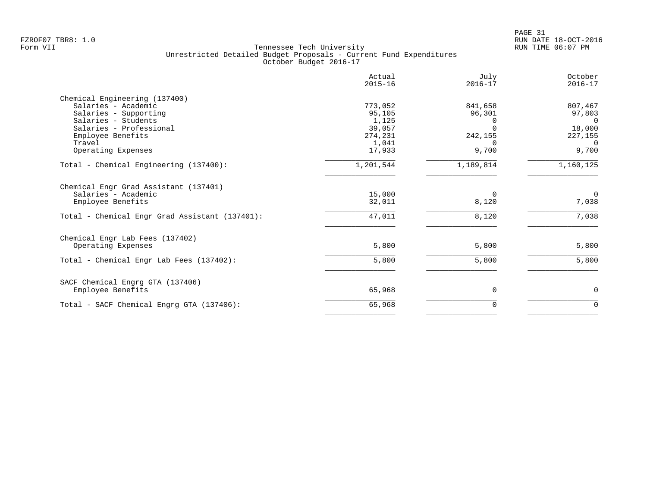|                                                | Actual<br>$2015 - 16$ | July<br>$2016 - 17$ | October<br>$2016 - 17$    |
|------------------------------------------------|-----------------------|---------------------|---------------------------|
| Chemical Engineering (137400)                  |                       |                     |                           |
| Salaries - Academic                            | 773,052               | 841,658             | 807,467                   |
| Salaries - Supporting                          | 95,105                | 96,301              | 97,803                    |
| Salaries - Students                            | 1,125                 |                     | $\Omega$                  |
| Salaries - Professional                        | 39,057<br>274,231     | 242,155             | 18,000                    |
| Employee Benefits<br>Travel                    | 1,041                 |                     | 227,155<br>$\overline{0}$ |
| Operating Expenses                             | 17,933                | 9,700               | 9,700                     |
| Total - Chemical Engineering (137400):         | 1,201,544             | 1,189,814           | 1,160,125                 |
| Chemical Engr Grad Assistant (137401)          |                       |                     |                           |
| Salaries - Academic                            | 15,000                | $\Omega$            | $\mathbf 0$               |
| Employee Benefits                              | 32,011                | 8,120               | 7,038                     |
| Total - Chemical Engr Grad Assistant (137401): | 47,011                | 8,120               | 7,038                     |
| Chemical Engr Lab Fees (137402)                |                       |                     |                           |
| Operating Expenses                             | 5,800                 | 5,800               | 5,800                     |
| Total - Chemical Engr Lab Fees (137402):       | 5,800                 | 5,800               | 5,800                     |
| SACF Chemical Engrg GTA (137406)               |                       |                     |                           |
| Employee Benefits                              | 65,968                | 0                   | 0                         |
| Total - SACF Chemical Engrg GTA (137406):      | 65,968                | 0                   | $\mathbf 0$               |
|                                                |                       |                     |                           |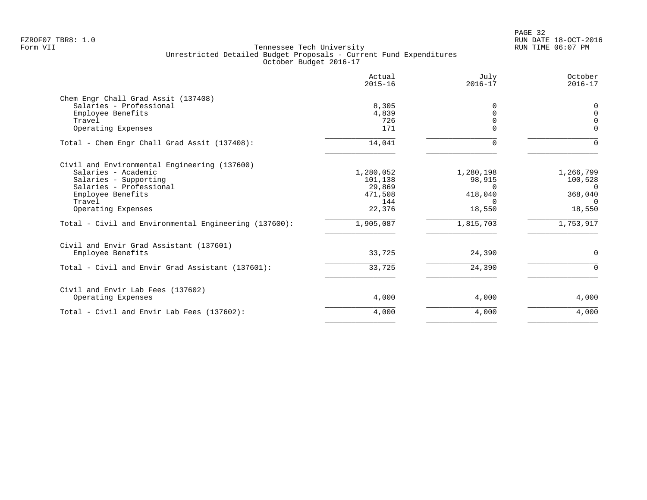| Actual<br>$2015 - 16$ | July<br>$2016 - 17$                | October<br>$2016 - 17$ |
|-----------------------|------------------------------------|------------------------|
|                       |                                    |                        |
| 8,305                 | 0                                  | $\Omega$               |
| 4,839                 | $\Omega$                           | $\Omega$               |
| 726                   | $\Omega$                           | $\Omega$               |
| 171                   | $\Omega$                           | $\Omega$               |
| 14,041                | 0                                  | $\Omega$               |
|                       |                                    |                        |
| 1,280,052             | 1,280,198                          | 1,266,799              |
| 101,138               | 98,915                             | 100,528                |
|                       | $\Omega$                           | $\Omega$               |
|                       |                                    | 368,040                |
|                       | $\Omega$                           | $\Omega$               |
|                       |                                    | 18,550                 |
| 1,905,087             | 1,815,703                          | 1,753,917              |
|                       |                                    |                        |
| 33,725                | 24,390                             | $\Omega$               |
| 33,725                | 24,390                             | $\Omega$               |
|                       |                                    |                        |
| 4,000                 | 4,000                              | 4,000                  |
| 4,000                 | 4,000                              | 4,000                  |
|                       | 29,869<br>471,508<br>144<br>22,376 | 418,040<br>18,550      |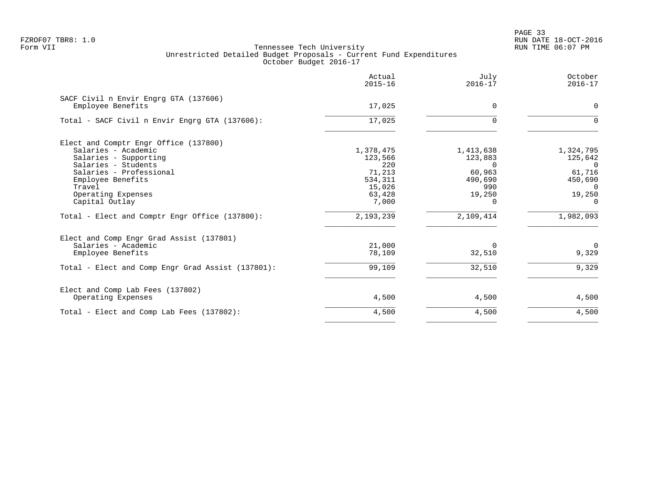PAGE 33 FZROF07 TBR8: 1.0 RUN DATE 18-OCT-2016

|                                                   | Actual<br>$2015 - 16$ | July<br>$2016 - 17$ | October<br>$2016 - 17$ |
|---------------------------------------------------|-----------------------|---------------------|------------------------|
| SACF Civil n Envir Engrg GTA (137606)             |                       |                     |                        |
| Employee Benefits                                 | 17,025                | 0                   | $\Omega$               |
| Total - SACF Civil n Envir Engrg GTA (137606):    | 17,025                | $\Omega$            |                        |
| Elect and Comptr Engr Office (137800)             |                       |                     |                        |
| Salaries - Academic                               | 1,378,475             | 1,413,638           | 1,324,795              |
| Salaries - Supporting                             | 123,566               | 123,883             | 125,642                |
| Salaries - Students                               | 220                   | $\Omega$            | $\Omega$               |
| Salaries - Professional                           | 71,213                | 60,963              | 61,716                 |
| Employee Benefits                                 | 534,311               | 490,690             | 450,690                |
| Travel                                            | 15,026                | 990                 | $\Omega$               |
| Operating Expenses                                | 63,428                | 19,250              | 19,250                 |
| Capital Outlay                                    | 7,000                 | $\Omega$            | $\Omega$               |
| Total - Elect and Comptr Engr Office (137800):    | 2,193,239             | 2,109,414           | 1,982,093              |
| Elect and Comp Engr Grad Assist (137801)          |                       |                     |                        |
| Salaries - Academic                               | 21,000                | $\Omega$            | $\mathbf 0$            |
| Employee Benefits                                 | 78,109                | 32,510              | 9,329                  |
| Total - Elect and Comp Engr Grad Assist (137801): | 99,109                | 32,510              | 9,329                  |
| Elect and Comp Lab Fees (137802)                  |                       |                     |                        |
| Operating Expenses                                | 4,500                 | 4,500               | 4,500                  |
| Total - Elect and Comp Lab Fees (137802):         | 4,500                 | 4,500               | 4,500                  |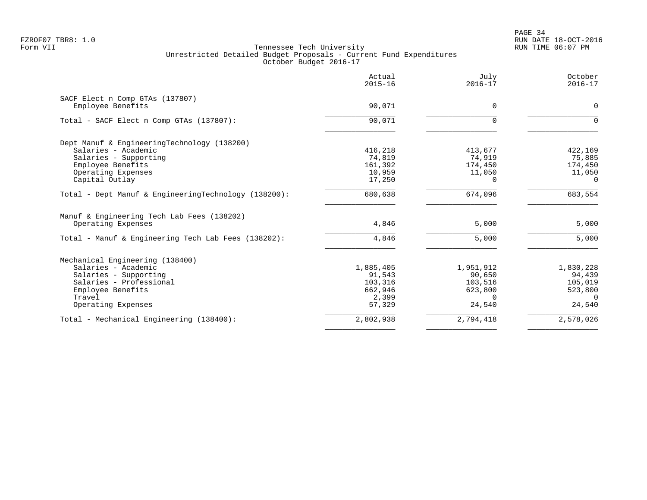|                                                      | Actual<br>$2015 - 16$ | July<br>$2016 - 17$ | October<br>$2016 - 17$ |
|------------------------------------------------------|-----------------------|---------------------|------------------------|
| SACF Elect n Comp GTAs (137807)                      |                       |                     |                        |
| Employee Benefits                                    | 90,071                | $\Omega$            | $\mathbf 0$            |
| Total - SACF Elect n Comp GTAs (137807):             | 90,071                | $\Omega$            | $\Omega$               |
| Dept Manuf & EngineeringTechnology (138200)          |                       |                     |                        |
| Salaries - Academic                                  | 416,218               | 413,677             | 422,169                |
| Salaries - Supporting                                | 74,819                | 74,919              | 75,885                 |
| Employee Benefits                                    | 161,392               | 174,450             | 174,450                |
| Operating Expenses                                   | 10,959                | 11,050              | 11,050                 |
| Capital Outlay                                       | 17,250                | $\Omega$            | $\Omega$               |
| Total - Dept Manuf & EngineeringTechnology (138200): | 680,638               | 674,096             | 683,554                |
| Manuf & Engineering Tech Lab Fees (138202)           |                       |                     |                        |
| Operating Expenses                                   | 4,846                 | 5,000               | 5,000                  |
| Total - Manuf & Engineering Tech Lab Fees (138202):  | 4,846                 | 5,000               | 5,000                  |
| Mechanical Engineering (138400)                      |                       |                     |                        |
| Salaries - Academic                                  | 1,885,405             | 1,951,912           | 1,830,228              |
| Salaries - Supporting                                | 91,543                | 90,650              | 94,439                 |
| Salaries - Professional                              | 103,316               | 103,516             | 105,019                |
| Employee Benefits                                    | 662,946               | 623,800             | 523,800                |
| Travel                                               | 2,399                 | $\Omega$            | $\cap$                 |
| Operating Expenses                                   | 57,329                | 24,540              | 24,540                 |
| Total - Mechanical Engineering (138400):             | 2,802,938             | 2,794,418           | 2,578,026              |
|                                                      |                       |                     |                        |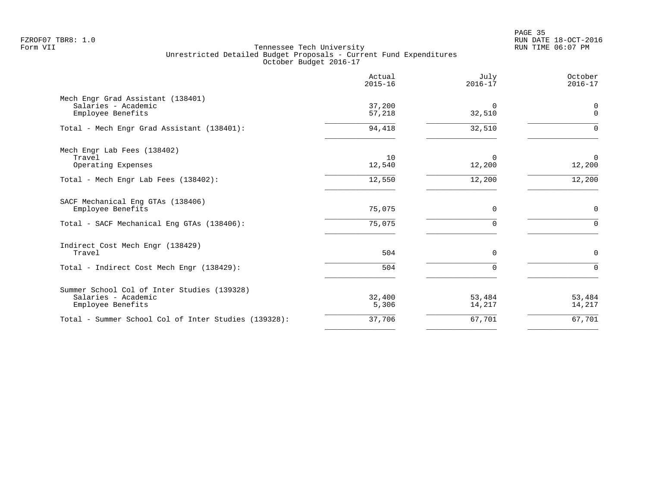en and the state of the state of the state of the state of the state of the state of the state of the state of the state of the state of the state of the state of the state of the state of the state of the state of the sta FZROF07 TBR8: 1.0 RUN DATE 18-OCT-2016

|                                                                                         | Actual<br>$2015 - 16$ | July<br>$2016 - 17$ | October<br>$2016 - 17$ |
|-----------------------------------------------------------------------------------------|-----------------------|---------------------|------------------------|
| Mech Engr Grad Assistant (138401)<br>Salaries - Academic<br>Employee Benefits           | 37,200<br>57,218      | $\Omega$<br>32,510  | 0<br>$\mathbf{0}$      |
| Total - Mech Engr Grad Assistant (138401):                                              | 94,418                | 32,510              | $\Omega$               |
| Mech Engr Lab Fees (138402)<br>Travel<br>Operating Expenses                             | 10<br>12,540          | $\Omega$<br>12,200  | $\mathbf 0$<br>12,200  |
| Total - Mech Engr Lab Fees (138402):                                                    | 12,550                | 12,200              | 12,200                 |
| SACF Mechanical Eng GTAs (138406)<br>Employee Benefits                                  | 75,075                | 0                   | $\mathbf 0$            |
| Total - SACF Mechanical Eng GTAs (138406):                                              | 75,075                | $\Omega$            | $\Omega$               |
| Indirect Cost Mech Engr (138429)<br>Travel                                              | 504                   | $\Omega$            | $\mathbf 0$            |
| Total - Indirect Cost Mech Engr (138429):                                               | 504                   | $\Omega$            | $\Omega$               |
| Summer School Col of Inter Studies (139328)<br>Salaries - Academic<br>Employee Benefits | 32,400<br>5,306       | 53,484<br>14,217    | 53,484<br>14,217       |
| Total - Summer School Col of Inter Studies (139328):                                    | 37,706                | 67,701              | 67,701                 |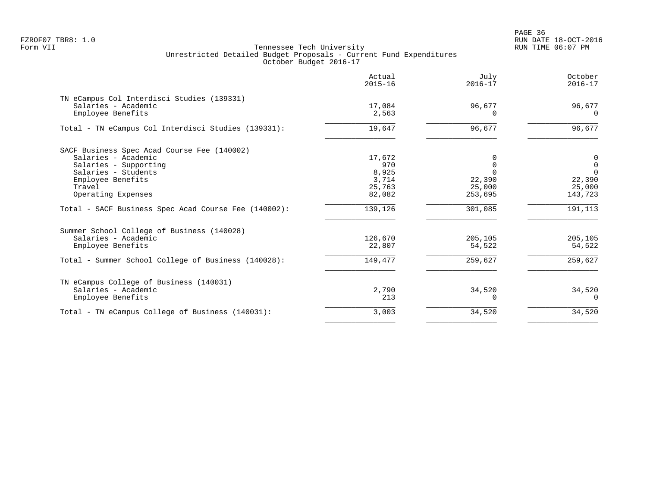en and the state of the state of the state of the state of the state of the state of the state of the state of the state of the state of the state of the state of the state of the state of the state of the state of the sta FZROF07 TBR8: 1.0 RUN DATE 18-OCT-2016

| Actual<br>$2015 - 16$                               | July<br>$2016 - 17$                                 | October<br>$2016 - 17$                                      |
|-----------------------------------------------------|-----------------------------------------------------|-------------------------------------------------------------|
| 17,084<br>2,563                                     | 96,677<br>$\Omega$                                  | 96,677<br>$\Omega$                                          |
| 19,647                                              | 96,677                                              | 96,677                                                      |
| 17,672<br>970<br>8,925<br>3,714<br>25,763<br>82,082 | $\Omega$<br>$\Omega$<br>22,390<br>25,000<br>253,695 | 0<br>$\mathbf 0$<br>$\Omega$<br>22,390<br>25,000<br>143,723 |
| 139,126                                             | 301,085                                             | 191,113                                                     |
| 126,670<br>22,807<br>149,477                        | 205,105<br>54,522<br>259,627                        | 205,105<br>54,522<br>259,627                                |
| 2,790<br>213                                        | 34,520<br>$\Omega$                                  | 34,520<br>$\Omega$                                          |
| 3,003                                               | 34,520                                              | 34,520                                                      |
|                                                     |                                                     |                                                             |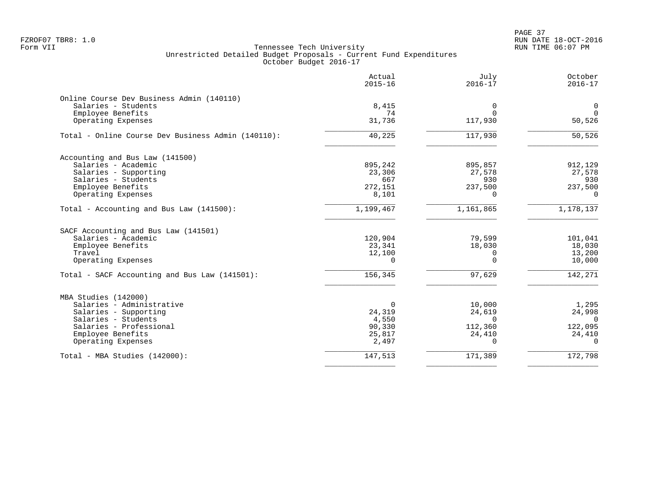|                                                                  | Actual<br>$2015 - 16$ | July<br>$2016 - 17$ | October<br>$2016 - 17$ |
|------------------------------------------------------------------|-----------------------|---------------------|------------------------|
| Online Course Dev Business Admin (140110)<br>Salaries - Students | 8,415                 | 0                   | $\mathbf 0$            |
| Employee Benefits                                                | 74                    | $\Omega$            | $\Omega$               |
| Operating Expenses                                               | 31,736                | 117,930             | 50,526                 |
| Total - Online Course Dev Business Admin (140110):               | 40,225                | 117,930             | 50,526                 |
| Accounting and Bus Law (141500)                                  |                       |                     |                        |
| Salaries - Academic                                              | 895,242               | 895,857             | 912,129                |
| Salaries - Supporting                                            | 23,306                | 27,578              | 27,578                 |
| Salaries - Students                                              | 667                   | 930                 | 930                    |
| Employee Benefits                                                | 272,151               | 237,500             | 237,500                |
| Operating Expenses                                               | 8,101                 | $\Omega$            | $\Omega$               |
| Total - Accounting and Bus Law (141500):                         | 1,199,467             | 1,161,865           | 1,178,137              |
| SACF Accounting and Bus Law (141501)                             |                       |                     |                        |
| Salaries - Academic                                              | 120,904               | 79,599              | 101,041                |
| Employee Benefits                                                | 23,341                | 18,030              | 18,030                 |
| Travel                                                           | 12,100                | $\Omega$            | 13,200                 |
| Operating Expenses                                               | $\Omega$              | $\Omega$            | 10,000                 |
| Total - SACF Accounting and Bus Law (141501):                    | 156,345               | 97,629              | 142,271                |
| MBA Studies (142000)                                             |                       |                     |                        |
| Salaries - Administrative                                        |                       | 10,000              | 1,295                  |
| Salaries - Supporting                                            | 24,319                | 24,619              | 24,998                 |
| Salaries - Students                                              | 4,550                 | $\Omega$            | $\Omega$               |
| Salaries - Professional                                          | 90,330                | 112,360             | 122,095                |
| Employee Benefits                                                | 25,817                | 24,410              | 24,410                 |
| Operating Expenses                                               | 2,497                 | $\Omega$            | $\Omega$               |
| Total - MBA Studies (142000):                                    | 147,513               | 171,389             | 172,798                |
|                                                                  |                       |                     |                        |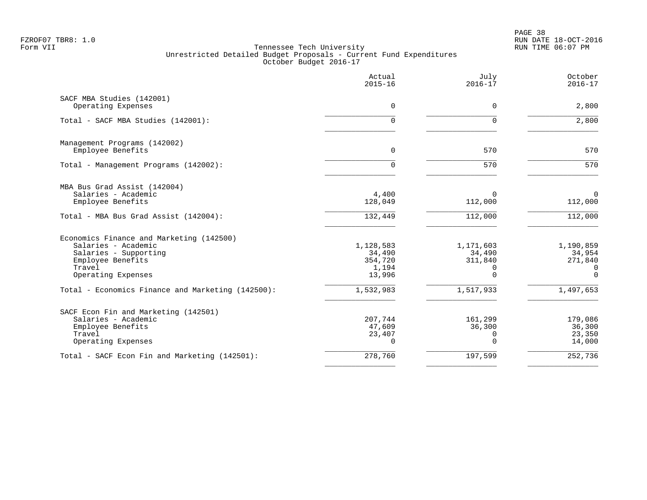PAGE 38 FZROF07 TBR8: 1.0 RUN DATE 18-OCT-2016

|                                                                                                                                               | Actual<br>$2015 - 16$                             | July<br>$2016 - 17$                                    | October<br>$2016 - 17$                             |
|-----------------------------------------------------------------------------------------------------------------------------------------------|---------------------------------------------------|--------------------------------------------------------|----------------------------------------------------|
| SACF MBA Studies (142001)<br>Operating Expenses                                                                                               | 0                                                 | $\Omega$                                               | 2,800                                              |
| Total - SACF MBA Studies (142001):                                                                                                            | 0                                                 | $\Omega$                                               | 2,800                                              |
| Management Programs (142002)<br>Employee Benefits                                                                                             | $\Omega$                                          | 570                                                    | 570                                                |
| Total - Management Programs (142002):                                                                                                         | 0                                                 | 570                                                    | 570                                                |
| MBA Bus Grad Assist (142004)<br>Salaries - Academic<br>Employee Benefits                                                                      | 4,400<br>128,049                                  | $\Omega$<br>112,000                                    | $\Omega$<br>112,000                                |
| Total - MBA Bus Grad Assist (142004):                                                                                                         | 132,449                                           | 112,000                                                | 112,000                                            |
| Economics Finance and Marketing (142500)<br>Salaries - Academic<br>Salaries - Supporting<br>Employee Benefits<br>Travel<br>Operating Expenses | 1,128,583<br>34,490<br>354,720<br>1,194<br>13,996 | 1,171,603<br>34,490<br>311,840<br>$\Omega$<br>$\Omega$ | 1,190,859<br>34,954<br>271,840<br>0<br>$\mathbf 0$ |
| Total - Economics Finance and Marketing (142500):                                                                                             | 1,532,983                                         | 1,517,933                                              | 1,497,653                                          |
| SACF Econ Fin and Marketing (142501)<br>Salaries - Academic<br>Employee Benefits<br>Travel<br>Operating Expenses                              | 207,744<br>47,609<br>23,407<br>$\Omega$           | 161,299<br>36,300<br>$\Omega$<br>$\Omega$              | 179,086<br>36,300<br>23,350<br>14,000              |
| Total - SACF Econ Fin and Marketing (142501):                                                                                                 | 278,760                                           | 197,599                                                | 252,736                                            |
|                                                                                                                                               |                                                   |                                                        |                                                    |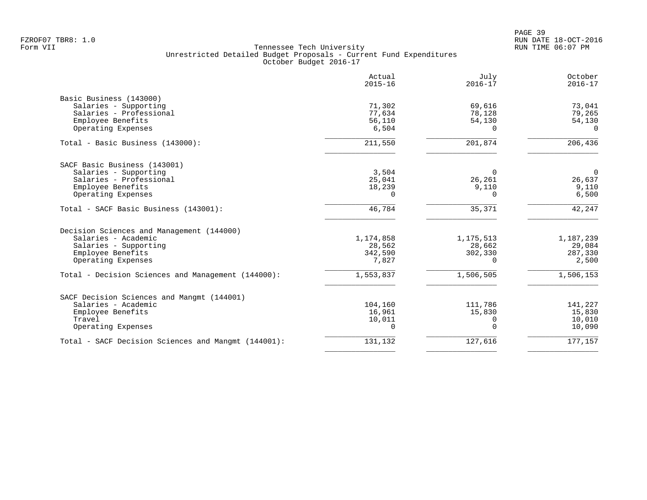|                                                     | Actual<br>$2015 - 16$ | July<br>$2016 - 17$ | October<br>$2016 - 17$ |
|-----------------------------------------------------|-----------------------|---------------------|------------------------|
| Basic Business (143000)                             |                       |                     |                        |
| Salaries - Supporting                               | 71,302                | 69,616              | 73,041                 |
| Salaries - Professional                             | 77,634                | 78,128              | 79,265                 |
| Employee Benefits                                   | 56,110                | 54,130              | 54,130                 |
| Operating Expenses                                  | 6,504                 | $\Omega$            | $\Omega$               |
| Total - Basic Business (143000):                    | 211,550               | 201,874             | 206,436                |
| SACF Basic Business (143001)                        |                       |                     |                        |
| Salaries - Supporting                               | 3,504                 | $\Omega$            | $\overline{0}$         |
| Salaries - Professional                             | 25,041                | 26,261              | 26,637                 |
| Employee Benefits                                   | 18,239                | 9,110               | 9,110                  |
| Operating Expenses                                  | $\Omega$              | $\Omega$            | 6,500                  |
| Total - SACF Basic Business (143001):               | 46,784                | 35,371              | 42,247                 |
| Decision Sciences and Management (144000)           |                       |                     |                        |
| Salaries - Academic                                 | 1,174,858             | 1, 175, 513         | 1,187,239              |
| Salaries - Supporting                               | 28,562                | 28,662              | 29,084                 |
| Employee Benefits                                   | 342,590               | 302,330             | 287,330                |
| Operating Expenses                                  | 7,827                 | <sup>n</sup>        | 2,500                  |
| Total - Decision Sciences and Management (144000):  | 1,553,837             | 1,506,505           | 1,506,153              |
| SACF Decision Sciences and Mangmt (144001)          |                       |                     |                        |
| Salaries - Academic                                 | 104,160               | 111,786             | 141,227                |
| Employee Benefits                                   | 16,961                | 15,830              | 15,830                 |
| Travel                                              | 10,011                | 0                   | 10,010                 |
| Operating Expenses                                  | $\Omega$              | $\Omega$            | 10,090                 |
| Total - SACF Decision Sciences and Mangmt (144001): | 131,132               | 127,616             | 177,157                |
|                                                     |                       |                     |                        |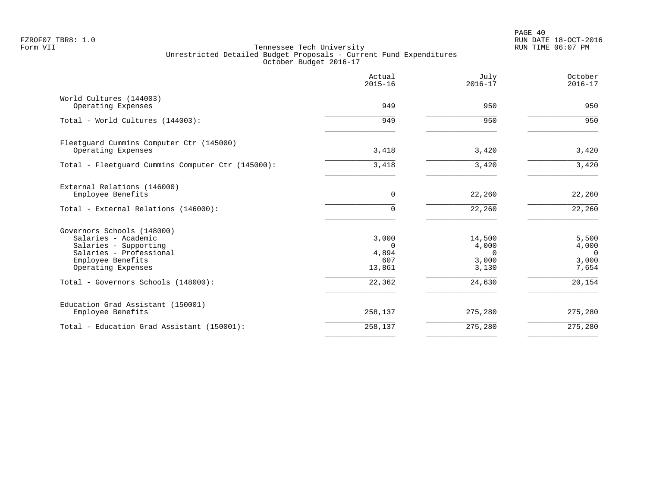PAGE 40 FZROF07 TBR8: 1.0 RUN DATE 18-OCT-2016

|                                                                                                                                                  | Actual<br>$2015 - 16$                       | July<br>$2016 - 17$                           | October<br>$2016 - 17$                       |
|--------------------------------------------------------------------------------------------------------------------------------------------------|---------------------------------------------|-----------------------------------------------|----------------------------------------------|
| World Cultures (144003)<br>Operating Expenses                                                                                                    | 949                                         | 950                                           | 950                                          |
| Total - World Cultures (144003):                                                                                                                 | 949                                         | 950                                           | 950                                          |
| Fleetquard Cummins Computer Ctr (145000)<br>Operating Expenses                                                                                   | 3,418                                       | 3,420                                         | 3,420                                        |
| Total - Fleetquard Cummins Computer Ctr (145000):                                                                                                | 3,418                                       | 3,420                                         | 3,420                                        |
| External Relations (146000)<br>Employee Benefits                                                                                                 | $\mathbf 0$                                 | 22,260                                        | 22,260                                       |
| Total - External Relations (146000):                                                                                                             | 0                                           | 22,260                                        | 22,260                                       |
| Governors Schools (148000)<br>Salaries - Academic<br>Salaries - Supporting<br>Salaries - Professional<br>Employee Benefits<br>Operating Expenses | 3,000<br>$\Omega$<br>4,894<br>607<br>13,861 | 14,500<br>4,000<br>$\Omega$<br>3,000<br>3,130 | 5,500<br>4,000<br>$\Omega$<br>3,000<br>7,654 |
| Total - Governors Schools (148000):                                                                                                              | 22,362                                      | 24,630                                        | 20,154                                       |
| Education Grad Assistant (150001)<br>Employee Benefits                                                                                           | 258,137                                     | 275,280                                       | 275,280                                      |
| Total - Education Grad Assistant (150001):                                                                                                       | 258,137                                     | 275,280                                       | 275,280                                      |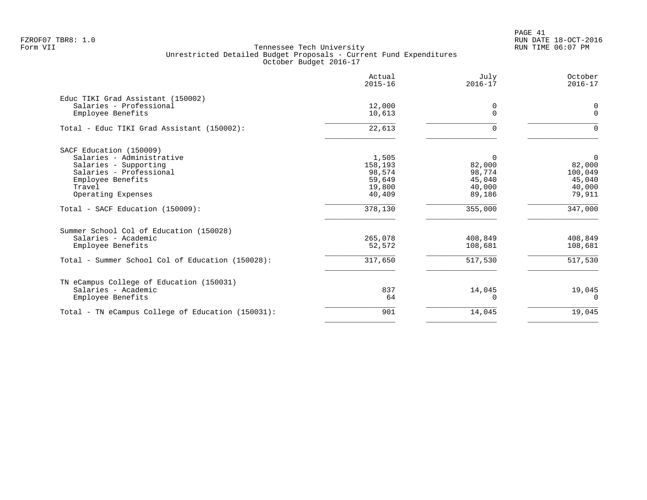PAGE 41 FZROF07 TBR8: 1.0 RUN DATE 18-OCT-2016

|                                                   | Actual<br>$2015 - 16$ | July<br>$2016 - 17$ | October<br>$2016 - 17$ |
|---------------------------------------------------|-----------------------|---------------------|------------------------|
| Educ TIKI Grad Assistant (150002)                 |                       |                     |                        |
| Salaries - Professional                           | 12,000                | 0                   | 0                      |
| Employee Benefits                                 | 10,613                | $\Omega$            | $\Omega$               |
| Total - Educ TIKI Grad Assistant (150002):        | 22,613                | $\Omega$            | $\Omega$               |
| SACF Education (150009)                           |                       |                     |                        |
| Salaries - Administrative                         | 1,505                 | $\Omega$            | $\mathbf 0$            |
| Salaries - Supporting                             | 158,193               | 82,000              | 82,000                 |
| Salaries - Professional                           | 98,574                | 98,774              | 100,049                |
| Employee Benefits                                 | 59,649                | 45,040              | 45,040                 |
| Travel                                            | 19,800                | 40,000              | 40,000                 |
| Operating Expenses                                | 40,409                | 89,186              | 79,911                 |
| Total - SACF Education (150009):                  | 378,130               | 355,000             | 347,000                |
| Summer School Col of Education (150028)           |                       |                     |                        |
| Salaries - Academic                               | 265,078               | 408,849             | 408,849                |
| Employee Benefits                                 | 52,572                | 108,681             | 108,681                |
| Total - Summer School Col of Education (150028):  | 317,650               | 517,530             | 517,530                |
| TN eCampus College of Education (150031)          |                       |                     |                        |
| Salaries - Academic                               | 837                   | 14,045              | 19,045                 |
| Employee Benefits                                 | 64                    | 0                   | 0                      |
| Total - TN eCampus College of Education (150031): | 901                   | 14,045              | 19,045                 |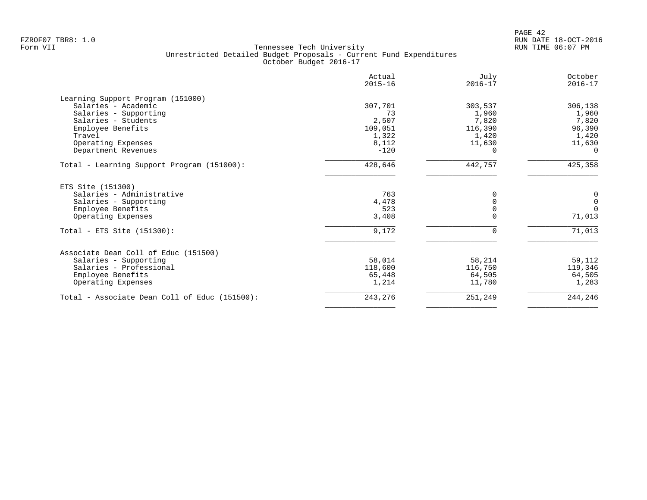| Actual<br>$2015 - 16$ | July<br>$2016 - 17$    | October<br>$2016 - 17$ |
|-----------------------|------------------------|------------------------|
|                       |                        |                        |
| 307,701               | 303,537                | 306,138                |
| 73                    | 1,960                  | 1,960                  |
| 2,507                 | 7,820                  | 7,820                  |
| 109,051               | 116,390                | 96,390                 |
| 1,322                 | 1,420                  | 1,420                  |
| 8,112                 | 11,630                 | 11,630                 |
|                       | $\Omega$               | $\Omega$               |
| 428,646               | 442,757                | 425,358                |
|                       |                        |                        |
| 763                   | $\Omega$               | 0                      |
| 4,478                 | $\Omega$               | $\mathbf{0}$           |
|                       |                        | $\Omega$               |
|                       | $\Omega$               | 71,013                 |
| 9,172                 | $\Omega$               | 71,013                 |
|                       |                        |                        |
| 58,014                | 58,214                 | 59,112                 |
| 118,600               | 116,750                | 119,346                |
| 65,448                | 64,505                 | 64,505                 |
| 1,214                 | 11,780                 | 1,283                  |
| 243,276               | 251,249                | 244,246                |
|                       | $-120$<br>523<br>3,408 |                        |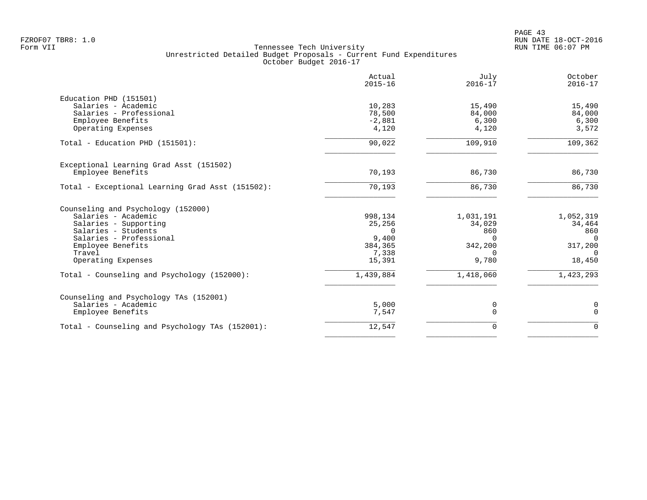|                                                  | Actual<br>$2015 - 16$ | July<br>$2016 - 17$ | October<br>$2016 - 17$ |
|--------------------------------------------------|-----------------------|---------------------|------------------------|
| Education PHD (151501)                           |                       |                     |                        |
| Salaries - Academic                              | 10,283                | 15,490              | 15,490                 |
| Salaries - Professional                          | 78,500                | 84,000              | 84,000                 |
| Employee Benefits                                | $-2,881$              | 6,300               | 6,300                  |
| Operating Expenses                               | 4,120                 | 4,120               | 3,572                  |
| Total - Education PHD (151501):                  | 90,022                | 109,910             | 109,362                |
| Exceptional Learning Grad Asst (151502)          |                       |                     |                        |
| Employee Benefits                                | 70,193                | 86,730              | 86,730                 |
| Total - Exceptional Learning Grad Asst (151502): | 70,193                | 86,730              | 86,730                 |
| Counseling and Psychology (152000)               |                       |                     |                        |
| Salaries - Academic                              | 998,134               | 1,031,191           | 1,052,319              |
| Salaries - Supporting                            | 25,256                | 34,029              | 34,464                 |
| Salaries - Students                              | $\Omega$              | 860                 | 860                    |
| Salaries - Professional                          | 9,400                 | $\Omega$            | $\Omega$               |
| Employee Benefits                                | 384,365               | 342,200             | 317,200                |
| Travel                                           | 7,338                 | <sup>n</sup>        | $\Omega$               |
| Operating Expenses                               | 15,391                | 9,780               | 18,450                 |
| Total - Counseling and Psychology (152000):      | 1,439,884             | 1,418,060           | 1,423,293              |
| Counseling and Psychology TAs (152001)           |                       |                     |                        |
| Salaries - Academic                              | 5,000                 | 0                   | $\mathsf 0$            |
| Employee Benefits                                | 7,547                 | $\Omega$            | $\mathbf 0$            |
| Total - Counseling and Psychology TAs (152001):  | 12,547                | $\Omega$            | $\Omega$               |
|                                                  |                       |                     |                        |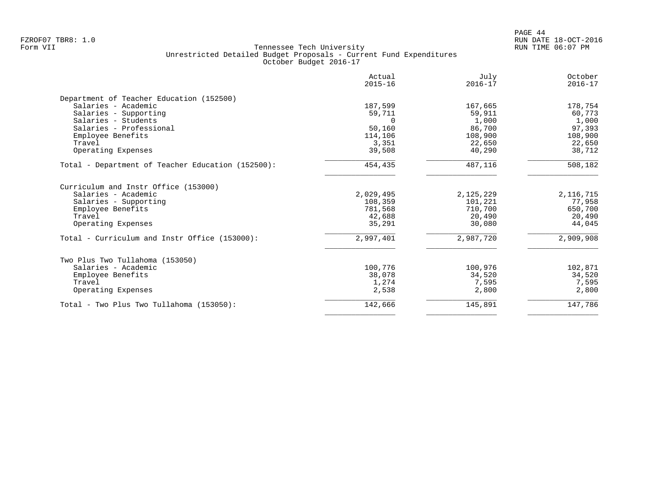| Actual<br>$2015 - 16$ | July<br>$2016 - 17$                                                   | October<br>$2016 - 17$                                                           |
|-----------------------|-----------------------------------------------------------------------|----------------------------------------------------------------------------------|
|                       |                                                                       |                                                                                  |
| 187,599               | 167,665                                                               | 178,754                                                                          |
| 59,711                | 59,911                                                                | 60,773                                                                           |
| $\cap$                | 1,000                                                                 | 1,000                                                                            |
| 50,160                | 86,700                                                                | 97,393                                                                           |
| 114,106               | 108,900                                                               | 108,900                                                                          |
| 3,351                 | 22,650                                                                | 22,650                                                                           |
| 39,508                | 40,290                                                                | 38,712                                                                           |
| 454,435               | 487,116                                                               | 508,182                                                                          |
|                       |                                                                       |                                                                                  |
|                       |                                                                       | 2,116,715                                                                        |
|                       |                                                                       | 77,958                                                                           |
|                       |                                                                       | 650,700                                                                          |
|                       |                                                                       | 20,490                                                                           |
|                       |                                                                       | 44,045                                                                           |
| 2,997,401             | 2,987,720                                                             | 2,909,908                                                                        |
|                       |                                                                       |                                                                                  |
| 100,776               | 100,976                                                               | 102,871                                                                          |
| 38,078                | 34,520                                                                | 34,520                                                                           |
|                       |                                                                       | 7,595                                                                            |
|                       |                                                                       | 2,800                                                                            |
| 142,666               |                                                                       | 147,786                                                                          |
|                       | 2,029,495<br>108,359<br>781,568<br>42,688<br>35,291<br>1,274<br>2,538 | 2,125,229<br>101,221<br>710,700<br>20,490<br>30,080<br>7,595<br>2,800<br>145,891 |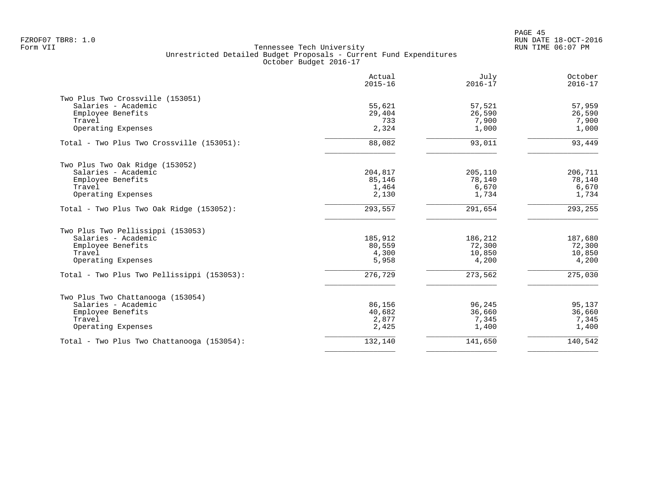|                                            | Actual<br>$2015 - 16$ | July<br>$2016 - 17$ | October<br>$2016 - 17$ |
|--------------------------------------------|-----------------------|---------------------|------------------------|
| Two Plus Two Crossville (153051)           |                       |                     |                        |
| Salaries - Academic                        | 55,621                | 57,521              | 57,959                 |
| Employee Benefits                          | 29,404                | 26,590              | 26,590                 |
| Travel                                     | 733                   | 7,900               | 7,900                  |
| Operating Expenses                         | 2,324                 | 1,000               | 1,000                  |
| Total - Two Plus Two Crossville (153051):  | 88,082                | 93,011              | 93,449                 |
| Two Plus Two Oak Ridge (153052)            |                       |                     |                        |
| Salaries - Academic                        | 204,817               | 205,110             | 206,711                |
| Employee Benefits                          | 85,146                | 78,140              | 78,140                 |
| Travel                                     | 1,464                 | 6,670               | 6,670                  |
| Operating Expenses                         | 2,130                 | 1,734               | 1,734                  |
| Total - Two Plus Two Oak Ridge (153052):   | 293,557               | 291,654             | 293,255                |
| Two Plus Two Pellissippi (153053)          |                       |                     |                        |
| Salaries - Academic                        | 185,912               | 186,212             | 187,680                |
| Employee Benefits                          | 80,559                | 72,300              | 72,300                 |
| Travel                                     | 4,300                 | 10,850              | 10,850                 |
| Operating Expenses                         | 5,958                 | 4,200               | 4,200                  |
| Total - Two Plus Two Pellissippi (153053): | 276,729               | 273,562             | 275,030                |
| Two Plus Two Chattanooga (153054)          |                       |                     |                        |
| Salaries - Academic                        | 86,156                | 96,245              | 95,137                 |
| Employee Benefits                          | 40,682                | 36,660              | 36,660                 |
| Travel                                     | 2,877                 | 7,345               | 7,345                  |
| Operating Expenses                         | 2,425                 | 1,400               | 1,400                  |
| Total - Two Plus Two Chattanooga (153054): | 132,140               | 141,650             | 140,542                |
|                                            |                       |                     |                        |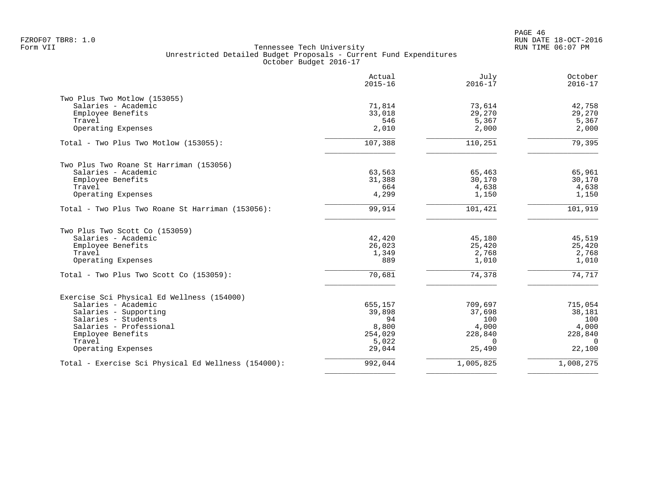|                                                     | Actual<br>$2015 - 16$ | July<br>$2016 - 17$ | October<br>$2016 - 17$ |
|-----------------------------------------------------|-----------------------|---------------------|------------------------|
| Two Plus Two Motlow (153055)                        |                       |                     |                        |
| Salaries - Academic                                 | 71,814                | 73,614              | 42,758                 |
| Employee Benefits                                   | 33,018                | 29,270              | 29,270                 |
| Travel                                              | 546                   | 5,367               | 5,367                  |
| Operating Expenses                                  | 2,010                 | 2,000               | 2,000                  |
| Total - Two Plus Two Motlow (153055):               | 107,388               | 110,251             | 79,395                 |
| Two Plus Two Roane St Harriman (153056)             |                       |                     |                        |
| Salaries - Academic                                 | 63,563                | 65,463              | 65,961                 |
| Employee Benefits                                   | 31,388                | 30,170              | 30,170                 |
| Travel                                              | 664                   | 4,638               | 4,638                  |
| Operating Expenses                                  | 4,299                 | 1,150               | 1,150                  |
| Total - Two Plus Two Roane St Harriman (153056):    | 99,914                | 101,421             | 101,919                |
| Two Plus Two Scott Co (153059)                      |                       |                     |                        |
| Salaries - Academic                                 | 42,420                | 45,180              | 45,519                 |
| Employee Benefits                                   | 26,023                | 25,420              | 25,420                 |
| Travel                                              | 1,349                 | 2,768               | 2,768                  |
| Operating Expenses                                  | 889                   | 1,010               | 1,010                  |
| Total - Two Plus Two Scott Co (153059):             | 70,681                | 74,378              | 74,717                 |
| Exercise Sci Physical Ed Wellness (154000)          |                       |                     |                        |
| Salaries - Academic                                 | 655,157               | 709,697             | 715,054                |
| Salaries - Supporting                               | 39,898                | 37,698              | 38,181                 |
| Salaries - Students                                 | 94                    | 100                 | 100                    |
| Salaries - Professional                             | 8,800                 | 4,000               | 4,000                  |
| Employee Benefits                                   | 254,029               | 228,840             | 228,840                |
| Travel                                              | 5,022                 | $\Omega$            | $\Omega$               |
| Operating Expenses                                  | 29,044                | 25,490              | 22,100                 |
| Total - Exercise Sci Physical Ed Wellness (154000): | 992,044               | 1,005,825           | 1,008,275              |
|                                                     |                       |                     |                        |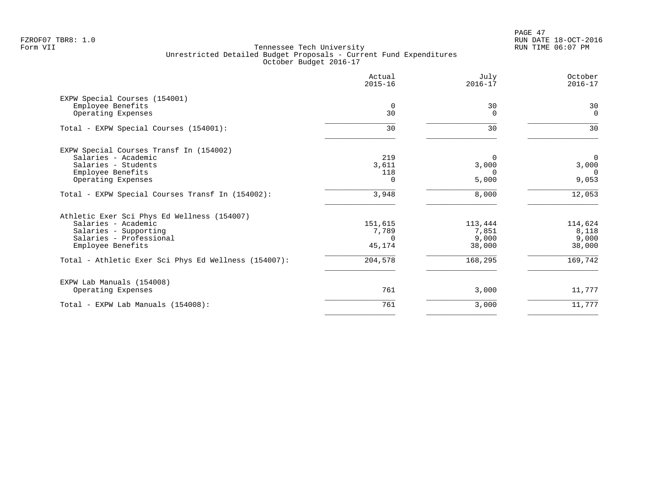|                                                      | Actual<br>$2015 - 16$ | July<br>$2016 - 17$ | October<br>$2016 - 17$ |
|------------------------------------------------------|-----------------------|---------------------|------------------------|
| EXPW Special Courses (154001)                        |                       |                     |                        |
| Employee Benefits<br>Operating Expenses              | $\overline{0}$<br>30  | 30<br>$\Omega$      | 30<br>$\overline{0}$   |
| Total - EXPW Special Courses (154001):               | 30                    | 30                  | 30                     |
| EXPW Special Courses Transf In (154002)              |                       |                     |                        |
| Salaries - Academic                                  | 219                   | $\Omega$            | $\overline{0}$         |
| Salaries - Students                                  | 3,611                 | 3,000               | 3,000                  |
| Employee Benefits                                    | 118                   | <sup>n</sup>        | $\Omega$               |
| Operating Expenses                                   | $\Omega$              | 5,000               | 9,053                  |
| Total - EXPW Special Courses Transf In (154002):     | 3,948                 | 8,000               | 12,053                 |
| Athletic Exer Sci Phys Ed Wellness (154007)          |                       |                     |                        |
| Salaries - Academic                                  | 151,615               | 113,444             | 114,624                |
| Salaries - Supporting                                | 7,789                 | 7,851               | 8,118                  |
| Salaries - Professional                              | $\Omega$              | 9,000               | 9,000                  |
| Employee Benefits                                    | 45,174                | 38,000              | 38,000                 |
| Total - Athletic Exer Sci Phys Ed Wellness (154007): | 204,578               | 168,295             | 169,742                |
| EXPW Lab Manuals (154008)                            |                       |                     |                        |
| Operating Expenses                                   | 761                   | 3,000               | 11,777                 |
| Total - EXPW Lab Manuals (154008):                   | 761                   | 3,000               | 11,777                 |
|                                                      |                       |                     |                        |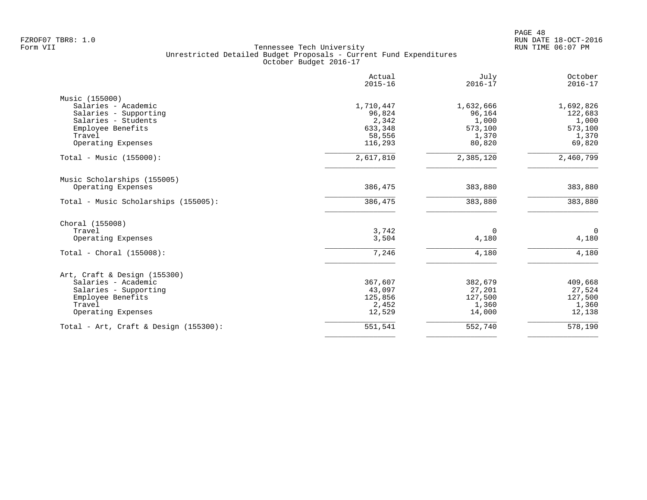| Actual<br>$2015 - 16$ | July<br>$2016 - 17$                                                                                   | October<br>$2016 - 17$                                                                     |
|-----------------------|-------------------------------------------------------------------------------------------------------|--------------------------------------------------------------------------------------------|
|                       |                                                                                                       |                                                                                            |
|                       |                                                                                                       | 1,692,826                                                                                  |
|                       |                                                                                                       | 122,683                                                                                    |
|                       |                                                                                                       | 1,000                                                                                      |
|                       |                                                                                                       | 573,100                                                                                    |
|                       |                                                                                                       | 1,370                                                                                      |
|                       |                                                                                                       | 69,820                                                                                     |
| 2,617,810             | 2,385,120                                                                                             | 2,460,799                                                                                  |
|                       |                                                                                                       |                                                                                            |
| 386,475               | 383,880                                                                                               | 383,880                                                                                    |
| 386,475               | 383,880                                                                                               | 383,880                                                                                    |
|                       |                                                                                                       |                                                                                            |
|                       | 0                                                                                                     | $\mathbf 0$                                                                                |
| 3,504                 | 4,180                                                                                                 | 4,180                                                                                      |
| 7,246                 | 4,180                                                                                                 | 4,180                                                                                      |
|                       |                                                                                                       |                                                                                            |
|                       |                                                                                                       | 409,668                                                                                    |
|                       |                                                                                                       | 27,524                                                                                     |
|                       |                                                                                                       | 127,500                                                                                    |
| 2,452                 | 1,360                                                                                                 | 1,360                                                                                      |
| 12,529                | 14,000                                                                                                | 12,138                                                                                     |
| 551,541               | 552,740                                                                                               | 578,190                                                                                    |
|                       | 1,710,447<br>96,824<br>2,342<br>633,348<br>58,556<br>116,293<br>3,742<br>367,607<br>43,097<br>125,856 | 1,632,666<br>96,164<br>1,000<br>573,100<br>1,370<br>80,820<br>382,679<br>27,201<br>127,500 |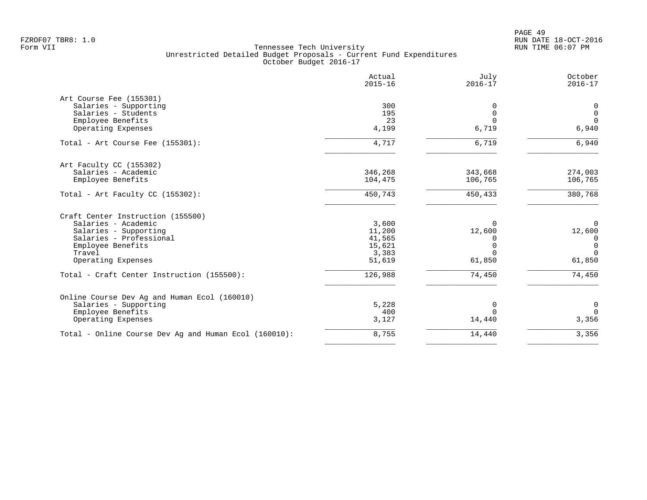|         | $2016 - 17$                                                             | $2016 - 17$                                      |
|---------|-------------------------------------------------------------------------|--------------------------------------------------|
|         |                                                                         |                                                  |
| 300     | $\Omega$                                                                | 0                                                |
| 195     | $\mathbf 0$                                                             | $\mathbf 0$                                      |
| 23      | $\Omega$                                                                | $\Omega$                                         |
| 4,199   |                                                                         | 6,940                                            |
| 4,717   | 6,719                                                                   | 6,940                                            |
|         |                                                                         |                                                  |
|         |                                                                         | 274,003                                          |
| 104,475 | 106,765                                                                 | 106,765                                          |
| 450,743 | 450,433                                                                 | 380,768                                          |
|         |                                                                         |                                                  |
|         |                                                                         | $\mathbf 0$                                      |
|         |                                                                         | 12,600                                           |
|         | $\Omega$                                                                | $\overline{0}$                                   |
|         |                                                                         | $\mathbf 0$                                      |
|         | $\Omega$                                                                | $\Omega$                                         |
| 51,619  | 61,850                                                                  | 61,850                                           |
| 126,988 | 74,450                                                                  | 74,450                                           |
|         |                                                                         |                                                  |
|         |                                                                         | $\mathbf 0$                                      |
|         | $\Omega$                                                                | $\Omega$                                         |
| 3,127   | 14,440                                                                  | 3,356                                            |
| 8,755   | 14,440                                                                  | 3,356                                            |
|         | 346,268<br>3,600<br>11,200<br>41,565<br>15,621<br>3,383<br>5,228<br>400 | 6,719<br>343,668<br>$\Omega$<br>12,600<br>0<br>0 |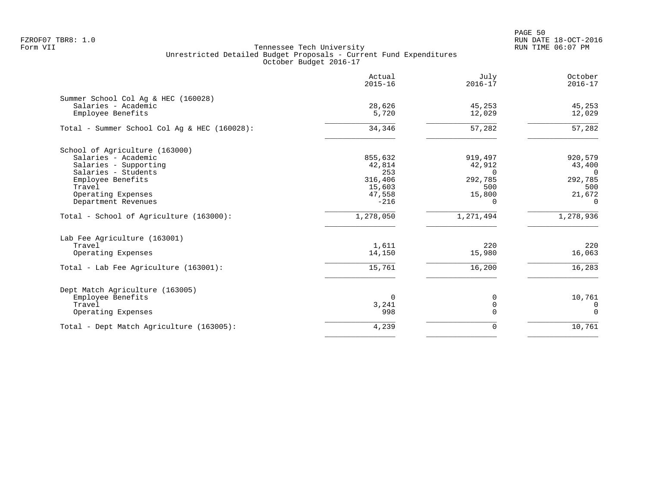PAGE 50 FZROF07 TBR8: 1.0 RUN DATE 18-OCT-2016

|                                              | Actual<br>$2015 - 16$ | July<br>$2016 - 17$ | October<br>$2016 - 17$ |
|----------------------------------------------|-----------------------|---------------------|------------------------|
| Summer School Col Aq & HEC (160028)          |                       |                     |                        |
| Salaries - Academic<br>Employee Benefits     | 28,626<br>5,720       | 45,253<br>12,029    | 45,253<br>12,029       |
| Total - Summer School Col Aq & HEC (160028): | 34,346                | 57,282              | 57,282                 |
| School of Agriculture (163000)               |                       |                     |                        |
| Salaries - Academic                          | 855,632               | 919,497             | 920,579                |
| Salaries - Supporting                        | 42,814                | 42,912              | 43,400                 |
| Salaries - Students                          | 253                   | $\Omega$            | $\Omega$               |
| Employee Benefits                            | 316,406               | 292,785             | 292,785                |
| Travel                                       | 15,603                | 500                 | 500                    |
| Operating Expenses                           | 47,558                | 15,800              | 21,672                 |
| Department Revenues                          | $-216$                | $\Omega$            | $\Omega$               |
| Total - School of Agriculture (163000):      | 1,278,050             | 1,271,494           | 1,278,936              |
| Lab Fee Agriculture (163001)                 |                       |                     |                        |
| Travel                                       | 1,611                 | 220                 | 220                    |
| Operating Expenses                           | 14,150                | 15,980              | 16,063                 |
| Total - Lab Fee Agriculture (163001):        | 15,761                | 16,200              | 16,283                 |
| Dept Match Agriculture (163005)              |                       |                     |                        |
| Employee Benefits                            | $\Omega$              | 0                   | 10,761                 |
| Travel                                       | 3,241                 | $\overline{0}$      | $\mathbf{0}$           |
| Operating Expenses                           | 998                   | $\Omega$            | $\Omega$               |
| Total - Dept Match Agriculture (163005):     | 4,239                 | 0                   | 10,761                 |
|                                              |                       |                     |                        |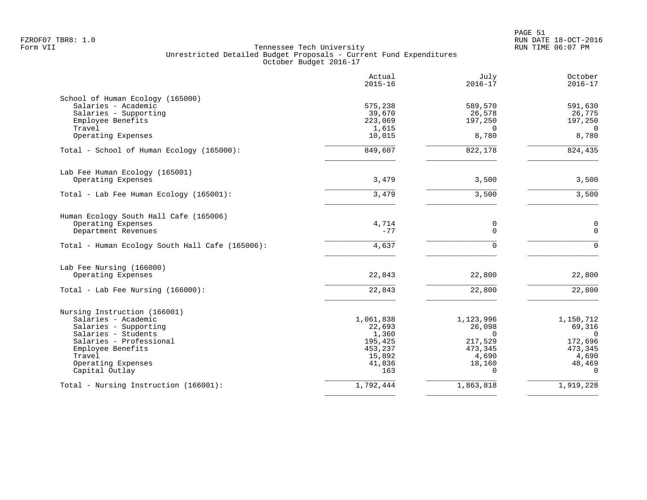|                                                                                                                                                                                                       | Actual<br>$2015 - 16$                                                         | July<br>$2016 - 17$                                                                  | October<br>$2016 - 17$                                                                   |
|-------------------------------------------------------------------------------------------------------------------------------------------------------------------------------------------------------|-------------------------------------------------------------------------------|--------------------------------------------------------------------------------------|------------------------------------------------------------------------------------------|
| School of Human Ecology (165000)<br>Salaries - Academic<br>Salaries - Supporting<br>Employee Benefits                                                                                                 | 575,238<br>39,670<br>223,069                                                  | 589,570<br>26,578<br>197,250                                                         | 591,630<br>26,775<br>197,250                                                             |
| Travel<br>Operating Expenses                                                                                                                                                                          | 1,615<br>10,015                                                               | $\Omega$<br>8,780                                                                    | $\Omega$<br>8,780                                                                        |
| Total - School of Human Ecology (165000):                                                                                                                                                             | 849,607                                                                       | 822,178                                                                              | 824,435                                                                                  |
| Lab Fee Human Ecology (165001)<br>Operating Expenses                                                                                                                                                  | 3,479                                                                         | 3,500                                                                                | 3,500                                                                                    |
| Total - Lab Fee Human Ecology (165001):                                                                                                                                                               | 3,479                                                                         | 3,500                                                                                | 3,500                                                                                    |
| Human Ecology South Hall Cafe (165006)<br>Operating Expenses<br>Department Revenues                                                                                                                   | 4,714<br>$-77$                                                                | 0<br>0                                                                               | $\mathbf 0$<br>$\mathbf 0$                                                               |
| Total - Human Ecology South Hall Cafe (165006):                                                                                                                                                       | 4,637                                                                         | $\Omega$                                                                             | $\Omega$                                                                                 |
| Lab Fee Nursing (166000)<br>Operating Expenses                                                                                                                                                        | 22,843                                                                        | 22,800                                                                               | 22,800                                                                                   |
| Total - Lab Fee Nursing $(166000)$ :                                                                                                                                                                  | 22,843                                                                        | 22,800                                                                               | 22,800                                                                                   |
| Nursing Instruction (166001)<br>Salaries - Academic<br>Salaries - Supporting<br>Salaries - Students<br>Salaries - Professional<br>Employee Benefits<br>Travel<br>Operating Expenses<br>Capital Outlay | 1,061,838<br>22,693<br>1,360<br>195,425<br>453,237<br>15,892<br>41,836<br>163 | 1,123,996<br>26,098<br>$\Omega$<br>217,529<br>473,345<br>4,690<br>18,160<br>$\Omega$ | 1,150,712<br>69,316<br>$\mathbf{0}$<br>172,696<br>473,345<br>4,690<br>48,469<br>$\Omega$ |
| Total - Nursing Instruction (166001):                                                                                                                                                                 | 1,792,444                                                                     | 1,863,818                                                                            | 1,919,228                                                                                |
|                                                                                                                                                                                                       |                                                                               |                                                                                      |                                                                                          |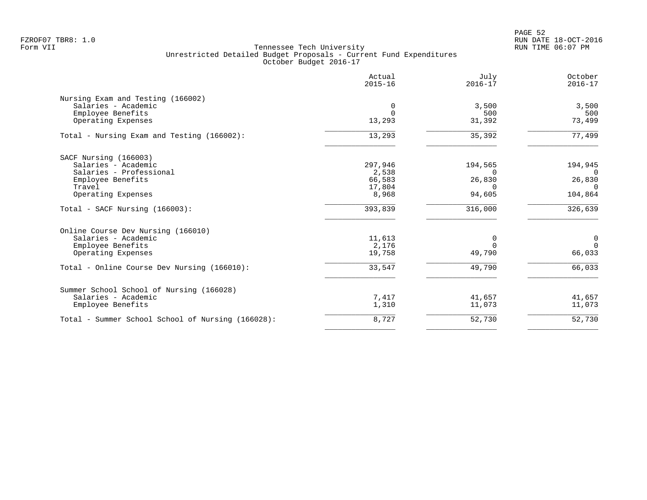PAGE 52 FZROF07 TBR8: 1.0 RUN DATE 18-OCT-2016

|                                                   | Actual<br>$2015 - 16$ | July<br>$2016 - 17$ | October<br>$2016 - 17$ |
|---------------------------------------------------|-----------------------|---------------------|------------------------|
| Nursing Exam and Testing (166002)                 |                       |                     |                        |
| Salaries - Academic                               | 0                     | 3,500               | 3,500                  |
| Employee Benefits                                 | $\Omega$              | 500                 | 500                    |
| Operating Expenses                                | 13,293                | 31,392              | 73,499                 |
| Total - Nursing Exam and Testing (166002):        | 13,293                | 35,392              | 77,499                 |
| SACF Nursing (166003)                             |                       |                     |                        |
| Salaries - Academic                               | 297,946               | 194,565             | 194,945                |
| Salaries - Professional                           | 2,538                 | <sup>0</sup>        | $\Omega$               |
| Employee Benefits                                 | 66,583                | 26,830              | 26,830                 |
| Travel                                            | 17,804                | $\Omega$            | $\Omega$               |
| Operating Expenses                                | 8,968                 | 94,605              | 104,864                |
| Total - SACF Nursing (166003):                    | 393,839               | 316,000             | 326,639                |
| Online Course Dev Nursing (166010)                |                       |                     |                        |
| Salaries - Academic                               | 11,613                | $\Omega$            | $\mathbf 0$            |
| Employee Benefits                                 | 2,176                 | $\Omega$            | $\Omega$               |
| Operating Expenses                                | 19,758                | 49,790              | 66,033                 |
| Total - Online Course Dev Nursing (166010):       | 33,547                | 49,790              | 66,033                 |
| Summer School School of Nursing (166028)          |                       |                     |                        |
| Salaries - Academic                               | 7,417                 | 41,657              | 41,657                 |
| Employee Benefits                                 | 1,310                 | 11,073              | 11,073                 |
| Total - Summer School School of Nursing (166028): | 8,727                 | 52,730              | 52,730                 |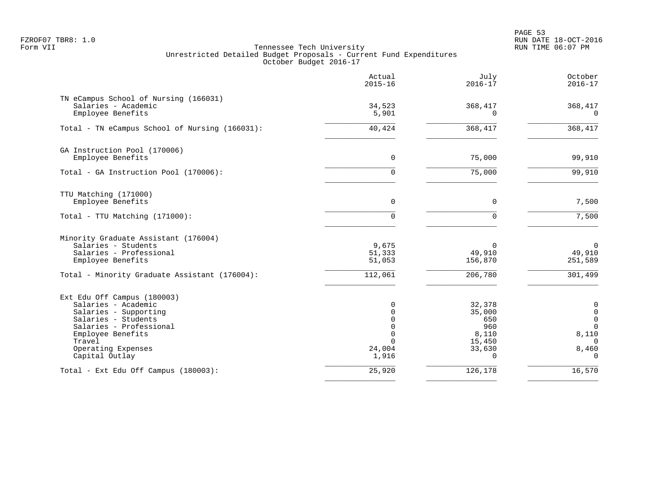PAGE 53 FZROF07 TBR8: 1.0 RUN DATE 18-OCT-2016

|                                                                                                                                                                                                      | Actual<br>$2015 - 16$                                                 | July<br>$2016 - 17$                                                     | October<br>$2016 - 17$                                                                                   |
|------------------------------------------------------------------------------------------------------------------------------------------------------------------------------------------------------|-----------------------------------------------------------------------|-------------------------------------------------------------------------|----------------------------------------------------------------------------------------------------------|
| TN eCampus School of Nursing (166031)<br>Salaries - Academic<br>Employee Benefits                                                                                                                    | 34,523<br>5,901                                                       | 368,417<br>$\Omega$                                                     | 368,417<br>$\Omega$                                                                                      |
| Total - TN eCampus School of Nursing (166031):                                                                                                                                                       | 40,424                                                                | 368,417                                                                 | 368,417                                                                                                  |
| GA Instruction Pool (170006)<br>Employee Benefits                                                                                                                                                    | 0                                                                     | 75,000                                                                  | 99,910                                                                                                   |
| Total - GA Instruction Pool (170006):                                                                                                                                                                | $\Omega$                                                              | 75,000                                                                  | 99,910                                                                                                   |
| TTU Matching (171000)<br>Employee Benefits                                                                                                                                                           | $\mathbf 0$                                                           | $\mathbf 0$                                                             | 7,500                                                                                                    |
| Total - TTU Matching (171000):                                                                                                                                                                       | 0                                                                     | $\Omega$                                                                | 7,500                                                                                                    |
| Minority Graduate Assistant (176004)<br>Salaries - Students<br>Salaries - Professional<br>Employee Benefits                                                                                          | 9,675<br>51,333<br>51,053                                             | 0<br>49,910<br>156,870                                                  | $\overline{0}$<br>49,910<br>251,589                                                                      |
| Total - Minority Graduate Assistant (176004):                                                                                                                                                        | 112,061                                                               | 206,780                                                                 | 301,499                                                                                                  |
| Ext Edu Off Campus (180003)<br>Salaries - Academic<br>Salaries - Supporting<br>Salaries - Students<br>Salaries - Professional<br>Employee Benefits<br>Travel<br>Operating Expenses<br>Capital Outlay | 0<br>0<br>$\Omega$<br>$\mathbf 0$<br>$\Omega$<br>0<br>24,004<br>1,916 | 32,378<br>35,000<br>650<br>960<br>8,110<br>15,450<br>33,630<br>$\Omega$ | $\mathbf 0$<br>$\mathsf{O}\xspace$<br>$\mathbf 0$<br>$\mathbf 0$<br>8,110<br>$\cap$<br>8,460<br>$\Omega$ |
| Total - Ext Edu Off Campus (180003):                                                                                                                                                                 | 25,920                                                                | 126,178                                                                 | 16,570                                                                                                   |
|                                                                                                                                                                                                      |                                                                       |                                                                         |                                                                                                          |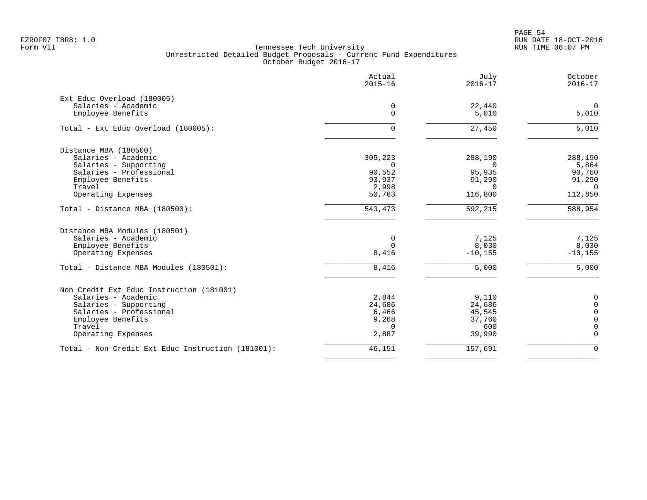PAGE 54 FZROF07 TBR8: 1.0 RUN DATE 18-OCT-2016

|                                                   | Actual<br>$2015 - 16$ | July<br>$2016 - 17$ | October<br>$2016 - 17$ |
|---------------------------------------------------|-----------------------|---------------------|------------------------|
| Ext Educ Overload (180005)<br>Salaries - Academic | 0                     | 22,440              | $\mathbf 0$            |
| Employee Benefits                                 | $\Omega$              | 5,010               | 5,010                  |
| Total - Ext Educ Overload (180005):               | 0                     | 27,450              | 5,010                  |
| Distance MBA (180500)                             |                       |                     |                        |
| Salaries - Academic                               | 305,223               | 288,190             | 288,190                |
| Salaries - Supporting                             | $\Omega$              | $\Omega$            | 5,864                  |
| Salaries - Professional                           | 90,552                | 95,935              | 90,760                 |
| Employee Benefits                                 | 93,937                | 91,290              | 91,290                 |
| Travel                                            | 2,998                 | $\Omega$            | $\overline{0}$         |
| Operating Expenses                                | 50,763                | 116,800             | 112,850                |
| Total - Distance MBA (180500):                    | 543,473               | 592,215             | $\frac{1}{588,954}$    |
| Distance MBA Modules (180501)                     |                       |                     |                        |
| Salaries - Academic                               | 0                     | 7,125               | 7,125                  |
| Employee Benefits                                 | $\Omega$              | 8,030               | 8,030                  |
| Operating Expenses                                | 8,416                 | $-10, 155$          | $-10, 155$             |
| Total - Distance MBA Modules (180501):            | 8,416                 | 5,000               | 5,000                  |
| Non Credit Ext Educ Instruction (181001)          |                       |                     |                        |
| Salaries - Academic                               | 2,844                 | 9,110               | 0                      |
| Salaries - Supporting                             | 24,686                | 24,686              | 0                      |
| Salaries - Professional                           | 6,466                 | 45,545              | $\Omega$               |
| Employee Benefits                                 | 9,268                 | 37,760              | $\Omega$               |
| Travel                                            | $\Omega$              | 600                 |                        |
| Operating Expenses                                | 2,887                 | 39,990              | $\Omega$               |
| Total - Non Credit Ext Educ Instruction (181001): | 46,151                | 157,691             | $\Omega$               |
|                                                   |                       |                     |                        |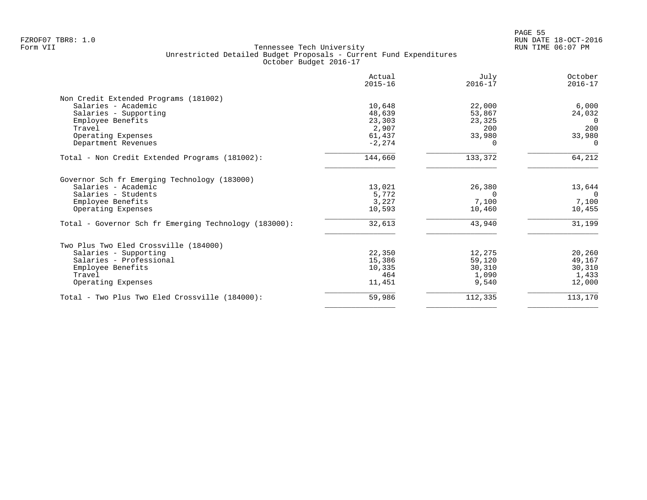|                                                       | Actual<br>$2015 - 16$ | July<br>$2016 - 17$ | October<br>$2016 - 17$ |
|-------------------------------------------------------|-----------------------|---------------------|------------------------|
| Non Credit Extended Programs (181002)                 |                       |                     |                        |
| Salaries - Academic                                   | 10,648                | 22,000              | 6,000                  |
| Salaries - Supporting                                 | 48,639                | 53,867              | 24,032                 |
| Employee Benefits                                     | 23,303                | 23,325              | $\Omega$               |
| Travel                                                | 2,907                 | 200                 | 200                    |
| Operating Expenses                                    | 61,437                | 33,980              | 33,980                 |
| Department Revenues                                   | $-2, 274$             | 0                   | $\Omega$               |
| Total - Non Credit Extended Programs (181002):        | 144,660               | 133,372             | 64,212                 |
| Governor Sch fr Emerging Technology (183000)          |                       |                     |                        |
| Salaries - Academic                                   | 13,021                | 26,380              | 13,644                 |
| Salaries - Students                                   | 5,772                 | 0                   | $\Omega$               |
| Employee Benefits                                     | 3,227                 | 7,100               | 7,100                  |
| Operating Expenses                                    | 10,593                | 10,460              | 10,455                 |
| Total - Governor Sch fr Emerging Technology (183000): | 32,613                | 43,940              | 31,199                 |
| Two Plus Two Eled Crossville (184000)                 |                       |                     |                        |
| Salaries - Supporting                                 | 22,350                | 12,275              | 20,260                 |
| Salaries - Professional                               | 15,386                | 59,120              | 49,167                 |
| Employee Benefits                                     | 10,335                | 30,310              | 30,310                 |
| Travel                                                | 464                   | 1,090               | 1,433                  |
| Operating Expenses                                    | 11,451                | 9,540               | 12,000                 |
| Total - Two Plus Two Eled Crossville (184000):        | 59,986                | 112,335             | 113,170                |
|                                                       |                       |                     |                        |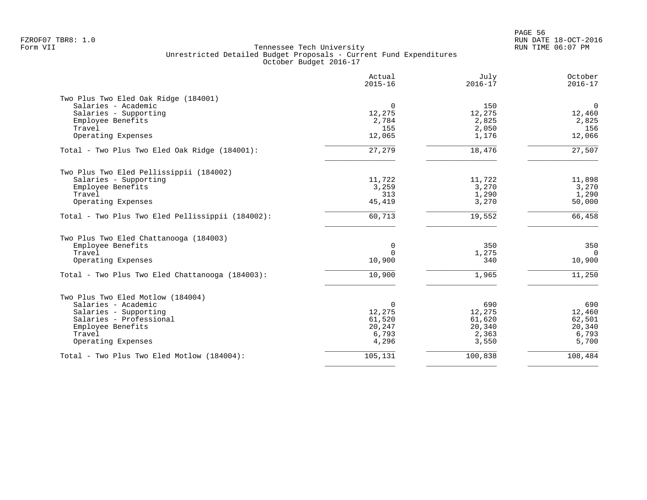PAGE 56 FZROF07 TBR8: 1.0 RUN DATE 18-OCT-2016

|                                                  | Actual<br>$2015 - 16$ | July<br>$2016 - 17$ | October<br>$2016 - 17$ |
|--------------------------------------------------|-----------------------|---------------------|------------------------|
| Two Plus Two Eled Oak Ridge (184001)             |                       |                     |                        |
| Salaries - Academic                              | $\mathbf 0$           | 150                 | $\mathsf{O}$           |
| Salaries - Supporting                            | 12,275                | 12,275              | 12,460                 |
| Employee Benefits                                | 2,784                 | 2,825               | 2,825                  |
| Travel                                           | 155                   | 2,050               | 156                    |
| Operating Expenses                               | 12,065                | 1,176               | 12,066                 |
| Total - Two Plus Two Eled Oak Ridge (184001):    | 27,279                | 18,476              | 27,507                 |
| Two Plus Two Eled Pellissippii (184002)          |                       |                     |                        |
| Salaries - Supporting                            | 11,722                | 11,722              | 11,898                 |
| Employee Benefits                                | 3,259                 | 3,270               | 3,270                  |
| Travel                                           | 313                   | 1,290               | 1,290                  |
| Operating Expenses                               | 45,419                | 3,270               | 50,000                 |
| Total - Two Plus Two Eled Pellissippii (184002): | 60,713                | 19,552              | 66,458                 |
| Two Plus Two Eled Chattanooga (184003)           |                       |                     |                        |
| Employee Benefits                                | 0                     | 350                 | 350                    |
| Travel                                           | $\Omega$              | 1,275               | $\Omega$               |
| Operating Expenses                               | 10,900                | 340                 | 10,900                 |
| Total - Two Plus Two Eled Chattanooga (184003):  | 10,900                | 1,965               | 11,250                 |
| Two Plus Two Eled Motlow (184004)                |                       |                     |                        |
| Salaries - Academic                              | 0                     | 690                 | 690                    |
| Salaries - Supporting                            | 12,275                | 12,275              | 12,460                 |
| Salaries - Professional                          | 61,520                | 61,620              | 62,501                 |
| Employee Benefits                                | 20,247                | 20,340              | 20,340                 |
| Travel                                           | 6,793                 | 2,363               | 6,793                  |
| Operating Expenses                               | 4,296                 | 3,550               | 5,700                  |
| Total - Two Plus Two Eled Motlow (184004):       | 105,131               | 100,838             | 108,484                |
|                                                  |                       |                     |                        |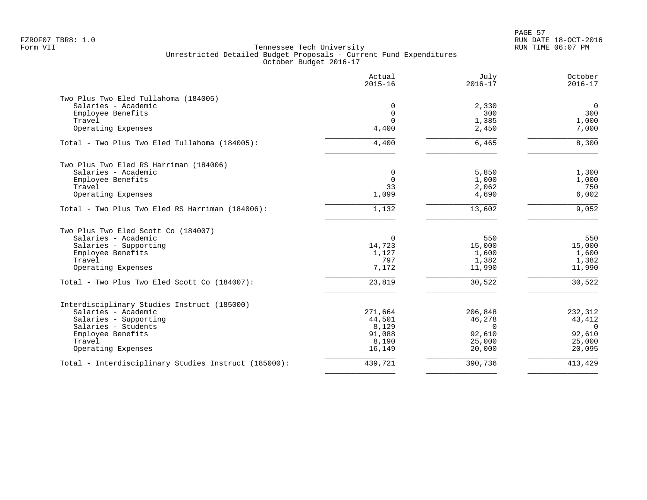PAGE 57 FZROF07 TBR8: 1.0 RUN DATE 18-OCT-2016

|                                                      | Actual<br>$2015 - 16$ | July<br>$2016 - 17$ | October<br>$2016 - 17$ |
|------------------------------------------------------|-----------------------|---------------------|------------------------|
| Two Plus Two Eled Tullahoma (184005)                 |                       |                     |                        |
| Salaries - Academic                                  | 0                     | 2,330               | $\mathbf 0$            |
| Employee Benefits                                    | $\mathbf 0$           | 300                 | 300                    |
| Travel                                               | $\Omega$              | 1,385               | 1,000                  |
| Operating Expenses                                   | 4,400                 | 2,450               | 7,000                  |
| Total - Two Plus Two Eled Tullahoma (184005):        | 4,400                 | 6,465               | 8,300                  |
| Two Plus Two Eled RS Harriman (184006)               |                       |                     |                        |
| Salaries - Academic                                  | $\mathbf 0$           | 5,850               | 1,300                  |
| Employee Benefits                                    | $\mathbf 0$           | 1,000               | 1,000                  |
| Travel                                               | 33                    | 2,062               | 750                    |
| Operating Expenses                                   | 1,099                 | 4,690               | 6,002                  |
| Total - Two Plus Two Eled RS Harriman (184006):      | 1,132                 | 13,602              | 9,052                  |
| Two Plus Two Eled Scott Co (184007)                  |                       |                     |                        |
| Salaries - Academic                                  | $\Omega$              | 550                 | 550                    |
| Salaries - Supporting                                | 14,723                | 15,000              | 15,000                 |
| Employee Benefits                                    | 1,127                 | 1,600               | 1,600                  |
| Travel                                               | 797                   | 1,382               | 1,382                  |
| Operating Expenses                                   | 7,172                 | 11,990              | 11,990                 |
| Total - Two Plus Two Eled Scott Co (184007):         | 23,819                | 30,522              | 30,522                 |
| Interdisciplinary Studies Instruct (185000)          |                       |                     |                        |
| Salaries - Academic                                  | 271,664               | 206,848             | 232,312                |
| Salaries - Supporting                                | 44,501                | 46,278              | 43,412                 |
| Salaries - Students                                  | 8,129                 | $\Omega$            | $\Omega$               |
| Employee Benefits                                    | 91,088                | 92,610              | 92,610                 |
| Travel                                               | 8,190                 | 25,000              | 25,000                 |
| Operating Expenses                                   | 16,149                | 20,000              | 20,095                 |
| Total - Interdisciplinary Studies Instruct (185000): | 439,721               | 390,736             | 413,429                |
|                                                      |                       |                     |                        |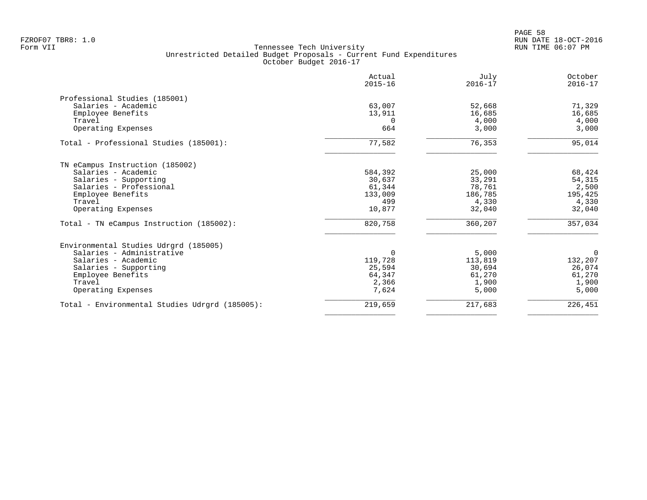|                                                | Actual<br>$2015 - 16$ | July<br>$2016 - 17$ | October<br>$2016 - 17$ |
|------------------------------------------------|-----------------------|---------------------|------------------------|
| Professional Studies (185001)                  |                       |                     |                        |
| Salaries - Academic                            | 63,007                | 52,668              | 71,329                 |
| Employee Benefits                              | 13,911                | 16,685              | 16,685                 |
| Travel                                         | $\Omega$              | 4,000               | 4,000                  |
| Operating Expenses                             | 664                   | 3,000               | 3,000                  |
| Total - Professional Studies (185001):         | 77,582                | 76,353              | 95,014                 |
| TN eCampus Instruction (185002)                |                       |                     |                        |
| Salaries - Academic                            | 584,392               | 25,000              | 68,424                 |
| Salaries - Supporting                          | 30,637                | 33,291              | 54,315                 |
| Salaries - Professional                        | 61,344                | 78,761              | 2,500                  |
| Employee Benefits                              | 133,009               | 186,785             | 195,425                |
| Travel                                         | 499                   | 4,330               | 4,330                  |
| Operating Expenses                             | 10,877                | 32,040              | 32,040                 |
| Total - TN eCampus Instruction (185002):       | 820,758               | 360,207             | 357,034                |
| Environmental Studies Udrgrd (185005)          |                       |                     |                        |
| Salaries - Administrative                      | 0                     | 5,000               | $\overline{0}$         |
| Salaries - Academic                            | 119,728               | 113,819             | 132,207                |
| Salaries - Supporting                          | 25,594                | 30,694              | 26,074                 |
| Employee Benefits                              | 64,347                | 61,270              | 61,270                 |
| Travel                                         | 2,366                 | 1,900               | 1,900                  |
| Operating Expenses                             | 7,624                 | 5,000               | 5,000                  |
| Total - Environmental Studies Udrgrd (185005): | 219,659               | 217,683             | 226,451                |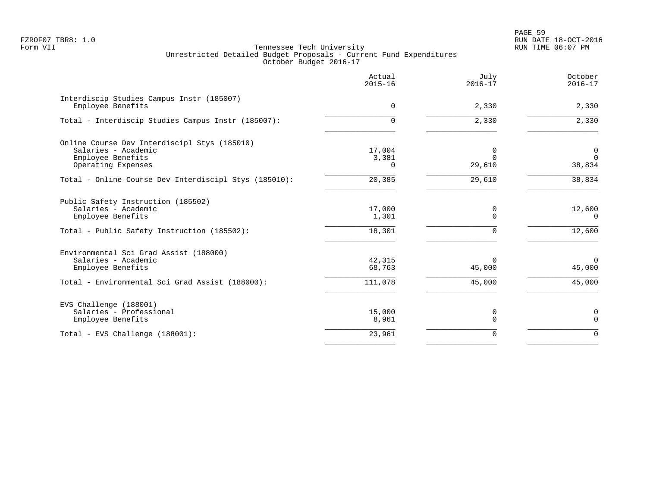PAGE 59 FZROF07 TBR8: 1.0 RUN DATE 18-OCT-2016

|                                                                                                                               | Actual<br>$2015 - 16$     | July<br>$2016 - 17$          | October<br>$2016 - 17$       |
|-------------------------------------------------------------------------------------------------------------------------------|---------------------------|------------------------------|------------------------------|
| Interdiscip Studies Campus Instr (185007)<br>Employee Benefits                                                                | $\mathbf 0$               | 2,330                        | 2,330                        |
| Total - Interdiscip Studies Campus Instr (185007):                                                                            | 0                         | 2,330                        | 2,330                        |
| Online Course Dev Interdiscipl Stys (185010)<br>Salaries - Academic<br>Employee Benefits<br>Operating Expenses                | 17,004<br>3,381<br>0      | 0<br>$\Omega$<br>29,610      | 0<br>$\Omega$<br>38,834      |
| Total - Online Course Dev Interdiscipl Stys (185010):                                                                         | 20,385                    | 29,610                       | 38,834                       |
| Public Safety Instruction (185502)<br>Salaries - Academic<br>Employee Benefits<br>Total - Public Safety Instruction (185502): | 17,000<br>1,301<br>18,301 | 0<br>$\Omega$<br>$\mathbf 0$ | 12,600<br>$\Omega$<br>12,600 |
| Environmental Sci Grad Assist (188000)<br>Salaries - Academic<br>Employee Benefits                                            | 42,315<br>68,763          | $\Omega$<br>45,000           | $\overline{0}$<br>45,000     |
| Total - Environmental Sci Grad Assist (188000):                                                                               | 111,078                   | 45,000                       | 45,000                       |
| EVS Challenge (188001)<br>Salaries - Professional<br>Employee Benefits                                                        | 15,000<br>8,961           | 0<br>$\mathbf 0$             | 0<br>$\mathbf 0$             |
| Total - EVS Challenge (188001):                                                                                               | 23,961                    | $\mathbf 0$                  | $\Omega$                     |
|                                                                                                                               |                           |                              |                              |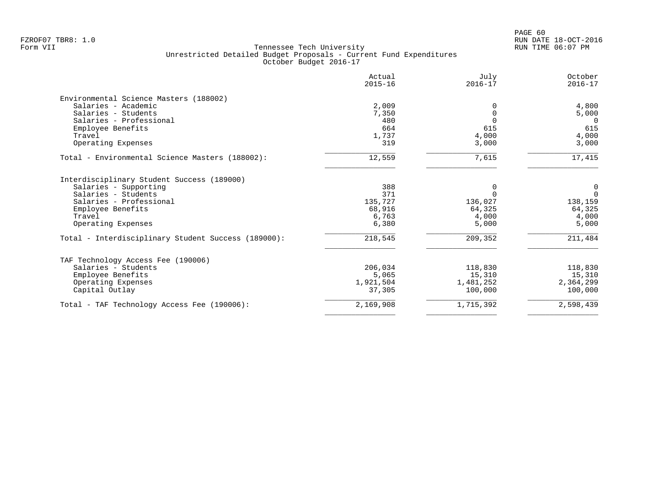| Actual<br>$2015 - 16$ | July<br>$2016 - 17$                                                                     | October<br>$2016 - 17$                                |
|-----------------------|-----------------------------------------------------------------------------------------|-------------------------------------------------------|
|                       |                                                                                         |                                                       |
|                       |                                                                                         | 4,800                                                 |
|                       | $\Omega$                                                                                | 5,000                                                 |
|                       |                                                                                         | $\Omega$                                              |
|                       |                                                                                         | 615                                                   |
|                       |                                                                                         | 4,000                                                 |
|                       |                                                                                         | 3,000                                                 |
|                       |                                                                                         |                                                       |
| 12,559                | 7,615                                                                                   | 17,415                                                |
|                       |                                                                                         |                                                       |
| 388                   | 0                                                                                       | 0                                                     |
| 371                   | $\Omega$                                                                                | $\mathbf 0$                                           |
|                       | 136,027                                                                                 | 138,159                                               |
|                       |                                                                                         | 64,325                                                |
|                       |                                                                                         | 4,000                                                 |
| 6,380                 | 5,000                                                                                   | 5,000                                                 |
| 218,545               | 209,352                                                                                 | 211,484                                               |
|                       |                                                                                         |                                                       |
| 206,034               | 118,830                                                                                 | 118,830                                               |
| 5,065                 | 15,310                                                                                  | 15,310                                                |
|                       |                                                                                         | 2,364,299                                             |
| 37,305                | 100,000                                                                                 | 100,000                                               |
| 2,169,908             | 1,715,392                                                                               | 2,598,439                                             |
|                       | 2,009<br>7,350<br>480<br>664<br>1,737<br>319<br>135,727<br>68,916<br>6,763<br>1,921,504 | 615<br>4,000<br>3,000<br>64,325<br>4,000<br>1,481,252 |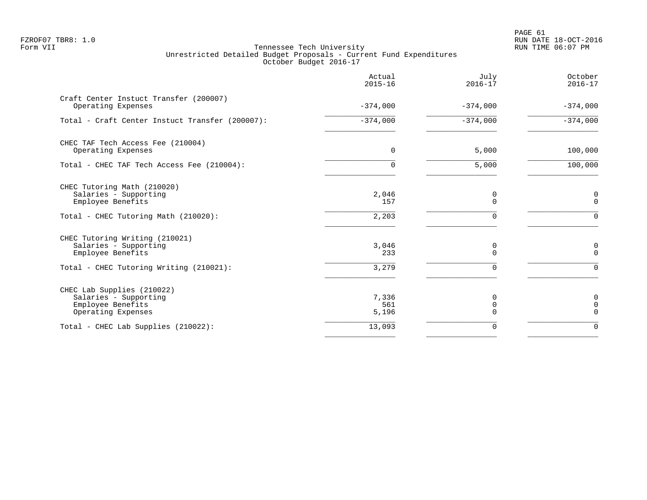PAGE 61 FZROF07 TBR8: 1.0 RUN DATE 18-OCT-2016

|                                                                                                                         | Actual<br>$2015 - 16$ | July<br>$2016 - 17$ | October<br>$2016 - 17$          |
|-------------------------------------------------------------------------------------------------------------------------|-----------------------|---------------------|---------------------------------|
| Craft Center Instuct Transfer (200007)<br>Operating Expenses                                                            | $-374,000$            | $-374,000$          | $-374,000$                      |
| Total - Craft Center Instuct Transfer (200007):                                                                         | $-374,000$            | $-374,000$          | $-374,000$                      |
| CHEC TAF Tech Access Fee (210004)<br>Operating Expenses                                                                 | $\mathbf 0$           | 5,000               | 100,000                         |
| Total - CHEC TAF Tech Access Fee (210004):                                                                              | $\Omega$              | 5,000               | 100,000                         |
| CHEC Tutoring Math (210020)<br>Salaries - Supporting<br>Employee Benefits                                               | 2,046<br>157          | 0<br>$\Omega$       | 0<br>$\mathbf 0$                |
| Total - CHEC Tutoring Math (210020):                                                                                    | 2,203                 | $\Omega$            | $\Omega$                        |
| CHEC Tutoring Writing (210021)<br>Salaries - Supporting<br>Employee Benefits<br>Total - CHEC Tutoring Writing (210021): | 3,046<br>233<br>3,279 | 0<br>$\Omega$<br>∩  | 0<br>$\Omega$<br>$\Omega$       |
| CHEC Lab Supplies (210022)<br>Salaries - Supporting<br>Employee Benefits<br>Operating Expenses                          | 7,336<br>561<br>5,196 | 0<br>0<br>$\Omega$  | 0<br>$\mathbf 0$<br>$\mathbf 0$ |
| Total - CHEC Lab Supplies (210022):                                                                                     | 13,093                | 0                   | $\Omega$                        |
|                                                                                                                         |                       |                     |                                 |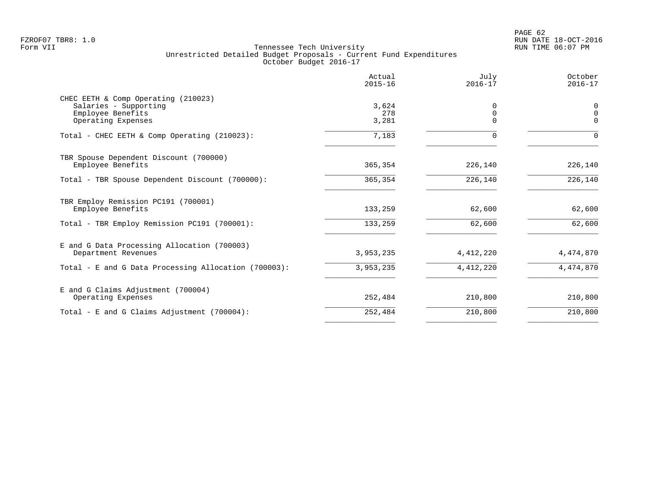|                                                      | Actual<br>$2015 - 16$ | July<br>$2016 - 17$     | October<br>$2016 - 17$ |
|------------------------------------------------------|-----------------------|-------------------------|------------------------|
| CHEC EETH & Comp Operating (210023)                  |                       |                         |                        |
| Salaries - Supporting<br>Employee Benefits           | 3,624<br>278          | $\Omega$<br>$\mathbf 0$ | 0<br>$\Omega$          |
| Operating Expenses                                   | 3,281                 | $\Omega$                | $\Omega$               |
| Total - CHEC EETH & Comp Operating (210023):         | 7,183                 | $\Omega$                | $\Omega$               |
| TBR Spouse Dependent Discount (700000)               |                       |                         |                        |
| Employee Benefits                                    | 365,354               | 226,140                 | 226,140                |
| Total - TBR Spouse Dependent Discount (700000):      | 365,354               | 226,140                 | 226,140                |
| TBR Employ Remission PC191 (700001)                  |                       |                         |                        |
| Employee Benefits                                    | 133,259               | 62,600                  | 62,600                 |
| Total - TBR Employ Remission PC191 (700001):         | 133,259               | 62,600                  | 62,600                 |
| E and G Data Processing Allocation (700003)          |                       |                         |                        |
| Department Revenues                                  | 3,953,235             | 4, 412, 220             | 4,474,870              |
| Total - E and G Data Processing Allocation (700003): | 3,953,235             | 4, 412, 220             | 4,474,870              |
| E and G Claims Adjustment (700004)                   |                       |                         |                        |
| Operating Expenses                                   | 252,484               | 210,800                 | 210,800                |
| Total - E and G Claims Adjustment (700004):          | 252,484               | 210,800                 | 210,800                |
|                                                      |                       |                         |                        |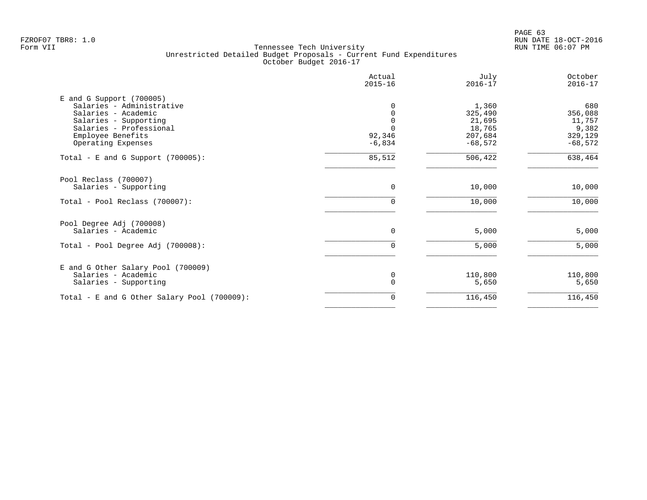|                                                                                                                                                                               | Actual<br>$2015 - 16$ | July<br>$2016 - 17$                                          | October<br>$2016 - 17$                                    |
|-------------------------------------------------------------------------------------------------------------------------------------------------------------------------------|-----------------------|--------------------------------------------------------------|-----------------------------------------------------------|
| $E$ and G Support (700005)<br>Salaries - Administrative<br>Salaries - Academic<br>Salaries - Supporting<br>Salaries - Professional<br>Employee Benefits<br>Operating Expenses | 92,346<br>$-6,834$    | 1,360<br>325,490<br>21,695<br>18,765<br>207,684<br>$-68,572$ | 680<br>356,088<br>11,757<br>9,382<br>329,129<br>$-68,572$ |
| Total - E and G Support $(700005)$ :                                                                                                                                          | 85,512                | 506,422                                                      | 638,464                                                   |
| Pool Reclass (700007)<br>Salaries - Supporting                                                                                                                                | 0                     | 10,000                                                       | 10,000                                                    |
| Total - Pool Reclass (700007):                                                                                                                                                | 0                     | 10,000                                                       | 10,000                                                    |
| Pool Degree Adj (700008)<br>Salaries - Academic                                                                                                                               | $\Omega$              | 5,000                                                        | 5,000                                                     |
| Total - Pool Degree Adj (700008):                                                                                                                                             | 0                     | 5,000                                                        | 5,000                                                     |
| E and G Other Salary Pool (700009)<br>Salaries - Academic<br>Salaries - Supporting                                                                                            | 0<br>$\Omega$         | 110,800<br>5,650                                             | 110,800<br>5,650                                          |
| Total - E and G Other Salary Pool (700009):                                                                                                                                   | 0                     | 116,450                                                      | 116,450                                                   |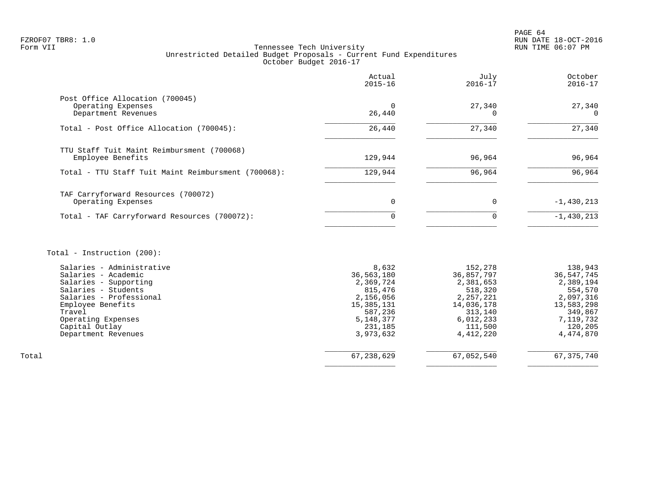# FZROF07 TBR8: 1.0 RUN DATE 18-OCT-2016 Tennessee Tech University Unrestricted Detailed Budget Proposals - Current Fund Expenditures October Budget 2016-17

|                                                                              | Actual<br>$2015 - 16$ | July<br>$2016 - 17$ | October<br>$2016 - 17$ |
|------------------------------------------------------------------------------|-----------------------|---------------------|------------------------|
| Post Office Allocation (700045)<br>Operating Expenses<br>Department Revenues | 26,440                | 27,340              | 27,340<br>$\Omega$     |
| Total - Post Office Allocation (700045):                                     | 26,440                | 27,340              | 27,340                 |
| TTU Staff Tuit Maint Reimbursment (700068)<br>Employee Benefits              | 129,944               | 96,964              | 96,964                 |
| Total - TTU Staff Tuit Maint Reimbursment (700068):                          | 129,944               | 96,964              | 96,964                 |
| TAF Carryforward Resources (700072)<br>Operating Expenses                    | 0                     | $\Omega$            | $-1,430,213$           |
| Total - TAF Carryforward Resources (700072):                                 | O                     | 0                   | $-1,430,213$           |

# Total - Instruction (200):

|       | Salaries - Administrative | 8,632      | 152,278    | 138,943    |
|-------|---------------------------|------------|------------|------------|
|       | Salaries - Academic       | 36,563,180 | 36,857,797 | 36,547,745 |
|       | Salaries - Supporting     | 2,369,724  | 2,381,653  | 2,389,194  |
|       | Salaries - Students       | 815,476    | 518,320    | 554,570    |
|       | Salaries - Professional   | 2,156,056  | 2,257,221  | 2,097,316  |
|       | Employee Benefits         | 15,385,131 | 14,036,178 | 13,583,298 |
|       | Travel                    | 587,236    | 313,140    | 349,867    |
|       | Operating Expenses        | 5,148,377  | 6,012,233  | 7,119,732  |
|       | Capital Outlay            | 231,185    | 111,500    | 120,205    |
|       | Department Revenues       | 3,973,632  | 4,412,220  | 4,474,870  |
|       |                           |            |            |            |
| Total |                           | 67,238,629 | 67,052,540 | 67,375,740 |
|       |                           |            |            |            |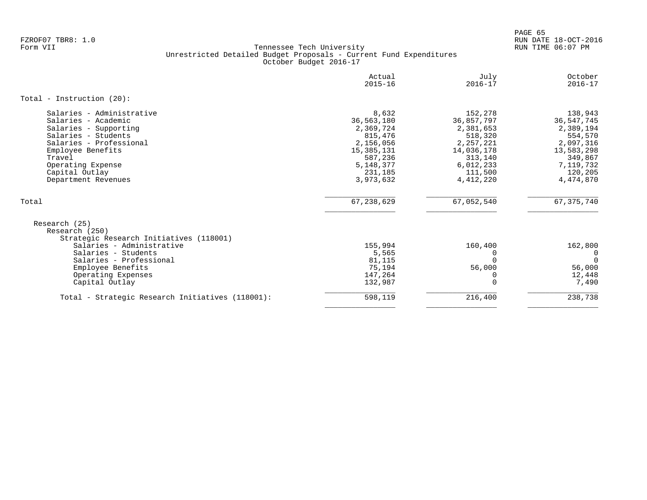PAGE 65 FZROF07 TBR8: 1.0 RUN DATE 18-OCT-2016

|                                                                                                                                                                                                                          | Actual<br>$2015 - 16$                                                                                                    | July<br>$2016 - 17$                                                                                                        | October<br>$2016 - 17$                                                                                                     |
|--------------------------------------------------------------------------------------------------------------------------------------------------------------------------------------------------------------------------|--------------------------------------------------------------------------------------------------------------------------|----------------------------------------------------------------------------------------------------------------------------|----------------------------------------------------------------------------------------------------------------------------|
| Total - Instruction $(20)$ :                                                                                                                                                                                             |                                                                                                                          |                                                                                                                            |                                                                                                                            |
| Salaries - Administrative<br>Salaries - Academic<br>Salaries - Supporting<br>Salaries - Students<br>Salaries - Professional<br>Employee Benefits<br>Travel<br>Operating Expense<br>Capital Outlay<br>Department Revenues | 8,632<br>36,563,180<br>2,369,724<br>815,476<br>2,156,056<br>15,385,131<br>587,236<br>5, 148, 377<br>231,185<br>3,973,632 | 152,278<br>36,857,797<br>2,381,653<br>518,320<br>2, 257, 221<br>14,036,178<br>313,140<br>6,012,233<br>111,500<br>4,412,220 | 138,943<br>36, 547, 745<br>2,389,194<br>554,570<br>2,097,316<br>13,583,298<br>349,867<br>7,119,732<br>120,205<br>4,474,870 |
| Total                                                                                                                                                                                                                    | 67,238,629                                                                                                               | 67,052,540                                                                                                                 | 67, 375, 740                                                                                                               |
| Research (25)<br>Research (250)<br>Strategic Research Initiatives (118001)<br>Salaries - Administrative<br>Salaries - Students<br>Salaries - Professional<br>Employee Benefits<br>Operating Expenses<br>Capital Outlay   | 155,994<br>5,565<br>81,115<br>75,194<br>147,264<br>132,987                                                               | 160,400<br>O<br>56,000<br>$\Omega$                                                                                         | 162,800<br>0<br>$\Omega$<br>56,000<br>12,448<br>7,490                                                                      |
| Total - Strategic Research Initiatives (118001):                                                                                                                                                                         | 598,119                                                                                                                  | 216,400                                                                                                                    | 238,738                                                                                                                    |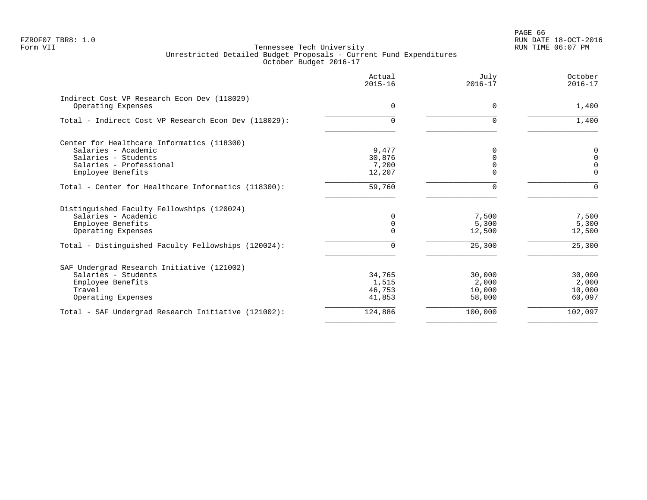|                                                      | Actual<br>$2015 - 16$ | July<br>$2016 - 17$ | October<br>$2016 - 17$ |
|------------------------------------------------------|-----------------------|---------------------|------------------------|
| Indirect Cost VP Research Econ Dev (118029)          |                       |                     |                        |
| Operating Expenses                                   | $\Omega$              | $\Omega$            | 1,400                  |
| Total - Indirect Cost VP Research Econ Dev (118029): | $\Omega$              |                     | 1,400                  |
| Center for Healthcare Informatics (118300)           |                       |                     |                        |
| Salaries - Academic                                  | 9,477                 | $\Omega$            | $\mathbf 0$            |
| Salaries - Students                                  | 30,876                |                     | $\mathbf 0$            |
| Salaries - Professional                              | 7,200                 |                     | $\Omega$               |
| Employee Benefits                                    | 12,207                |                     | $\Omega$               |
| Total - Center for Healthcare Informatics (118300):  | 59,760                | U                   | $\Omega$               |
| Distinguished Faculty Fellowships (120024)           |                       |                     |                        |
| Salaries - Academic                                  | $\Omega$              | 7,500               | 7,500                  |
| Employee Benefits                                    | 0                     | 5,300               | 5,300                  |
| Operating Expenses                                   |                       | 12,500              | 12,500                 |
| Total - Distinguished Faculty Fellowships (120024):  | $\Omega$              | 25,300              | 25,300                 |
| SAF Undergrad Research Initiative (121002)           |                       |                     |                        |
| Salaries - Students                                  | 34,765                | 30,000              | 30,000                 |
| Employee Benefits                                    | 1,515                 | 2,000               | 2,000                  |
| Travel                                               | 46,753                | 10,000              | 10,000                 |
| Operating Expenses                                   | 41,853                | 58,000              | 60,097                 |
| Total - SAF Undergrad Research Initiative (121002):  | 124,886               | 100,000             | 102,097                |
|                                                      |                       |                     |                        |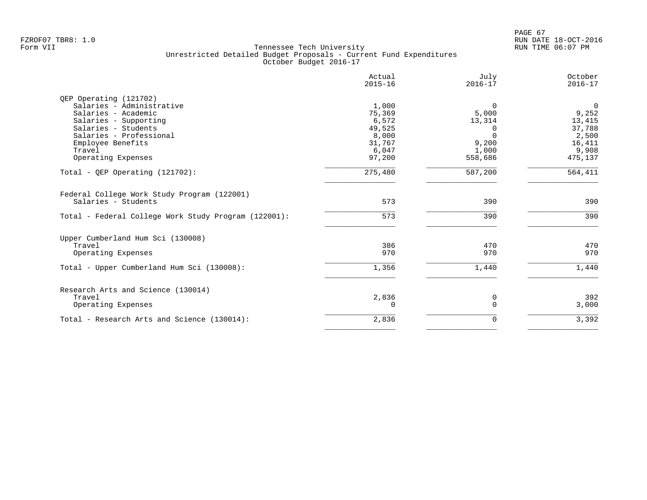|                                                      | Actual<br>$2015 - 16$ | July<br>$2016 - 17$ | October<br>$2016 - 17$ |
|------------------------------------------------------|-----------------------|---------------------|------------------------|
| QEP Operating (121702)                               |                       |                     |                        |
| Salaries - Administrative                            | 1,000                 | $\Omega$            | $\mathbf 0$            |
| Salaries - Academic                                  | 75,369                | 5,000               | 9,252                  |
| Salaries - Supporting                                | 6,572                 | 13,314              | 13,415                 |
| Salaries - Students                                  | 49,525                | $\Omega$            | 37,788                 |
| Salaries - Professional                              | 8,000                 | $\Omega$            | 2,500                  |
| Employee Benefits                                    | 31,767                | 9,200               | 16,411                 |
| Travel                                               | 6,047                 | 1,000               | 9,908                  |
| Operating Expenses                                   | 97,200                | 558,686             | 475,137                |
| Total - QEP Operating $(121702)$ :                   | 275,480               | 587,200             | 564,411                |
| Federal College Work Study Program (122001)          |                       |                     |                        |
| Salaries - Students                                  | 573                   | 390                 | 390                    |
| Total - Federal College Work Study Program (122001): | 573                   | 390                 | 390                    |
| Upper Cumberland Hum Sci (130008)                    |                       |                     |                        |
| Travel                                               | 386                   | 470                 | 470                    |
| Operating Expenses                                   | 970                   | 970                 | 970                    |
| Total - Upper Cumberland Hum Sci (130008):           | 1,356                 | 1,440               | 1,440                  |
| Research Arts and Science (130014)                   |                       |                     |                        |
| Travel                                               | 2,836                 | 0                   | 392                    |
| Operating Expenses                                   | $\Omega$              | $\Omega$            | 3,000                  |
| Total - Research Arts and Science (130014):          | 2,836                 | 0                   | 3,392                  |
|                                                      |                       |                     |                        |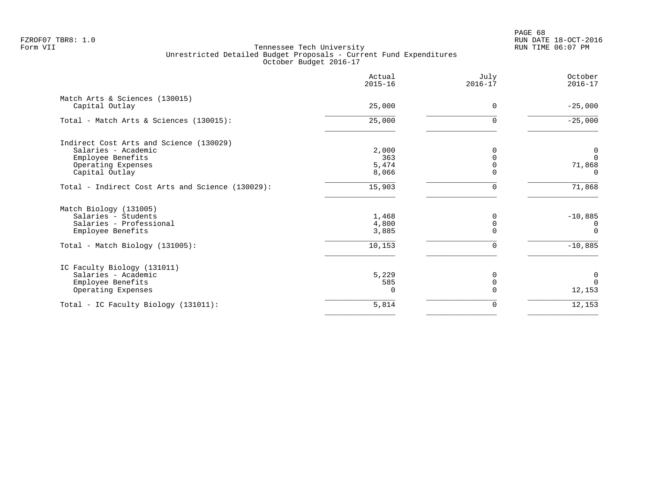PAGE 68 FZROF07 TBR8: 1.0 RUN DATE 18-OCT-2016

|                                                  | Actual<br>$2015 - 16$ | July<br>$2016 - 17$ | October<br>$2016 - 17$ |
|--------------------------------------------------|-----------------------|---------------------|------------------------|
| Match Arts & Sciences (130015)<br>Capital Outlay | 25,000                | $\Omega$            | $-25,000$              |
|                                                  |                       |                     |                        |
| Total - Match Arts & Sciences (130015):          | 25,000                | $\Omega$            | $-25,000$              |
| Indirect Cost Arts and Science (130029)          |                       |                     |                        |
| Salaries - Academic                              | 2,000                 | $\Omega$            | 0                      |
| Employee Benefits                                | 363                   |                     | $\Omega$               |
| Operating Expenses                               | 5,474                 | $\Omega$            | 71,868                 |
| Capital Outlay                                   | 8,066                 | $\Omega$            | <sup>n</sup>           |
| Total - Indirect Cost Arts and Science (130029): | 15,903                | 0                   | 71,868                 |
| Match Biology (131005)                           |                       |                     |                        |
| Salaries - Students                              | 1,468                 | $\Omega$            | $-10,885$              |
| Salaries - Professional                          | 4,800                 | $\mathbf 0$         | 0                      |
| Employee Benefits                                | 3,885                 | $\cap$              | $\Omega$               |
| Total - Match Biology (131005):                  | 10,153                | 0                   | $-10,885$              |
| IC Faculty Biology (131011)                      |                       |                     |                        |
| Salaries - Academic                              | 5,229                 | 0                   | 0                      |
| Employee Benefits                                | 585                   | 0                   | $\Omega$               |
| Operating Expenses                               |                       | $\Omega$            | 12,153                 |
| Total - IC Faculty Biology (131011):             | 5,814                 | 0                   | 12,153                 |
|                                                  |                       |                     |                        |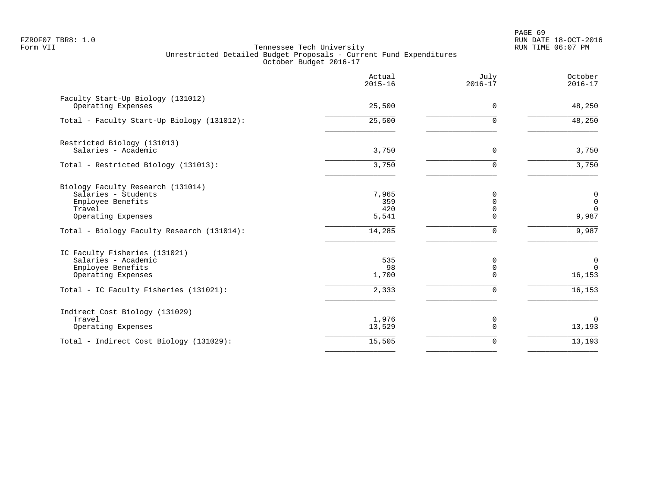PAGE 69 FZROF07 TBR8: 1.0 RUN DATE 18-OCT-2016

|                                                                                                               | Actual<br>$2015 - 16$        | July<br>$2016 - 17$       | October<br>$2016 - 17$                                           |
|---------------------------------------------------------------------------------------------------------------|------------------------------|---------------------------|------------------------------------------------------------------|
| Faculty Start-Up Biology (131012)<br>Operating Expenses                                                       | 25,500                       | $\Omega$                  | 48,250                                                           |
| Total - Faculty Start-Up Biology (131012):                                                                    | 25,500                       | U                         | 48,250                                                           |
| Restricted Biology (131013)<br>Salaries - Academic                                                            | 3,750                        | 0                         | 3,750                                                            |
| Total - Restricted Biology (131013):                                                                          | 3,750                        | $\Omega$                  | 3,750                                                            |
| Biology Faculty Research (131014)<br>Salaries - Students<br>Employee Benefits<br>Travel<br>Operating Expenses | 7,965<br>359<br>420<br>5,541 | $\Omega$<br>U             | $\begin{smallmatrix}0\0\0\end{smallmatrix}$<br>$\Omega$<br>9,987 |
| Total - Biology Faculty Research (131014):                                                                    | 14,285                       | $\Omega$                  | 9,987                                                            |
| IC Faculty Fisheries (131021)<br>Salaries - Academic<br>Employee Benefits<br>Operating Expenses               | 535<br>98<br>1,700           | 0<br>$\Omega$<br>$\Omega$ | $\mathbf 0$<br>$\Omega$<br>16,153                                |
| Total - IC Faculty Fisheries (131021):                                                                        | 2,333                        | $\Omega$                  | 16,153                                                           |
| Indirect Cost Biology (131029)<br>Travel<br>Operating Expenses                                                | 1,976<br>13,529              | 0<br>$\Omega$             | $\mathbf 0$<br>13,193                                            |
| Total - Indirect Cost Biology (131029):                                                                       | 15,505                       | $\Omega$                  | 13,193                                                           |
|                                                                                                               |                              |                           |                                                                  |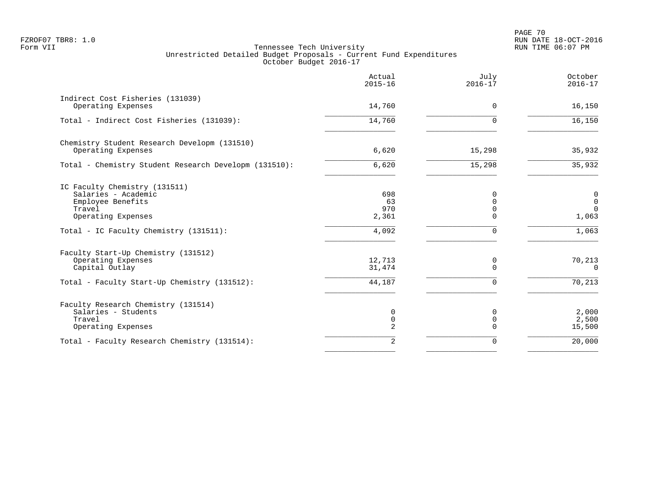PAGE 70 FZROF07 TBR8: 1.0 RUN DATE 18-OCT-2016

|                                                                                                           | Actual<br>$2015 - 16$     | July<br>$2016 - 17$            | October<br>$2016 - 17$                |
|-----------------------------------------------------------------------------------------------------------|---------------------------|--------------------------------|---------------------------------------|
| Indirect Cost Fisheries (131039)<br>Operating Expenses                                                    | 14,760                    | $\Omega$                       | 16,150                                |
| Total - Indirect Cost Fisheries (131039):                                                                 | 14,760                    | <sup>n</sup>                   | 16,150                                |
| Chemistry Student Research Developm (131510)<br>Operating Expenses                                        | 6,620                     | 15,298                         | 35,932                                |
| Total - Chemistry Student Research Developm (131510):                                                     | 6,620                     | 15,298                         | 35,932                                |
| IC Faculty Chemistry (131511)<br>Salaries - Academic<br>Employee Benefits<br>Travel<br>Operating Expenses | 698<br>63<br>970<br>2,361 | $\Omega$<br>0<br>0<br>$\Omega$ | 0<br>$\mathbb O$<br>$\Omega$<br>1,063 |
| Total - IC Faculty Chemistry (131511):                                                                    | 4,092                     | $\Omega$                       | 1,063                                 |
| Faculty Start-Up Chemistry (131512)<br>Operating Expenses<br>Capital Outlay                               | 12,713<br>31,474          | 0<br>$\Omega$                  | 70,213<br>$\Omega$                    |
| Total - Faculty Start-Up Chemistry (131512):                                                              | 44,187                    | $\Omega$                       | 70,213                                |
| Faculty Research Chemistry (131514)<br>Salaries - Students<br>Travel<br>Operating Expenses                | 0<br>$\mathbf 0$<br>2     | 0<br>$\mathbf 0$<br>$\Omega$   | 2,000<br>2,500<br>15,500              |
| Total - Faculty Research Chemistry (131514):                                                              | $\overline{2}$            | $\Omega$                       | 20,000                                |
|                                                                                                           |                           |                                |                                       |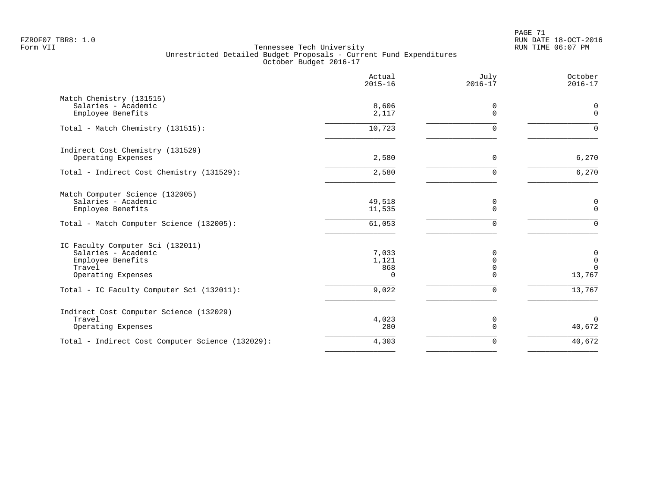PAGE 71 FZROF07 TBR8: 1.0 RUN DATE 18-OCT-2016

|                                                                                                                         | Actual<br>$2015 - 16$           | July<br>$2016 - 17$                             | October<br>$2016 - 17$                    |
|-------------------------------------------------------------------------------------------------------------------------|---------------------------------|-------------------------------------------------|-------------------------------------------|
| Match Chemistry (131515)<br>Salaries - Academic<br>Employee Benefits                                                    | 8,606<br>2,117                  | 0<br>$\Omega$                                   | 0<br>$\mathbf{0}$                         |
| Total - Match Chemistry (131515):                                                                                       | 10,723                          | $\Omega$                                        | $\Omega$                                  |
| Indirect Cost Chemistry (131529)<br>Operating Expenses                                                                  | 2,580                           | 0                                               | 6,270                                     |
| Total - Indirect Cost Chemistry (131529):                                                                               | 2,580                           | $\Omega$                                        | 6,270                                     |
| Match Computer Science (132005)<br>Salaries - Academic<br>Employee Benefits<br>Total - Match Computer Science (132005): | 49,518<br>11,535<br>61,053      | 0<br>$\overline{0}$<br>$\Omega$                 | 0<br>$\mathbf 0$<br>$\Omega$              |
| IC Faculty Computer Sci (132011)<br>Salaries - Academic<br>Employee Benefits<br>Travel<br>Operating Expenses            | 7,033<br>1,121<br>868<br>$\cap$ | $\Omega$<br>$\Omega$<br>$\mathbf 0$<br>$\Omega$ | 0<br>$\mathbf 0$<br>$\mathbf 0$<br>13,767 |
| Total - IC Faculty Computer Sci (132011):                                                                               | 9,022                           | $\Omega$                                        | 13,767                                    |
| Indirect Cost Computer Science (132029)<br>Travel<br>Operating Expenses                                                 | 4,023<br>280                    | 0<br>$\Omega$                                   | $\mathbf 0$<br>40,672                     |
| Total - Indirect Cost Computer Science (132029):                                                                        | 4,303                           | $\mathbf 0$                                     | 40,672                                    |
|                                                                                                                         |                                 |                                                 |                                           |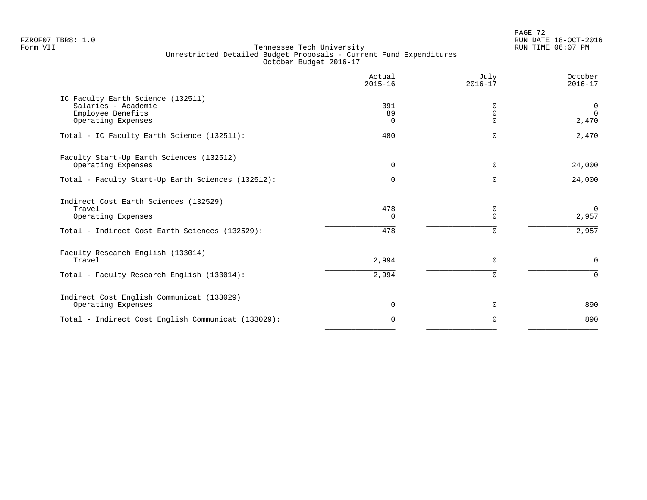PAGE 72 FZROF07 TBR8: 1.0 RUN DATE 18-OCT-2016

|                                                                                                                         | Actual<br>$2015 - 16$  | July<br>$2016 - 17$       | October<br>$2016 - 17$        |
|-------------------------------------------------------------------------------------------------------------------------|------------------------|---------------------------|-------------------------------|
| IC Faculty Earth Science (132511)<br>Salaries - Academic<br>Employee Benefits<br>Operating Expenses                     | 391<br>89<br>$\Omega$  | ∩<br>$\Omega$<br>$\Omega$ | 0<br>$\Omega$<br>2,470        |
| Total - IC Faculty Earth Science (132511):                                                                              | 480                    | $\Omega$                  | 2,470                         |
| Faculty Start-Up Earth Sciences (132512)<br>Operating Expenses                                                          | $\Omega$               | $\Omega$                  | 24,000                        |
| Total - Faculty Start-Up Earth Sciences (132512):                                                                       | 0                      | $\Omega$                  | 24,000                        |
| Indirect Cost Earth Sciences (132529)<br>Travel<br>Operating Expenses<br>Total - Indirect Cost Earth Sciences (132529): | 478<br>$\Omega$<br>478 | 0<br>$\Omega$<br>$\Omega$ | $\mathbf 0$<br>2,957<br>2,957 |
| Faculty Research English (133014)<br>Travel<br>Total - Faculty Research English (133014):                               | 2,994<br>2,994         | $\Omega$                  | $\mathbf 0$<br>$\Omega$       |
| Indirect Cost English Communicat (133029)                                                                               |                        |                           |                               |
| Operating Expenses                                                                                                      | $\mathbf 0$            | 0                         | 890                           |
| Total - Indirect Cost English Communicat (133029):                                                                      | $\Omega$               | $\Omega$                  | 890                           |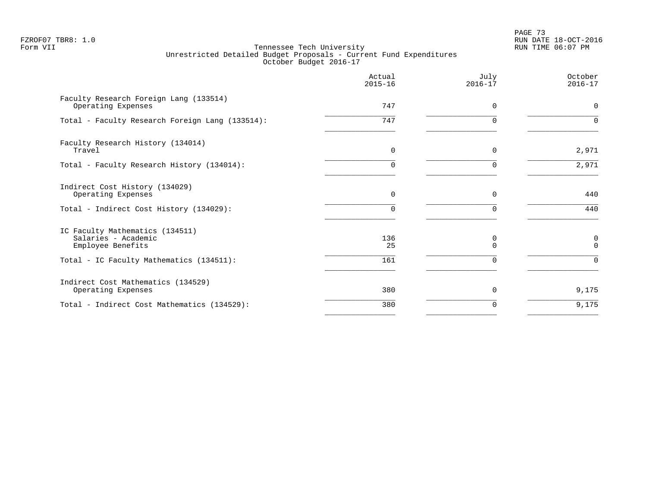PAGE 73 FZROF07 TBR8: 1.0 RUN DATE 18-OCT-2016

|                                                                             | Actual<br>$2015 - 16$ | July<br>$2016 - 17$ | October<br>$2016 - 17$ |
|-----------------------------------------------------------------------------|-----------------------|---------------------|------------------------|
| Faculty Research Foreign Lang (133514)<br>Operating Expenses                | 747                   | $\Omega$            | $\Omega$               |
| Total - Faculty Research Foreign Lang (133514):                             | 747                   | <sup>n</sup>        | $\cap$                 |
| Faculty Research History (134014)<br>Travel                                 | $\Omega$              | $\Omega$            | 2,971                  |
| Total - Faculty Research History (134014):                                  | 0                     | $\Omega$            | 2,971                  |
| Indirect Cost History (134029)<br>Operating Expenses                        | 0                     | 0                   | 440                    |
| Total - Indirect Cost History (134029):                                     | $\Omega$              | $\Omega$            | 440                    |
| IC Faculty Mathematics (134511)<br>Salaries - Academic<br>Employee Benefits | 136<br>25             | 0<br>$\Omega$       | 0<br>$\Omega$          |
| Total - IC Faculty Mathematics (134511):                                    | 161                   | $\Omega$            | $\Omega$               |
| Indirect Cost Mathematics (134529)<br>Operating Expenses                    | 380                   | $\Omega$            | 9,175                  |
| Total - Indirect Cost Mathematics (134529):                                 | 380                   | $\Omega$            | 9,175                  |
|                                                                             |                       |                     |                        |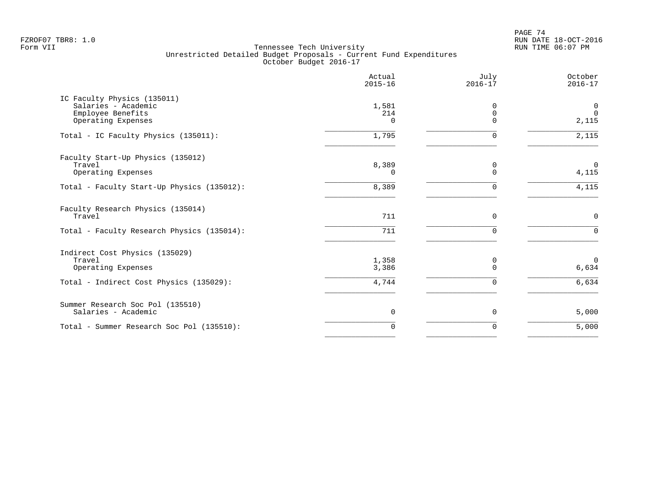PAGE 74 FZROF07 TBR8: 1.0 RUN DATE 18-OCT-2016

|                                                                                               | Actual<br>$2015 - 16$    | July<br>$2016 - 17$          | October<br>$2016 - 17$              |
|-----------------------------------------------------------------------------------------------|--------------------------|------------------------------|-------------------------------------|
| IC Faculty Physics (135011)<br>Salaries - Academic<br>Employee Benefits<br>Operating Expenses | 1,581<br>214<br>$\Omega$ | 0<br>$\mathbf 0$<br>$\Omega$ | $\mathbf 0$<br>$\mathbf 0$<br>2,115 |
| Total - IC Faculty Physics (135011):                                                          | 1,795                    | $\Omega$                     | 2,115                               |
| Faculty Start-Up Physics (135012)<br>Travel<br>Operating Expenses                             | 8,389<br>$\Omega$        | 0<br>$\Omega$                | $\mathbf 0$<br>4,115                |
| Total - Faculty Start-Up Physics (135012):                                                    | 8,389                    | $\Omega$                     | 4,115                               |
| Faculty Research Physics (135014)<br>Travel<br>Total - Faculty Research Physics (135014):     | 711<br>711               | $\Omega$<br><sup>n</sup>     | $\mathbf{0}$<br>$\Omega$            |
| Indirect Cost Physics (135029)<br>Travel<br>Operating Expenses                                | 1,358<br>3,386           | 0<br>$\Omega$                | $\Omega$<br>6,634                   |
| Total - Indirect Cost Physics (135029):                                                       | 4,744                    | $\Omega$                     | 6,634                               |
| Summer Research Soc Pol (135510)<br>Salaries - Academic                                       | $\mathbf 0$              | 0                            | 5,000                               |
| Total - Summer Research Soc Pol (135510):                                                     | $\Omega$                 | $\Omega$                     | 5,000                               |
|                                                                                               |                          |                              |                                     |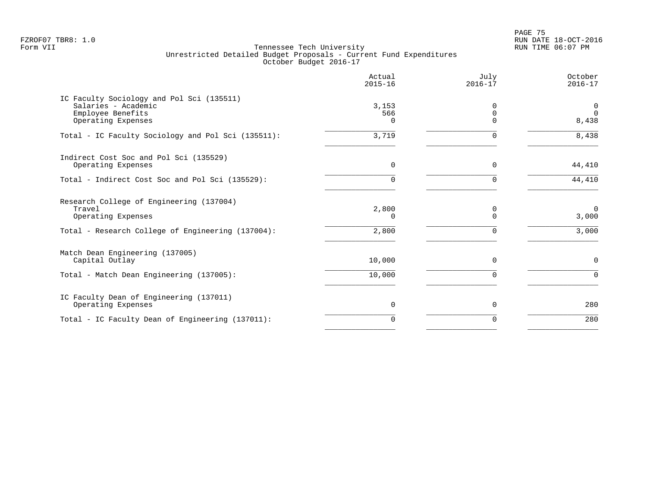en and the set of the set of the set of the set of the set of the set of the set of the set of the set of the set of the set of the set of the set of the set of the set of the set of the set of the set of the set of the se FZROF07 TBR8: 1.0 RUN DATE 18-OCT-2016

|                                                                                                                               | Actual<br>$2015 - 16$        | July<br>$2016 - 17$              | October<br>$2016 - 17$     |
|-------------------------------------------------------------------------------------------------------------------------------|------------------------------|----------------------------------|----------------------------|
| IC Faculty Sociology and Pol Sci (135511)<br>Salaries - Academic<br>Employee Benefits<br>Operating Expenses                   | 3,153<br>566<br><sup>n</sup> | $\Omega$<br>$\Omega$<br>$\Omega$ | 0<br>$\Omega$<br>8,438     |
| Total - IC Faculty Sociology and Pol Sci (135511):                                                                            | 3,719                        | $\Omega$                         | 8,438                      |
| Indirect Cost Soc and Pol Sci (135529)<br>Operating Expenses                                                                  | $\mathbf 0$                  | 0                                | 44,410                     |
| Total - Indirect Cost Soc and Pol Sci (135529):                                                                               | $\Omega$                     | $\Omega$                         | 44,410                     |
| Research College of Engineering (137004)<br>Travel<br>Operating Expenses<br>Total - Research College of Engineering (137004): | 2,800<br>0<br>2,800          | $\Omega$<br>$\Omega$<br>$\Omega$ | $\Omega$<br>3,000<br>3,000 |
|                                                                                                                               |                              |                                  |                            |
| Match Dean Engineering (137005)<br>Capital Outlay                                                                             | 10,000                       | 0                                | $\mathbf 0$                |
| Total - Match Dean Engineering (137005):                                                                                      | 10,000                       | $\Omega$                         | $\Omega$                   |
| IC Faculty Dean of Engineering (137011)<br>Operating Expenses                                                                 | $\mathbf 0$                  | 0                                | 280                        |
| Total - IC Faculty Dean of Engineering (137011):                                                                              | $\Omega$                     | $\Omega$                         | 280                        |
|                                                                                                                               |                              |                                  |                            |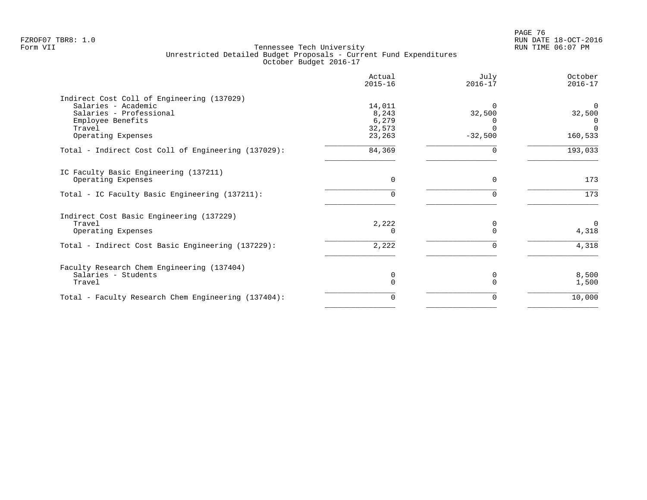| Actual<br>$2015 - 16$ | July<br>$2016 - 17$                                     | October<br>$2016 - 17$ |
|-----------------------|---------------------------------------------------------|------------------------|
|                       |                                                         |                        |
| 14,011                | $\Omega$                                                | $\Omega$               |
|                       | 32,500                                                  | 32,500                 |
|                       |                                                         | $\Omega$               |
|                       |                                                         | $\Omega$               |
|                       |                                                         | 160,533                |
| 84,369                | O                                                       | 193,033                |
|                       |                                                         |                        |
| 0                     | $\Omega$                                                | 173                    |
|                       |                                                         | 173                    |
|                       |                                                         |                        |
|                       | 0                                                       | $\Omega$               |
|                       | $\Omega$                                                | 4,318                  |
| 2,222                 | O                                                       | 4,318                  |
|                       |                                                         |                        |
|                       |                                                         | 8,500                  |
| 0                     |                                                         | 1,500                  |
| 0                     | 0                                                       | 10,000                 |
|                       | 8,243<br>6,279<br>32,573<br>23,263<br>2,222<br>$\Omega$ | $-32,500$<br>O         |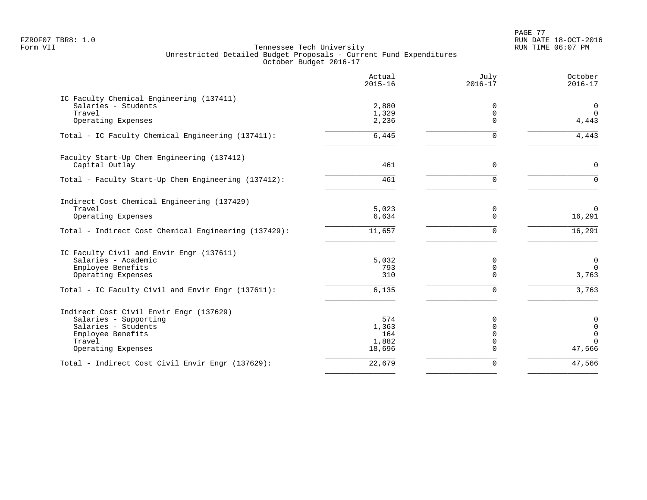PAGE 77 FZROF07 TBR8: 1.0 RUN DATE 18-OCT-2016

|                                                                  | Actual<br>$2015 - 16$ | July<br>$2016 - 17$ | October<br>$2016 - 17$           |
|------------------------------------------------------------------|-----------------------|---------------------|----------------------------------|
| IC Faculty Chemical Engineering (137411)                         |                       |                     |                                  |
| Salaries - Students                                              | 2,880                 | 0                   | $\mathbf 0$                      |
| Travel                                                           | 1,329                 | 0                   | $\overline{0}$                   |
| Operating Expenses                                               | 2,236                 | $\Omega$            | 4,443                            |
| Total - IC Faculty Chemical Engineering (137411):                | 6,445                 | 0                   | 4,443                            |
| Faculty Start-Up Chem Engineering (137412)                       |                       |                     |                                  |
| Capital Outlay                                                   | 461                   | $\Omega$            | $\mathbf 0$                      |
| Total - Faculty Start-Up Chem Engineering (137412):              | 461                   | $\Omega$            | $\Omega$                         |
| Indirect Cost Chemical Engineering (137429)                      |                       |                     |                                  |
| Travel                                                           | 5,023                 | 0                   | $\Omega$                         |
| Operating Expenses                                               | 6,634                 | $\Omega$            | 16,291                           |
| Total - Indirect Cost Chemical Engineering (137429):             | 11,657                | $\Omega$            | 16,291                           |
| IC Faculty Civil and Envir Engr (137611)                         |                       |                     |                                  |
| Salaries - Academic                                              | 5,032                 | 0                   | $\mathbf 0$                      |
| Employee Benefits                                                | 793                   | 0                   | $\mathbf 0$                      |
| Operating Expenses                                               | 310                   | $\Omega$            | 3,763                            |
| Total - IC Faculty Civil and Envir Engr (137611):                | 6,135                 | $\Omega$            | 3,763                            |
|                                                                  |                       |                     |                                  |
| Indirect Cost Civil Envir Engr (137629)<br>Salaries - Supporting | 574                   | $\Omega$            |                                  |
| Salaries - Students                                              | 1,363                 | $\mathbf 0$         | $\pmb{0}$<br>$\mathsf{O}\xspace$ |
| Employee Benefits                                                | 164                   | $\Omega$            | $\Omega$                         |
| Travel                                                           | 1,882                 | 0                   | $\Omega$                         |
| Operating Expenses                                               | 18,696                | $\Omega$            | 47,566                           |
| Total - Indirect Cost Civil Envir Engr (137629):                 | 22,679                | $\Omega$            | 47,566                           |
|                                                                  |                       |                     |                                  |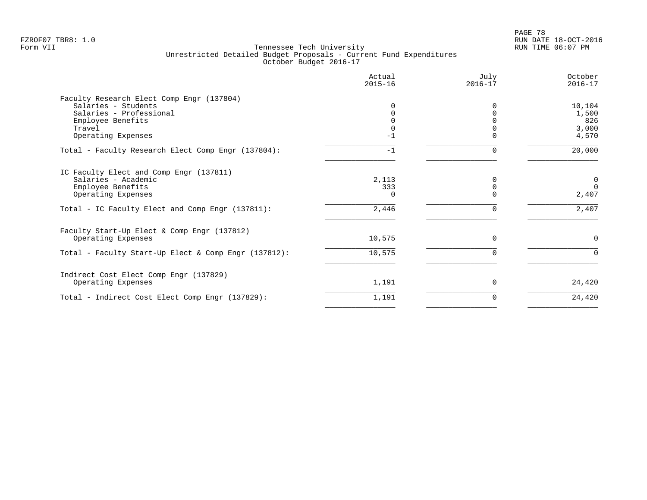PAGE 78 FZROF07 TBR8: 1.0 RUN DATE 18-OCT-2016

| Actual<br>$2015 - 16$ | July<br>$2016 - 17$ | October<br>$2016 - 17$                   |
|-----------------------|---------------------|------------------------------------------|
| $-1$                  |                     | 10,104<br>1,500<br>826<br>3,000<br>4,570 |
| $-1$                  |                     | 20,000                                   |
| 2,113<br>333          |                     | 0<br>$\Omega$<br>2,407                   |
| 2,446                 | 0                   | 2,407                                    |
| 10,575                | $\Omega$            | $\Omega$                                 |
|                       |                     | $\Omega$                                 |
| 1,191                 | $\Omega$            | 24,420                                   |
| 1,191                 | 0                   | 24,420                                   |
|                       | 10,575              |                                          |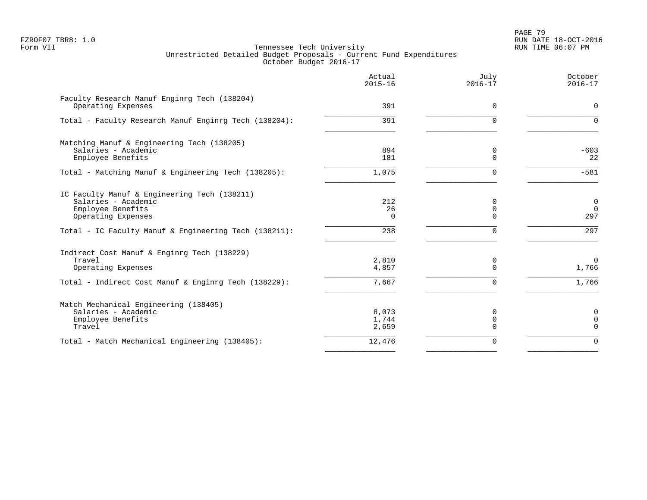PAGE 79 FZROF07 TBR8: 1.0 RUN DATE 18-OCT-2016

|                                                                                                                | Actual<br>$2015 - 16$   | July<br>$2016 - 17$       | October<br>$2016 - 17$                  |
|----------------------------------------------------------------------------------------------------------------|-------------------------|---------------------------|-----------------------------------------|
| Faculty Research Manuf Enginrg Tech (138204)<br>Operating Expenses                                             | 391                     | $\Omega$                  | $\Omega$                                |
| Total - Faculty Research Manuf Enginrg Tech (138204):                                                          | 391                     | U                         | $\Omega$                                |
| Matching Manuf & Engineering Tech (138205)<br>Salaries - Academic<br>Employee Benefits                         | 894<br>181              | 0<br>$\Omega$             | $-603$<br>22                            |
| Total - Matching Manuf & Engineering Tech (138205):                                                            | 1,075                   | U                         | $-581$                                  |
| IC Faculty Manuf & Engineering Tech (138211)<br>Salaries - Academic<br>Employee Benefits<br>Operating Expenses | 212<br>26<br>$\Omega$   | $\Omega$<br>0<br>$\Omega$ | $\overline{0}$<br>$\overline{0}$<br>297 |
| Total - IC Faculty Manuf & Engineering Tech (138211):                                                          | 238                     | $\Omega$                  | 297                                     |
| Indirect Cost Manuf & Enginrg Tech (138229)<br>Travel<br>Operating Expenses                                    | 2,810<br>4,857<br>7,667 | 0<br>$\Omega$<br>$\Omega$ | $\Omega$<br>1,766<br>1,766              |
| Total - Indirect Cost Manuf & Enginrg Tech (138229):                                                           |                         |                           |                                         |
| Match Mechanical Engineering (138405)<br>Salaries - Academic<br>Employee Benefits<br>Travel                    | 8,073<br>1,744<br>2,659 | O<br>$\Omega$<br>U        | $\mathbf 0$<br>$\mathbf 0$<br>$\Omega$  |
| Total - Match Mechanical Engineering (138405):                                                                 | 12,476                  | $\Omega$                  | $\Omega$                                |
|                                                                                                                |                         |                           |                                         |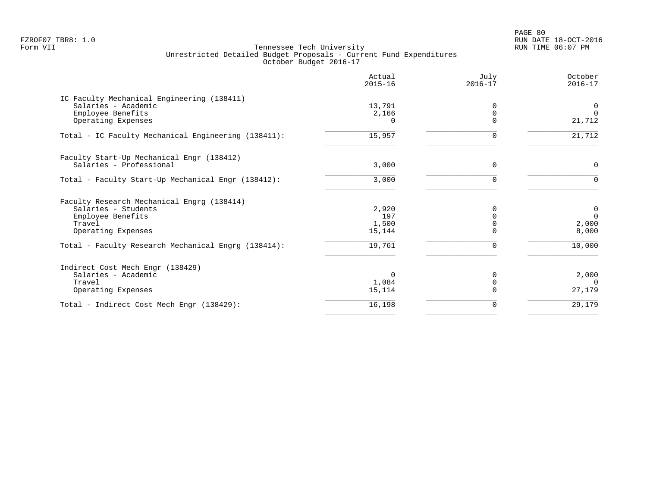PAGE 80 FZROF07 TBR8: 1.0 RUN DATE 18-OCT-2016

|                                                     | Actual<br>$2015 - 16$ | July<br>$2016 - 17$ | October<br>$2016 - 17$ |
|-----------------------------------------------------|-----------------------|---------------------|------------------------|
| IC Faculty Mechanical Engineering (138411)          |                       |                     |                        |
| Salaries - Academic                                 | 13,791                | <sup>0</sup>        | 0                      |
| Employee Benefits                                   | 2,166                 |                     | $\Omega$               |
| Operating Expenses                                  | 0                     | 0                   | 21,712                 |
| Total - IC Faculty Mechanical Engineering (138411): | 15,957                | $\Omega$            | 21,712                 |
| Faculty Start-Up Mechanical Engr (138412)           |                       |                     |                        |
| Salaries - Professional                             | 3,000                 | $\Omega$            | $\mathbf 0$            |
| Total - Faculty Start-Up Mechanical Engr (138412):  | 3,000                 | $\Omega$            | 0                      |
| Faculty Research Mechanical Engrg (138414)          |                       |                     |                        |
| Salaries - Students                                 | 2,920                 | ∩                   | 0                      |
| Employee Benefits                                   | 197                   |                     | $\Omega$               |
| Travel                                              | 1,500                 | $\Omega$            | 2,000                  |
| Operating Expenses                                  | 15,144                | $\Omega$            | 8,000                  |
| Total - Faculty Research Mechanical Engrg (138414): | 19,761                | 0                   | 10,000                 |
| Indirect Cost Mech Engr (138429)                    |                       |                     |                        |
| Salaries - Academic                                 | $\Omega$              | <sup>0</sup>        | 2,000                  |
| Travel                                              | 1,084                 | 0                   | $\Omega$               |
| Operating Expenses                                  | 15,114                | $\Omega$            | 27,179                 |
| Total - Indirect Cost Mech Engr (138429):           | 16,198                | 0                   | 29,179                 |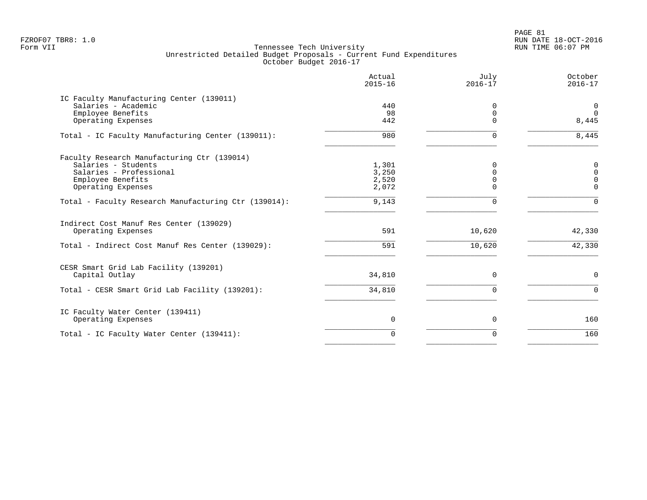|                                                                 | Actual<br>$2015 - 16$ | July<br>$2016 - 17$ | October<br>$2016 - 17$ |
|-----------------------------------------------------------------|-----------------------|---------------------|------------------------|
| IC Faculty Manufacturing Center (139011)<br>Salaries - Academic | 440                   | 0                   | $\mathbf 0$            |
| Employee Benefits                                               | 98                    | 0                   | $\Omega$               |
| Operating Expenses                                              | 442                   | $\Omega$            | 8,445                  |
| Total - IC Faculty Manufacturing Center (139011):               | 980                   | 0                   | 8,445                  |
| Faculty Research Manufacturing Ctr (139014)                     |                       |                     |                        |
| Salaries - Students                                             | 1,301                 | $\Omega$            | $\mathbf 0$            |
| Salaries - Professional                                         | 3,250                 | $\Omega$            | $\mathbf 0$            |
| Employee Benefits                                               | 2,520                 | $\Omega$            | $\mathbf 0$            |
| Operating Expenses                                              | 2,072                 | $\Omega$            | $\Omega$               |
| Total - Faculty Research Manufacturing Ctr (139014):            | 9,143                 | 0                   | $\Omega$               |
| Indirect Cost Manuf Res Center (139029)                         |                       |                     |                        |
| Operating Expenses                                              | 591                   | 10,620              | 42,330                 |
| Total - Indirect Cost Manuf Res Center (139029):                | 591                   | 10,620              | 42,330                 |
| CESR Smart Grid Lab Facility (139201)                           |                       |                     |                        |
| Capital Outlay                                                  | 34,810                | 0                   | $\mathsf{O}$           |
| Total - CESR Smart Grid Lab Facility (139201):                  | 34,810                | 0                   | $\mathbf 0$            |
| IC Faculty Water Center (139411)                                |                       |                     |                        |
| Operating Expenses                                              | 0                     | 0                   | 160                    |
| Total - IC Faculty Water Center (139411):                       | $\Omega$              | 0                   | 160                    |
|                                                                 |                       |                     |                        |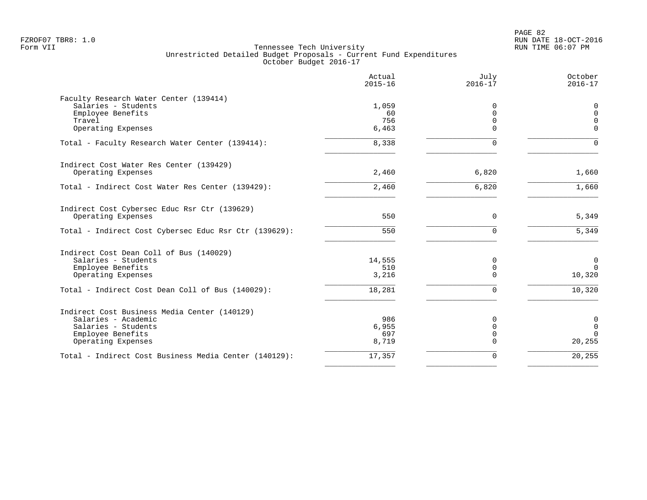|                                                       | Actual<br>$2015 - 16$ | July<br>$2016 - 17$ | October<br>$2016 - 17$ |
|-------------------------------------------------------|-----------------------|---------------------|------------------------|
| Faculty Research Water Center (139414)                |                       |                     |                        |
| Salaries - Students                                   | 1,059                 | 0                   | $\mathbf 0$            |
| Employee Benefits                                     | 60                    | $\mathbf 0$         | $\mathbf 0$            |
| Travel                                                | 756                   | $\mathbf 0$         | $\Omega$               |
| Operating Expenses                                    | 6,463                 | $\Omega$            | $\Omega$               |
| Total - Faculty Research Water Center (139414):       | 8,338                 | $\Omega$            | $\Omega$               |
| Indirect Cost Water Res Center (139429)               |                       |                     |                        |
| Operating Expenses                                    | 2,460                 | 6,820               | 1,660                  |
| Total - Indirect Cost Water Res Center (139429):      | 2,460                 | 6,820               | 1,660                  |
| Indirect Cost Cybersec Educ Rsr Ctr (139629)          |                       |                     |                        |
| Operating Expenses                                    | 550                   | $\mathbf 0$         | 5,349                  |
| Total - Indirect Cost Cybersec Educ Rsr Ctr (139629): | 550                   | $\Omega$            | 5,349                  |
| Indirect Cost Dean Coll of Bus (140029)               |                       |                     |                        |
| Salaries - Students                                   | 14,555                | 0                   | $\mathbf 0$            |
| Employee Benefits                                     | 510                   | $\mathbf 0$         | $\Omega$               |
| Operating Expenses                                    | 3,216                 | $\mathbf 0$         | 10,320                 |
| Total - Indirect Cost Dean Coll of Bus (140029):      | 18,281                | $\Omega$            | 10,320                 |
| Indirect Cost Business Media Center (140129)          |                       |                     |                        |
| Salaries - Academic                                   | 986                   | $\Omega$            | $\mathbf 0$            |
| Salaries - Students                                   | 6,955                 | $\mathbf 0$         | $\mathbf 0$            |
| Employee Benefits                                     | 697                   | $\mathbf 0$         | $\Omega$               |
| Operating Expenses                                    | 8,719                 | $\Omega$            | 20,255                 |
| Total - Indirect Cost Business Media Center (140129): | 17,357                | $\Omega$            | 20,255                 |
|                                                       |                       |                     |                        |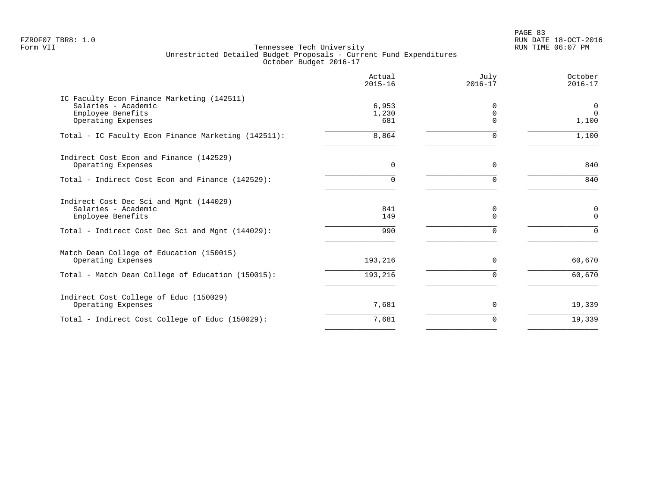PAGE 83 FZROF07 TBR8: 1.0 RUN DATE 18-OCT-2016

|                                                                                                              | Actual<br>$2015 - 16$ | July<br>$2016 - 17$       | October<br>$2016 - 17$              |
|--------------------------------------------------------------------------------------------------------------|-----------------------|---------------------------|-------------------------------------|
| IC Faculty Econ Finance Marketing (142511)<br>Salaries - Academic<br>Employee Benefits<br>Operating Expenses | 6,953<br>1,230<br>681 | 0<br>$\Omega$<br>$\Omega$ | $\overline{0}$<br>$\Omega$<br>1,100 |
| Total - IC Faculty Econ Finance Marketing (142511):                                                          | 8,864                 |                           | 1,100                               |
| Indirect Cost Econ and Finance (142529)<br>Operating Expenses                                                | $\Omega$              | $\Omega$                  | 840                                 |
| Total - Indirect Cost Econ and Finance (142529):                                                             | $\Omega$              | O                         | 840                                 |
| Indirect Cost Dec Sci and Mgnt (144029)<br>Salaries - Academic<br>Employee Benefits                          | 841<br>149            | 0<br>$\Omega$             | 0<br>$\Omega$                       |
| Total - Indirect Cost Dec Sci and Mgnt (144029):                                                             | 990                   | $\Omega$                  | $\Omega$                            |
| Match Dean College of Education (150015)<br>Operating Expenses                                               | 193,216               | $\Omega$                  | 60,670                              |
| Total - Match Dean College of Education (150015):                                                            | 193,216               |                           | 60,670                              |
| Indirect Cost College of Educ (150029)<br>Operating Expenses                                                 | 7,681                 | 0                         | 19,339                              |
| Total - Indirect Cost College of Educ (150029):                                                              | 7,681                 | $\Omega$                  | 19,339                              |
|                                                                                                              |                       |                           |                                     |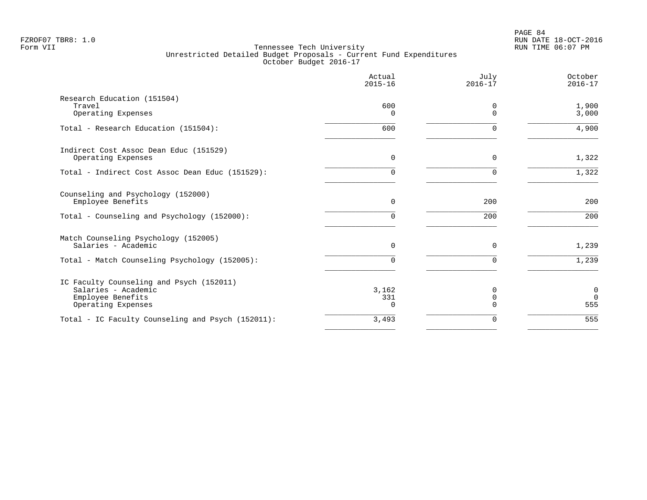|                                                                                                            | Actual<br>$2015 - 16$    | July<br>$2016 - 17$       | October<br>$2016 - 17$         |
|------------------------------------------------------------------------------------------------------------|--------------------------|---------------------------|--------------------------------|
| Research Education (151504)<br>Travel<br>Operating Expenses                                                | 600<br>$\Omega$          | 0<br>$\Omega$             | 1,900<br>3,000                 |
| Total - Research Education (151504):                                                                       | 600                      | $\Omega$                  | 4,900                          |
| Indirect Cost Assoc Dean Educ (151529)<br>Operating Expenses                                               | 0                        | $\Omega$                  | 1,322                          |
| Total - Indirect Cost Assoc Dean Educ (151529):                                                            | 0                        | <sup>n</sup>              | 1,322                          |
| Counseling and Psychology (152000)<br>Employee Benefits                                                    | $\Omega$                 | 200                       | 200                            |
| Total - Counseling and Psychology (152000):                                                                | 0                        | 200                       | 200                            |
| Match Counseling Psychology (152005)<br>Salaries - Academic                                                | $\Omega$                 | $\Omega$                  | 1,239                          |
| Total - Match Counseling Psychology (152005):                                                              | 0                        | $\Omega$                  | 1,239                          |
| IC Faculty Counseling and Psych (152011)<br>Salaries - Academic<br>Employee Benefits<br>Operating Expenses | 3,162<br>331<br>$\Omega$ | 0<br>$\Omega$<br>$\Omega$ | $\mathbf 0$<br>$\Omega$<br>555 |
| Total - IC Faculty Counseling and Psych (152011):                                                          | 3,493                    | $\Omega$                  | 555                            |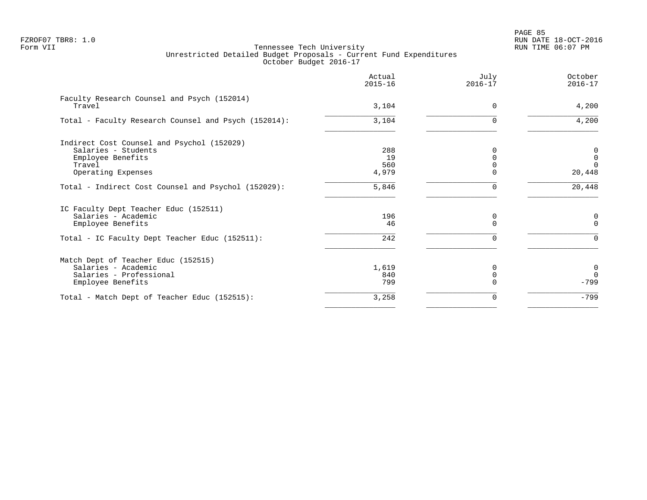PAGE 85 FZROF07 TBR8: 1.0 RUN DATE 18-OCT-2016

|                                                                                                                                     | Actual<br>$2015 - 16$     | July<br>$2016 - 17$ | October<br>$2016 - 17$                 |
|-------------------------------------------------------------------------------------------------------------------------------------|---------------------------|---------------------|----------------------------------------|
| Faculty Research Counsel and Psych (152014)<br>Travel                                                                               | 3,104                     | $\Omega$            | 4,200                                  |
| Total - Faculty Research Counsel and Psych (152014):                                                                                | 3,104                     | $\Omega$            | 4,200                                  |
| Indirect Cost Counsel and Psychol (152029)<br>Salaries - Students<br>Employee Benefits<br>Travel<br>Operating Expenses              | 288<br>19<br>560<br>4,979 |                     | 0<br>$\mathbf 0$<br>$\Omega$<br>20,448 |
| Total - Indirect Cost Counsel and Psychol (152029):                                                                                 | 5,846                     |                     | 20,448                                 |
| IC Faculty Dept Teacher Educ (152511)<br>Salaries - Academic<br>Employee Benefits<br>Total - IC Faculty Dept Teacher Educ (152511): | 196<br>46<br>242          | 0<br>$\Omega$       | 0<br>$\Omega$<br>$\Omega$              |
| Match Dept of Teacher Educ (152515)<br>Salaries - Academic<br>Salaries - Professional<br>Employee Benefits                          | 1,619<br>840<br>799       |                     | $\mathbf 0$<br>$\Omega$<br>$-799$      |
| Total - Match Dept of Teacher Educ (152515):                                                                                        | 3,258                     | 0                   | $-799$                                 |
|                                                                                                                                     |                           |                     |                                        |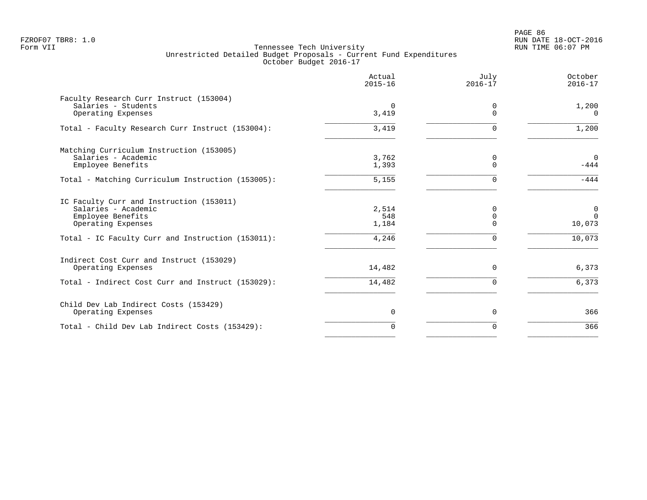|                                                                | Actual<br>$2015 - 16$ | July<br>$2016 - 17$     | October<br>$2016 - 17$  |
|----------------------------------------------------------------|-----------------------|-------------------------|-------------------------|
| Faculty Research Curr Instruct (153004)<br>Salaries - Students | $\Omega$              | 0                       | 1,200                   |
| Operating Expenses                                             | 3,419                 | $\Omega$                | $\Omega$                |
| Total - Faculty Research Curr Instruct (153004):               | 3,419                 | $\Omega$                | 1,200                   |
| Matching Curriculum Instruction (153005)                       |                       |                         |                         |
| Salaries - Academic<br>Employee Benefits                       | 3,762<br>1,393        | 0<br>$\Omega$           | $\mathbf 0$<br>$-444$   |
| Total - Matching Curriculum Instruction (153005):              | 5,155                 | $\Omega$                | $-444$                  |
| IC Faculty Curr and Instruction (153011)                       |                       |                         |                         |
| Salaries - Academic<br>Employee Benefits                       | 2,514<br>548          | $\Omega$<br>$\mathbf 0$ | $\mathbf 0$<br>$\Omega$ |
| Operating Expenses                                             | 1,184                 | $\Omega$                | 10,073                  |
| Total - IC Faculty Curr and Instruction (153011):              | 4,246                 | $\Omega$                | 10,073                  |
| Indirect Cost Curr and Instruct (153029)                       |                       |                         |                         |
| Operating Expenses                                             | 14,482                | $\Omega$                | 6,373                   |
| Total - Indirect Cost Curr and Instruct (153029):              | 14,482                | $\Omega$                | 6,373                   |
| Child Dev Lab Indirect Costs (153429)                          |                       |                         |                         |
| Operating Expenses                                             | 0                     | 0                       | 366                     |
| Total - Child Dev Lab Indirect Costs (153429):                 | $\Omega$              | $\Omega$                | 366                     |
|                                                                |                       |                         |                         |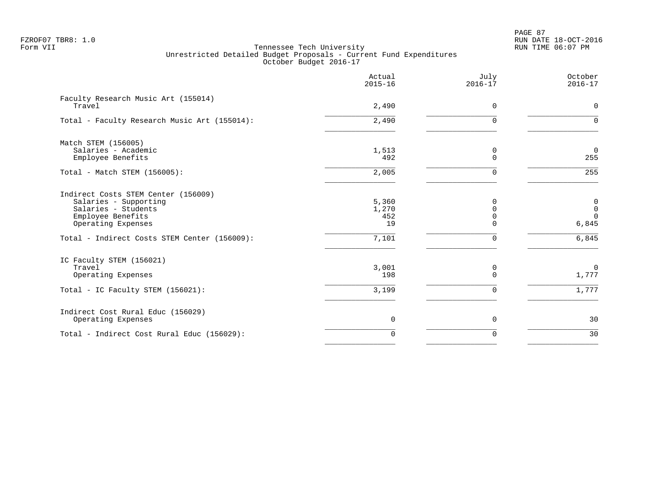PAGE 87 FZROF07 TBR8: 1.0 RUN DATE 18-OCT-2016

|                                                                                                                                | Actual<br>$2015 - 16$       | July<br>$2016 - 17$ | October<br>$2016 - 17$                           |
|--------------------------------------------------------------------------------------------------------------------------------|-----------------------------|---------------------|--------------------------------------------------|
| Faculty Research Music Art (155014)<br>Travel                                                                                  | 2,490                       | $\Omega$            | $\mathbf 0$                                      |
| Total - Faculty Research Music Art (155014):                                                                                   | 2,490                       | $\Omega$            | $\mathbf 0$                                      |
| Match STEM (156005)<br>Salaries - Academic<br>Employee Benefits                                                                | 1,513<br>492                | 0<br>$\Omega$       | $\overline{0}$<br>255                            |
| Total - Match STEM (156005):                                                                                                   | 2,005                       | $\Omega$            | 255                                              |
| Indirect Costs STEM Center (156009)<br>Salaries - Supporting<br>Salaries - Students<br>Employee Benefits<br>Operating Expenses | 5,360<br>1,270<br>452<br>19 | $\Omega$<br>U       | $\mathsf{O}$<br>$\mathsf 0$<br>$\Omega$<br>6,845 |
| Total - Indirect Costs STEM Center (156009):                                                                                   | 7,101                       | 0                   | 6,845                                            |
| IC Faculty STEM (156021)<br>Travel<br>Operating Expenses                                                                       | 3,001<br>198                | 0<br>$\Omega$       | $\overline{0}$<br>1,777                          |
| Total - IC Faculty STEM (156021):                                                                                              | 3,199                       | 0                   | 1,777                                            |
| Indirect Cost Rural Educ (156029)<br>Operating Expenses                                                                        | $\overline{0}$              | 0                   | 30                                               |
| Total - Indirect Cost Rural Educ (156029):                                                                                     | $\Omega$                    | $\Omega$            | 30                                               |
|                                                                                                                                |                             |                     |                                                  |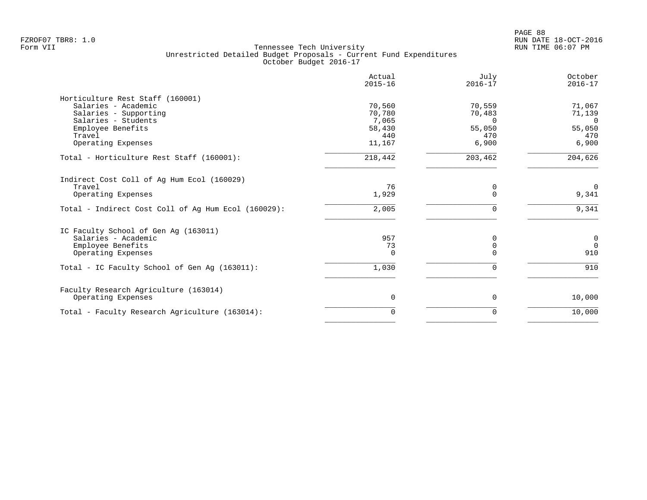|                                                     | Actual<br>$2015 - 16$ | July<br>$2016 - 17$ | October<br>$2016 - 17$ |
|-----------------------------------------------------|-----------------------|---------------------|------------------------|
| Horticulture Rest Staff (160001)                    |                       |                     |                        |
| Salaries - Academic                                 | 70,560                | 70,559              | 71,067                 |
| Salaries - Supporting                               | 70,780                | 70,483              | 71,139                 |
| Salaries - Students                                 | 7,065                 | $\Omega$            | $\Omega$               |
| Employee Benefits                                   | 58,430                | 55,050              | 55,050                 |
| Travel                                              | 440                   | 470                 | 470                    |
| Operating Expenses                                  | 11,167                | 6,900               | 6,900                  |
| Total - Horticulture Rest Staff (160001):           | 218,442               | 203,462             | 204,626                |
| Indirect Cost Coll of Ag Hum Ecol (160029)          |                       |                     |                        |
| Travel                                              | 76                    | 0                   | $\overline{0}$         |
| Operating Expenses                                  | 1,929                 | $\Omega$            | 9,341                  |
| Total - Indirect Cost Coll of Ag Hum Ecol (160029): | 2,005                 | $\Omega$            | 9,341                  |
| IC Faculty School of Gen Ag (163011)                |                       |                     |                        |
| Salaries - Academic                                 | 957                   | 0                   | $\mathbf 0$            |
| Employee Benefits                                   | 73                    | $\mathbf 0$         | $\Omega$               |
| Operating Expenses                                  | $\Omega$              | $\Omega$            | 910                    |
| Total - IC Faculty School of Gen Aq (163011):       | 1,030                 | $\Omega$            | 910                    |
| Faculty Research Agriculture (163014)               |                       |                     |                        |
| Operating Expenses                                  | 0                     | 0                   | 10,000                 |
| Total - Faculty Research Agriculture (163014):      | 0                     | 0                   | 10,000                 |
|                                                     |                       |                     |                        |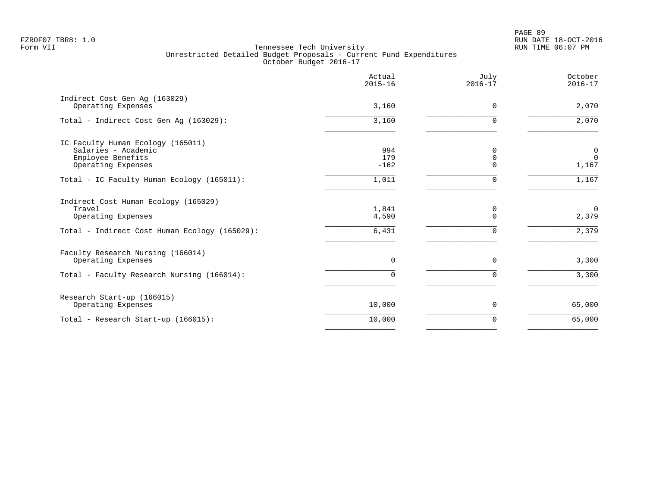PAGE 89 FZROF07 TBR8: 1.0 RUN DATE 18-OCT-2016

|                                                                                                                       | Actual<br>$2015 - 16$   | July<br>$2016 - 17$       | October<br>$2016 - 17$              |
|-----------------------------------------------------------------------------------------------------------------------|-------------------------|---------------------------|-------------------------------------|
| Indirect Cost Gen Aq (163029)<br>Operating Expenses                                                                   | 3,160                   | $\Omega$                  | 2,070                               |
| Total - Indirect Cost Gen Aq (163029):                                                                                | 3,160                   | $\Omega$                  | 2,070                               |
| IC Faculty Human Ecology (165011)<br>Salaries - Academic<br>Employee Benefits<br>Operating Expenses                   | 994<br>179<br>$-162$    | 0<br>0<br>$\Omega$        | $\overline{0}$<br>$\Omega$<br>1,167 |
| Total - IC Faculty Human Ecology (165011):                                                                            | 1,011                   | U                         | 1,167                               |
| Indirect Cost Human Ecology (165029)<br>Travel<br>Operating Expenses<br>Total - Indirect Cost Human Ecology (165029): | 1,841<br>4,590<br>6,431 | 0<br>$\Omega$<br>$\Omega$ | $\Omega$<br>2,379<br>2,379          |
| Faculty Research Nursing (166014)<br>Operating Expenses<br>Total - Faculty Research Nursing (166014):                 | $\Omega$<br>$\Omega$    | $\Omega$<br>$\Omega$      | 3,300<br>3,300                      |
| Research Start-up (166015)<br>Operating Expenses                                                                      | 10,000                  | 0                         | 65,000                              |
| Total - Research Start-up (166015):                                                                                   | 10,000                  | $\Omega$                  | 65,000                              |
|                                                                                                                       |                         |                           |                                     |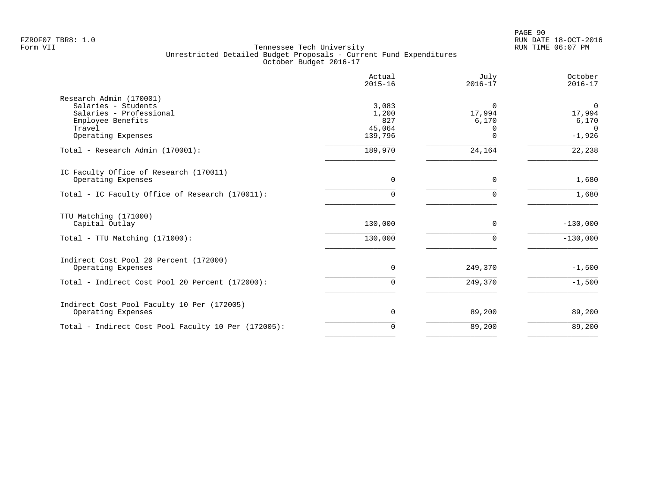PAGE 90 FZROF07 TBR8: 1.0 RUN DATE 18-OCT-2016

|                                                                                                                                | Actual<br>$2015 - 16$                      | July<br>$2016 - 17$                                 | October<br>$2016 - 17$                                 |
|--------------------------------------------------------------------------------------------------------------------------------|--------------------------------------------|-----------------------------------------------------|--------------------------------------------------------|
| Research Admin (170001)<br>Salaries - Students<br>Salaries - Professional<br>Employee Benefits<br>Travel<br>Operating Expenses | 3,083<br>1,200<br>827<br>45,064<br>139,796 | $\Omega$<br>17,994<br>6,170<br>$\Omega$<br>$\Omega$ | $\mathbf 0$<br>17,994<br>6,170<br>$\Omega$<br>$-1,926$ |
| Total - Research Admin (170001):                                                                                               | 189,970                                    | 24,164                                              | 22,238                                                 |
| IC Faculty Office of Research (170011)<br>Operating Expenses<br>Total - IC Faculty Office of Research (170011):                | $\Omega$<br>0                              | $\Omega$<br>$\Omega$                                | 1,680<br>1,680                                         |
| TTU Matching (171000)<br>Capital Outlay                                                                                        | 130,000                                    | $\Omega$                                            | $-130,000$                                             |
| Total - TTU Matching (171000):                                                                                                 | 130,000                                    | $\Omega$                                            | $-130,000$                                             |
| Indirect Cost Pool 20 Percent (172000)<br>Operating Expenses                                                                   | $\Omega$                                   | 249,370                                             | $-1,500$                                               |
| Total - Indirect Cost Pool 20 Percent (172000):                                                                                | $\Omega$                                   | 249,370                                             | $-1,500$                                               |
| Indirect Cost Pool Faculty 10 Per (172005)<br>Operating Expenses                                                               | 0                                          | 89,200                                              | 89,200                                                 |
| Total - Indirect Cost Pool Faculty 10 Per (172005):                                                                            | $\Omega$                                   | 89,200                                              | 89,200                                                 |
|                                                                                                                                |                                            |                                                     |                                                        |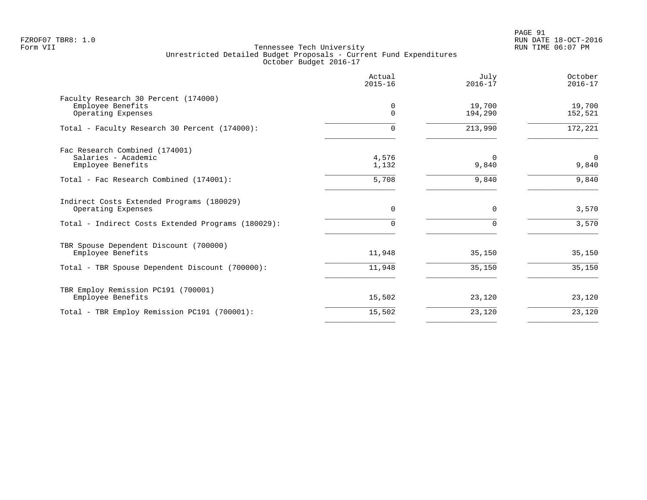|                                                                                 | Actual<br>$2015 - 16$ | July<br>$2016 - 17$ | October<br>$2016 - 17$ |
|---------------------------------------------------------------------------------|-----------------------|---------------------|------------------------|
| Faculty Research 30 Percent (174000)<br>Employee Benefits<br>Operating Expenses | 0<br>$\mathbf 0$      | 19,700<br>194,290   | 19,700<br>152,521      |
| Total - Faculty Research 30 Percent (174000):                                   | U                     | 213,990             | 172,221                |
| Fac Research Combined (174001)<br>Salaries - Academic<br>Employee Benefits      | 4,576<br>1,132        | $\Omega$<br>9,840   | $\Omega$<br>9,840      |
| Total - Fac Research Combined (174001):                                         | 5,708                 | 9,840               | 9,840                  |
| Indirect Costs Extended Programs (180029)<br>Operating Expenses                 | 0                     | $\mathbf 0$         | 3,570                  |
| Total - Indirect Costs Extended Programs (180029):                              | O                     | $\Omega$            | 3,570                  |
| TBR Spouse Dependent Discount (700000)<br>Employee Benefits                     | 11,948                | 35,150              | 35,150                 |
| Total - TBR Spouse Dependent Discount (700000):                                 | 11,948                | 35,150              | 35,150                 |
| TBR Employ Remission PC191 (700001)<br>Employee Benefits                        | 15,502                | 23,120              | 23,120                 |
| Total - TBR Employ Remission PC191 (700001):                                    | 15,502                | 23,120              | 23,120                 |
|                                                                                 |                       |                     |                        |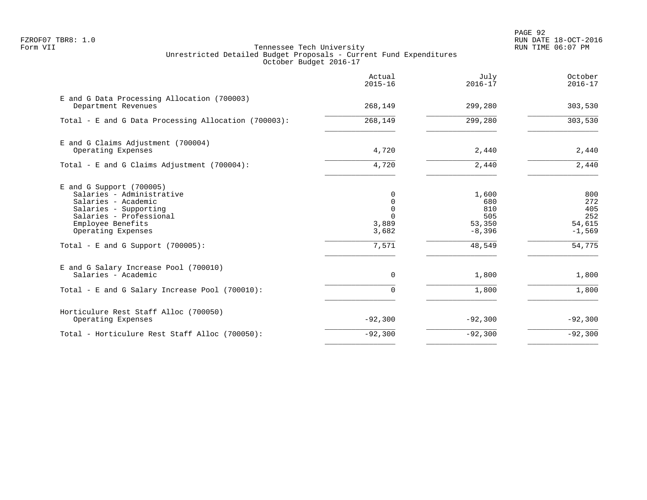PAGE 92 FZROF07 TBR8: 1.0 RUN DATE 18-OCT-2016

|                                                                                                                                                                               | Actual<br>$2015 - 16$                                   | July<br>$2016 - 17$                              | October<br>$2016 - 17$                                   |
|-------------------------------------------------------------------------------------------------------------------------------------------------------------------------------|---------------------------------------------------------|--------------------------------------------------|----------------------------------------------------------|
| E and G Data Processing Allocation (700003)<br>Department Revenues                                                                                                            | 268,149                                                 | 299,280                                          | 303,530                                                  |
| Total - E and G Data Processing Allocation (700003):                                                                                                                          | 268,149                                                 | 299,280                                          | 303,530                                                  |
| E and G Claims Adjustment (700004)<br>Operating Expenses                                                                                                                      | 4,720                                                   | 2,440                                            | 2,440                                                    |
| Total - E and G Claims Adjustment (700004):                                                                                                                                   | 4,720                                                   | 2,440                                            | 2,440                                                    |
| $E$ and G Support (700005)<br>Salaries - Administrative<br>Salaries - Academic<br>Salaries - Supporting<br>Salaries - Professional<br>Employee Benefits<br>Operating Expenses | $\Omega$<br>0<br>$\mathbf 0$<br>3,889<br>3,682<br>7,571 | 1,600<br>680<br>810<br>505<br>53,350<br>$-8,396$ | 800<br>272<br>405<br>252<br>54,615<br>$-1,569$<br>54,775 |
| Total - E and G Support $(700005)$ :                                                                                                                                          |                                                         | 48,549                                           |                                                          |
| E and G Salary Increase Pool (700010)<br>Salaries - Academic                                                                                                                  | 0                                                       | 1,800                                            | 1,800                                                    |
| Total - E and G Salary Increase Pool (700010):                                                                                                                                | $\Omega$                                                | 1,800                                            | 1,800                                                    |
| Horticulure Rest Staff Alloc (700050)<br>Operating Expenses                                                                                                                   | $-92,300$                                               | $-92,300$                                        | $-92,300$                                                |
| Total - Horticulure Rest Staff Alloc (700050):                                                                                                                                | $-92,300$                                               | $-92,300$                                        | $-92,300$                                                |
|                                                                                                                                                                               |                                                         |                                                  |                                                          |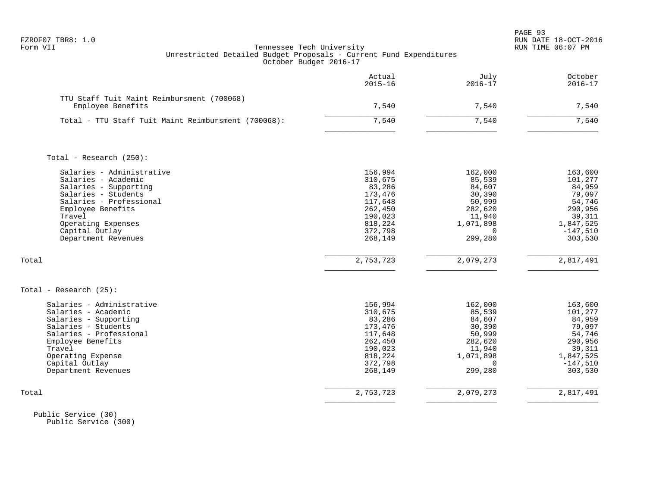| FZROF07 TBR8: |  |  |
|---------------|--|--|
|---------------|--|--|

|                                                                                                                                                                                                                           | Actual<br>$2015 - 16$                                                                                     | July<br>$2016 - 17$                                                                                      | October<br>$2016 - 17$                                                                                      |
|---------------------------------------------------------------------------------------------------------------------------------------------------------------------------------------------------------------------------|-----------------------------------------------------------------------------------------------------------|----------------------------------------------------------------------------------------------------------|-------------------------------------------------------------------------------------------------------------|
| TTU Staff Tuit Maint Reimbursment (700068)<br>Employee Benefits                                                                                                                                                           | 7,540                                                                                                     | 7,540                                                                                                    | 7,540                                                                                                       |
| Total - TTU Staff Tuit Maint Reimbursment (700068):                                                                                                                                                                       | 7,540                                                                                                     | 7,540                                                                                                    | 7,540                                                                                                       |
| Total - Research (250):                                                                                                                                                                                                   |                                                                                                           |                                                                                                          |                                                                                                             |
| Salaries - Administrative<br>Salaries - Academic<br>Salaries - Supporting<br>Salaries - Students<br>Salaries - Professional<br>Employee Benefits<br>Travel<br>Operating Expenses<br>Capital Outlay<br>Department Revenues | 156,994<br>310,675<br>83,286<br>173,476<br>117,648<br>262,450<br>190,023<br>818,224<br>372,798<br>268,149 | 162,000<br>85,539<br>84,607<br>30,390<br>50,999<br>282,620<br>11,940<br>1,071,898<br>0<br>299,280        | 163,600<br>101,277<br>84,959<br>79,097<br>54,746<br>290,956<br>39,311<br>1,847,525<br>$-147,510$<br>303,530 |
| Total                                                                                                                                                                                                                     | 2,753,723                                                                                                 | 2,079,273                                                                                                | 2,817,491                                                                                                   |
| Total - Research $(25)$ :                                                                                                                                                                                                 |                                                                                                           |                                                                                                          |                                                                                                             |
| Salaries - Administrative<br>Salaries - Academic<br>Salaries - Supporting<br>Salaries - Students<br>Salaries - Professional<br>Employee Benefits<br>Travel<br>Operating Expense<br>Capital Outlay<br>Department Revenues  | 156,994<br>310,675<br>83,286<br>173,476<br>117,648<br>262,450<br>190,023<br>818,224<br>372,798<br>268,149 | 162,000<br>85,539<br>84,607<br>30,390<br>50,999<br>282,620<br>11,940<br>1,071,898<br>$\Omega$<br>299,280 | 163,600<br>101,277<br>84,959<br>79,097<br>54,746<br>290,956<br>39,311<br>1,847,525<br>$-147,510$<br>303,530 |
| Total                                                                                                                                                                                                                     | 2,753,723                                                                                                 | 2,079,273                                                                                                | 2,817,491                                                                                                   |

 Public Service (30) Public Service (300)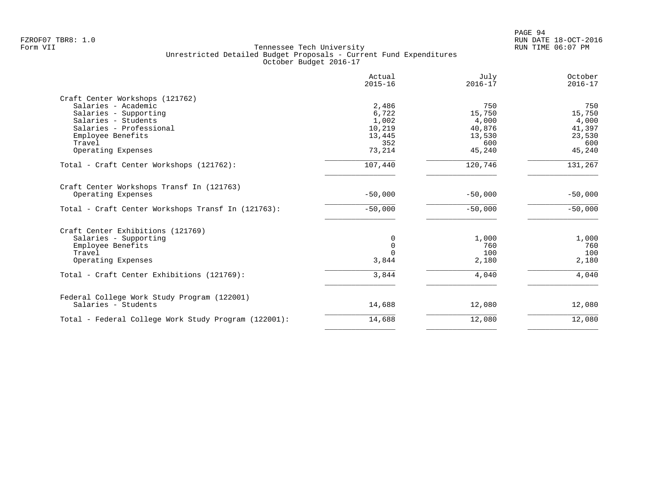|                                                      | Actual<br>$2015 - 16$ | July<br>$2016 - 17$ | October<br>$2016 - 17$ |
|------------------------------------------------------|-----------------------|---------------------|------------------------|
| Craft Center Workshops (121762)                      |                       |                     |                        |
| Salaries - Academic                                  | 2,486                 | 750                 | 750                    |
| Salaries - Supporting                                | 6,722                 | 15,750              | 15,750                 |
| Salaries - Students                                  | 1,002                 | 4,000               | 4,000                  |
| Salaries - Professional                              | 10,219                | 40,876              | 41,397                 |
| Employee Benefits                                    | 13,445                | 13,530              | 23,530                 |
| Travel                                               | 352                   | 600                 | 600                    |
| Operating Expenses                                   | 73,214                | 45,240              | 45,240                 |
| Total - Craft Center Workshops (121762):             | 107,440               | 120,746             | 131,267                |
| Craft Center Workshops Transf In (121763)            |                       |                     |                        |
| Operating Expenses                                   | $-50,000$             | $-50,000$           | $-50,000$              |
| Total - Craft Center Workshops Transf In (121763):   | $-50,000$             | $-50,000$           | $-50,000$              |
| Craft Center Exhibitions (121769)                    |                       |                     |                        |
| Salaries - Supporting                                | 0                     | 1,000               | 1,000                  |
| Employee Benefits                                    | $\mathbf 0$           | 760                 | 760                    |
| Travel                                               | $\Omega$              | 100                 | 100                    |
| Operating Expenses                                   | 3,844                 | 2,180               | 2,180                  |
| Total - Craft Center Exhibitions (121769):           | 3,844                 | 4,040               | 4,040                  |
| Federal College Work Study Program (122001)          |                       |                     |                        |
| Salaries - Students                                  | 14,688                | 12,080              | 12,080                 |
| Total - Federal College Work Study Program (122001): | 14,688                | 12,080              | 12,080                 |
|                                                      |                       |                     |                        |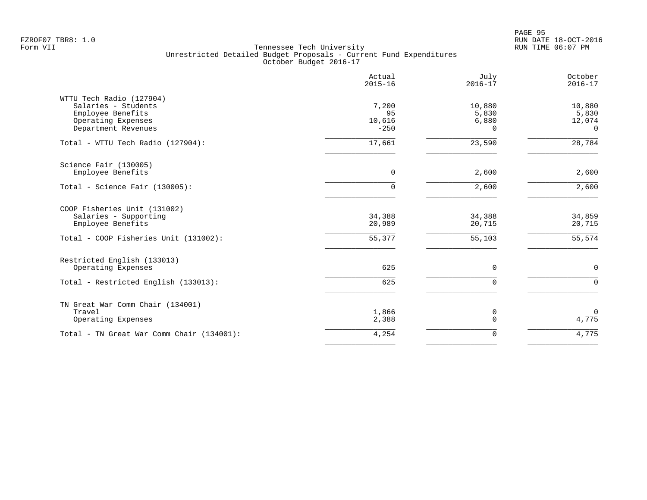PAGE 95 FZROF07 TBR8: 1.0 RUN DATE 18-OCT-2016

|                                                                                                                   | Actual<br>$2015 - 16$            | July<br>$2016 - 17$           | October<br>$2016 - 17$                |
|-------------------------------------------------------------------------------------------------------------------|----------------------------------|-------------------------------|---------------------------------------|
| WTTU Tech Radio (127904)<br>Salaries - Students<br>Employee Benefits<br>Operating Expenses<br>Department Revenues | 7,200<br>95<br>10,616<br>$-250$  | 10,880<br>5,830<br>6,880<br>0 | 10,880<br>5,830<br>12,074<br>$\Omega$ |
| Total - WTTU Tech Radio (127904):                                                                                 | 17,661                           | 23,590                        | 28,784                                |
| Science Fair (130005)<br>Employee Benefits<br>Total - Science Fair (130005):                                      | $\overline{0}$<br>$\overline{0}$ | 2,600<br>2,600                | 2,600<br>2,600                        |
|                                                                                                                   |                                  |                               |                                       |
| COOP Fisheries Unit (131002)<br>Salaries - Supporting<br>Employee Benefits                                        | 34,388<br>20,989                 | 34,388<br>20,715              | 34,859<br>20,715                      |
| Total - COOP Fisheries Unit (131002):                                                                             | 55,377                           | 55,103                        | 55,574                                |
| Restricted English (133013)<br>Operating Expenses                                                                 | 625                              | 0                             | $\mathbf 0$                           |
| Total - Restricted English (133013):                                                                              | 625                              | 0                             | $\mathbf 0$                           |
| TN Great War Comm Chair (134001)<br>Travel<br>Operating Expenses                                                  | 1,866<br>2,388                   | 0<br>$\Omega$                 | $\Omega$<br>4,775                     |
| Total - TN Great War Comm Chair (134001):                                                                         | 4,254                            | 0                             | 4,775                                 |
|                                                                                                                   |                                  |                               |                                       |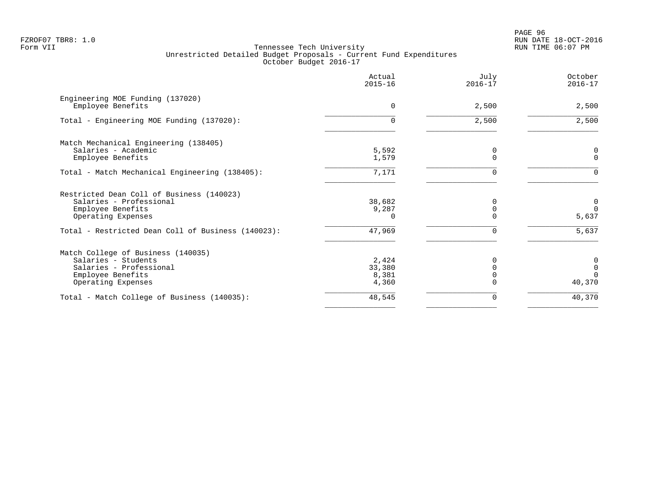PAGE 96 FZROF07 TBR8: 1.0 RUN DATE 18-OCT-2016

|                                                                                                                                 | Actual<br>$2015 - 16$             | July<br>$2016 - 17$ | October<br>$2016 - 17$                    |
|---------------------------------------------------------------------------------------------------------------------------------|-----------------------------------|---------------------|-------------------------------------------|
| Engineering MOE Funding (137020)<br>Employee Benefits                                                                           | $\mathbf 0$                       | 2,500               | 2,500                                     |
| Total - Engineering MOE Funding (137020):                                                                                       | $\Omega$                          | 2,500               | 2,500                                     |
| Match Mechanical Engineering (138405)<br>Salaries - Academic<br>Employee Benefits                                               | 5,592<br>1,579                    | 0<br>U              | 0<br>$\Omega$                             |
| Total - Match Mechanical Engineering (138405):                                                                                  | 7,171                             | 0                   | $\Omega$                                  |
| Restricted Dean Coll of Business (140023)<br>Salaries - Professional<br>Employee Benefits<br>Operating Expenses                 | 38,682<br>9,287<br>$\Omega$       |                     | $\overline{0}$<br>$\Omega$<br>5,637       |
| Total - Restricted Dean Coll of Business (140023):                                                                              | 47,969                            | U                   | 5,637                                     |
| Match College of Business (140035)<br>Salaries - Students<br>Salaries - Professional<br>Employee Benefits<br>Operating Expenses | 2,424<br>33,380<br>8,381<br>4,360 | O                   | 0<br>$\overline{0}$<br>$\Omega$<br>40,370 |
| Total - Match College of Business (140035):                                                                                     | 48,545                            | 0                   | 40,370                                    |
|                                                                                                                                 |                                   |                     |                                           |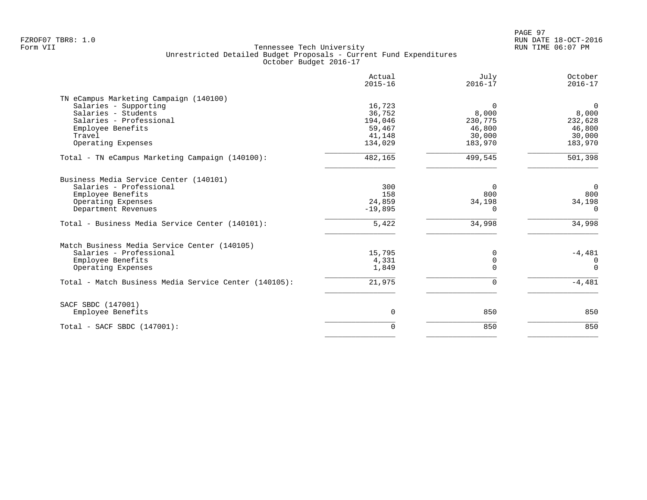FZROF07 TBR8: 1.0 RUN DATE 18-OCT-2016

|                                                                                                                   | Actual<br>$2015 - 16$             | July<br>$2016 - 17$                   | October<br>$2016 - 17$                |
|-------------------------------------------------------------------------------------------------------------------|-----------------------------------|---------------------------------------|---------------------------------------|
| TN eCampus Marketing Campaign (140100)<br>Salaries - Supporting<br>Salaries - Students<br>Salaries - Professional | 16,723<br>36,752<br>194,046       | $\Omega$<br>8,000<br>230,775          | $\mathbf 0$<br>8,000<br>232,628       |
| Employee Benefits<br>Travel<br>Operating Expenses                                                                 | 59,467<br>41,148<br>134,029       | 46,800<br>30,000<br>183,970           | 46,800<br>30,000<br>183,970           |
| Total - TN eCampus Marketing Campaign (140100):                                                                   | 482,165                           | 499,545                               | 501,398                               |
| Business Media Service Center (140101)                                                                            |                                   |                                       |                                       |
| Salaries - Professional<br>Employee Benefits<br>Operating Expenses<br>Department Revenues                         | 300<br>158<br>24,859<br>$-19,895$ | $\Omega$<br>800<br>34,198<br>$\Omega$ | $\Omega$<br>800<br>34,198<br>$\Omega$ |
| Total - Business Media Service Center (140101):                                                                   | 5,422                             | 34,998                                | 34,998                                |
| Match Business Media Service Center (140105)                                                                      |                                   |                                       |                                       |
| Salaries - Professional<br>Employee Benefits<br>Operating Expenses                                                | 15,795<br>4,331<br>1,849          | 0<br>$\mathbf 0$<br>$\Omega$          | $-4,481$<br>$\Omega$<br>$\Omega$      |
| Total - Match Business Media Service Center (140105):                                                             | 21,975                            | 0                                     | $-4,481$                              |
| SACF SBDC (147001)                                                                                                |                                   |                                       |                                       |
| Employee Benefits                                                                                                 | 0                                 | 850                                   | 850                                   |
| Total - SACF SBDC (147001):                                                                                       | $\Omega$                          | 850                                   | 850                                   |
|                                                                                                                   |                                   |                                       |                                       |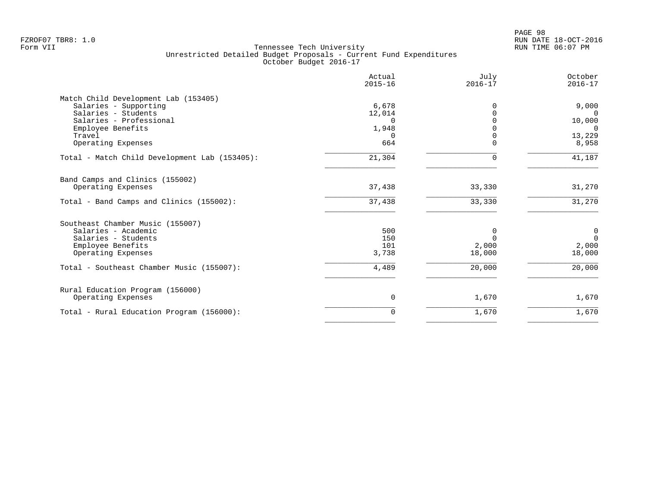| 6,678<br>12,014<br>$\Omega$<br>1,948 | $\Omega$<br><sup>0</sup> | 9,000<br>$\Omega$<br>10,000 |
|--------------------------------------|--------------------------|-----------------------------|
|                                      |                          |                             |
|                                      |                          |                             |
|                                      |                          |                             |
|                                      |                          |                             |
|                                      |                          | $\Omega$                    |
|                                      |                          | 13,229                      |
|                                      | $\mathbf 0$              | 8,958                       |
| 21,304                               | $\mathbf 0$              | 41,187                      |
|                                      |                          |                             |
| 37,438                               | 33,330                   | 31,270                      |
| 37,438                               | 33,330                   | 31,270                      |
|                                      |                          |                             |
| 500                                  | 0                        | $\mathbf 0$                 |
| 150                                  | $\Omega$                 | $\Omega$                    |
| 101                                  | 2,000                    | 2,000                       |
|                                      |                          | 18,000                      |
| 4,489                                | 20,000                   | 20,000                      |
|                                      |                          |                             |
| 0                                    | 1,670                    | 1,670                       |
| $\Omega$                             | 1,670                    | 1,670                       |
|                                      | $\Omega$<br>664<br>3,738 | 18,000                      |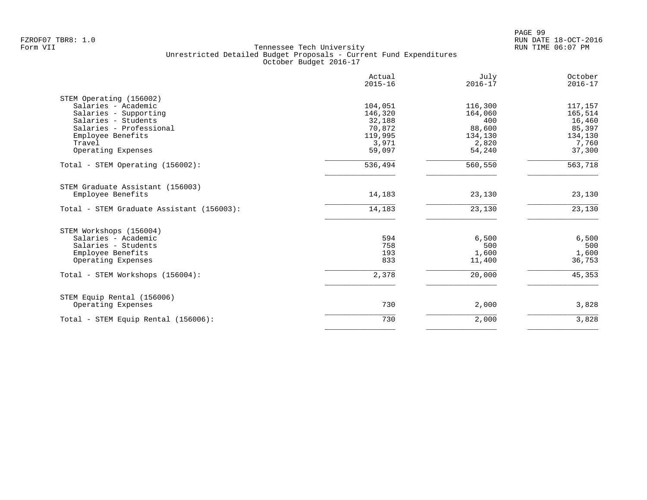| $2015 - 16$ | $2016 - 17$                           | October<br>$2016 - 17$                    |
|-------------|---------------------------------------|-------------------------------------------|
|             |                                       |                                           |
| 104,051     | 116,300                               | 117,157                                   |
| 146,320     | 164,060                               | 165,514                                   |
| 32,188      | 400                                   | 16,460                                    |
| 70,872      | 88,600                                | 85,397                                    |
|             |                                       | 134,130                                   |
|             |                                       | 7,760                                     |
| 59,097      | 54,240                                | 37,300                                    |
| 536,494     | 560,550                               | 563,718                                   |
|             |                                       |                                           |
| 14,183      | 23,130                                | 23,130                                    |
| 14,183      | 23,130                                | 23,130                                    |
|             |                                       |                                           |
|             |                                       | 6,500                                     |
|             |                                       | 500                                       |
|             |                                       | 1,600                                     |
| 833         | 11,400                                | 36,753                                    |
| 2,378       | 20,000                                | 45,353                                    |
|             |                                       |                                           |
| 730         | 2,000                                 | 3,828                                     |
| 730         | 2,000                                 | 3,828                                     |
|             | 119,995<br>3,971<br>594<br>758<br>193 | 134,130<br>2,820<br>6,500<br>500<br>1,600 |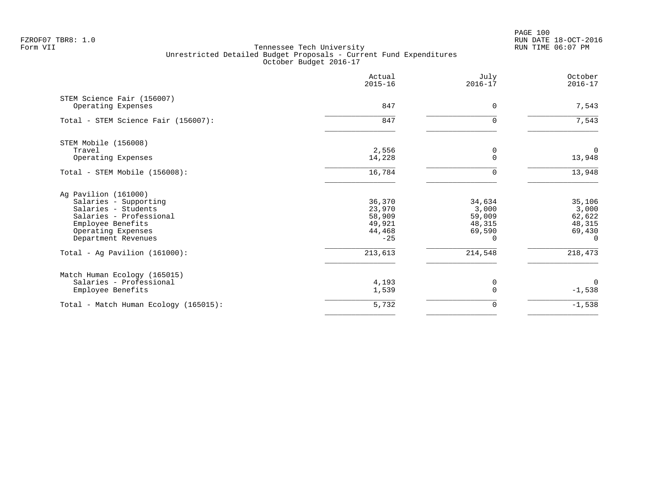PAGE 100 FZROF07 TBR8: 1.0 RUN DATE 18-OCT-2016

|                                       | Actual<br>$2015 - 16$ | July<br>$2016 - 17$ | October<br>$2016 - 17$ |
|---------------------------------------|-----------------------|---------------------|------------------------|
| STEM Science Fair (156007)            |                       |                     |                        |
| Operating Expenses                    | 847                   | 0                   | 7,543                  |
| Total - STEM Science Fair (156007):   | 847                   | $\Omega$            | 7,543                  |
| STEM Mobile (156008)                  |                       |                     |                        |
| Travel                                | 2,556                 | 0                   | $\Omega$               |
| Operating Expenses                    | 14,228                | $\Omega$            | 13,948                 |
| Total - STEM Mobile (156008):         | 16,784                | ∩                   | 13,948                 |
| Ag Pavilion (161000)                  |                       |                     |                        |
| Salaries - Supporting                 | 36,370                | 34,634              | 35,106                 |
| Salaries - Students                   | 23,970                | 3,000               | 3,000                  |
| Salaries - Professional               | 58,909                | 59,009              | 62,622                 |
| Employee Benefits                     | 49,921                | 48,315              | 48,315                 |
| Operating Expenses                    | 44,468                | 69,590              | 69,430                 |
| Department Revenues                   | $-25$                 | $\Omega$            | $\Omega$               |
| Total - Ag Pavilion $(161000)$ :      | 213,613               | 214,548             | 218,473                |
| Match Human Ecology (165015)          |                       |                     |                        |
| Salaries - Professional               | 4,193                 | 0                   | $\mathbf 0$            |
| Employee Benefits                     | 1,539                 | $\Omega$            | $-1,538$               |
| Total - Match Human Ecology (165015): | 5,732                 | 0                   | $-1,538$               |
|                                       |                       |                     |                        |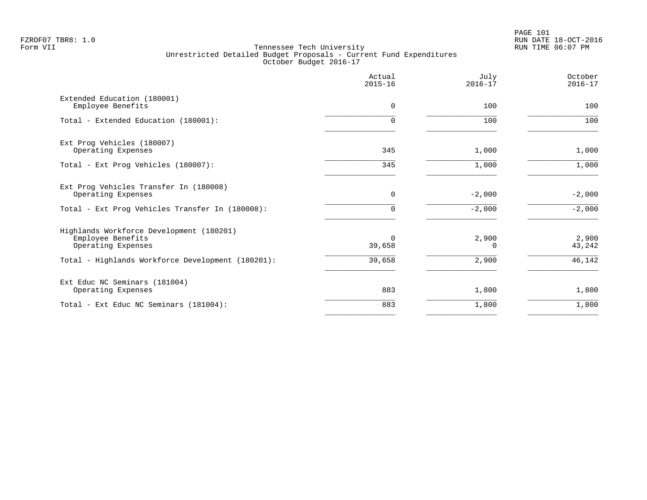|                                                                                                                                          | Actual<br>$2015 - 16$        | July<br>$2016 - 17$        | October<br>$2016 - 17$    |
|------------------------------------------------------------------------------------------------------------------------------------------|------------------------------|----------------------------|---------------------------|
| Extended Education (180001)<br>Employee Benefits                                                                                         | $\Omega$                     | 100                        | 100                       |
| Total - Extended Education (180001):                                                                                                     | 0                            | 100                        | 100                       |
| Ext Prog Vehicles (180007)<br>Operating Expenses                                                                                         | 345                          | 1,000                      | 1,000                     |
| Total - Ext Prog Vehicles (180007):                                                                                                      | 345                          | 1,000                      | 1,000                     |
| Ext Prog Vehicles Transfer In (180008)<br>Operating Expenses                                                                             | $\mathbf 0$                  | $-2,000$                   | $-2,000$                  |
| Total - Ext Prog Vehicles Transfer In (180008):                                                                                          | $\Omega$                     | $-2,000$                   | $-2,000$                  |
| Highlands Workforce Development (180201)<br>Employee Benefits<br>Operating Expenses<br>Total - Highlands Workforce Development (180201): | $\Omega$<br>39,658<br>39,658 | 2,900<br>$\Omega$<br>2,900 | 2,900<br>43,242<br>46,142 |
|                                                                                                                                          |                              |                            |                           |
| Ext Educ NC Seminars (181004)<br>Operating Expenses                                                                                      | 883                          | 1,800                      | 1,800                     |
| Total - Ext Educ NC Seminars (181004):                                                                                                   | 883                          | 1,800                      | 1,800                     |
|                                                                                                                                          |                              |                            |                           |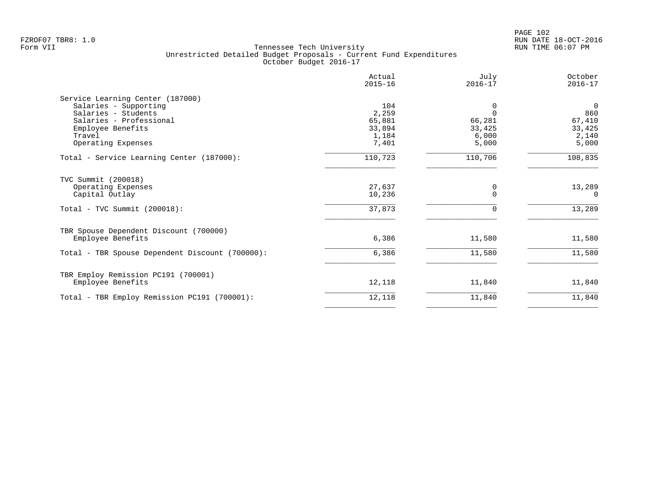| Actual<br>$2015 - 16$ | July<br>$2016 - 17$                         | October<br>$2016 - 17$             |
|-----------------------|---------------------------------------------|------------------------------------|
|                       |                                             |                                    |
| 104                   | 0                                           | $\overline{0}$                     |
|                       | $\Omega$                                    | 860                                |
|                       |                                             | 67,410                             |
|                       |                                             | 33,425                             |
|                       |                                             | 2,140                              |
|                       |                                             | 5,000                              |
| 110,723               | 110,706                                     | 108,835                            |
|                       |                                             |                                    |
| 27,637                | 0                                           | 13,289                             |
| 10,236                | $\Omega$                                    | $\Omega$                           |
| 37,873                | $\mathbf 0$                                 | 13,289                             |
|                       |                                             |                                    |
| 6,386                 | 11,580                                      | 11,580                             |
| 6,386                 | 11,580                                      | 11,580                             |
|                       |                                             |                                    |
| 12,118                | 11,840                                      | 11,840                             |
| 12,118                | 11,840                                      | 11,840                             |
|                       | 2,259<br>65,881<br>33,894<br>1,184<br>7,401 | 66,281<br>33,425<br>6,000<br>5,000 |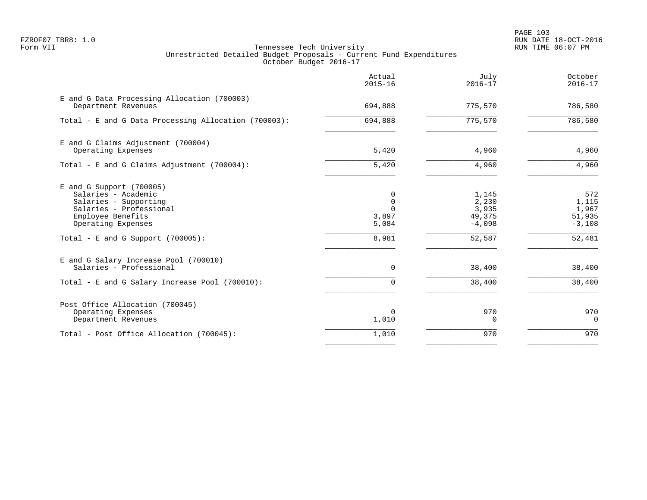PAGE 103 FZROF07 TBR8: 1.0 RUN DATE 18-OCT-2016

|                                                                                                                                                                                          | Actual<br>$2015 - 16$                       | July<br>$2016 - 17$                                     | October<br>$2016 - 17$                                |
|------------------------------------------------------------------------------------------------------------------------------------------------------------------------------------------|---------------------------------------------|---------------------------------------------------------|-------------------------------------------------------|
| E and G Data Processing Allocation (700003)<br>Department Revenues                                                                                                                       | 694,888                                     | 775,570                                                 | 786,580                                               |
| Total - E and G Data Processing Allocation (700003):                                                                                                                                     | 694,888                                     | 775,570                                                 | 786,580                                               |
| E and G Claims Adjustment (700004)<br>Operating Expenses                                                                                                                                 | 5,420                                       | 4,960                                                   | 4,960                                                 |
| Total - E and G Claims Adjustment $(700004)$ :                                                                                                                                           | 5,420                                       | 4,960                                                   | 4,960                                                 |
| $E$ and G Support (700005)<br>Salaries - Academic<br>Salaries - Supporting<br>Salaries - Professional<br>Employee Benefits<br>Operating Expenses<br>Total - E and G Support $(700005)$ : | 0<br>0<br>$\cap$<br>3,897<br>5,084<br>8,981 | 1,145<br>2,230<br>3,935<br>49,375<br>$-4,098$<br>52,587 | 572<br>1,115<br>1,967<br>51,935<br>$-3,108$<br>52,481 |
| E and G Salary Increase Pool (700010)<br>Salaries - Professional                                                                                                                         | 0                                           | 38,400                                                  | 38,400                                                |
| Total - E and G Salary Increase Pool (700010):                                                                                                                                           | 0                                           | 38,400                                                  | 38,400                                                |
| Post Office Allocation (700045)<br>Operating Expenses<br>Department Revenues                                                                                                             | 0<br>1,010                                  | 970<br>0                                                | 970<br>0                                              |
| Total - Post Office Allocation (700045):                                                                                                                                                 | 1,010                                       | 970                                                     | 970                                                   |
|                                                                                                                                                                                          |                                             |                                                         |                                                       |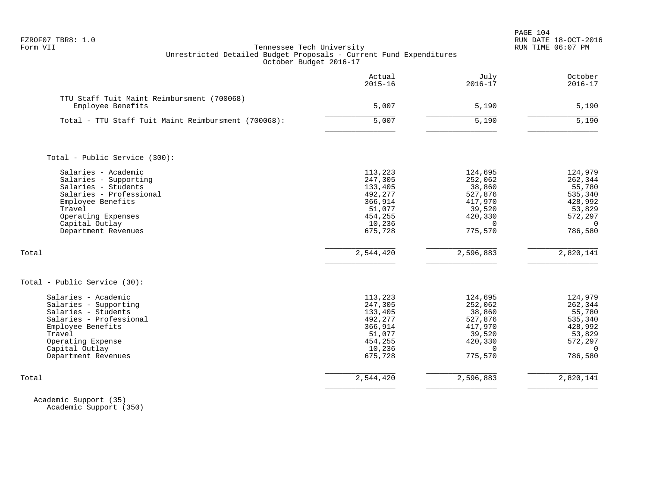| FZROF07 | TBR8: |  |
|---------|-------|--|
|---------|-------|--|

|                                                                                                                                                                                              | Actual<br>$2015 - 16$                                                                         | July<br>$2016 - 17$                                                                            | October<br>$2016 - 17$                                                                         |
|----------------------------------------------------------------------------------------------------------------------------------------------------------------------------------------------|-----------------------------------------------------------------------------------------------|------------------------------------------------------------------------------------------------|------------------------------------------------------------------------------------------------|
| TTU Staff Tuit Maint Reimbursment (700068)<br>Employee Benefits                                                                                                                              | 5,007                                                                                         | 5,190                                                                                          | 5,190                                                                                          |
| Total - TTU Staff Tuit Maint Reimbursment (700068):                                                                                                                                          | 5,007                                                                                         | 5,190                                                                                          | 5,190                                                                                          |
| Total - Public Service (300):                                                                                                                                                                |                                                                                               |                                                                                                |                                                                                                |
| Salaries - Academic<br>Salaries - Supporting<br>Salaries - Students<br>Salaries - Professional<br>Employee Benefits<br>Travel<br>Operating Expenses<br>Capital Outlay<br>Department Revenues | 113,223<br>247,305<br>133,405<br>492,277<br>366,914<br>51,077<br>454,255<br>10,236<br>675,728 | 124,695<br>252,062<br>38,860<br>527,876<br>417,970<br>39,520<br>420,330<br>$\Omega$<br>775,570 | 124,979<br>262,344<br>55,780<br>535,340<br>428,992<br>53,829<br>572,297<br>$\Omega$<br>786,580 |
| Total                                                                                                                                                                                        | 2,544,420                                                                                     | 2,596,883                                                                                      | 2,820,141                                                                                      |
| Total - Public Service (30):                                                                                                                                                                 |                                                                                               |                                                                                                |                                                                                                |
| Salaries - Academic<br>Salaries - Supporting<br>Salaries - Students<br>Salaries - Professional<br>Employee Benefits<br>Travel<br>Operating Expense<br>Capital Outlay<br>Department Revenues  | 113,223<br>247,305<br>133,405<br>492,277<br>366,914<br>51,077<br>454,255<br>10,236<br>675,728 | 124,695<br>252,062<br>38,860<br>527,876<br>417,970<br>39,520<br>420,330<br>$\Omega$<br>775,570 | 124,979<br>262,344<br>55,780<br>535,340<br>428,992<br>53,829<br>572,297<br>$\Omega$<br>786,580 |
| Total                                                                                                                                                                                        | 2,544,420                                                                                     | 2,596,883                                                                                      | 2,820,141                                                                                      |

 Academic Support (35) Academic Support (350)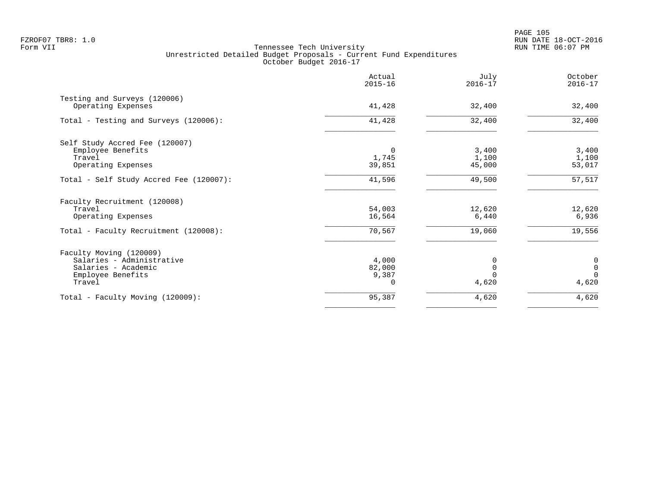|                                                    | Actual<br>$2015 - 16$ | July<br>$2016 - 17$ | October<br>$2016 - 17$ |
|----------------------------------------------------|-----------------------|---------------------|------------------------|
| Testing and Surveys (120006)<br>Operating Expenses | 41,428                | 32,400              | 32,400                 |
| Total - Testing and Surveys (120006):              | 41,428                | 32,400              | 32,400                 |
| Self Study Accred Fee (120007)                     |                       |                     |                        |
| Employee Benefits                                  | $\Omega$              | 3,400               | 3,400                  |
| Travel                                             | 1,745                 | 1,100               | 1,100                  |
| Operating Expenses                                 | 39,851                | 45,000              | 53,017                 |
| Total - Self Study Accred Fee (120007):            | 41,596                | 49,500              | 57,517                 |
| Faculty Recruitment (120008)                       |                       |                     |                        |
| Travel                                             | 54,003                | 12,620              | 12,620                 |
| Operating Expenses                                 | 16,564                | 6,440               | 6,936                  |
| Total - Faculty Recruitment (120008):              | 70,567                | 19,060              | 19,556                 |
| Faculty Moving (120009)                            |                       |                     |                        |
| Salaries - Administrative                          | 4,000                 | 0                   | $\mathbf 0$            |
| Salaries - Academic                                | 82,000                | $\Omega$            | $\mathbb O$            |
| Employee Benefits                                  | 9,387                 |                     | $\Omega$               |
| Travel                                             |                       | 4,620               | 4,620                  |
| Total - Faculty Moving (120009):                   | 95,387                | 4,620               | 4,620                  |
|                                                    |                       |                     |                        |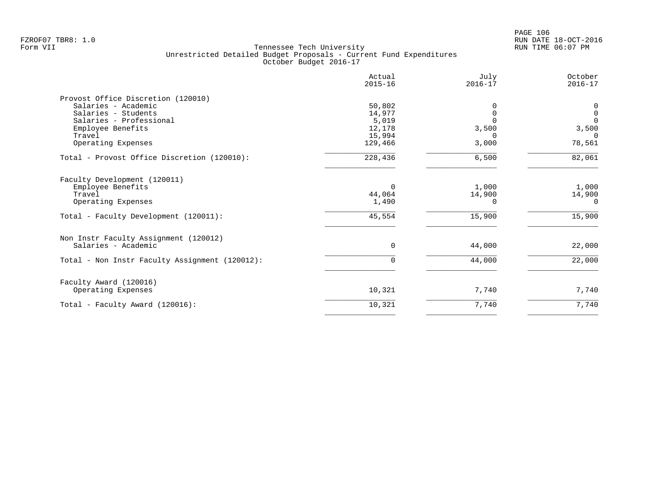|                                                | Actual<br>$2015 - 16$ | July<br>$2016 - 17$ | October<br>$2016 - 17$ |
|------------------------------------------------|-----------------------|---------------------|------------------------|
| Provost Office Discretion (120010)             |                       |                     |                        |
| Salaries - Academic                            | 50,802                | $\Omega$            | 0                      |
| Salaries - Students                            | 14,977                | $\Omega$            | $\mathbf 0$            |
| Salaries - Professional                        | 5,019                 | $\Omega$            | $\mathbf{0}$           |
| Employee Benefits                              | 12,178                | 3,500               | 3,500                  |
| Travel                                         | 15,994                | ∩                   | $\Omega$               |
| Operating Expenses                             | 129,466               | 3,000               | 78,561                 |
| Total - Provost Office Discretion (120010):    | 228,436               | 6,500               | 82,061                 |
| Faculty Development (120011)                   |                       |                     |                        |
| Employee Benefits                              | 0                     | 1,000               | 1,000                  |
| Travel                                         | 44,064                | 14,900              | 14,900                 |
| Operating Expenses                             | 1,490                 | $\Omega$            | $\Omega$               |
| Total - Faculty Development (120011):          | 45,554                | 15,900              | 15,900                 |
| Non Instr Faculty Assignment (120012)          |                       |                     |                        |
| Salaries - Academic                            | $\mathbf 0$           | 44,000              | 22,000                 |
| Total - Non Instr Faculty Assignment (120012): | $\Omega$              | 44,000              | 22,000                 |
| Faculty Award (120016)                         |                       |                     |                        |
| Operating Expenses                             | 10,321                | 7,740               | 7,740                  |
| Total - Faculty Award (120016):                | 10,321                | 7,740               | 7,740                  |
|                                                |                       |                     |                        |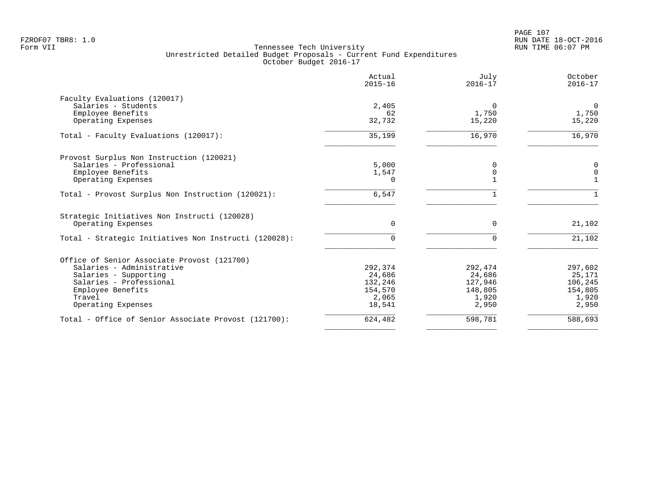|                                                       | Actual<br>$2015 - 16$ | July<br>$2016 - 17$ | October<br>$2016 - 17$ |
|-------------------------------------------------------|-----------------------|---------------------|------------------------|
| Faculty Evaluations (120017)                          |                       |                     |                        |
| Salaries - Students                                   | 2,405                 | $\Omega$            | $\mathbf{0}$           |
| Employee Benefits                                     | 62                    | 1,750               | 1,750                  |
| Operating Expenses                                    | 32,732                | 15,220              | 15,220                 |
| Total - Faculty Evaluations (120017):                 | 35,199                | 16,970              | 16,970                 |
| Provost Surplus Non Instruction (120021)              |                       |                     |                        |
| Salaries - Professional                               | 5,000                 | 0                   | 0                      |
| Employee Benefits                                     | 1,547                 | 0                   | $\mathbf 0$            |
| Operating Expenses                                    | $\Omega$              |                     |                        |
| Total - Provost Surplus Non Instruction (120021):     | $6,547$               |                     |                        |
| Strategic Initiatives Non Instructi (120028)          |                       |                     |                        |
| Operating Expenses                                    | $\Omega$              | $\Omega$            | 21,102                 |
| Total - Strategic Initiatives Non Instructi (120028): | $\Omega$              | $\Omega$            | 21,102                 |
| Office of Senior Associate Provost (121700)           |                       |                     |                        |
| Salaries - Administrative                             | 292,374               | 292,474             | 297,602                |
| Salaries - Supporting                                 | 24,686                | 24,686              | 25,171                 |
| Salaries - Professional                               | 132,246               | 127,946             | 106,245                |
| Employee Benefits                                     | 154,570               | 148,805             | 154,805                |
| Travel                                                | 2,065                 | 1,920               | 1,920                  |
| Operating Expenses                                    | 18,541                | 2,950               | 2,950                  |
| Total - Office of Senior Associate Provost (121700):  | 624,482               | 598,781             | 588,693                |
|                                                       |                       |                     |                        |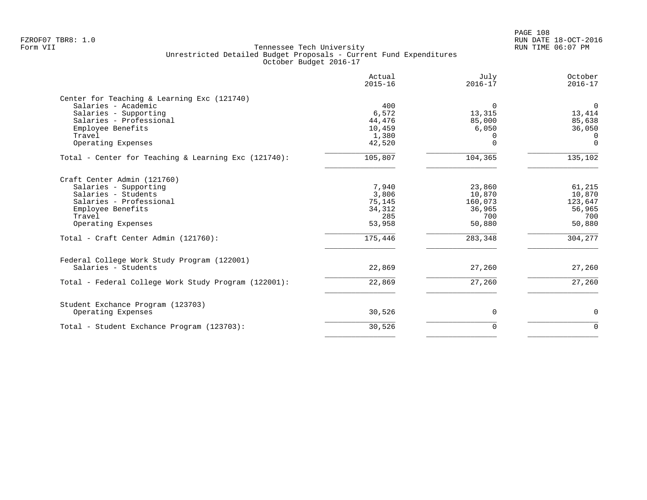PAGE 108 FZROF07 TBR8: 1.0 RUN DATE 18-OCT-2016

|                                                                                                                                                                                                     | Actual<br>$2015 - 16$                                          | July<br>$2016 - 17$                                               | October<br>$2016 - 17$                                            |
|-----------------------------------------------------------------------------------------------------------------------------------------------------------------------------------------------------|----------------------------------------------------------------|-------------------------------------------------------------------|-------------------------------------------------------------------|
| Center for Teaching & Learning Exc (121740)<br>Salaries - Academic<br>Salaries - Supporting<br>Salaries - Professional<br>Employee Benefits<br>Travel<br>Operating Expenses                         | 400<br>6,572<br>44,476<br>10,459<br>1,380<br>42,520            | $\Omega$<br>13,315<br>85,000<br>6,050<br>$\Omega$<br>$\Omega$     | $\mathbf 0$<br>13,414<br>85,638<br>36,050<br>$\Omega$<br>$\Omega$ |
| Total - Center for Teaching & Learning Exc (121740):                                                                                                                                                | 105,807                                                        | 104,365                                                           | 135,102                                                           |
| Craft Center Admin (121760)<br>Salaries - Supporting<br>Salaries - Students<br>Salaries - Professional<br>Employee Benefits<br>Travel<br>Operating Expenses<br>Total - Craft Center Admin (121760): | 7,940<br>3,806<br>75,145<br>34,312<br>285<br>53,958<br>175,446 | 23,860<br>10,870<br>160,073<br>36,965<br>700<br>50,880<br>283,348 | 61,215<br>10,870<br>123,647<br>56,965<br>700<br>50,880<br>304,277 |
| Federal College Work Study Program (122001)<br>Salaries - Students<br>Total - Federal College Work Study Program (122001):                                                                          | 22,869<br>22,869                                               | 27,260<br>27,260                                                  | 27,260<br>27,260                                                  |
| Student Exchance Program (123703)<br>Operating Expenses                                                                                                                                             | 30,526                                                         | 0                                                                 | 0                                                                 |
| Total - Student Exchance Program (123703):                                                                                                                                                          | 30,526                                                         | $\Omega$                                                          | $\Omega$                                                          |
|                                                                                                                                                                                                     |                                                                |                                                                   |                                                                   |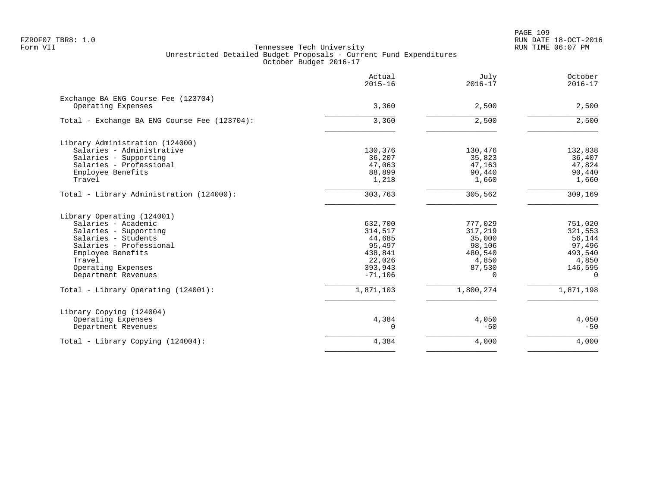PAGE 109 FZROF07 TBR8: 1.0 RUN DATE 18-OCT-2016

|                                              | Actual<br>$2015 - 16$ | July<br>$2016 - 17$ | October<br>$2016 - 17$ |
|----------------------------------------------|-----------------------|---------------------|------------------------|
| Exchange BA ENG Course Fee (123704)          |                       |                     |                        |
| Operating Expenses                           | 3,360                 | 2,500               | 2,500                  |
| Total - Exchange BA ENG Course Fee (123704): | 3,360                 | 2,500               | 2,500                  |
| Library Administration (124000)              |                       |                     |                        |
| Salaries - Administrative                    | 130,376               | 130,476             | 132,838                |
| Salaries - Supporting                        | 36,207                | 35,823              | 36,407                 |
| Salaries - Professional                      | 47,063                | 47,163              | 47,824                 |
| Employee Benefits                            | 88,899                | 90,440              | 90,440                 |
| Travel                                       | 1,218                 | 1,660               | 1,660                  |
| Total - Library Administration (124000):     | 303,763               | 305,562             | 309,169                |
| Library Operating (124001)                   |                       |                     |                        |
| Salaries - Academic                          | 632,700               | 777,029             | 751,020                |
| Salaries - Supporting                        | 314,517               | 317,219             | 321,553                |
| Salaries - Students                          | 44,685                | 35,000              | 56,144                 |
| Salaries - Professional                      | 95,497                | 98,106              | 97,496                 |
| Employee Benefits                            | 438,841               | 480,540             | 493,540                |
| Travel                                       | 22,026                | 4,850               | 4,850                  |
| Operating Expenses                           | 393,943               | 87,530              | 146,595                |
| Department Revenues                          | $-71,106$             | $\Omega$            | $\Omega$               |
| Total - Library Operating (124001):          | 1,871,103             | 1,800,274           | 1,871,198              |
| Library Copying (124004)                     |                       |                     |                        |
| Operating Expenses                           | 4,384                 | 4,050               | 4,050                  |
| Department Revenues                          | $\Omega$              | $-50$               | $-50$                  |
| Total - Library Copying (124004):            | 4,384                 | 4,000               | 4,000                  |
|                                              |                       |                     |                        |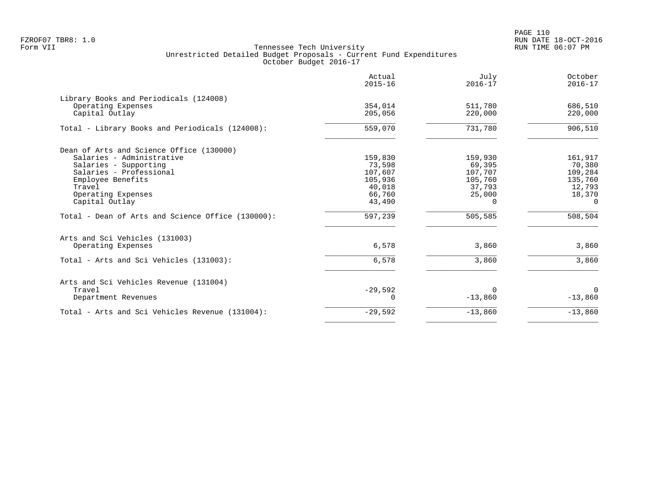PAGE 110 FZROF07 TBR8: 1.0 RUN DATE 18-OCT-2016

|                                                   | Actual<br>$2015 - 16$ | July<br>$2016 - 17$ | October<br>$2016 - 17$ |
|---------------------------------------------------|-----------------------|---------------------|------------------------|
| Library Books and Periodicals (124008)            |                       |                     |                        |
| Operating Expenses                                | 354,014               | 511,780             | 686,510                |
| Capital Outlay                                    | 205,056               | 220,000             | 220,000                |
| Total - Library Books and Periodicals (124008):   | 559,070               | 731,780             | 906,510                |
| Dean of Arts and Science Office (130000)          |                       |                     |                        |
| Salaries - Administrative                         | 159,830               | 159,930             | 161,917                |
| Salaries - Supporting                             | 73,598                | 69,395              | 70,380                 |
| Salaries - Professional                           | 107,607               | 107,707             | 109,284                |
| Employee Benefits                                 | 105,936               | 105,760             | 135,760                |
| Travel                                            | 40,018                | 37,793              | 12,793                 |
| Operating Expenses                                | 66,760                | 25,000              | 18,370                 |
| Capital Outlay                                    | 43,490                |                     | $\Omega$               |
| Total - Dean of Arts and Science Office (130000): | 597,239               | 505,585             | 508,504                |
| Arts and Sci Vehicles (131003)                    |                       |                     |                        |
| Operating Expenses                                | 6,578                 | 3,860               | 3,860                  |
| Total - Arts and Sci Vehicles (131003):           | 6,578                 | 3,860               | 3,860                  |
| Arts and Sci Vehicles Revenue (131004)            |                       |                     |                        |
| Travel                                            | $-29,592$             | $\Omega$            | $\Omega$               |
| Department Revenues                               | 0                     | $-13,860$           | $-13,860$              |
| Total - Arts and Sci Vehicles Revenue (131004):   | $-29,592$             | $-13,860$           | $-13,860$              |
|                                                   |                       |                     |                        |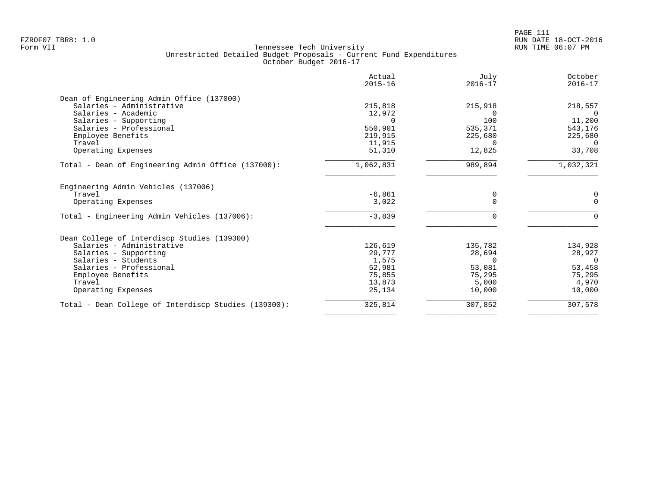| Actual<br>$2015 - 16$ | July<br>$2016 - 17$                                                  | October<br>$2016 - 17$                          |
|-----------------------|----------------------------------------------------------------------|-------------------------------------------------|
|                       |                                                                      |                                                 |
| 215,818               | 215,918                                                              | 218,557                                         |
| 12,972                | $\Omega$                                                             | $\Omega$                                        |
|                       | 100                                                                  | 11,200                                          |
|                       | 535,371                                                              | 543,176                                         |
| 219,915               | 225,680                                                              | 225,680                                         |
| 11,915                | $\Omega$                                                             | $\Omega$                                        |
| 51,310                | 12,825                                                               | 33,708                                          |
| 1,062,831             | 989,894                                                              | 1,032,321                                       |
|                       |                                                                      |                                                 |
|                       | 0                                                                    | 0                                               |
|                       |                                                                      | $\Omega$                                        |
| $-3,839$              | $\Omega$                                                             | $\Omega$                                        |
|                       |                                                                      |                                                 |
| 126,619               | 135,782                                                              | 134,928                                         |
| 29,777                | 28,694                                                               | 28,927                                          |
| 1,575                 | $\Omega$                                                             | $\Omega$                                        |
|                       |                                                                      | 53,458                                          |
|                       |                                                                      | 75,295                                          |
|                       |                                                                      | 4,970                                           |
|                       |                                                                      | 10,000                                          |
|                       |                                                                      |                                                 |
|                       | 550,901<br>$-6,861$<br>3,022<br>52,981<br>75,855<br>13,873<br>25,134 | $\Omega$<br>53,081<br>75,295<br>5,000<br>10,000 |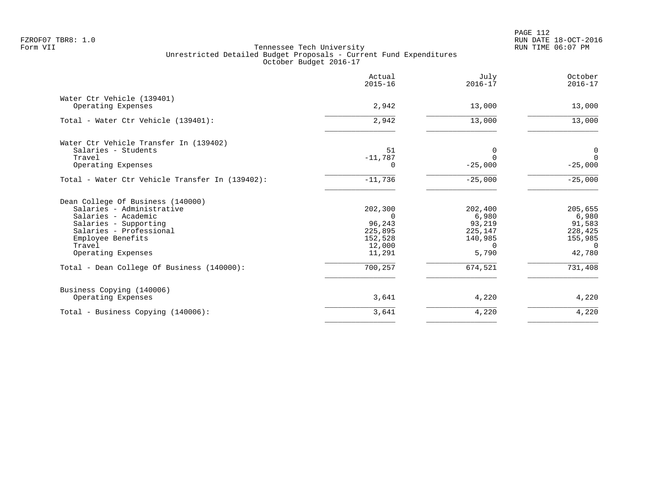PAGE 112 FZROF07 TBR8: 1.0 RUN DATE 18-OCT-2016

|                                                 | Actual<br>$2015 - 16$ | July<br>$2016 - 17$ | October<br>$2016 - 17$ |
|-------------------------------------------------|-----------------------|---------------------|------------------------|
| Water Ctr Vehicle (139401)                      |                       |                     |                        |
| Operating Expenses                              | 2,942                 | 13,000              | 13,000                 |
| Total - Water Ctr Vehicle (139401):             | 2,942                 | 13,000              | 13,000                 |
| Water Ctr Vehicle Transfer In (139402)          |                       |                     |                        |
| Salaries - Students                             | 51                    | 0                   | 0                      |
| Travel                                          | $-11,787$             | $\Omega$            | $\Omega$               |
| Operating Expenses                              | 0                     | $-25,000$           | $-25,000$              |
| Total - Water Ctr Vehicle Transfer In (139402): | $-11,736$             | $-25,000$           | $-25,000$              |
| Dean College Of Business (140000)               |                       |                     |                        |
| Salaries - Administrative                       | 202,300               | 202,400             | 205,655                |
| Salaries - Academic                             |                       | 6,980               | 6,980                  |
| Salaries - Supporting                           | 96,243                | 93,219              | 91,583                 |
| Salaries - Professional                         | 225,895               | 225,147             | 228,425                |
| Employee Benefits                               | 152,528               | 140,985             | 155,985                |
| Travel<br>Operating Expenses                    | 12,000<br>11,291      | $\Omega$<br>5,790   | $\Omega$<br>42,780     |
|                                                 |                       |                     |                        |
| Total - Dean College Of Business (140000):      | 700,257               | 674,521             | 731,408                |
| Business Copying (140006)                       |                       |                     |                        |
| Operating Expenses                              | 3,641                 | 4,220               | 4,220                  |
| Total - Business Copying (140006):              | 3,641                 | 4,220               | 4,220                  |
|                                                 |                       |                     |                        |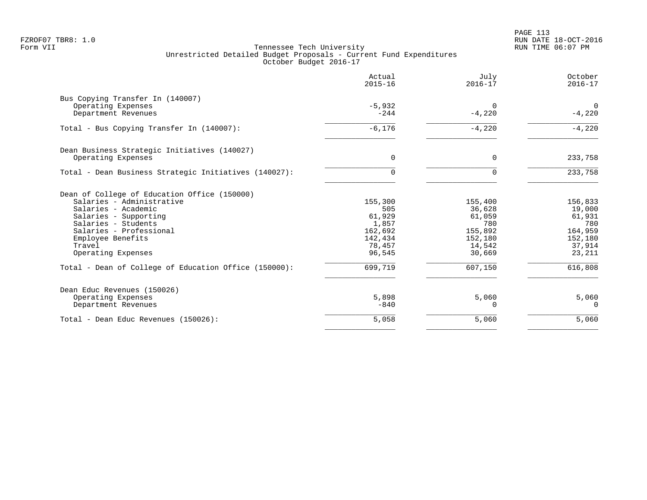|                                                       | Actual<br>$2015 - 16$ | July<br>$2016 - 17$  | October<br>$2016 - 17$ |
|-------------------------------------------------------|-----------------------|----------------------|------------------------|
| Bus Copying Transfer In (140007)                      |                       |                      |                        |
| Operating Expenses<br>Department Revenues             | $-5,932$<br>$-244$    | $\Omega$<br>$-4,220$ | $\Omega$<br>$-4,220$   |
| Total - Bus Copying Transfer In (140007):             | $-6,176$              | $-4,220$             | $-4,220$               |
| Dean Business Strategic Initiatives (140027)          |                       |                      |                        |
| Operating Expenses                                    | $\Omega$              | $\Omega$             | 233,758                |
| Total - Dean Business Strategic Initiatives (140027): | 0                     | $\Omega$             | 233,758                |
| Dean of College of Education Office (150000)          |                       |                      |                        |
| Salaries - Administrative                             | 155,300               | 155,400              | 156,833                |
| Salaries - Academic                                   | 505<br>61,929         | 36,628<br>61,059     | 19,000<br>61,931       |
| Salaries - Supporting<br>Salaries - Students          | 1,857                 | 780                  | 780                    |
| Salaries - Professional                               | 162,692               | 155,892              | 164,959                |
| Employee Benefits                                     | 142,434               | 152,180              | 152,180                |
| Travel                                                | 78,457                | 14,542               | 37,914                 |
| Operating Expenses                                    | 96,545                | 30,669               | 23,211                 |
| Total - Dean of College of Education Office (150000): | 699,719               | 607,150              | 616,808                |
| Dean Educ Revenues (150026)                           |                       |                      |                        |
| Operating Expenses                                    | 5,898                 | 5,060                | 5,060                  |
| Department Revenues                                   | $-840$                | $\Omega$             | $\Omega$               |
| Total - Dean Educ Revenues (150026):                  | 5,058                 | 5,060                | 5,060                  |
|                                                       |                       |                      |                        |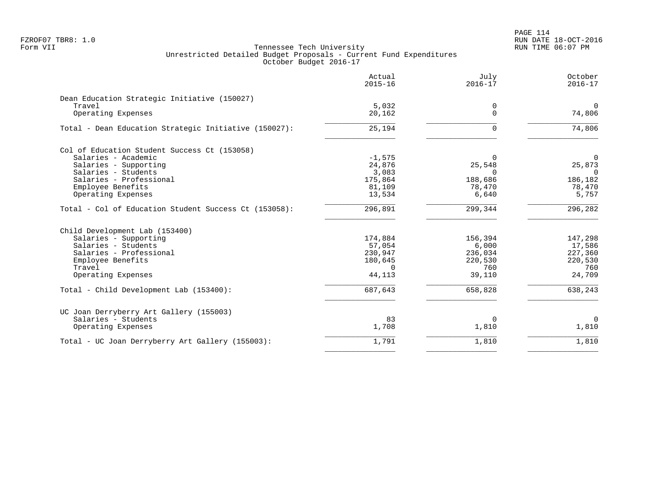|                                                       | Actual<br>$2015 - 16$ | July<br>$2016 - 17$ | October<br>$2016 - 17$ |
|-------------------------------------------------------|-----------------------|---------------------|------------------------|
| Dean Education Strategic Initiative (150027)          |                       |                     |                        |
| Travel                                                | 5,032                 | 0                   | $\Omega$               |
| Operating Expenses                                    | 20,162                | $\Omega$            | 74,806                 |
| Total - Dean Education Strategic Initiative (150027): | 25,194                | $\Omega$            | 74,806                 |
| Col of Education Student Success Ct (153058)          |                       |                     |                        |
| Salaries - Academic                                   | $-1,575$              | $\Omega$            | 0                      |
| Salaries - Supporting                                 | 24,876                | 25,548              | 25,873                 |
| Salaries - Students                                   | 3,083                 | $\Omega$            | $\Omega$               |
| Salaries - Professional                               | 175,864               | 188,686             | 186,182                |
| Employee Benefits                                     | 81,109                | 78,470              | 78,470                 |
| Operating Expenses                                    | 13,534                | 6,640               | 5,757                  |
| Total - Col of Education Student Success Ct (153058): | 296,891               | 299,344             | 296,282                |
| Child Development Lab (153400)                        |                       |                     |                        |
| Salaries - Supporting                                 | 174,884               | 156,394             | 147,298                |
| Salaries - Students                                   | 57,054                | 6,000               | 17,586                 |
| Salaries - Professional                               | 230,947               | 236,034             | 227,360                |
| Employee Benefits                                     | 180,645               | 220,530             | 220,530                |
| Travel                                                | $\Omega$              | 760                 | 760                    |
| Operating Expenses                                    | 44,113                | 39,110              | 24,709                 |
| Total - Child Development Lab (153400):               | 687,643               | 658,828             | 638,243                |
| UC Joan Derryberry Art Gallery (155003)               |                       |                     |                        |
| Salaries - Students                                   | 83                    | $\Omega$            | $\mathbf 0$            |
| Operating Expenses                                    | 1,708                 | 1,810               | 1,810                  |
| Total - UC Joan Derryberry Art Gallery (155003):      | 1,791                 | 1,810               | 1,810                  |
|                                                       |                       |                     |                        |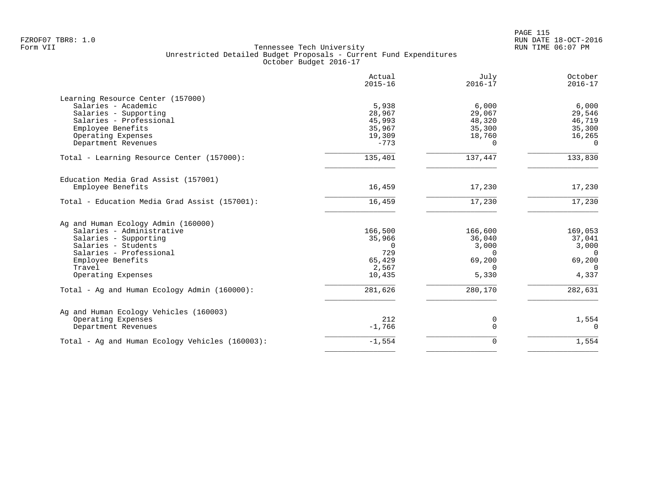| 5,938<br>28,967<br>45,993<br>35,967<br>19,309<br>$-773$<br>135,401<br>16,459<br>16,459<br>166,500 | 6,000<br>29,067<br>48,320<br>35,300<br>18,760<br>$\Omega$<br>137,447<br>17,230<br>17,230<br>166,600 | 6,000<br>29,546<br>46,719<br>35,300<br>16,265<br>$\Omega$<br>133,830<br>17,230<br>17,230<br>169,053 |
|---------------------------------------------------------------------------------------------------|-----------------------------------------------------------------------------------------------------|-----------------------------------------------------------------------------------------------------|
|                                                                                                   |                                                                                                     |                                                                                                     |
|                                                                                                   |                                                                                                     |                                                                                                     |
|                                                                                                   |                                                                                                     |                                                                                                     |
|                                                                                                   |                                                                                                     |                                                                                                     |
|                                                                                                   |                                                                                                     |                                                                                                     |
|                                                                                                   |                                                                                                     |                                                                                                     |
|                                                                                                   |                                                                                                     |                                                                                                     |
|                                                                                                   |                                                                                                     |                                                                                                     |
|                                                                                                   |                                                                                                     |                                                                                                     |
|                                                                                                   |                                                                                                     |                                                                                                     |
|                                                                                                   |                                                                                                     |                                                                                                     |
|                                                                                                   |                                                                                                     |                                                                                                     |
|                                                                                                   |                                                                                                     |                                                                                                     |
|                                                                                                   |                                                                                                     |                                                                                                     |
| 35,966                                                                                            | 36,040                                                                                              | 37,041                                                                                              |
| $\Omega$                                                                                          | 3,000                                                                                               | 3,000                                                                                               |
| 729                                                                                               | $\Omega$                                                                                            | $\overline{0}$                                                                                      |
| 65,429                                                                                            | 69,200                                                                                              | 69,200                                                                                              |
| 2,567                                                                                             | $\Omega$                                                                                            | $\Omega$                                                                                            |
| 10,435                                                                                            | 5,330                                                                                               | 4,337                                                                                               |
| 281,626                                                                                           | 280,170                                                                                             | 282,631                                                                                             |
|                                                                                                   |                                                                                                     |                                                                                                     |
|                                                                                                   |                                                                                                     | 1,554                                                                                               |
| $-1,766$                                                                                          | $\Omega$                                                                                            | $\Omega$                                                                                            |
|                                                                                                   |                                                                                                     | 1,554                                                                                               |
|                                                                                                   | 212                                                                                                 | 0<br>$-1,554$<br>0                                                                                  |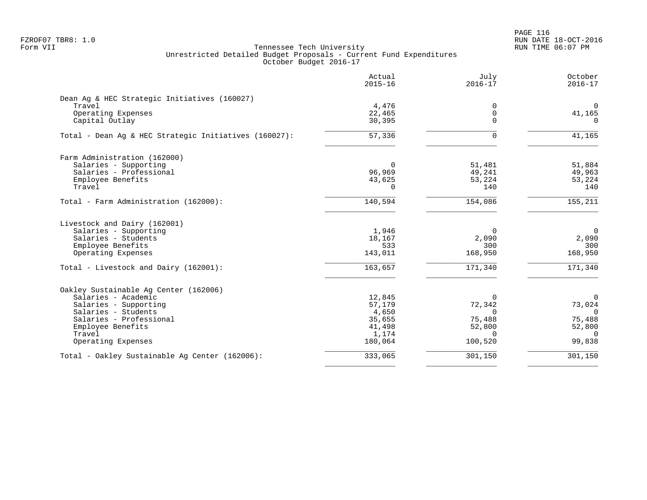PAGE 116 FZROF07 TBR8: 1.0 RUN DATE 18-OCT-2016

|                                                       | Actual<br>$2015 - 16$ | July<br>$2016 - 17$ | October<br>$2016 - 17$ |
|-------------------------------------------------------|-----------------------|---------------------|------------------------|
| Dean Ag & HEC Strategic Initiatives (160027)          |                       |                     |                        |
| Travel                                                | 4,476                 | 0                   | $\overline{0}$         |
| Operating Expenses                                    | 22,465                | 0                   | 41,165                 |
| Capital Outlay                                        | 30,395                | $\Omega$            | $\Omega$               |
| Total - Dean Aq & HEC Strategic Initiatives (160027): | 57,336                | $\Omega$            | 41,165                 |
| Farm Administration (162000)                          |                       |                     |                        |
| Salaries - Supporting                                 | $\Omega$              | 51,481              | 51,884                 |
| Salaries - Professional                               | 96,969                | 49,241              | 49,963                 |
| Employee Benefits                                     | 43,625                | 53,224              | 53,224                 |
| Travel                                                | 0                     | 140                 | 140                    |
| Total - Farm Administration (162000):                 | 140,594               | 154,086             | 155,211                |
| Livestock and Dairy (162001)                          |                       |                     |                        |
| Salaries - Supporting                                 | 1,946                 | $\Omega$            | $\overline{0}$         |
| Salaries - Students                                   | 18,167                | 2,090               | 2,090                  |
| Employee Benefits                                     | 533                   | 300                 | 300                    |
| Operating Expenses                                    | 143,011               | 168,950             | 168,950                |
| Total - Livestock and Dairy (162001):                 | 163,657               | 171,340             | 171,340                |
| Oakley Sustainable Aq Center (162006)                 |                       |                     |                        |
| Salaries - Academic                                   | 12,845                | $\Omega$            | $\Omega$               |
| Salaries - Supporting                                 | 57,179                | 72,342              | 73,024                 |
| Salaries - Students                                   | 4,650                 | $\Omega$            | $\Omega$               |
| Salaries - Professional                               | 35,655                | 75,488              | 75,488                 |
| Employee Benefits                                     | 41,498                | 52,800              | 52,800                 |
| Travel                                                | 1,174                 | $\Omega$            | $\Omega$               |
| Operating Expenses                                    | 180,064               | 100,520             | 99,838                 |
| Total - Oakley Sustainable Aq Center (162006):        | 333,065               | 301,150             | 301,150                |
|                                                       |                       |                     |                        |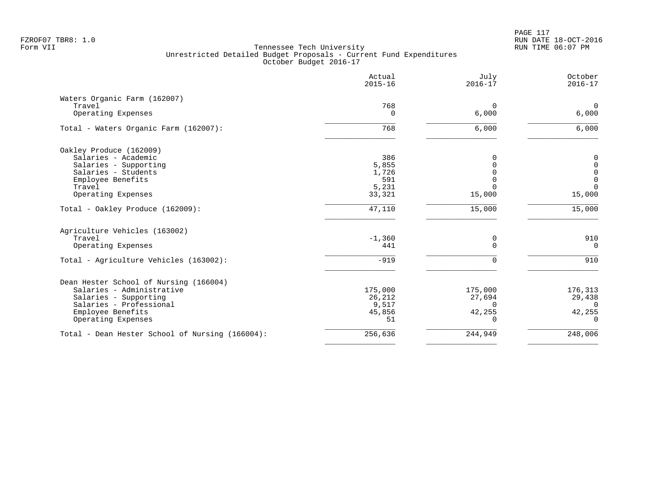|                                                 | Actual<br>$2015 - 16$ | July<br>$2016 - 17$ | October<br>$2016 - 17$ |
|-------------------------------------------------|-----------------------|---------------------|------------------------|
| Waters Organic Farm (162007)                    |                       |                     |                        |
| Travel                                          | 768                   | $\mathbf 0$         | $\overline{0}$         |
| Operating Expenses                              | 0                     | 6,000               | 6,000                  |
| Total - Waters Organic Farm (162007):           | 768                   | 6,000               | 6,000                  |
| Oakley Produce (162009)                         |                       |                     |                        |
| Salaries - Academic                             | 386                   | $\Omega$            | $\mathbf 0$            |
| Salaries - Supporting                           | 5,855                 | $\mathbf 0$         | $\mathbf 0$            |
| Salaries - Students                             | 1,726                 | $\Omega$            | $\mathsf 0$            |
| Employee Benefits                               | 591                   | $\Omega$            | $\mathbf 0$            |
| Travel                                          | 5,231                 | $\Omega$            | $\Omega$               |
| Operating Expenses                              | 33,321                | 15,000              | 15,000                 |
| Total - Oakley Produce (162009):                | 47,110                | 15,000              | 15,000                 |
| Agriculture Vehicles (163002)                   |                       |                     |                        |
| Travel                                          | $-1,360$              | 0                   | 910                    |
| Operating Expenses                              | 441                   | $\mathbf 0$         | $\mathbf 0$            |
| Total - Agriculture Vehicles (163002):          | $-919$                | 0                   | 910                    |
| Dean Hester School of Nursing (166004)          |                       |                     |                        |
| Salaries - Administrative                       | 175,000               | 175,000             | 176,313                |
| Salaries - Supporting                           | 26,212                | 27,694              | 29,438                 |
| Salaries - Professional                         | 9,517                 | $\Omega$            | $\Omega$               |
| Employee Benefits                               | 45,856                | 42,255              | 42,255                 |
| Operating Expenses                              | 51                    | 0                   | $\Omega$               |
| Total - Dean Hester School of Nursing (166004): | 256,636               | 244,949             | 248,006                |
|                                                 |                       |                     |                        |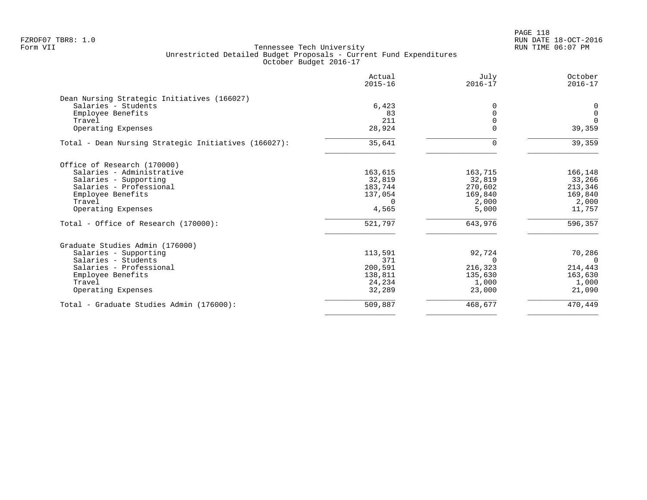PAGE 118 FZROF07 TBR8: 1.0 RUN DATE 18-OCT-2016

| Actual<br>$2015 - 16$ | July<br>$2016 - 17$                              | October<br>$2016 - 17$                 |
|-----------------------|--------------------------------------------------|----------------------------------------|
|                       |                                                  |                                        |
|                       | $\Omega$                                         | 0                                      |
| 83                    |                                                  | $\mathbf 0$                            |
| 211                   |                                                  | $\Omega$                               |
| 28,924                |                                                  | 39,359                                 |
| 35,641                | 0                                                | 39,359                                 |
|                       |                                                  |                                        |
|                       |                                                  | 166,148                                |
|                       |                                                  | 33,266                                 |
|                       |                                                  | 213,346                                |
| 137,054               | 169,840                                          | 169,840                                |
| $\Omega$              | 2,000                                            | 2,000                                  |
| 4,565                 | 5,000                                            | 11,757                                 |
| 521,797               | 643,976                                          | 596,357                                |
|                       |                                                  |                                        |
|                       |                                                  | 70,286                                 |
| 371                   | $\Omega$                                         | $\Omega$                               |
| 200,591               | 216,323                                          | 214,443                                |
| 138,811               | 135,630                                          | 163,630                                |
| 24,234                | 1,000                                            | 1,000                                  |
| 32,289                | 23,000                                           | 21,090                                 |
| 509,887               | 468,677                                          | 470,449                                |
|                       | 6,423<br>163,615<br>32,819<br>183,744<br>113,591 | 163,715<br>32,819<br>270,602<br>92,724 |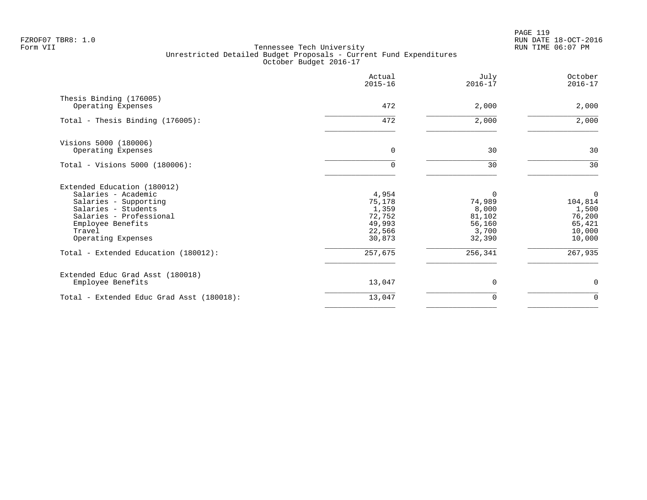PAGE 119 FZROF07 TBR8: 1.0 RUN DATE 18-OCT-2016

|                                                                                                                                                                                    | Actual<br>$2015 - 16$                                            | July<br>$2016 - 17$                                                | October<br>$2016 - 17$                                        |
|------------------------------------------------------------------------------------------------------------------------------------------------------------------------------------|------------------------------------------------------------------|--------------------------------------------------------------------|---------------------------------------------------------------|
| Thesis Binding (176005)<br>Operating Expenses                                                                                                                                      | 472                                                              | 2,000                                                              | 2,000                                                         |
| Total - Thesis Binding (176005):                                                                                                                                                   | 472                                                              | 2,000                                                              | 2,000                                                         |
| Visions 5000 (180006)<br>Operating Expenses                                                                                                                                        | 0                                                                | 30                                                                 | 30                                                            |
| Total - Visions 5000 (180006):                                                                                                                                                     | 0                                                                | 30                                                                 | 30                                                            |
| Extended Education (180012)<br>Salaries - Academic<br>Salaries - Supporting<br>Salaries - Students<br>Salaries - Professional<br>Employee Benefits<br>Travel<br>Operating Expenses | 4,954<br>75,178<br>1,359<br>72,752<br>49,993<br>22,566<br>30,873 | $\Omega$<br>74,989<br>8,000<br>81,102<br>56,160<br>3,700<br>32,390 | 0<br>104,814<br>1,500<br>76,200<br>65,421<br>10,000<br>10,000 |
| Total - Extended Education (180012):                                                                                                                                               | 257,675                                                          | 256,341                                                            | 267,935                                                       |
| Extended Educ Grad Asst (180018)<br>Employee Benefits                                                                                                                              | 13,047                                                           | $\Omega$                                                           | 0                                                             |
| Total - Extended Educ Grad Asst (180018):                                                                                                                                          | 13,047                                                           | 0                                                                  | $\mathbf 0$                                                   |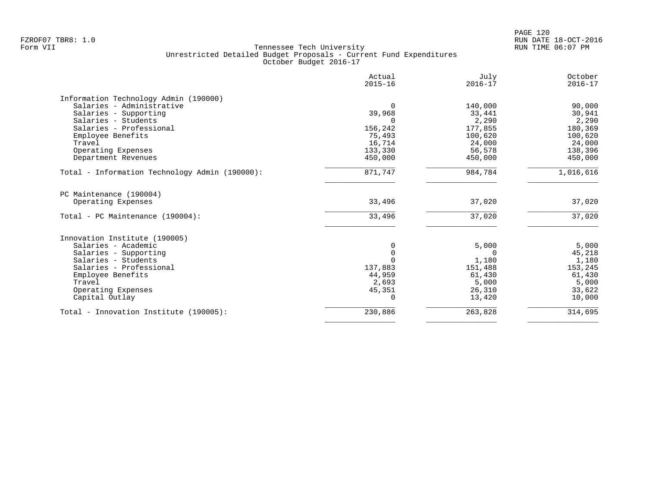| Actual<br>$2015 - 16$ | July<br>$2016 - 17$                                                                      | October<br>$2016 - 17$                                                                                                                     |
|-----------------------|------------------------------------------------------------------------------------------|--------------------------------------------------------------------------------------------------------------------------------------------|
|                       |                                                                                          |                                                                                                                                            |
|                       |                                                                                          | 90,000                                                                                                                                     |
|                       |                                                                                          | 30,941                                                                                                                                     |
|                       |                                                                                          | 2,290                                                                                                                                      |
|                       |                                                                                          | 180,369                                                                                                                                    |
|                       |                                                                                          | 100,620                                                                                                                                    |
|                       |                                                                                          | 24,000                                                                                                                                     |
|                       |                                                                                          | 138,396                                                                                                                                    |
| 450,000               | 450,000                                                                                  | 450,000                                                                                                                                    |
| 871,747               | 984,784                                                                                  | 1,016,616                                                                                                                                  |
|                       |                                                                                          |                                                                                                                                            |
| 33,496                | 37,020                                                                                   | 37,020                                                                                                                                     |
| 33,496                | 37,020                                                                                   | 37,020                                                                                                                                     |
|                       |                                                                                          |                                                                                                                                            |
|                       |                                                                                          | 5,000                                                                                                                                      |
|                       |                                                                                          | 45,218                                                                                                                                     |
|                       |                                                                                          | 1,180                                                                                                                                      |
|                       |                                                                                          | 153,245                                                                                                                                    |
|                       |                                                                                          | 61,430                                                                                                                                     |
|                       |                                                                                          | 5,000                                                                                                                                      |
|                       |                                                                                          | 33,622                                                                                                                                     |
| $\Omega$              | 13,420                                                                                   | 10,000                                                                                                                                     |
|                       |                                                                                          |                                                                                                                                            |
|                       | 39,968<br>156,242<br>75,493<br>16,714<br>133,330<br>137,883<br>44,959<br>2,693<br>45,351 | 140,000<br>33,441<br>2,290<br>177,855<br>100,620<br>24,000<br>56,578<br>5,000<br>$\Omega$<br>1,180<br>151,488<br>61,430<br>5,000<br>26,310 |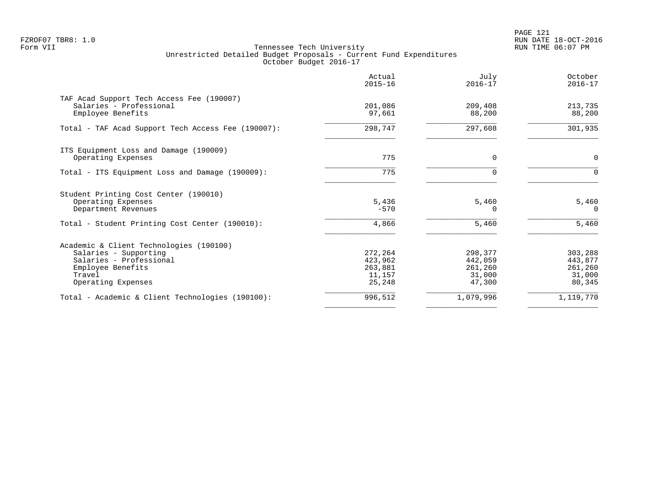PAGE 121 FZROF07 TBR8: 1.0 RUN DATE 18-OCT-2016

|                                                                                                                                                  | Actual<br>$2015 - 16$                             | July<br>$2016 - 17$                               | October<br>$2016 - 17$                            |
|--------------------------------------------------------------------------------------------------------------------------------------------------|---------------------------------------------------|---------------------------------------------------|---------------------------------------------------|
| TAF Acad Support Tech Access Fee (190007)<br>Salaries - Professional<br>Employee Benefits                                                        | 201,086<br>97,661                                 | 209,408<br>88,200                                 | 213,735<br>88,200                                 |
| Total - TAF Acad Support Tech Access Fee (190007):                                                                                               | 298,747                                           | 297,608                                           | 301,935                                           |
| ITS Equipment Loss and Damage (190009)<br>Operating Expenses                                                                                     | 775                                               | $\Omega$                                          | 0                                                 |
| Total - ITS Equipment Loss and Damage (190009):                                                                                                  | 775                                               | $\Omega$                                          | $\Omega$                                          |
| Student Printing Cost Center (190010)<br>Operating Expenses<br>Department Revenues                                                               | 5,436<br>$-570$                                   | 5,460<br>0                                        | 5,460<br>$\Omega$                                 |
| Total - Student Printing Cost Center (190010):                                                                                                   | 4,866                                             | 5,460                                             | 5,460                                             |
| Academic & Client Technologies (190100)<br>Salaries - Supporting<br>Salaries - Professional<br>Employee Benefits<br>Travel<br>Operating Expenses | 272,264<br>423,962<br>263,881<br>11,157<br>25,248 | 298,377<br>442,059<br>261,260<br>31,000<br>47,300 | 303,288<br>443,877<br>261,260<br>31,000<br>80,345 |
| Total - Academic & Client Technologies (190100):                                                                                                 | 996,512                                           | 1,079,996                                         | 1,119,770                                         |
|                                                                                                                                                  |                                                   |                                                   |                                                   |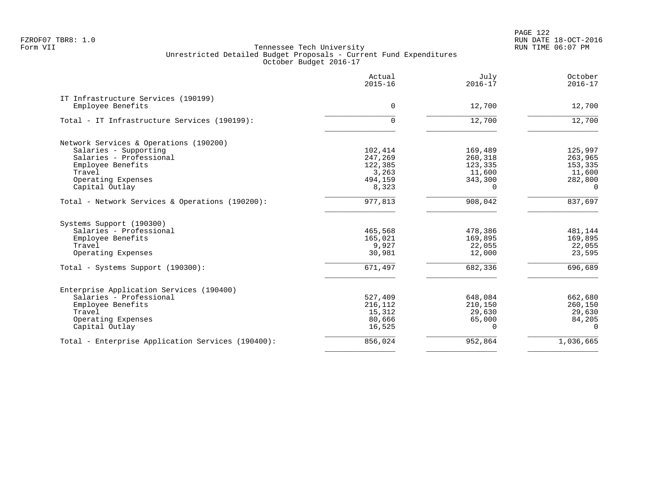|                                                   | Actual<br>$2015 - 16$ | July<br>$2016 - 17$ | October<br>$2016 - 17$ |
|---------------------------------------------------|-----------------------|---------------------|------------------------|
| IT Infrastructure Services (190199)               |                       |                     |                        |
| Employee Benefits                                 | $\Omega$              | 12,700              | 12,700                 |
| Total - IT Infrastructure Services (190199):      | 0                     | 12,700              | 12,700                 |
| Network Services & Operations (190200)            |                       |                     |                        |
| Salaries - Supporting                             | 102,414               | 169,489             | 125,997                |
| Salaries - Professional                           | 247,269               | 260,318             | 263,965                |
| Employee Benefits                                 | 122,385               | 123,335             | 153,335                |
| Travel                                            | 3,263                 | 11,600              | 11,600                 |
| Operating Expenses                                | 494,159               | 343,300             | 282,800                |
| Capital Outlay                                    | 8,323                 | $\cap$              | $\Omega$               |
| Total - Network Services & Operations (190200):   | 977,813               | 908,042             | 837,697                |
| Systems Support (190300)                          |                       |                     |                        |
| Salaries - Professional                           | 465,568               | 478,386             | 481,144                |
| Employee Benefits                                 | 165,021               | 169,895             | 169,895                |
| Travel                                            | 9,927                 | 22,055              | 22,055                 |
| Operating Expenses                                | 30,981                | 12,000              | 23,595                 |
| Total - Systems Support (190300):                 | 671,497               | 682,336             | 696,689                |
| Enterprise Application Services (190400)          |                       |                     |                        |
| Salaries - Professional                           | 527,409               | 648,084             | 662,680                |
| Employee Benefits                                 | 216,112               | 210,150             | 260,150                |
| Travel                                            | 15,312                | 29,630              | 29,630                 |
| Operating Expenses                                | 80,666                | 65,000              | 84,205                 |
| Capital Outlay                                    | 16,525                | $\Omega$            | $\Omega$               |
| Total - Enterprise Application Services (190400): | 856,024               | 952,864             | 1,036,665              |
|                                                   |                       |                     |                        |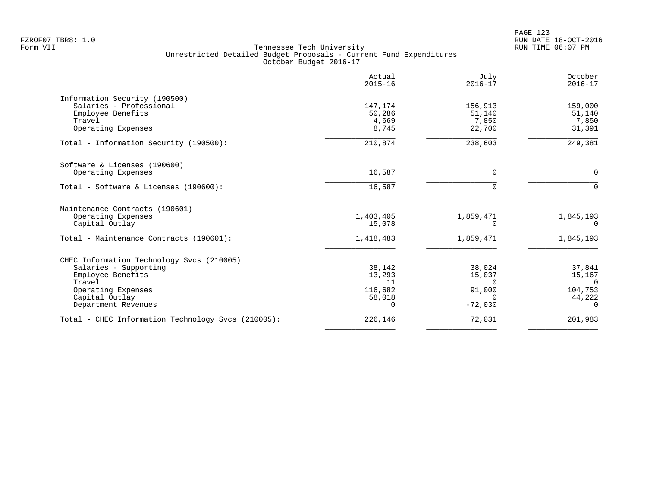| Actual<br>$2015 - 16$ | July<br>$2016 - 17$                            | October<br>$2016 - 17$                             |
|-----------------------|------------------------------------------------|----------------------------------------------------|
|                       |                                                |                                                    |
| 147,174               | 156,913                                        | 159,000                                            |
| 50,286                | 51,140                                         | 51,140                                             |
|                       |                                                | 7,850                                              |
|                       |                                                | 31,391                                             |
| 210,874               | 238,603                                        | 249,381                                            |
|                       |                                                |                                                    |
| 16,587                | 0                                              | $\mathbf 0$                                        |
| 16,587                | $\Omega$                                       | $\Omega$                                           |
|                       |                                                |                                                    |
| 1,403,405             | 1,859,471                                      | 1,845,193                                          |
| 15,078                | $\Omega$                                       | $\Omega$                                           |
| 1,418,483             | 1,859,471                                      | 1,845,193                                          |
|                       |                                                |                                                    |
| 38,142                | 38,024                                         | 37,841                                             |
| 13,293                | 15,037                                         | 15,167                                             |
|                       | $\Omega$                                       | $\Omega$                                           |
|                       |                                                | 104,753                                            |
|                       |                                                | 44,222                                             |
|                       |                                                | 0                                                  |
| 226,146               | 72,031                                         | 201,983                                            |
|                       | 4,669<br>8,745<br>11<br>116,682<br>58,018<br>0 | 7,850<br>22,700<br>91,000<br>$\Omega$<br>$-72,030$ |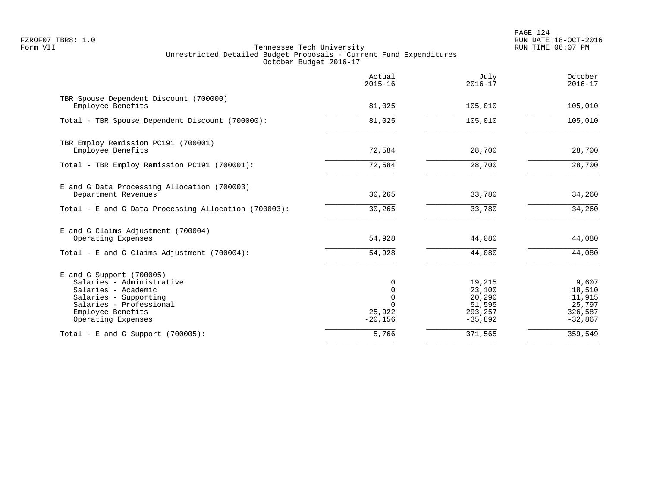|                                                                                                                                                                               | Actual<br>$2015 - 16$                                           | July<br>$2016 - 17$                                          | October<br>$2016 - 17$                                      |
|-------------------------------------------------------------------------------------------------------------------------------------------------------------------------------|-----------------------------------------------------------------|--------------------------------------------------------------|-------------------------------------------------------------|
| TBR Spouse Dependent Discount (700000)<br>Employee Benefits                                                                                                                   | 81,025                                                          | 105,010                                                      | 105,010                                                     |
| Total - TBR Spouse Dependent Discount (700000):                                                                                                                               | 81,025                                                          | 105,010                                                      | 105,010                                                     |
| TBR Employ Remission PC191 (700001)<br>Employee Benefits                                                                                                                      | 72,584                                                          | 28,700                                                       | 28,700                                                      |
| Total - TBR Employ Remission PC191 (700001):                                                                                                                                  | 72,584                                                          | 28,700                                                       | 28,700                                                      |
| E and G Data Processing Allocation (700003)<br>Department Revenues                                                                                                            | 30,265                                                          | 33,780                                                       | 34,260                                                      |
| Total - E and G Data Processing Allocation (700003):                                                                                                                          | 30,265                                                          | 33,780                                                       | 34,260                                                      |
| E and G Claims Adjustment (700004)<br>Operating Expenses                                                                                                                      | 54,928                                                          | 44,080                                                       | 44,080                                                      |
| Total - E and G Claims Adjustment $(700004)$ :                                                                                                                                | 54,928                                                          | 44,080                                                       | 44,080                                                      |
| $E$ and G Support (700005)<br>Salaries - Administrative<br>Salaries - Academic<br>Salaries - Supporting<br>Salaries - Professional<br>Employee Benefits<br>Operating Expenses | 0<br>$\mathbf 0$<br>$\Omega$<br>$\Omega$<br>25,922<br>$-20,156$ | 19,215<br>23,100<br>20,290<br>51,595<br>293,257<br>$-35,892$ | 9,607<br>18,510<br>11,915<br>25,797<br>326,587<br>$-32,867$ |
| Total - E and G Support $(700005)$ :                                                                                                                                          | 5,766                                                           | 371,565                                                      | 359,549                                                     |
|                                                                                                                                                                               |                                                                 |                                                              |                                                             |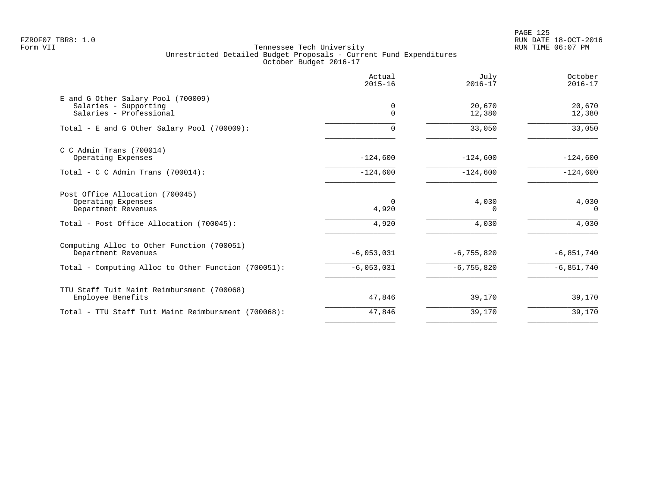|                                                                                        | Actual<br>$2015 - 16$ | July<br>$2016 - 17$ | October<br>$2016 - 17$ |
|----------------------------------------------------------------------------------------|-----------------------|---------------------|------------------------|
| E and G Other Salary Pool (700009)<br>Salaries - Supporting<br>Salaries - Professional | 0<br>$\Omega$         | 20,670<br>12,380    | 20,670<br>12,380       |
| Total - E and G Other Salary Pool (700009):                                            |                       | 33,050              | 33,050                 |
| $C$ C Admin Trans (700014)<br>Operating Expenses                                       | $-124,600$            | $-124,600$          | $-124,600$             |
| Total - C C Admin Trans (700014):                                                      | $-124,600$            | $-124,600$          | $-124,600$             |
| Post Office Allocation (700045)<br>Operating Expenses<br>Department Revenues           | 4,920                 | 4,030<br>0          | 4,030<br>$\Omega$      |
| Total - Post Office Allocation (700045):                                               | 4,920                 | 4,030               | 4,030                  |
| Computing Alloc to Other Function (700051)<br>Department Revenues                      | $-6,053,031$          | $-6, 755, 820$      | $-6,851,740$           |
| Total - Computing Alloc to Other Function (700051):                                    | $-6,053,031$          | $-6, 755, 820$      | $-6,851,740$           |
| TTU Staff Tuit Maint Reimbursment (700068)<br>Employee Benefits                        | 47,846                | 39,170              | 39,170                 |
| Total - TTU Staff Tuit Maint Reimbursment (700068):                                    | 47,846                | 39,170              | 39,170                 |
|                                                                                        |                       |                     |                        |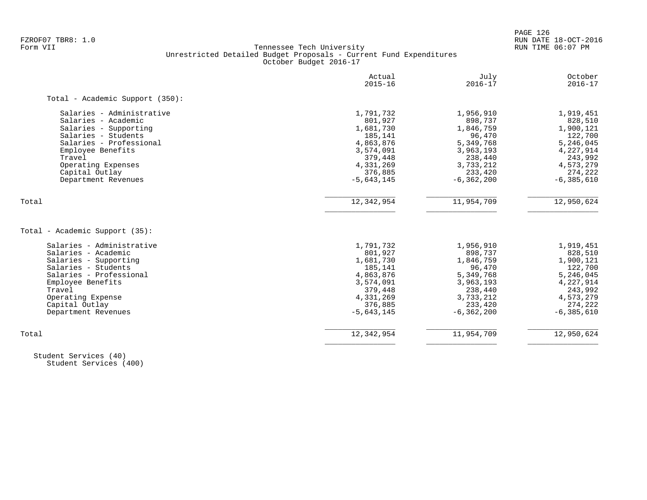PAGE 126

# FZROF07 TBR8: 1.0 RUN DATE 18-OCT-2016 Tennessee Tech University Unrestricted Detailed Budget Proposals - Current Fund Expenditures October Budget 2016-17

|                                 | Actual<br>$2015 - 16$ | July<br>$2016 - 17$ | October<br>$2016 - 17$ |
|---------------------------------|-----------------------|---------------------|------------------------|
| Total - Academic Support (350): |                       |                     |                        |
| Salaries - Administrative       | 1,791,732             | 1,956,910           | 1,919,451              |
| Salaries - Academic             | 801,927               | 898,737             | 828,510                |
| Salaries - Supporting           | 1,681,730             | 1,846,759           | 1,900,121              |
| Salaries - Students             | 185,141               | 96,470              | 122,700                |
| Salaries - Professional         | 4,863,876             | 5,349,768           | 5,246,045              |
| Employee Benefits               | 3,574,091             | 3,963,193           | 4,227,914              |
| Travel                          | 379,448               | 238,440             | 243,992                |
| Operating Expenses              | 4,331,269             | 3,733,212           | 4,573,279              |
| Capital Outlay                  | 376,885               | 233,420             | 274,222                |
| Department Revenues             | $-5,643,145$          | $-6, 362, 200$      | $-6, 385, 610$         |
| Total                           | 12,342,954            | 11,954,709          | 12,950,624             |
|                                 |                       |                     |                        |
| Total - Academic Support (35):  |                       |                     |                        |
| Salaries - Administrative       | 1,791,732             | 1,956,910           | 1,919,451              |
| Salaries - Academic             | 801,927               | 898,737             | 828,510                |
| Salaries - Supporting           | 1,681,730             | 1,846,759           | 1,900,121              |
| Salaries - Students             | 185,141               | 96,470              | 122,700                |
| Salaries - Professional         | 4,863,876             | 5,349,768           | 5,246,045              |
| Employee Benefits               | 3,574,091             | 3,963,193           | 4,227,914              |
| Travel                          | 379,448               | 238,440             | 243,992                |
| Operating Expense               | 4,331,269             | 3,733,212           | 4,573,279              |
| Capital Outlay                  | 376,885               | 233,420             | 274,222                |
| Department Revenues             | $-5,643,145$          | $-6, 362, 200$      | $-6, 385, 610$         |
| Total                           | 12,342,954            | 11,954,709          | 12,950,624             |
|                                 |                       |                     |                        |

 Student Services (40) Student Services (400)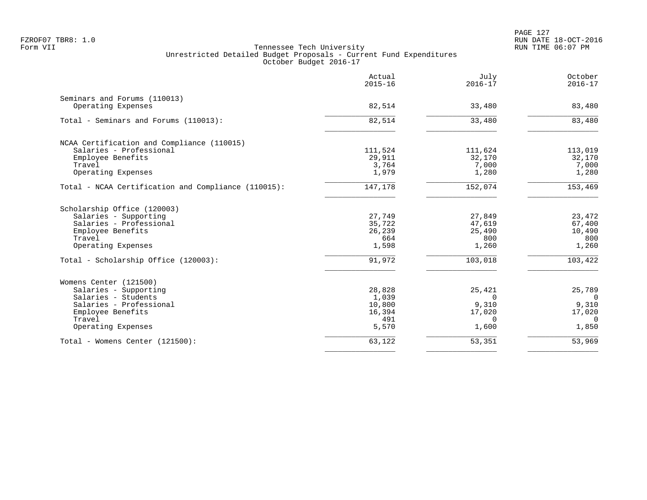|                                                     | Actual<br>$2015 - 16$ | July<br>$2016 - 17$ | October<br>$2016 - 17$ |
|-----------------------------------------------------|-----------------------|---------------------|------------------------|
| Seminars and Forums (110013)                        |                       |                     |                        |
| Operating Expenses                                  | 82,514                | 33,480              | 83,480                 |
| Total - Seminars and Forums (110013):               | 82,514                | 33,480              | 83,480                 |
| NCAA Certification and Compliance (110015)          |                       |                     |                        |
| Salaries - Professional                             | 111,524               | 111,624             | 113,019                |
| Employee Benefits                                   | 29,911                | 32,170              | 32,170                 |
| Travel                                              | 3,764                 | 7,000               | 7,000                  |
| Operating Expenses                                  | 1,979                 | 1,280               | 1,280                  |
| Total - NCAA Certification and Compliance (110015): | 147,178               | 152,074             | 153,469                |
| Scholarship Office (120003)                         |                       |                     |                        |
| Salaries - Supporting                               | 27,749                | 27,849              | 23,472                 |
| Salaries - Professional                             | 35,722                | 47,619              | 67,400                 |
| Employee Benefits                                   | 26,239                | 25,490              | 10,490                 |
| Travel                                              | 664                   | 800                 | 800                    |
| Operating Expenses                                  | 1,598                 | 1,260               | 1,260                  |
| Total - Scholarship Office (120003):                | 91,972                | 103,018             | 103,422                |
| Womens Center (121500)                              |                       |                     |                        |
| Salaries - Supporting                               | 28,828                | 25,421              | 25,789                 |
| Salaries - Students                                 | 1,039                 | $\Omega$            | $\Omega$               |
| Salaries - Professional                             | 10,800                | 9,310               | 9,310                  |
| Employee Benefits                                   | 16,394                | 17,020              | 17,020                 |
| Travel                                              | 491                   | $\Omega$            | $\Omega$               |
| Operating Expenses                                  | 5,570                 | 1,600               | 1,850                  |
| Total - Womens Center (121500):                     | 63,122                | 53,351              | 53,969                 |
|                                                     |                       |                     |                        |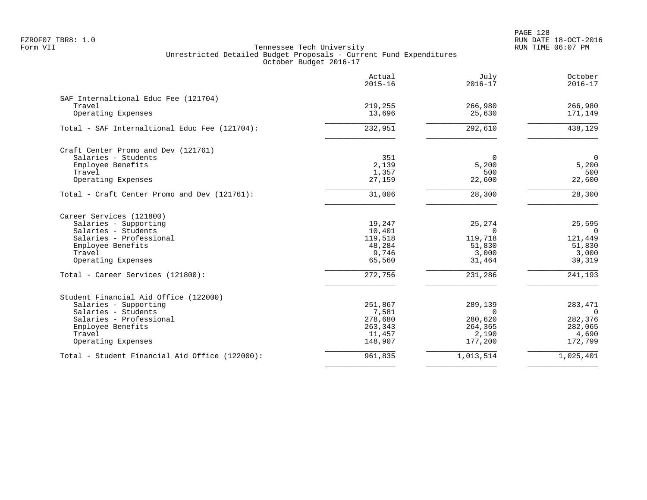PAGE 128 FZROF07 TBR8: 1.0 RUN DATE 18-OCT-2016

|                                                | Actual<br>$2015 - 16$ | July<br>$2016 - 17$ | October<br>$2016 - 17$ |
|------------------------------------------------|-----------------------|---------------------|------------------------|
| SAF Internaltional Educ Fee (121704)           |                       |                     |                        |
| Travel                                         | 219,255               | 266,980             | 266,980                |
| Operating Expenses                             | 13,696                | 25,630              | 171,149                |
| Total - SAF Internaltional Educ Fee (121704):  | 232,951               | 292,610             | $\overline{438,129}$   |
| Craft Center Promo and Dev (121761)            |                       |                     |                        |
| Salaries - Students                            | 351                   | $\Omega$            | $\mathbf 0$            |
| Employee Benefits                              | 2,139                 | 5,200               | 5,200                  |
| Travel                                         | 1,357                 | 500                 | 500                    |
| Operating Expenses                             | 27,159                | 22,600              | 22,600                 |
| Total - Craft Center Promo and Dev (121761):   | 31,006                | 28,300              | 28,300                 |
| Career Services (121800)                       |                       |                     |                        |
| Salaries - Supporting                          | 19,247                | 25,274              | 25,595                 |
| Salaries - Students                            | 10,401                | $\Omega$            | $\Omega$               |
| Salaries - Professional                        | 119,518               | 119,718             | 121,449                |
| Employee Benefits                              | 48,284                | 51,830              | 51,830                 |
| Travel                                         | 9,746                 | 3,000               | 3,000                  |
| Operating Expenses                             | 65,560                | 31,464              | 39,319                 |
| Total - Career Services (121800):              | 272,756               | 231,286             | 241,193                |
| Student Financial Aid Office (122000)          |                       |                     |                        |
| Salaries - Supporting                          | 251,867               | 289,139             | 283,471                |
| Salaries - Students                            | 7,581                 | $\Omega$            | $\Omega$               |
| Salaries - Professional                        | 278,680               | 280,620             | 282,376                |
| Employee Benefits                              | 263,343               | 264,365             | 282,065                |
| Travel                                         | 11,457                | 2,190               | 4,690                  |
| Operating Expenses                             | 148,907               | 177,200             | 172,799                |
| Total - Student Financial Aid Office (122000): | 961,835               | 1,013,514           | 1,025,401              |
|                                                |                       |                     |                        |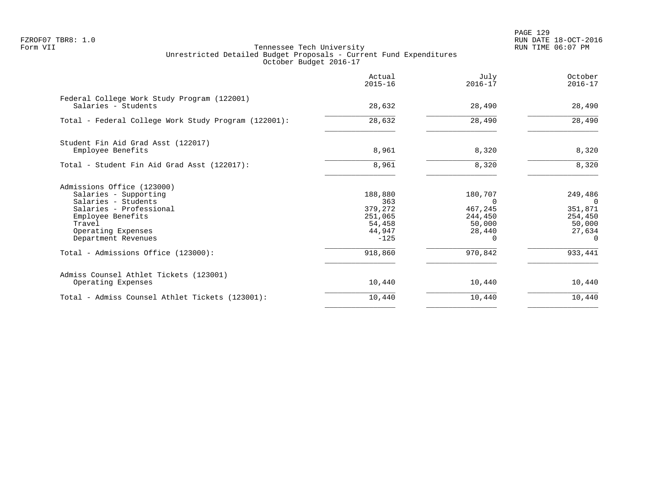PAGE 129 FZROF07 TBR8: 1.0 RUN DATE 18-OCT-2016

|                                                                                                                                                                                   | Actual<br>$2015 - 16$                                              | July<br>$2016 - 17$                                    | October<br>$2016 - 17$                                        |
|-----------------------------------------------------------------------------------------------------------------------------------------------------------------------------------|--------------------------------------------------------------------|--------------------------------------------------------|---------------------------------------------------------------|
| Federal College Work Study Program (122001)<br>Salaries - Students                                                                                                                | 28,632                                                             | 28,490                                                 | 28,490                                                        |
| Total - Federal College Work Study Program (122001):                                                                                                                              | 28,632                                                             | 28,490                                                 | 28,490                                                        |
| Student Fin Aid Grad Asst (122017)<br>Employee Benefits                                                                                                                           | 8,961                                                              | 8,320                                                  | 8,320                                                         |
| Total - Student Fin Aid Grad Asst (122017):                                                                                                                                       | 8,961                                                              | 8,320                                                  | 8,320                                                         |
| Admissions Office (123000)<br>Salaries - Supporting<br>Salaries - Students<br>Salaries - Professional<br>Employee Benefits<br>Travel<br>Operating Expenses<br>Department Revenues | 188,880<br>363<br>379,272<br>251,065<br>54,458<br>44,947<br>$-125$ | 180,707<br>0<br>467,245<br>244,450<br>50,000<br>28,440 | 249,486<br>351,871<br>254,450<br>50,000<br>27,634<br>$\Omega$ |
| Total - Admissions Office (123000):                                                                                                                                               | 918,860                                                            | 970,842                                                | 933,441                                                       |
| Admiss Counsel Athlet Tickets (123001)<br>Operating Expenses                                                                                                                      | 10,440                                                             | 10,440                                                 | 10,440                                                        |
| Total - Admiss Counsel Athlet Tickets (123001):                                                                                                                                   | 10,440                                                             | 10,440                                                 | 10,440                                                        |
|                                                                                                                                                                                   |                                                                    |                                                        |                                                               |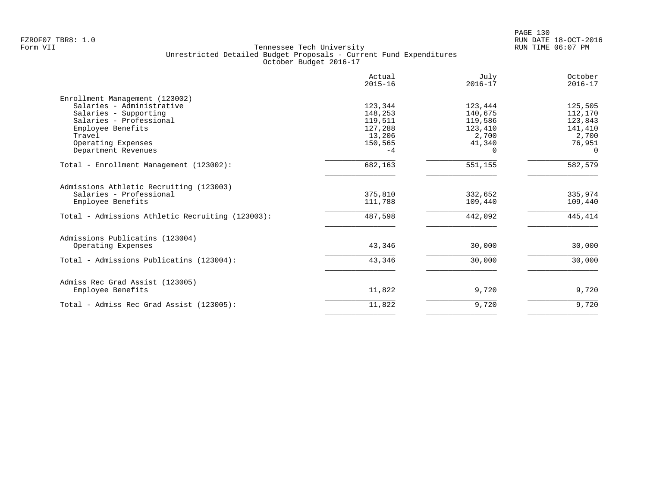|                                                  | Actual<br>$2015 - 16$ | July<br>$2016 - 17$ | October<br>$2016 - 17$ |
|--------------------------------------------------|-----------------------|---------------------|------------------------|
| Enrollment Management (123002)                   |                       |                     |                        |
| Salaries - Administrative                        | 123,344               | 123,444             | 125,505                |
| Salaries - Supporting                            | 148,253               | 140,675             | 112,170                |
| Salaries - Professional                          | 119,511               | 119,586             | 123,843                |
| Employee Benefits                                | 127,288               | 123,410             | 141,410                |
| Travel                                           | 13,206                | 2,700               | 2,700                  |
| Operating Expenses                               | 150,565               | 41,340              | 76,951                 |
| Department Revenues                              | $-4$                  | 0                   | $\Omega$               |
| Total - Enrollment Management (123002):          | 682,163               | 551,155             | 582,579                |
| Admissions Athletic Recruiting (123003)          |                       |                     |                        |
| Salaries - Professional                          | 375,810               | 332,652             | 335,974                |
| Employee Benefits                                | 111,788               | 109,440             | 109,440                |
| Total - Admissions Athletic Recruiting (123003): | 487,598               | 442,092             | 445,414                |
| Admissions Publicatins (123004)                  |                       |                     |                        |
| Operating Expenses                               | 43,346                | 30,000              | 30,000                 |
| Total - Admissions Publicatins (123004):         | 43,346                | 30,000              | 30,000                 |
| Admiss Rec Grad Assist (123005)                  |                       |                     |                        |
| Employee Benefits                                | 11,822                | 9,720               | 9,720                  |
| Total - Admiss Rec Grad Assist (123005):         | 11,822                | 9,720               | 9,720                  |
|                                                  |                       |                     |                        |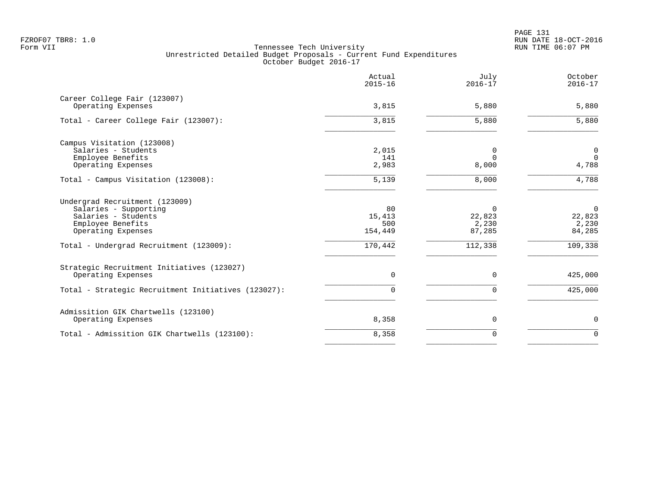PAGE 131 FZROF07 TBR8: 1.0 RUN DATE 18-OCT-2016

|                                                                                                                                                                      | Actual<br>$2015 - 16$                     | July<br>$2016 - 17$                              | October<br>$2016 - 17$                                 |
|----------------------------------------------------------------------------------------------------------------------------------------------------------------------|-------------------------------------------|--------------------------------------------------|--------------------------------------------------------|
| Career College Fair (123007)<br>Operating Expenses                                                                                                                   | 3,815                                     | 5,880                                            | 5,880                                                  |
| Total - Career College Fair (123007):                                                                                                                                | 3,815                                     | 5,880                                            | 5,880                                                  |
| Campus Visitation (123008)<br>Salaries - Students<br>Employee Benefits<br>Operating Expenses                                                                         | 2,015<br>141<br>2,983                     | 0<br>$\Omega$<br>8,000                           | 0<br>$\mathbf 0$<br>4,788                              |
| Total - Campus Visitation (123008):                                                                                                                                  | 5,139                                     | 8,000                                            | 4,788                                                  |
| Undergrad Recruitment (123009)<br>Salaries - Supporting<br>Salaries - Students<br>Employee Benefits<br>Operating Expenses<br>Total - Undergrad Recruitment (123009): | 80<br>15,413<br>500<br>154,449<br>170,442 | $\Omega$<br>22,823<br>2,230<br>87,285<br>112,338 | $\overline{0}$<br>22,823<br>2,230<br>84,285<br>109,338 |
| Strategic Recruitment Initiatives (123027)<br>Operating Expenses<br>Total - Strategic Recruitment Initiatives (123027):                                              | $\mathbf 0$<br>$\Omega$                   | $\mathbf 0$<br>$\mathbf 0$                       | 425,000<br>425,000                                     |
| Admissition GIK Chartwells (123100)<br>Operating Expenses                                                                                                            | 8,358                                     | $\mathbf 0$                                      | $\mathbf 0$                                            |
| Total - Admissition GIK Chartwells (123100):                                                                                                                         | 8,358                                     | $\mathbf 0$                                      | $\Omega$                                               |
|                                                                                                                                                                      |                                           |                                                  |                                                        |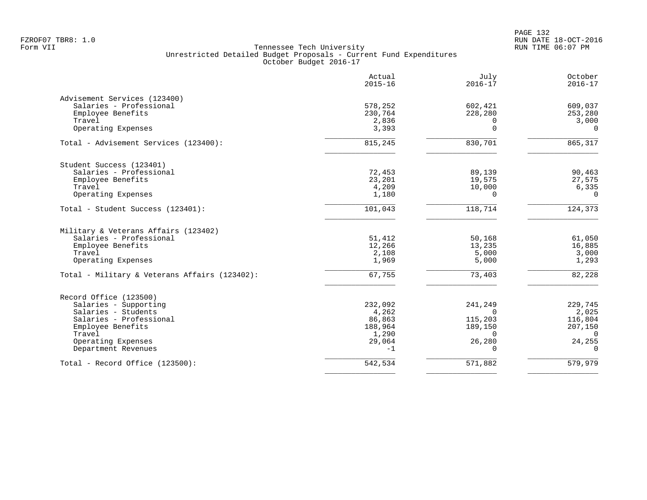|                                               | Actual<br>$2015 - 16$ | July<br>$2016 - 17$ | October<br>$2016 - 17$ |
|-----------------------------------------------|-----------------------|---------------------|------------------------|
| Advisement Services (123400)                  |                       |                     |                        |
| Salaries - Professional                       | 578,252               | 602,421             | 609,037                |
| Employee Benefits                             | 230,764               | 228,280             | 253,280                |
| Travel                                        | 2,836                 | $\Omega$            | 3,000                  |
| Operating Expenses                            | 3,393                 | $\mathbf 0$         | $\Omega$               |
| Total - Advisement Services (123400):         | 815,245               | 830,701             | 865,317                |
| Student Success (123401)                      |                       |                     |                        |
| Salaries - Professional                       | 72,453                | 89,139              | 90,463                 |
| Employee Benefits                             | 23,201                | 19,575              | 27,575                 |
| Travel                                        | 4,209                 | 10,000              | 6,335                  |
| Operating Expenses                            | 1,180                 | $\Omega$            | $\Omega$               |
| Total - Student Success (123401):             | 101,043               | 118,714             | 124,373                |
| Military & Veterans Affairs (123402)          |                       |                     |                        |
| Salaries - Professional                       | 51,412                | 50,168              | 61,050                 |
| Employee Benefits                             | 12,266                | 13,235              | 16,885                 |
| Travel                                        | 2,108                 | 5,000               | 3,000                  |
| Operating Expenses                            | 1,969                 | 5,000               | 1,293                  |
| Total - Military & Veterans Affairs (123402): | 67,755                | 73,403              | 82,228                 |
| Record Office (123500)                        |                       |                     |                        |
| Salaries - Supporting                         | 232,092               | 241,249             | 229,745                |
| Salaries - Students                           | 4,262                 | $\Omega$            | 2,025                  |
| Salaries - Professional                       | 86,863                | 115,203             | 116,804                |
| Employee Benefits                             | 188,964               | 189,150             | 207,150                |
| Travel                                        | 1,290                 | $\Omega$            | $\Omega$               |
| Operating Expenses                            | 29,064                | 26,280              | 24,255                 |
| Department Revenues                           | $-1$                  | $\Omega$            | $\Omega$               |
| Total - Record Office (123500):               | 542,534               | 571,882             | 579,979                |
|                                               |                       |                     |                        |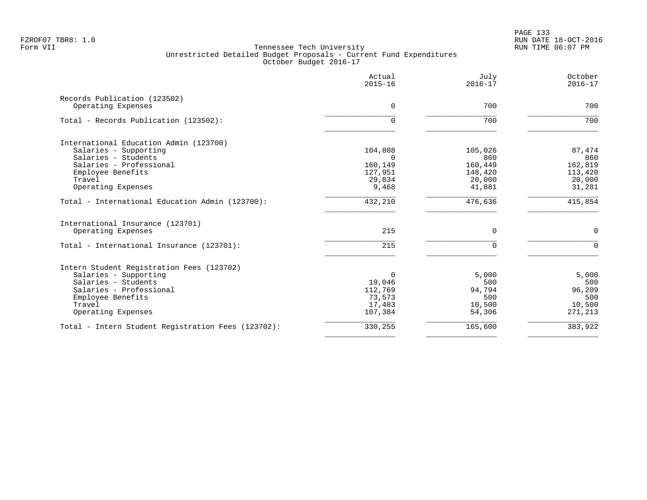| Actual<br>$2015 - 16$ | July<br>$2016 - 17$                                                                 | October<br>$2016 - 17$                                                |
|-----------------------|-------------------------------------------------------------------------------------|-----------------------------------------------------------------------|
|                       |                                                                                     | 700                                                                   |
|                       |                                                                                     |                                                                       |
| $\Omega$              | 700                                                                                 | 700                                                                   |
|                       |                                                                                     |                                                                       |
| 104,808               | 105,026                                                                             | 87,474                                                                |
|                       |                                                                                     | 860                                                                   |
|                       |                                                                                     | 162,819<br>113,420                                                    |
|                       |                                                                                     | 20,000                                                                |
| 9,468                 | 41,881                                                                              | 31,281                                                                |
| 432,210               | 476,636                                                                             | 415,854                                                               |
|                       |                                                                                     |                                                                       |
| 215                   | $\mathbf 0$                                                                         | $\mathbf 0$                                                           |
| 215                   | $\Omega$                                                                            | $\Omega$                                                              |
|                       |                                                                                     |                                                                       |
| $\Omega$              | 5,000                                                                               | 5,000                                                                 |
| 19,046                | 500                                                                                 | 500                                                                   |
|                       |                                                                                     | 96,209                                                                |
|                       |                                                                                     | 500                                                                   |
| 107,384               | 54,306                                                                              | 10,500<br>271,213                                                     |
| 330,255               | 165,600                                                                             | 383,922                                                               |
|                       | $\Omega$<br>$\Omega$<br>160,149<br>127,951<br>29,834<br>112,769<br>73,573<br>17,483 | 700<br>860<br>160,449<br>148,420<br>20,000<br>94,794<br>500<br>10,500 |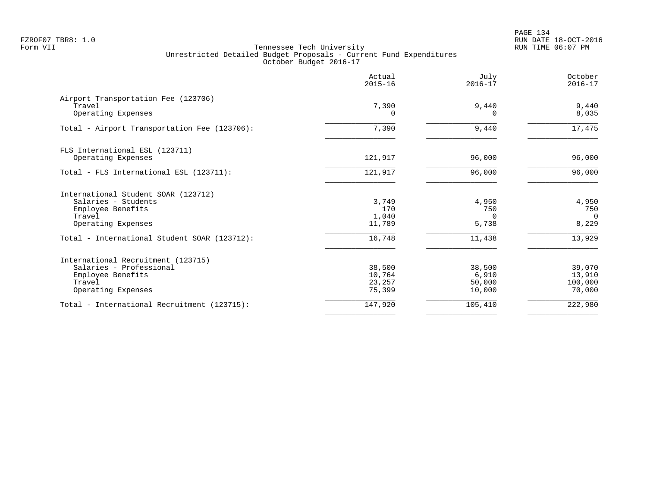PAGE 134 FZROF07 TBR8: 1.0 RUN DATE 18-OCT-2016

|                                               | Actual<br>$2015 - 16$ | July<br>$2016 - 17$ | October<br>$2016 - 17$ |
|-----------------------------------------------|-----------------------|---------------------|------------------------|
| Airport Transportation Fee (123706)<br>Travel | 7,390                 | 9,440               | 9,440                  |
| Operating Expenses                            | 0                     | n                   | 8,035                  |
| Total - Airport Transportation Fee (123706):  | 7,390                 | 9,440               | 17,475                 |
| FLS International ESL (123711)                |                       |                     |                        |
| Operating Expenses                            | 121,917               | 96,000              | 96,000                 |
| Total - FLS International ESL (123711):       | 121,917               | 96,000              | 96,000                 |
| International Student SOAR (123712)           |                       |                     |                        |
| Salaries - Students                           | 3,749                 | 4,950               | 4,950                  |
| Employee Benefits<br>Travel                   | 170<br>1,040          | 750<br>$\Omega$     | 750<br>$\Omega$        |
| Operating Expenses                            | 11,789                | 5,738               | 8,229                  |
| Total - International Student SOAR (123712):  | 16,748                | 11,438              | 13,929                 |
| International Recruitment (123715)            |                       |                     |                        |
| Salaries - Professional                       | 38,500                | 38,500              | 39,070                 |
| Employee Benefits<br>Travel                   | 10,764<br>23,257      | 6,910<br>50,000     | 13,910<br>100,000      |
| Operating Expenses                            | 75,399                | 10,000              | 70,000                 |
| Total - International Recruitment (123715):   | 147,920               | 105,410             | 222,980                |
|                                               |                       |                     |                        |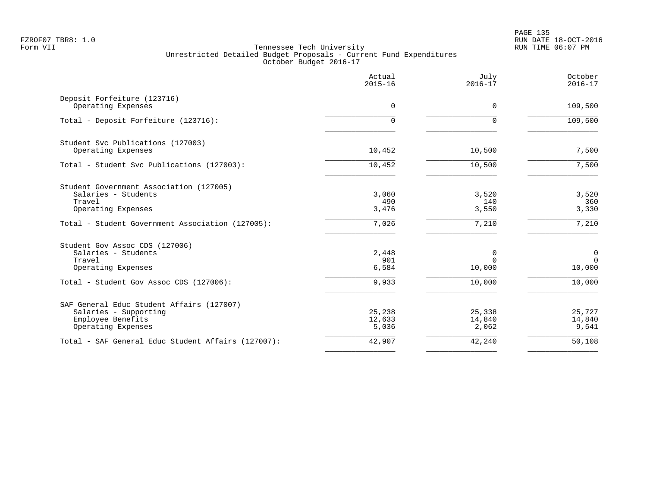PAGE 135 FZROF07 TBR8: 1.0 RUN DATE 18-OCT-2016

|                                                    | Actual<br>$2015 - 16$ | July<br>$2016 - 17$ | October<br>$2016 - 17$ |
|----------------------------------------------------|-----------------------|---------------------|------------------------|
| Deposit Forfeiture (123716)<br>Operating Expenses  | $\Omega$              | $\Omega$            | 109,500                |
| Total - Deposit Forfeiture (123716):               | 0                     | $\Omega$            | 109,500                |
| Student Svc Publications (127003)                  |                       |                     |                        |
| Operating Expenses                                 | 10,452                | 10,500              | 7,500                  |
| Total - Student Svc Publications (127003):         | 10,452                | 10,500              | 7,500                  |
| Student Government Association (127005)            |                       |                     |                        |
| Salaries - Students                                | 3,060                 | 3,520               | 3,520                  |
| Travel<br>Operating Expenses                       | 490<br>3,476          | 140<br>3,550        | 360<br>3,330           |
| Total - Student Government Association (127005):   | 7,026                 | 7,210               | 7,210                  |
| Student Gov Assoc CDS (127006)                     |                       |                     |                        |
| Salaries - Students                                | 2,448                 | 0                   | 0                      |
| Travel<br>Operating Expenses                       | 901<br>6,584          | $\Omega$<br>10,000  | $\mathbf{0}$<br>10,000 |
|                                                    |                       |                     |                        |
| Total - Student Gov Assoc CDS (127006):            | 9,933                 | 10,000              | 10,000                 |
| SAF General Educ Student Affairs (127007)          |                       |                     |                        |
| Salaries - Supporting                              | 25,238                | 25,338              | 25,727                 |
| Employee Benefits<br>Operating Expenses            | 12,633<br>5,036       | 14,840<br>2,062     | 14,840<br>9,541        |
|                                                    |                       |                     |                        |
| Total - SAF General Educ Student Affairs (127007): | 42,907                | 42,240              | 50,108                 |
|                                                    |                       |                     |                        |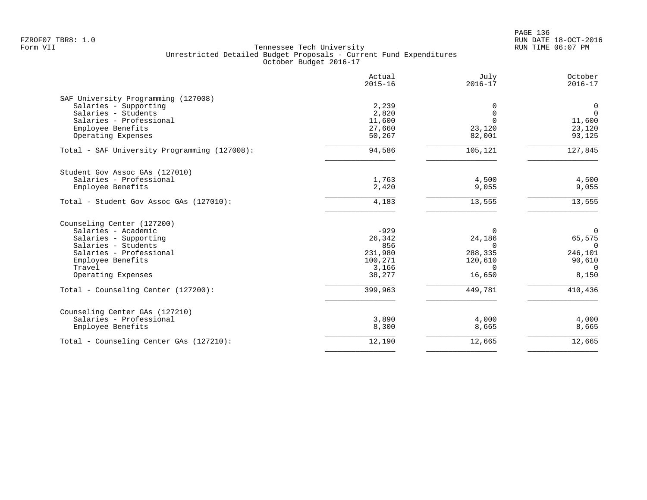|                                              | Actual<br>$2015 - 16$ | July<br>$2016 - 17$ | October<br>$2016 - 17$ |
|----------------------------------------------|-----------------------|---------------------|------------------------|
| SAF University Programming (127008)          |                       |                     |                        |
| Salaries - Supporting                        | 2,239                 | 0                   | 0                      |
| Salaries - Students                          | 2,820                 | $\mathbf 0$         | $\mathbf 0$            |
| Salaries - Professional                      | 11,600                | $\Omega$            | 11,600                 |
| Employee Benefits                            | 27,660                | 23,120              | 23,120                 |
| Operating Expenses                           | 50,267                | 82,001              | 93,125                 |
| Total - SAF University Programming (127008): | 94,586                | 105,121             | 127,845                |
| Student Gov Assoc GAs (127010)               |                       |                     |                        |
| Salaries - Professional                      | 1,763                 | 4,500               | 4,500                  |
| Employee Benefits                            | 2,420                 | 9,055               | 9,055                  |
| Total - Student Gov Assoc GAs (127010):      | 4,183                 | 13,555              | 13,555                 |
| Counseling Center (127200)                   |                       |                     |                        |
| Salaries - Academic                          | $-929$                | $\Omega$            | $\overline{0}$         |
| Salaries - Supporting                        | 26,342                | 24,186              | 65,575                 |
| Salaries - Students                          | 856                   | $\Omega$            | $\Omega$               |
| Salaries - Professional                      | 231,980               | 288,335             | 246,101                |
| Employee Benefits                            | 100,271               | 120,610             | 90,610                 |
| Travel                                       | 3,166                 | $\Omega$            | $\Omega$               |
| Operating Expenses                           | 38,277                | 16,650              | 8,150                  |
| Total - Counseling Center (127200):          | 399,963               | 449,781             | 410,436                |
| Counseling Center GAs (127210)               |                       |                     |                        |
| Salaries - Professional                      | 3,890                 | 4,000               | 4,000                  |
| Employee Benefits                            | 8,300                 | 8,665               | 8,665                  |
| Total - Counseling Center GAs (127210):      | 12,190                | 12,665              | 12,665                 |
|                                              |                       |                     |                        |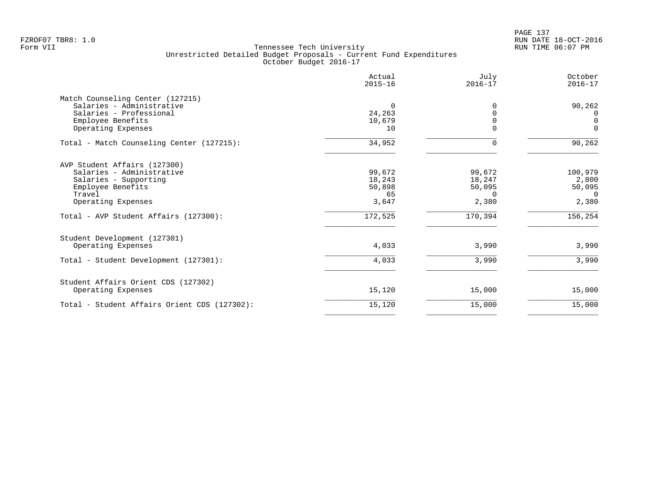|                                              | Actual<br>$2015 - 16$ | July<br>$2016 - 17$ | October<br>$2016 - 17$ |
|----------------------------------------------|-----------------------|---------------------|------------------------|
| Match Counseling Center (127215)             |                       |                     |                        |
| Salaries - Administrative                    | $\Omega$              | 0                   | 90,262                 |
| Salaries - Professional                      | 24,263                |                     | 0                      |
| Employee Benefits                            | 10,679                |                     | $\overline{0}$         |
| Operating Expenses                           | 10                    | 0                   | $\Omega$               |
| Total - Match Counseling Center (127215):    | 34,952                | $\Omega$            | 90,262                 |
| AVP Student Affairs (127300)                 |                       |                     |                        |
| Salaries - Administrative                    | 99,672                | 99,672              | 100,979                |
| Salaries - Supporting                        | 18,243                | 18,247              | 2,800                  |
| Employee Benefits                            | 50,898                | 50,095              | 50,095                 |
| Travel                                       | 65                    | 0                   | $\Omega$               |
| Operating Expenses                           | 3,647                 | 2,380               | 2,380                  |
| Total - AVP Student Affairs (127300):        | 172,525               | 170,394             | 156, 254               |
| Student Development (127301)                 |                       |                     |                        |
| Operating Expenses                           | 4,033                 | 3,990               | 3,990                  |
| Total - Student Development (127301):        | 4,033                 | 3,990               | 3,990                  |
| Student Affairs Orient CDS (127302)          |                       |                     |                        |
| Operating Expenses                           | 15,120                | 15,000              | 15,000                 |
| Total - Student Affairs Orient CDS (127302): | 15,120                | 15,000              | 15,000                 |
|                                              |                       |                     |                        |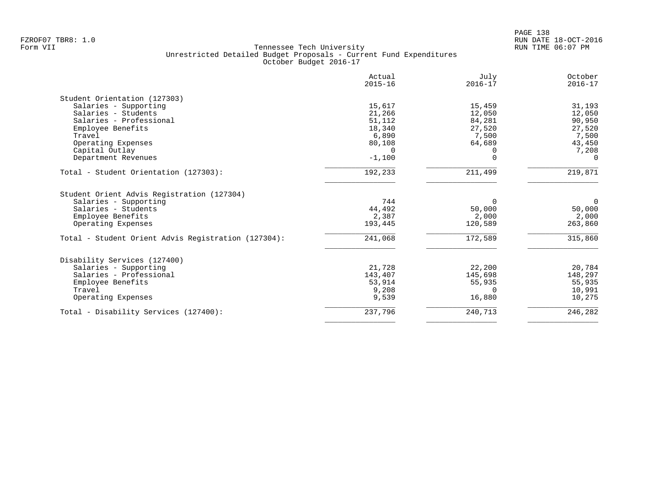| 15,617<br>21,266<br>51,112<br>18,340<br>6,890<br>80,108<br>$\cap$<br>$-1,100$<br>192,233<br>744 | 15,459<br>12,050<br>84,281<br>27,520<br>7,500<br>64,689<br>0<br>$\Omega$<br>211,499<br>$\Omega$ | 31,193<br>12,050<br>90,950<br>27,520<br>7,500<br>43,450<br>7,208<br>$\Omega$<br>219,871<br>$\overline{0}$ |
|-------------------------------------------------------------------------------------------------|-------------------------------------------------------------------------------------------------|-----------------------------------------------------------------------------------------------------------|
|                                                                                                 |                                                                                                 |                                                                                                           |
|                                                                                                 |                                                                                                 |                                                                                                           |
|                                                                                                 |                                                                                                 |                                                                                                           |
|                                                                                                 |                                                                                                 |                                                                                                           |
|                                                                                                 |                                                                                                 |                                                                                                           |
|                                                                                                 |                                                                                                 |                                                                                                           |
|                                                                                                 |                                                                                                 |                                                                                                           |
|                                                                                                 |                                                                                                 |                                                                                                           |
|                                                                                                 |                                                                                                 |                                                                                                           |
|                                                                                                 |                                                                                                 |                                                                                                           |
|                                                                                                 |                                                                                                 |                                                                                                           |
|                                                                                                 |                                                                                                 |                                                                                                           |
| 44,492                                                                                          | 50,000                                                                                          | 50,000                                                                                                    |
| 2,387                                                                                           | 2,000                                                                                           | 2,000                                                                                                     |
| 193,445                                                                                         | 120,589                                                                                         | 263,860                                                                                                   |
| 241,068                                                                                         | 172,589                                                                                         | 315,860                                                                                                   |
|                                                                                                 |                                                                                                 |                                                                                                           |
| 21,728                                                                                          | 22,200                                                                                          | 20,784                                                                                                    |
| 143,407                                                                                         |                                                                                                 | 148,297                                                                                                   |
|                                                                                                 | 55,935                                                                                          | 55,935                                                                                                    |
| 9,208                                                                                           | $\Omega$                                                                                        | 10,991                                                                                                    |
| 9,539                                                                                           | 16,880                                                                                          | 10,275                                                                                                    |
| 237,796                                                                                         | 240,713                                                                                         | 246,282                                                                                                   |
|                                                                                                 | 53,914                                                                                          | 145,698                                                                                                   |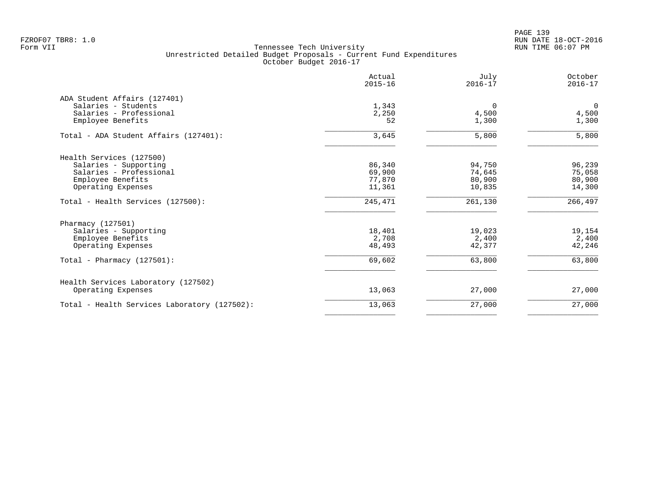PAGE 139 FZROF07 TBR8: 1.0 RUN DATE 18-OCT-2016

|                                              | Actual<br>$2015 - 16$ | July<br>$2016 - 17$ | October<br>$2016 - 17$ |
|----------------------------------------------|-----------------------|---------------------|------------------------|
| ADA Student Affairs (127401)                 |                       |                     |                        |
| Salaries - Students                          | 1,343                 | $\Omega$            | $\mathbf 0$            |
| Salaries - Professional                      | 2,250                 | 4,500               | 4,500                  |
| Employee Benefits                            | 52                    | 1,300               | 1,300                  |
| Total - ADA Student Affairs (127401):        | 3,645                 | 5,800               | 5,800                  |
| Health Services (127500)                     |                       |                     |                        |
| Salaries - Supporting                        | 86,340                | 94,750              | 96,239                 |
| Salaries - Professional                      | 69,900                | 74,645              | 75,058                 |
| Employee Benefits                            | 77,870                | 80,900              | 80,900                 |
| Operating Expenses                           | 11,361                | 10,835              | 14,300                 |
| Total - Health Services (127500):            | 245,471               | 261,130             | 266,497                |
| Pharmacy (127501)                            |                       |                     |                        |
| Salaries - Supporting                        | 18,401                | 19,023              | 19,154                 |
| Employee Benefits                            | 2,708                 | 2,400               | 2,400                  |
| Operating Expenses                           | 48,493                | 42,377              | 42,246                 |
| Total - Pharmacy $(127501)$ :                | 69,602                | 63,800              | 63,800                 |
| Health Services Laboratory (127502)          |                       |                     |                        |
| Operating Expenses                           | 13,063                | 27,000              | 27,000                 |
| Total - Health Services Laboratory (127502): | 13,063                | 27,000              | 27,000                 |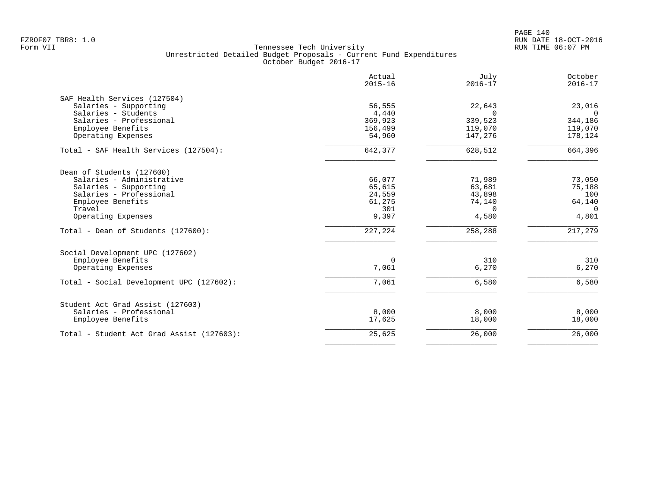|                                                             | Actual<br>$2015 - 16$ | July<br>$2016 - 17$ | October<br>$2016 - 17$ |
|-------------------------------------------------------------|-----------------------|---------------------|------------------------|
| SAF Health Services (127504)                                |                       |                     |                        |
| Salaries - Supporting                                       | 56,555                | 22,643              | 23,016                 |
| Salaries - Students                                         | 4,440                 | $\Omega$            | $\Omega$               |
| Salaries - Professional                                     | 369,923               | 339,523             | 344,186                |
| Employee Benefits                                           | 156,499               | 119,070             | 119,070                |
| Operating Expenses                                          | 54,960                | 147,276             | 178,124                |
| Total - SAF Health Services (127504):                       | 642,377               | 628,512             | 664,396                |
| Dean of Students (127600)                                   |                       |                     |                        |
| Salaries - Administrative                                   | 66,077                | 71,989              | 73,050                 |
| Salaries - Supporting                                       | 65,615                | 63,681              | 75,188                 |
| Salaries - Professional                                     | 24,559                | 43,898              | 100                    |
| Employee Benefits                                           | 61,275                | 74,140              | 64,140                 |
| Travel                                                      | 301                   | $\Omega$            | $\Omega$               |
| Operating Expenses                                          | 9,397                 | 4,580               | 4,801                  |
| Total - Dean of Students (127600):                          | 227,224               | 258,288             | 217,279                |
| Social Development UPC (127602)                             |                       |                     |                        |
| Employee Benefits                                           | $\Omega$              | 310                 | 310                    |
| Operating Expenses                                          | 7,061                 | 6,270               | 6,270                  |
| Total - Social Development UPC (127602):                    | 7,061                 | 6,580               | 6,580                  |
|                                                             |                       |                     |                        |
| Student Act Grad Assist (127603)<br>Salaries - Professional | 8,000                 | 8,000               | 8,000                  |
| Employee Benefits                                           | 17,625                | 18,000              | 18,000                 |
| Total - Student Act Grad Assist (127603):                   | 25,625                | 26,000              | 26,000                 |
|                                                             |                       |                     |                        |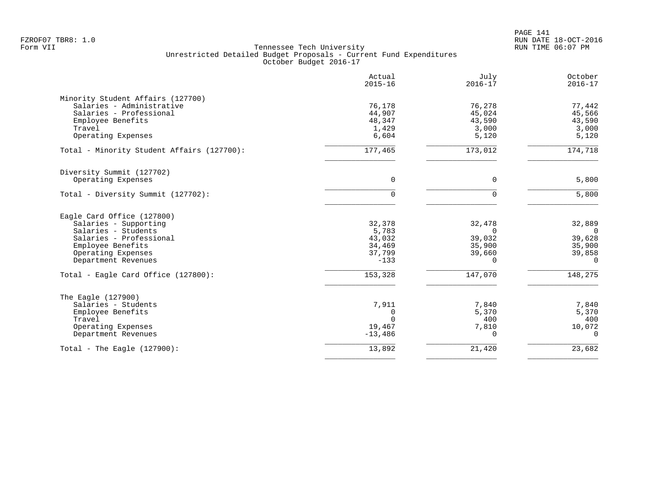|                                                                                                                          | Actual<br>$2015 - 16$                        | July<br>$2016 - 17$                          | October<br>$2016 - 17$                       |
|--------------------------------------------------------------------------------------------------------------------------|----------------------------------------------|----------------------------------------------|----------------------------------------------|
| Minority Student Affairs (127700)<br>Salaries - Administrative<br>Salaries - Professional<br>Employee Benefits<br>Travel | 76,178<br>44,907<br>48,347<br>1,429<br>6,604 | 76,278<br>45,024<br>43,590<br>3,000<br>5,120 | 77,442<br>45,566<br>43,590<br>3,000<br>5,120 |
| Operating Expenses<br>Total - Minority Student Affairs (127700):                                                         | 177,465                                      | 173,012                                      | 174,718                                      |
| Diversity Summit (127702)                                                                                                |                                              |                                              |                                              |
| Operating Expenses                                                                                                       | $\Omega$                                     | $\mathbf 0$                                  | 5,800                                        |
| Total - Diversity Summit (127702):                                                                                       | $\Omega$                                     | $\Omega$                                     | 5,800                                        |
| Eagle Card Office (127800)                                                                                               |                                              |                                              |                                              |
| Salaries - Supporting                                                                                                    | 32,378                                       | 32,478                                       | 32,889                                       |
| Salaries - Students<br>Salaries - Professional                                                                           | 5,783<br>43,032                              | $\Omega$<br>39,032                           | $\overline{0}$<br>39,628                     |
| Employee Benefits                                                                                                        | 34,469                                       | 35,900                                       | 35,900                                       |
| Operating Expenses                                                                                                       | 37,799                                       | 39,660                                       | 39,858                                       |
| Department Revenues                                                                                                      | $-133$                                       | $\Omega$                                     | $\Omega$                                     |
| Total - Eagle Card Office (127800):                                                                                      | 153,328                                      | 147,070                                      | 148,275                                      |
| The Eagle (127900)                                                                                                       |                                              |                                              |                                              |
| Salaries - Students                                                                                                      | 7,911                                        | 7,840                                        | 7,840                                        |
| Employee Benefits                                                                                                        | 0                                            | 5,370                                        | 5,370                                        |
| Travel                                                                                                                   | $\cap$                                       | 400                                          | 400                                          |
| Operating Expenses                                                                                                       | 19,467                                       | 7,810<br>$\Omega$                            | 10,072<br>$\Omega$                           |
| Department Revenues                                                                                                      | $-13,486$                                    |                                              |                                              |
| Total - The Eagle $(127900)$ :                                                                                           | 13,892                                       | 21,420                                       | 23,682                                       |
|                                                                                                                          |                                              |                                              |                                              |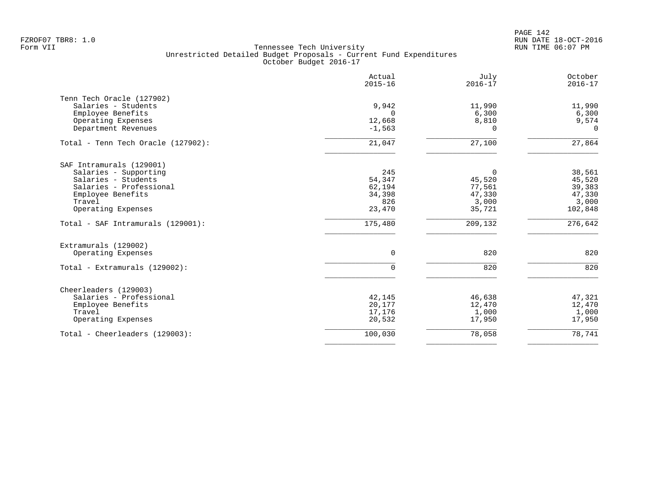PAGE 142 FZROF07 TBR8: 1.0 RUN DATE 18-OCT-2016

|                                    | Actual<br>$2015 - 16$ | July<br>$2016 - 17$ | October<br>$2016 - 17$ |
|------------------------------------|-----------------------|---------------------|------------------------|
| Tenn Tech Oracle (127902)          |                       |                     |                        |
| Salaries - Students                | 9,942                 | 11,990              | 11,990                 |
| Employee Benefits                  | $\Omega$              | 6,300               | 6,300                  |
| Operating Expenses                 | 12,668                | 8,810               | 9,574                  |
| Department Revenues                | $-1,563$              | 0                   | $\Omega$               |
| Total - Tenn Tech Oracle (127902): | 21,047                | 27,100              | 27,864                 |
| SAF Intramurals (129001)           |                       |                     |                        |
| Salaries - Supporting              | 245                   | $\mathbf 0$         | 38,561                 |
| Salaries - Students                | 54,347                | 45,520              | 45,520                 |
| Salaries - Professional            | 62,194                | 77,561              | 39,383                 |
| Employee Benefits                  | 34,398                | 47,330              | 47,330                 |
| Travel                             | 826                   | 3,000               | 3,000                  |
| Operating Expenses                 | 23,470                | 35,721              | 102,848                |
| Total - SAF Intramurals (129001):  | 175,480               | 209,132             | 276,642                |
| Extramurals (129002)               |                       |                     |                        |
| Operating Expenses                 | $\mathbf 0$           | 820                 | 820                    |
| Total - Extramurals (129002):      | $\Omega$              | 820                 | 820                    |
| Cheerleaders (129003)              |                       |                     |                        |
| Salaries - Professional            | 42,145                | 46,638              | 47,321                 |
| Employee Benefits                  | 20,177                | 12,470              | 12,470                 |
| Travel                             | 17,176                | 1,000               | 1,000                  |
| Operating Expenses                 | 20,532                | 17,950              | 17,950                 |
| Total - Cheerleaders (129003):     | 100,030               | 78,058              | 78,741                 |
|                                    |                       |                     |                        |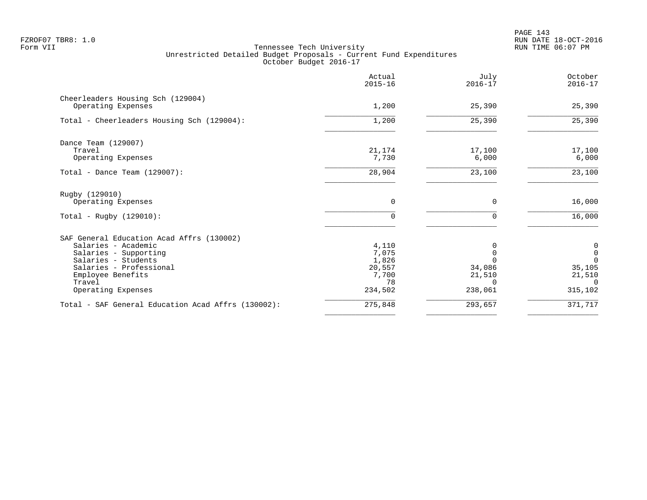|                                                         | Actual<br>$2015 - 16$ | July<br>$2016 - 17$ | October<br>$2016 - 17$   |
|---------------------------------------------------------|-----------------------|---------------------|--------------------------|
| Cheerleaders Housing Sch (129004)<br>Operating Expenses | 1,200                 | 25,390              | 25,390                   |
| Total - Cheerleaders Housing Sch (129004):              | 1,200                 | 25,390              | 25,390                   |
| Dance Team (129007)                                     |                       |                     |                          |
| Travel<br>Operating Expenses                            | 21,174<br>7,730       | 17,100<br>6,000     | 17,100<br>6,000          |
| Total - Dance Team $(129007)$ :                         | 28,904                | 23,100              | 23,100                   |
| Rugby (129010)                                          |                       |                     |                          |
| Operating Expenses                                      | 0                     | 0                   | 16,000                   |
| Total - Rugby $(129010)$ :                              | $\Omega$              | $\Omega$            | 16,000                   |
| SAF General Education Acad Affrs (130002)               |                       |                     |                          |
| Salaries - Academic                                     | 4,110                 |                     | 0                        |
| Salaries - Supporting<br>Salaries - Students            | 7,075<br>1,826        |                     | $\mathsf{O}$<br>$\Omega$ |
| Salaries - Professional                                 | 20,557                | 34,086              | 35,105                   |
| Employee Benefits                                       | 7,700                 | 21,510              | 21,510                   |
| Travel                                                  | 78                    | $\Omega$            | $\Omega$                 |
| Operating Expenses                                      | 234,502               | 238,061             | 315,102                  |
| Total - SAF General Education Acad Affrs (130002):      | 275,848               | 293,657             | 371,717                  |
|                                                         |                       |                     |                          |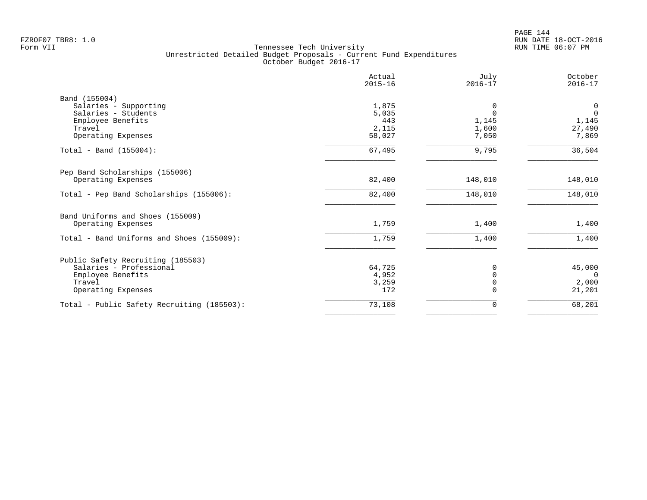|                                            | Actual<br>$2015 - 16$ | July<br>$2016 - 17$ | October<br>$2016 - 17$ |
|--------------------------------------------|-----------------------|---------------------|------------------------|
| Band (155004)                              |                       |                     |                        |
| Salaries - Supporting                      | 1,875                 | 0                   | $\overline{0}$         |
| Salaries - Students                        | 5,035                 | $\Omega$            | $\Omega$               |
| Employee Benefits                          | 443                   | 1,145               | 1,145                  |
| Travel                                     | 2,115                 | 1,600               | 27,490                 |
| Operating Expenses                         | 58,027                | 7,050               | 7,869                  |
| Total - Band $(155004)$ :                  | 67,495                | 9,795               | 36,504                 |
| Pep Band Scholarships (155006)             |                       |                     |                        |
| Operating Expenses                         | 82,400                | 148,010             | 148,010                |
| Total - Pep Band Scholarships (155006):    | 82,400                | 148,010             | 148,010                |
| Band Uniforms and Shoes (155009)           |                       |                     |                        |
| Operating Expenses                         | 1,759                 | 1,400               | 1,400                  |
| Total - Band Uniforms and Shoes (155009):  | 1,759                 | 1,400               | 1,400                  |
| Public Safety Recruiting (185503)          |                       |                     |                        |
| Salaries - Professional                    | 64,725                | O                   | 45,000                 |
| Employee Benefits                          | 4,952                 |                     | $\Omega$               |
| Travel                                     | 3,259                 |                     | 2,000                  |
| Operating Expenses                         | 172                   |                     | 21,201                 |
| Total - Public Safety Recruiting (185503): | 73,108                | $\Omega$            | 68,201                 |
|                                            |                       |                     |                        |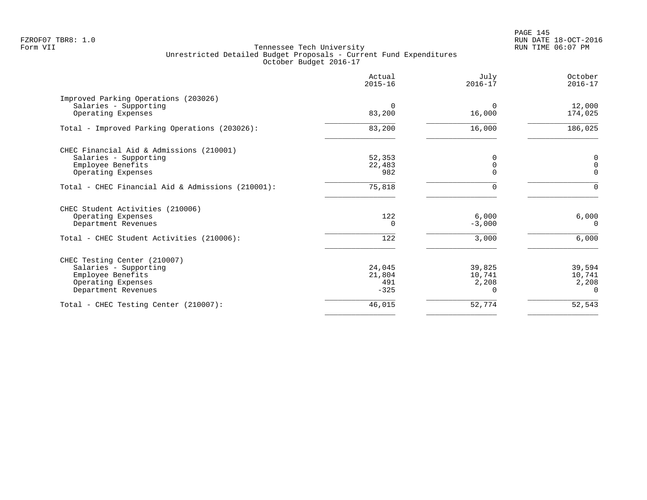PAGE 145 FZROF07 TBR8: 1.0 RUN DATE 18-OCT-2016

|                                                                                                                            | Actual<br>$2015 - 16$             | July<br>$2016 - 17$                   | October<br>$2016 - 17$                |
|----------------------------------------------------------------------------------------------------------------------------|-----------------------------------|---------------------------------------|---------------------------------------|
| Improved Parking Operations (203026)<br>Salaries - Supporting<br>Operating Expenses                                        | $\Omega$<br>83,200                | $\Omega$<br>16,000                    | 12,000<br>174,025                     |
| Total - Improved Parking Operations (203026):                                                                              | 83,200                            | 16,000                                | 186,025                               |
| CHEC Financial Aid & Admissions (210001)<br>Salaries - Supporting<br>Employee Benefits<br>Operating Expenses               | 52,353<br>22,483<br>982           | 0<br>0<br>$\Omega$                    | 0<br>$\mathbf 0$<br>$\Omega$          |
| Total - CHEC Financial Aid & Admissions (210001):                                                                          | 75,818                            | 0                                     | $\Omega$                              |
| CHEC Student Activities (210006)<br>Operating Expenses<br>Department Revenues<br>Total - CHEC Student Activities (210006): | 122<br>$\Omega$<br>122            | 6,000<br>$-3,000$<br>3,000            | 6,000<br>$\Omega$<br>6,000            |
| CHEC Testing Center (210007)<br>Salaries - Supporting<br>Employee Benefits<br>Operating Expenses<br>Department Revenues    | 24,045<br>21,804<br>491<br>$-325$ | 39,825<br>10,741<br>2,208<br>$\Omega$ | 39,594<br>10,741<br>2,208<br>$\Omega$ |
| Total - CHEC Testing Center (210007):                                                                                      | 46,015                            | 52,774                                | 52,543                                |
|                                                                                                                            |                                   |                                       |                                       |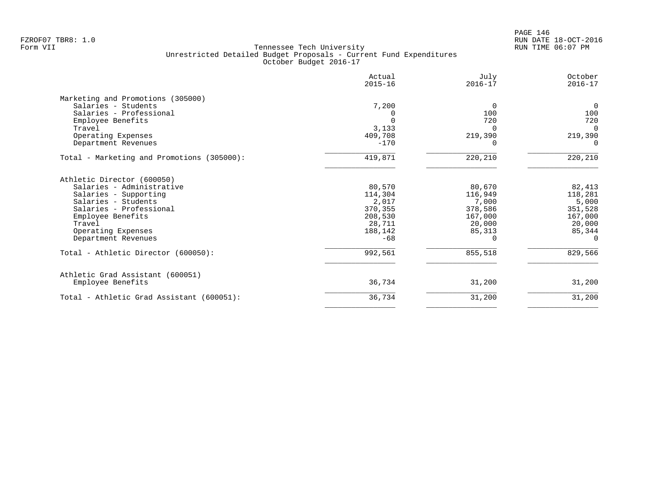|                                            | Actual<br>$2015 - 16$ | July<br>$2016 - 17$ | October<br>$2016 - 17$ |
|--------------------------------------------|-----------------------|---------------------|------------------------|
| Marketing and Promotions (305000)          |                       |                     |                        |
| Salaries - Students                        | 7,200                 | 0                   | $\mathbf 0$            |
| Salaries - Professional                    | 0                     | 100                 | 100                    |
| Employee Benefits                          | $\Omega$              | 720                 | 720                    |
| Travel                                     | 3,133                 | $\Omega$            | $\Omega$               |
| Operating Expenses                         | 409,708               | 219,390             | 219,390                |
| Department Revenues                        | $-170$                | n                   | $\Omega$               |
| Total - Marketing and Promotions (305000): | 419,871               | 220,210             | 220,210                |
| Athletic Director (600050)                 |                       |                     |                        |
| Salaries - Administrative                  | 80,570                | 80,670              | 82,413                 |
| Salaries - Supporting                      | 114,304               | 116,949             | 118,281                |
| Salaries - Students                        | 2,017                 | 7,000               | 5,000                  |
| Salaries - Professional                    | 370,355               | 378,586             | 351,528                |
| Employee Benefits                          | 208,530               | 167,000             | 167,000                |
| Travel                                     | 28,711                | 20,000              | 20,000                 |
| Operating Expenses                         | 188,142               | 85,313              | 85,344                 |
| Department Revenues                        | $-68$                 |                     | $\Omega$               |
| Total - Athletic Director (600050):        | 992,561               | 855,518             | 829,566                |
| Athletic Grad Assistant (600051)           |                       |                     |                        |
| Employee Benefits                          | 36,734                | 31,200              | 31,200                 |
| Total - Athletic Grad Assistant (600051):  | 36,734                | 31,200              | 31,200                 |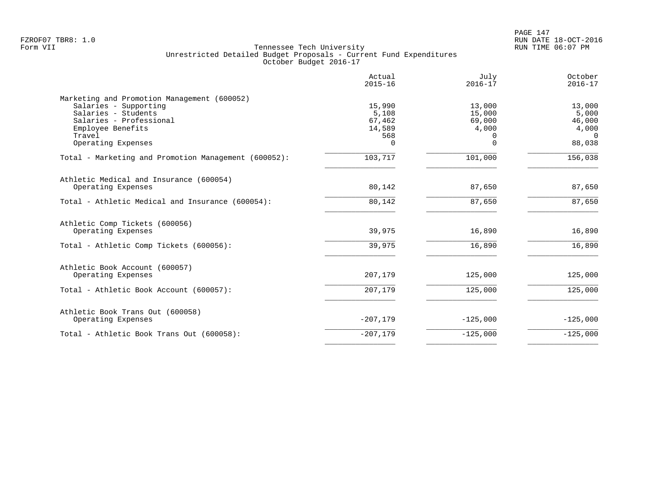PAGE 147 FZROF07 TBR8: 1.0 RUN DATE 18-OCT-2016

|                                                                                                                                                                             | Actual<br>$2015 - 16$                                  | July<br>$2016 - 17$                                  | October<br>$2016 - 17$                                   |
|-----------------------------------------------------------------------------------------------------------------------------------------------------------------------------|--------------------------------------------------------|------------------------------------------------------|----------------------------------------------------------|
| Marketing and Promotion Management (600052)<br>Salaries - Supporting<br>Salaries - Students<br>Salaries - Professional<br>Employee Benefits<br>Travel<br>Operating Expenses | 15,990<br>5,108<br>67,462<br>14,589<br>568<br>$\Omega$ | 13,000<br>15,000<br>69,000<br>4,000<br>0<br>$\Omega$ | 13,000<br>5,000<br>46,000<br>4,000<br>$\Omega$<br>88,038 |
| Total - Marketing and Promotion Management (600052):                                                                                                                        | 103,717                                                | 101,000                                              | 156,038                                                  |
| Athletic Medical and Insurance (600054)<br>Operating Expenses                                                                                                               | 80,142                                                 | 87,650                                               | 87,650                                                   |
| Total - Athletic Medical and Insurance (600054):                                                                                                                            | 80,142                                                 | 87,650                                               | 87,650                                                   |
| Athletic Comp Tickets (600056)<br>Operating Expenses                                                                                                                        | 39,975                                                 | 16,890                                               | 16,890                                                   |
| Total - Athletic Comp Tickets (600056):                                                                                                                                     | 39,975                                                 | 16,890                                               | 16,890                                                   |
| Athletic Book Account (600057)<br>Operating Expenses                                                                                                                        | 207,179                                                | 125,000                                              | 125,000                                                  |
| Total - Athletic Book Account (600057):                                                                                                                                     | 207,179                                                | 125,000                                              | 125,000                                                  |
| Athletic Book Trans Out (600058)<br>Operating Expenses                                                                                                                      | $-207,179$                                             | $-125,000$                                           | $-125,000$                                               |
| Total - Athletic Book Trans Out (600058):                                                                                                                                   | $-207,179$                                             | $-125,000$                                           | $-125,000$                                               |
|                                                                                                                                                                             |                                                        |                                                      |                                                          |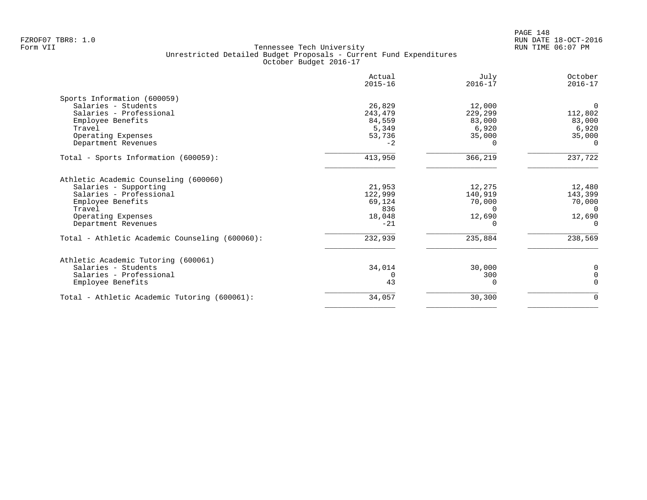|                                                | Actual<br>$2015 - 16$ | July<br>$2016 - 17$ | October<br>$2016 - 17$ |
|------------------------------------------------|-----------------------|---------------------|------------------------|
| Sports Information (600059)                    |                       |                     |                        |
| Salaries - Students                            | 26,829                | 12,000              | $\Omega$               |
| Salaries - Professional                        | 243,479               | 229,299             | 112,802                |
| Employee Benefits                              | 84,559                | 83,000              | 83,000                 |
| Travel                                         | 5,349                 | 6,920               | 6,920                  |
| Operating Expenses                             | 53,736                | 35,000              | 35,000                 |
| Department Revenues                            | $-2$                  |                     | $\Omega$               |
| Total - Sports Information (600059):           | 413,950               | 366,219             | 237,722                |
| Athletic Academic Counseling (600060)          |                       |                     |                        |
| Salaries - Supporting                          | 21,953                | 12,275              | 12,480                 |
| Salaries - Professional                        | 122,999               | 140,919             | 143,399                |
| Employee Benefits                              | 69,124                | 70,000              | 70,000                 |
| Travel                                         | 836                   | $\Omega$            | - 0                    |
| Operating Expenses                             | 18,048                | 12,690              | 12,690                 |
| Department Revenues                            | $-21$                 | <sup>n</sup>        | $\Omega$               |
| Total - Athletic Academic Counseling (600060): | 232,939               | 235,884             | 238,569                |
| Athletic Academic Tutoring (600061)            |                       |                     |                        |
| Salaries - Students                            | 34,014                | 30,000              | 0                      |
| Salaries - Professional                        | $\Omega$              | 300                 | $\mathbf 0$            |
| Employee Benefits                              | 43                    |                     | $\Omega$               |
| Total - Athletic Academic Tutoring (600061):   | 34,057                | 30,300              | 0                      |
|                                                |                       |                     |                        |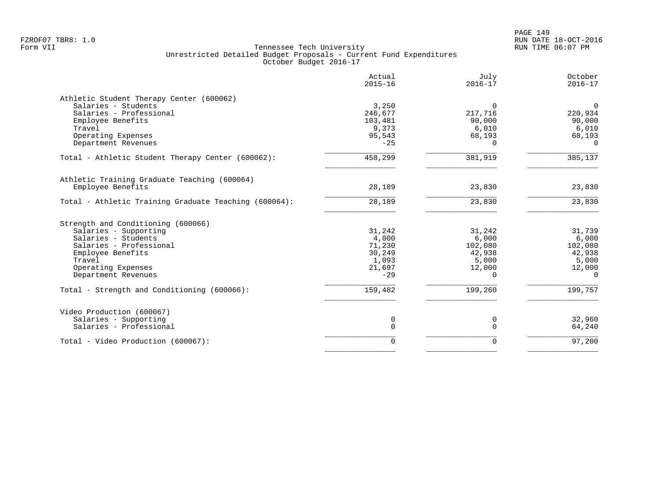|                                                       | Actual<br>$2015 - 16$ | July<br>$2016 - 17$ | October<br>$2016 - 17$ |
|-------------------------------------------------------|-----------------------|---------------------|------------------------|
| Athletic Student Therapy Center (600062)              |                       |                     |                        |
| Salaries - Students                                   | 3,250                 | $\Omega$            | $\Omega$               |
| Salaries - Professional                               | 246,677               | 217,716             | 220,934                |
| Employee Benefits                                     | 103,481               | 90,000              | 90,000                 |
| Travel                                                | 9,373                 | 6,010               | 6,010                  |
| Operating Expenses                                    | 95,543                | 68,193              | 68,193                 |
| Department Revenues                                   | $-25$                 | $\cap$              | $\Omega$               |
| Total - Athletic Student Therapy Center (600062):     | 458,299               | 381,919             | 385,137                |
| Athletic Training Graduate Teaching (600064)          |                       |                     |                        |
| Employee Benefits                                     | 28,189                | 23,830              | 23,830                 |
| Total - Athletic Training Graduate Teaching (600064): | 28,189                | 23,830              | 23,830                 |
| Strength and Conditioning (600066)                    |                       |                     |                        |
| Salaries - Supporting                                 | 31,242                | 31,242              | 31,739                 |
| Salaries - Students                                   | 4,000                 | 6,000               | 6,000                  |
| Salaries - Professional                               | 71,230                | 102,080             | 102,080                |
| Employee Benefits                                     | 30,249                | 42,938              | 42,938                 |
| Travel                                                | 1,093                 | 5,000               | 5,000                  |
| Operating Expenses                                    | 21,697                | 12,000              | 12,000                 |
| Department Revenues                                   | $-29$                 | $\Omega$            | $\Omega$               |
| Total - Strength and Conditioning (600066):           | 159,482               | 199,260             | 199,757                |
| Video Production (600067)                             |                       |                     |                        |
| Salaries - Supporting                                 | 0                     | 0                   | 32,960                 |
| Salaries - Professional                               | $\mathbf 0$           | $\Omega$            | 64,240                 |
|                                                       | $\Omega$              | $\Omega$            | 97,200                 |
| Total - Video Production (600067):                    |                       |                     |                        |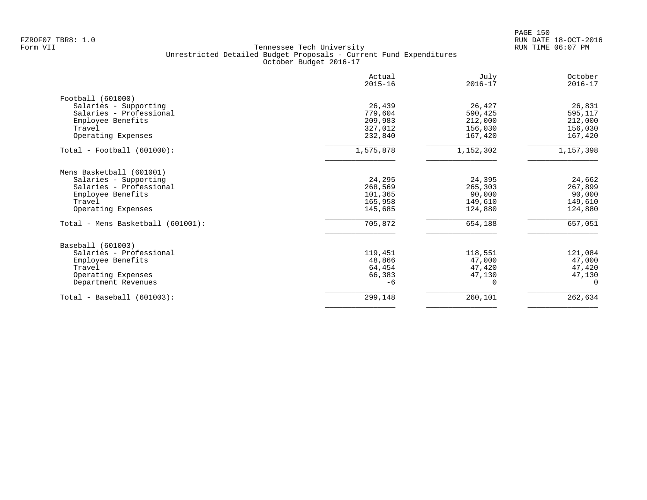|                                   | Actual<br>$2015 - 16$ | July<br>$2016 - 17$ | October<br>$2016 - 17$ |
|-----------------------------------|-----------------------|---------------------|------------------------|
| Football (601000)                 |                       |                     |                        |
| Salaries - Supporting             | 26,439                | 26,427              | 26,831                 |
| Salaries - Professional           | 779,604               | 590,425             | 595,117                |
| Employee Benefits                 | 209,983               | 212,000             | 212,000                |
| Travel                            | 327,012               | 156,030             | 156,030                |
| Operating Expenses                | 232,840               | 167,420             | 167,420                |
| $Total - Football (601000):$      | 1,575,878             | 1,152,302           | 1,157,398              |
| Mens Basketball (601001)          |                       |                     |                        |
| Salaries - Supporting             | 24,295                | 24,395              | 24,662                 |
| Salaries - Professional           | 268,569               | 265,303             | 267,899                |
| Employee Benefits                 | 101,365               | 90,000              | 90,000                 |
| Travel                            | 165,958               | 149,610             | 149,610                |
| Operating Expenses                | 145,685               | 124,880             | 124,880                |
| Total - Mens Basketball (601001): | 705,872               | 654,188             | 657,051                |
| Baseball (601003)                 |                       |                     |                        |
| Salaries - Professional           | 119,451               | 118,551             | 121,084                |
| Employee Benefits                 | 48,866                | 47,000              | 47,000                 |
| Travel                            | 64,454                | 47,420              | 47,420                 |
| Operating Expenses                | 66,383                | 47,130              | 47,130                 |
| Department Revenues               | $-6$                  | $\Omega$            | $\Omega$               |
| $Total - Baseball (601003):$      | 299,148               | 260,101             | 262,634                |
|                                   |                       |                     |                        |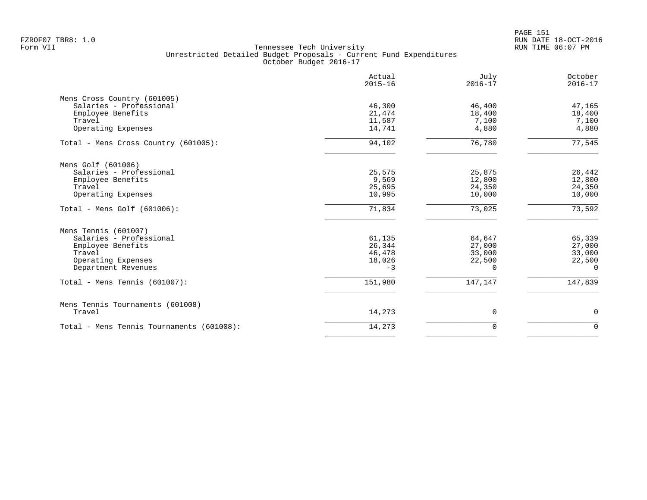|                                           | Actual<br>$2015 - 16$ | July<br>$2016 - 17$ | October<br>$2016 - 17$ |
|-------------------------------------------|-----------------------|---------------------|------------------------|
| Mens Cross Country (601005)               |                       |                     |                        |
| Salaries - Professional                   | 46,300                | 46,400              | 47,165                 |
| Employee Benefits                         | 21,474                | 18,400              | 18,400                 |
| Travel                                    | 11,587                | 7,100               | 7,100                  |
| Operating Expenses                        | 14,741                | 4,880               | 4,880                  |
| Total - Mens Cross Country (601005):      | 94,102                | 76,780              | 77,545                 |
| Mens Golf (601006)                        |                       |                     |                        |
| Salaries - Professional                   | 25,575                | 25,875              | 26,442                 |
| Employee Benefits                         | 9,569                 | 12,800              | 12,800                 |
| Travel                                    | 25,695                | 24,350              | 24,350                 |
| Operating Expenses                        | 10,995                | 10,000              | 10,000                 |
| Total - Mens Golf $(601006)$ :            | 71,834                | 73,025              | 73,592                 |
| Mens Tennis (601007)                      |                       |                     |                        |
| Salaries - Professional                   | 61,135                | 64,647              | 65,339                 |
| Employee Benefits                         | 26,344                | 27,000              | 27,000                 |
| Travel                                    | 46,478                | 33,000              | 33,000                 |
| Operating Expenses                        | 18,026                | 22,500              | 22,500                 |
| Department Revenues                       | $-3$                  | $\Omega$            | $\Omega$               |
| Total - Mens Tennis (601007):             | 151,980               | 147,147             | 147,839                |
| Mens Tennis Tournaments (601008)          |                       |                     |                        |
| Travel                                    | 14,273                | 0                   | 0                      |
| Total - Mens Tennis Tournaments (601008): | 14,273                | $\mathbf 0$         | $\Omega$               |
|                                           |                       |                     |                        |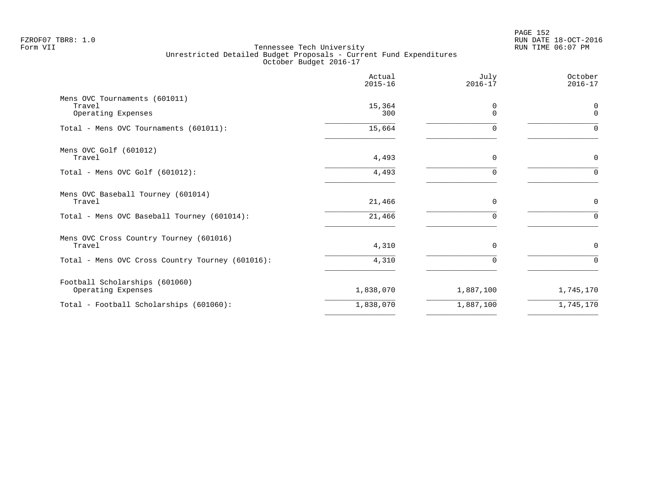|                                                               | Actual<br>$2015 - 16$ | July<br>$2016 - 17$ | October<br>$2016 - 17$ |
|---------------------------------------------------------------|-----------------------|---------------------|------------------------|
| Mens OVC Tournaments (601011)<br>Travel<br>Operating Expenses | 15,364<br>300         | $\Omega$<br>$\cap$  | 0<br>$\mathbf 0$       |
| Total - Mens OVC Tournaments (601011):                        | 15,664                |                     | 0                      |
| Mens OVC Golf (601012)<br>Travel                              | 4,493                 | $\Omega$            | 0                      |
| Total - Mens OVC Golf (601012):                               | 4,493                 |                     | $\Omega$               |
| Mens OVC Baseball Tourney (601014)<br>Travel                  | 21,466                | $\mathbf 0$         | 0                      |
| Total - Mens OVC Baseball Tourney (601014):                   | 21,466                | ∩                   | $\Omega$               |
| Mens OVC Cross Country Tourney (601016)<br>Travel             | 4,310                 | $\Omega$            | 0                      |
| Total - Mens OVC Cross Country Tourney (601016):              | 4,310                 | $\Omega$            | $\Omega$               |
| Football Scholarships (601060)<br>Operating Expenses          | 1,838,070             | 1,887,100           | 1,745,170              |
| Total - Football Scholarships (601060):                       | 1,838,070             | 1,887,100           | 1,745,170              |
|                                                               |                       |                     |                        |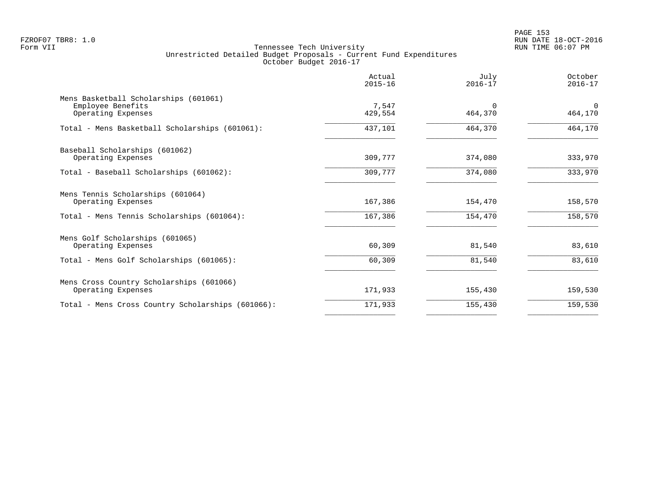PAGE 153 FZROF07 TBR8: 1.0 RUN DATE 18-OCT-2016

|                                                                                  | Actual<br>$2015 - 16$ | July<br>$2016 - 17$ | October<br>$2016 - 17$ |
|----------------------------------------------------------------------------------|-----------------------|---------------------|------------------------|
| Mens Basketball Scholarships (601061)<br>Employee Benefits<br>Operating Expenses | 7,547<br>429,554      | $\Omega$<br>464,370 | $\Omega$<br>464,170    |
| Total - Mens Basketball Scholarships (601061):                                   | 437,101               | 464,370             | 464,170                |
| Baseball Scholarships (601062)<br>Operating Expenses                             | 309,777               | 374,080             | 333,970                |
| Total - Baseball Scholarships (601062):                                          | 309,777               | 374,080             | 333,970                |
| Mens Tennis Scholarships (601064)<br>Operating Expenses                          | 167,386               | 154,470             | 158,570                |
| Total - Mens Tennis Scholarships (601064):                                       | 167,386               | 154,470             | 158,570                |
| Mens Golf Scholarships (601065)<br>Operating Expenses                            | 60,309                | 81,540              | 83,610                 |
| Total - Mens Golf Scholarships (601065):                                         | 60,309                | 81,540              | 83,610                 |
| Mens Cross Country Scholarships (601066)<br>Operating Expenses                   | 171,933               | 155,430             | 159,530                |
| Total - Mens Cross Country Scholarships (601066):                                | 171,933               | 155,430             | 159,530                |
|                                                                                  |                       |                     |                        |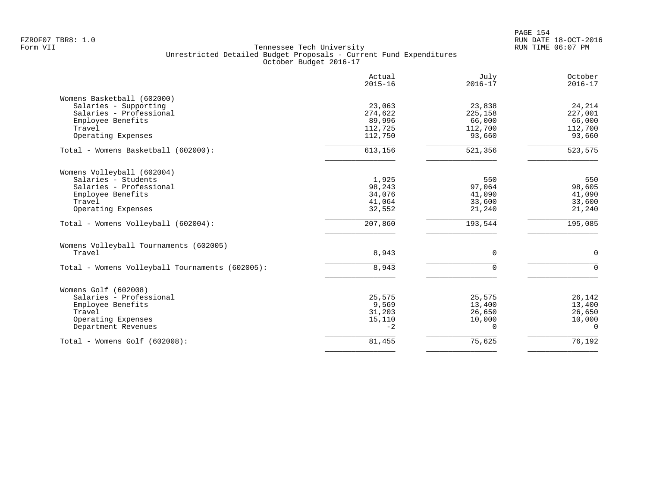|                                                 | Actual<br>$2015 - 16$ | July<br>$2016 - 17$ | October<br>$2016 - 17$ |
|-------------------------------------------------|-----------------------|---------------------|------------------------|
| Womens Basketball (602000)                      |                       |                     |                        |
| Salaries - Supporting                           | 23,063                | 23,838              | 24,214                 |
| Salaries - Professional                         | 274,622               | 225,158             | 227,001                |
| Employee Benefits                               | 89,996                | 66,000              | 66,000                 |
| Travel                                          | 112,725               | 112,700             | 112,700                |
| Operating Expenses                              | 112,750               | 93,660              | 93,660                 |
| Total - Womens Basketball (602000):             | 613,156               | 521,356             | 523,575                |
| Womens Volleyball (602004)                      |                       |                     |                        |
| Salaries - Students                             | 1,925                 | 550                 | 550                    |
| Salaries - Professional                         | 98,243                | 97,064              | 98,605                 |
| Employee Benefits                               | 34,076                | 41,090              | 41,090                 |
| Travel                                          | 41,064                | 33,600              | 33,600                 |
| Operating Expenses                              | 32,552                | 21,240              | 21,240                 |
| Total - Womens Volleyball (602004):             | 207,860               | 193,544             | 195,085                |
| Womens Volleyball Tournaments (602005)          |                       |                     |                        |
| Travel                                          | 8,943                 | 0                   | $\mathbf 0$            |
| Total - Womens Volleyball Tournaments (602005): | 8,943                 | $\Omega$            | $\Omega$               |
| Womens Golf (602008)                            |                       |                     |                        |
| Salaries - Professional                         | 25,575                | 25,575              | 26,142                 |
| Employee Benefits                               | 9,569                 | 13,400              | 13,400                 |
| Travel                                          | 31,203                | 26,650              | 26,650                 |
| Operating Expenses                              | 15,110                | 10,000              | 10,000                 |
| Department Revenues                             | $-2$                  | $\Omega$            | $\Omega$               |
| Total - Womens Golf (602008):                   | 81,455                | 75,625              | 76,192                 |
|                                                 |                       |                     |                        |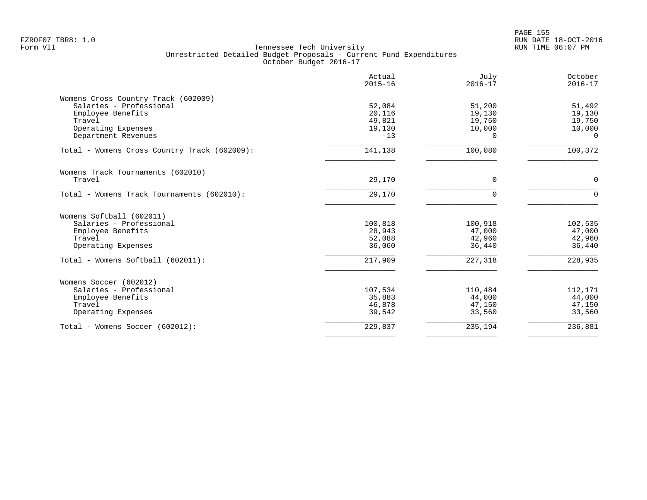|                                              | Actual<br>$2015 - 16$ | July<br>$2016 - 17$ | October<br>$2016 - 17$ |
|----------------------------------------------|-----------------------|---------------------|------------------------|
| Womens Cross Country Track (602009)          |                       |                     |                        |
| Salaries - Professional                      | 52,084                | 51,200              | 51,492                 |
| Employee Benefits                            | 20,116                | 19,130              | 19,130                 |
| Travel                                       | 49,821                | 19,750              | 19,750                 |
| Operating Expenses                           | 19,130                | 10,000              | 10,000                 |
| Department Revenues                          | $-13$                 | $\Omega$            | $\Omega$               |
| Total - Womens Cross Country Track (602009): | 141,138               | 100,080             | 100,372                |
| Womens Track Tournaments (602010)            |                       |                     |                        |
| Travel                                       | 29,170                | $\Omega$            | $\mathbf 0$            |
| Total - Womens Track Tournaments (602010):   | 29,170                | $\Omega$            | $\Omega$               |
| Womens Softball (602011)                     |                       |                     |                        |
| Salaries - Professional                      | 100,818               | 100,918             | 102,535                |
| Employee Benefits                            | 28,943                | 47,000              | 47,000                 |
| Travel                                       | 52,088                | 42,960              | 42,960                 |
| Operating Expenses                           | 36,060                | 36,440              | 36,440                 |
| Total - Womens Softball (602011):            | 217,909               | 227,318             | 228,935                |
| Womens Soccer (602012)                       |                       |                     |                        |
| Salaries - Professional                      | 107,534               | 110,484             | 112,171                |
| Employee Benefits                            | 35,883                | 44,000              | 44,000                 |
| Travel                                       | 46,878                | 47,150              | 47,150                 |
| Operating Expenses                           | 39,542                | 33,560              | 33,560                 |
| Total - Womens Soccer (602012):              | 229,837               | 235,194             | 236,881                |
|                                              |                       |                     |                        |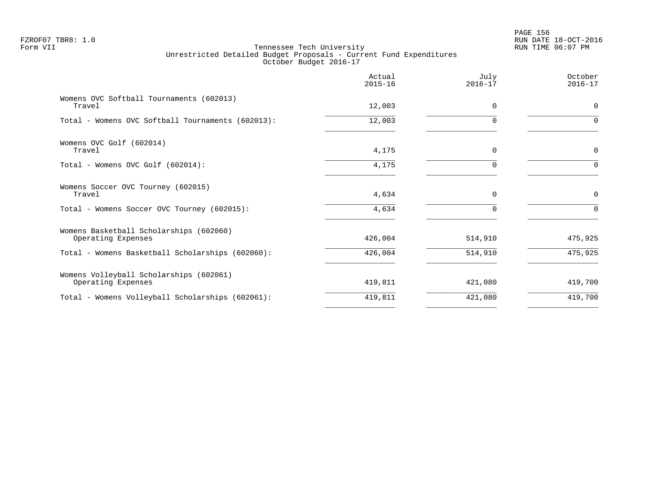|                                                               | Actual<br>$2015 - 16$ | July<br>$2016 - 17$ | October<br>$2016 - 17$ |
|---------------------------------------------------------------|-----------------------|---------------------|------------------------|
| Womens OVC Softball Tournaments (602013)<br>Travel            | 12,003                | $\Omega$            | $\mathbf 0$            |
| Total - Womens OVC Softball Tournaments (602013):             | 12,003                | $\Omega$            | $\Omega$               |
| Womens OVC Golf (602014)<br>Travel                            | 4,175                 | 0                   | $\mathbf 0$            |
| Total - Womens OVC Golf (602014):                             | 4,175                 | $\Omega$            | $\Omega$               |
| Womens Soccer OVC Tourney (602015)<br>Travel                  | 4,634                 | $\Omega$            | $\mathbf 0$            |
| Total - Womens Soccer OVC Tourney (602015):                   | 4,634                 | $\Omega$            | $\Omega$               |
| Womens Basketball Scholarships (602060)<br>Operating Expenses | 426,004               | 514,910             | 475,925                |
| Total - Womens Basketball Scholarships (602060):              | 426,004               | 514,910             | 475,925                |
| Womens Volleyball Scholarships (602061)<br>Operating Expenses | 419,811               | 421,080             | 419,700                |
| Total - Womens Volleyball Scholarships (602061):              | 419,811               | 421,080             | 419,700                |
|                                                               |                       |                     |                        |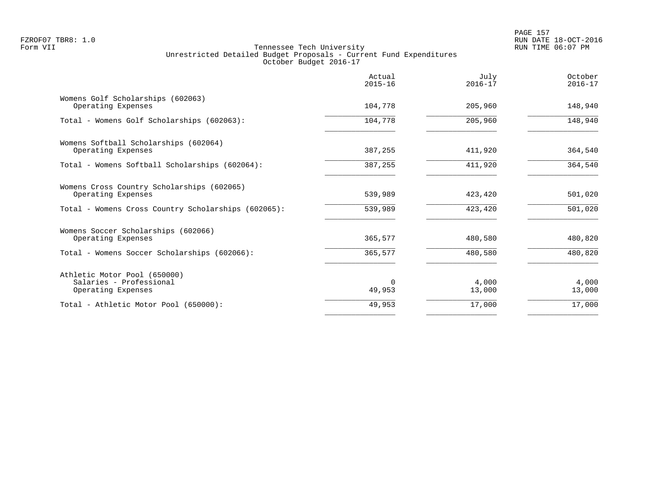|                                                                  | Actual<br>$2015 - 16$ | July<br>$2016 - 17$ | October<br>$2016 - 17$ |
|------------------------------------------------------------------|-----------------------|---------------------|------------------------|
| Womens Golf Scholarships (602063)<br>Operating Expenses          | 104,778               | 205,960             | 148,940                |
| Total - Womens Golf Scholarships (602063):                       | 104,778               | 205,960             | 148,940                |
| Womens Softball Scholarships (602064)<br>Operating Expenses      | 387,255               | 411,920             | 364,540                |
| Total - Womens Softball Scholarships (602064):                   | 387,255               | 411,920             | 364,540                |
| Womens Cross Country Scholarships (602065)<br>Operating Expenses | 539,989               | 423,420             | 501,020                |
| Total - Womens Cross Country Scholarships (602065):              | 539,989               | 423,420             | 501,020                |
| Womens Soccer Scholarships (602066)<br>Operating Expenses        | 365,577               | 480,580             | 480,820                |
| Total - Womens Soccer Scholarships (602066):                     | 365,577               | 480,580             | 480,820                |
| Athletic Motor Pool (650000)<br>Salaries - Professional          | $\Omega$<br>49,953    | 4,000               | 4,000                  |
| Operating Expenses<br>Total - Athletic Motor Pool (650000):      | 49,953                | 13,000<br>17,000    | 13,000<br>17,000       |
|                                                                  |                       |                     |                        |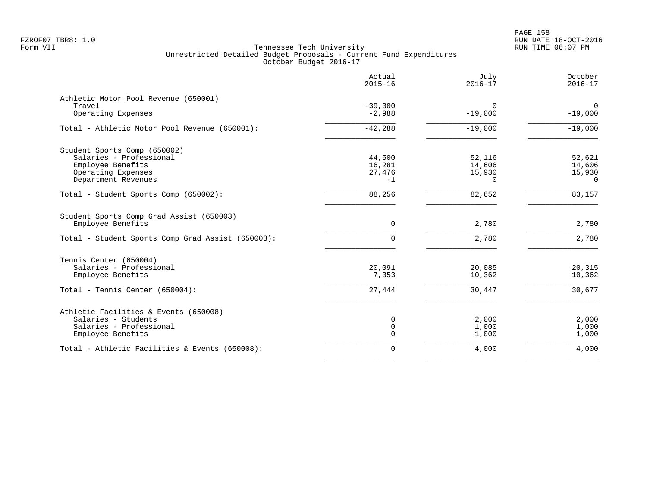PAGE 158 FZROF07 TBR8: 1.0 RUN DATE 18-OCT-2016

|                                                               | Actual<br>$2015 - 16$ | July<br>$2016 - 17$ | October<br>$2016 - 17$ |
|---------------------------------------------------------------|-----------------------|---------------------|------------------------|
| Athletic Motor Pool Revenue (650001)                          |                       |                     |                        |
| Travel                                                        | $-39,300$             | $\Omega$            | $\mathbf 0$            |
| Operating Expenses                                            | $-2,988$              | $-19,000$           | $-19,000$              |
| Total - Athletic Motor Pool Revenue (650001):                 | $-42,288$             | $-19,000$           | $-19,000$              |
| Student Sports Comp (650002)                                  |                       |                     |                        |
| Salaries - Professional                                       | 44,500                | 52,116              | 52,621                 |
| Employee Benefits                                             | 16,281                | 14,606              | 14,606                 |
| Operating Expenses                                            | 27,476                | 15,930              | 15,930                 |
| Department Revenues                                           | $-1$                  | $\Omega$            | $\Omega$               |
| Total - Student Sports Comp (650002):                         | 88,256                | 82,652              | 83,157                 |
| Student Sports Comp Grad Assist (650003)<br>Employee Benefits | 0                     | 2,780               | 2,780                  |
|                                                               |                       |                     |                        |
| Total - Student Sports Comp Grad Assist (650003):             | $\Omega$              | 2,780               | 2,780                  |
| Tennis Center (650004)                                        |                       |                     |                        |
| Salaries - Professional                                       | 20,091                | 20,085              | 20,315                 |
| Employee Benefits                                             | 7,353                 | 10,362              | 10,362                 |
| Total - Tennis Center (650004):                               | 27,444                | 30,447              | 30,677                 |
| Athletic Facilities & Events (650008)                         |                       |                     |                        |
| Salaries - Students                                           | 0                     | 2,000               | 2,000                  |
| Salaries - Professional                                       | 0                     | 1,000               | 1,000                  |
| Employee Benefits                                             | $\Omega$              | 1,000               | 1,000                  |
| Total - Athletic Facilities & Events (650008):                | 0                     | 4,000               | 4,000                  |
|                                                               |                       |                     |                        |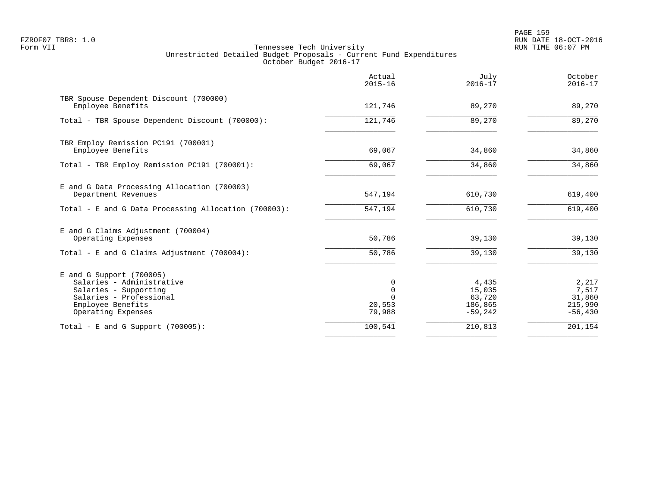PAGE 159 FZROF07 TBR8: 1.0 RUN DATE 18-OCT-2016

|                                                                                                                                                        | Actual<br>$2015 - 16$      | July<br>$2016 - 17$                               | October<br>$2016 - 17$                           |
|--------------------------------------------------------------------------------------------------------------------------------------------------------|----------------------------|---------------------------------------------------|--------------------------------------------------|
| TBR Spouse Dependent Discount (700000)<br>Employee Benefits                                                                                            | 121,746                    | 89,270                                            | 89,270                                           |
| Total - TBR Spouse Dependent Discount (700000):                                                                                                        | 121,746                    | 89,270                                            | 89,270                                           |
| TBR Employ Remission PC191 (700001)<br>Employee Benefits                                                                                               | 69,067                     | 34,860                                            | 34,860                                           |
| Total - TBR Employ Remission PC191 (700001):                                                                                                           | 69,067                     | 34,860                                            | 34,860                                           |
| E and G Data Processing Allocation (700003)<br>Department Revenues                                                                                     | 547,194                    | 610,730                                           | 619,400                                          |
| Total - E and G Data Processing Allocation (700003):                                                                                                   | 547,194                    | 610,730                                           | 619,400                                          |
| E and G Claims Adjustment (700004)<br>Operating Expenses                                                                                               | 50,786                     | 39,130                                            | 39,130                                           |
| Total - E and G Claims Adjustment $(700004)$ :                                                                                                         | 50,786                     | 39,130                                            | 39,130                                           |
| $E$ and G Support (700005)<br>Salaries - Administrative<br>Salaries - Supporting<br>Salaries - Professional<br>Employee Benefits<br>Operating Expenses | 0<br>0<br>20,553<br>79,988 | 4,435<br>15,035<br>63,720<br>186,865<br>$-59,242$ | 2,217<br>7,517<br>31,860<br>215,990<br>$-56,430$ |
| Total - E and G Support $(700005)$ :                                                                                                                   | 100,541                    | 210,813                                           | 201,154                                          |
|                                                                                                                                                        |                            |                                                   |                                                  |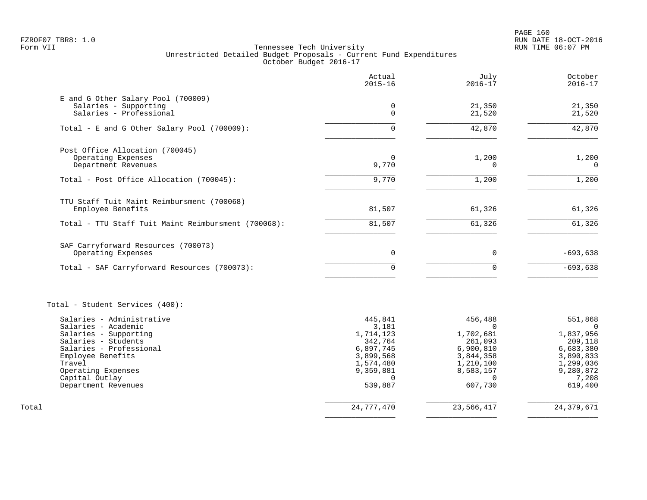PAGE 160 FZROF07 TBR8: 1.0 RUN DATE 18-OCT-2016

|                                                     | Actual<br>$2015 - 16$ | July<br>$2016 - 17$   | October<br>$2016 - 17$ |
|-----------------------------------------------------|-----------------------|-----------------------|------------------------|
| E and G Other Salary Pool (700009)                  |                       |                       |                        |
| Salaries - Supporting                               | $\mathbf 0$           | 21,350                | 21,350                 |
| Salaries - Professional                             | $\mathbf 0$           | 21,520                | 21,520                 |
| Total - E and G Other Salary Pool (700009):         | $\Omega$              | 42,870                | 42,870                 |
| Post Office Allocation (700045)                     |                       |                       |                        |
| Operating Expenses                                  | $\Omega$              | 1,200                 | 1,200                  |
| Department Revenues                                 | 9,770                 | $\mathbf 0$           | $\Omega$               |
| Total - Post Office Allocation (700045):            | 9,770                 | 1,200                 | 1,200                  |
| TTU Staff Tuit Maint Reimbursment (700068)          |                       |                       |                        |
| Employee Benefits                                   | 81,507                | 61,326                | 61,326                 |
| Total - TTU Staff Tuit Maint Reimbursment (700068): | 81,507                | 61,326                | 61,326                 |
| SAF Carryforward Resources (700073)                 |                       |                       |                        |
| Operating Expenses                                  | 0                     | $\mathbf 0$           | $-693,638$             |
| Total - SAF Carryforward Resources (700073):        | $\Omega$              | $\Omega$              | $-693,638$             |
| Total - Student Services (400):                     |                       |                       |                        |
| Salaries - Administrative                           | 445,841               | 456,488               | 551,868                |
| Salaries - Academic                                 | 3,181                 | $\Omega$<br>1,702,681 | $\Omega$               |
| Salaries - Supporting<br>Salaries - Students        | 1,714,123<br>342,764  | 261,093               | 1,837,956<br>209,118   |
| Salaries - Professional                             | 6,897,745             | 6,900,810             | 6,683,380              |
| Employee Benefits                                   | 3,899,568             | 3,844,358             | 3,890,833              |
| Travel                                              | 1,574,480             | 1,210,100             | 1,299,036              |
| Operating Expenses                                  | 9,359,881             | 8,583,157             | 9,280,872              |
| Capital Outlay<br>Department Revenues               | $\Omega$<br>539,887   | $\Omega$<br>607,730   | 7,208<br>619,400       |
| Total                                               | 24,777,470            | 23,566,417            | 24, 379, 671           |
|                                                     |                       |                       |                        |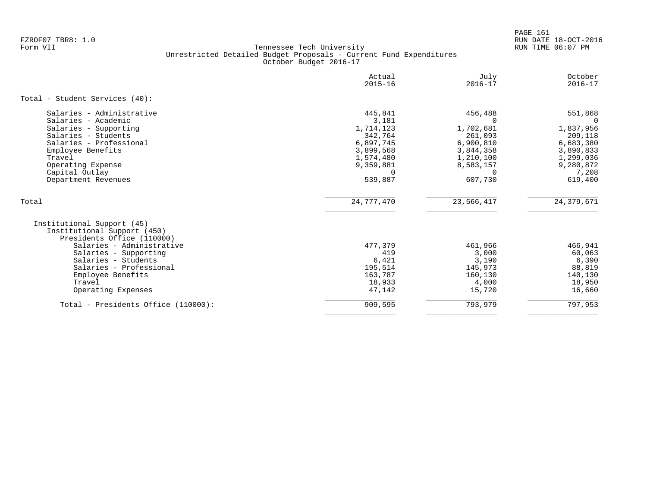PAGE 161 FZROF07 TBR8: 1.0 RUN DATE 18-OCT-2016

|                                                                                                                                                                                                                                                      | Actual<br>$2015 - 16$                                                                                               | July<br>$2016 - 17$                                                                                                        | October<br>$2016 - 17$                                                                                  |
|------------------------------------------------------------------------------------------------------------------------------------------------------------------------------------------------------------------------------------------------------|---------------------------------------------------------------------------------------------------------------------|----------------------------------------------------------------------------------------------------------------------------|---------------------------------------------------------------------------------------------------------|
| Total - Student Services (40):                                                                                                                                                                                                                       |                                                                                                                     |                                                                                                                            |                                                                                                         |
| Salaries - Administrative<br>Salaries - Academic<br>Salaries - Supporting<br>Salaries - Students<br>Salaries - Professional<br>Employee Benefits<br>Travel<br>Operating Expense<br>Capital Outlay<br>Department Revenues                             | 445,841<br>3,181<br>1,714,123<br>342,764<br>6,897,745<br>3,899,568<br>1,574,480<br>9,359,881<br>$\Omega$<br>539,887 | 456,488<br><sup>n</sup><br>1,702,681<br>261,093<br>6,900,810<br>3,844,358<br>1,210,100<br>8,583,157<br>$\Omega$<br>607,730 | 551,868<br>1,837,956<br>209,118<br>6,683,380<br>3,890,833<br>1,299,036<br>9,280,872<br>7,208<br>619,400 |
| Total                                                                                                                                                                                                                                                | 24,777,470                                                                                                          | 23,566,417                                                                                                                 | 24, 379, 671                                                                                            |
| Institutional Support (45)<br>Institutional Support (450)<br>Presidents Office (110000)<br>Salaries - Administrative<br>Salaries - Supporting<br>Salaries - Students<br>Salaries - Professional<br>Employee Benefits<br>Travel<br>Operating Expenses | 477,379<br>419<br>6,421<br>195,514<br>163,787<br>18,933<br>47,142                                                   | 461,966<br>3,000<br>3,190<br>145,973<br>160,130<br>4,000<br>15,720                                                         | 466,941<br>60,063<br>6,390<br>88,819<br>140,130<br>18,950<br>16,660                                     |
| Total - Presidents Office (110000):                                                                                                                                                                                                                  | 909,595                                                                                                             | 793,979                                                                                                                    | 797,953                                                                                                 |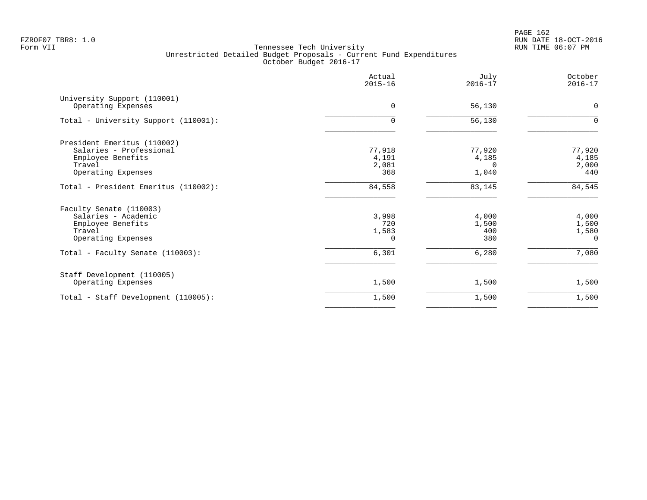PAGE 162 FZROF07 TBR8: 1.0 RUN DATE 18-OCT-2016

|                                                                                                             | Actual<br>$2015 - 16$             | July<br>$2016 - 17$                  | October<br>$2016 - 17$              |
|-------------------------------------------------------------------------------------------------------------|-----------------------------------|--------------------------------------|-------------------------------------|
| University Support (110001)<br>Operating Expenses                                                           | $\Omega$                          | 56,130                               | $\mathbf 0$                         |
| Total - University Support (110001):                                                                        | 0                                 | 56,130                               | $\Omega$                            |
| President Emeritus (110002)<br>Salaries - Professional<br>Employee Benefits<br>Travel<br>Operating Expenses | 77,918<br>4,191<br>2,081<br>368   | 77,920<br>4,185<br>$\Omega$<br>1,040 | 77,920<br>4,185<br>2,000<br>440     |
| Total - President Emeritus (110002):                                                                        | 84,558                            | 83,145                               | 84,545                              |
| Faculty Senate (110003)<br>Salaries - Academic<br>Employee Benefits<br>Travel<br>Operating Expenses         | 3,998<br>720<br>1,583<br>$\Omega$ | 4,000<br>1,500<br>400<br>380         | 4,000<br>1,500<br>1,580<br>$\Omega$ |
| Total - Faculty Senate (110003):                                                                            | 6,301                             | 6,280                                | 7,080                               |
| Staff Development (110005)<br>Operating Expenses                                                            | 1,500                             | 1,500                                | 1,500                               |
| Total - Staff Development (110005):                                                                         | 1,500                             | 1,500                                | 1,500                               |
|                                                                                                             |                                   |                                      |                                     |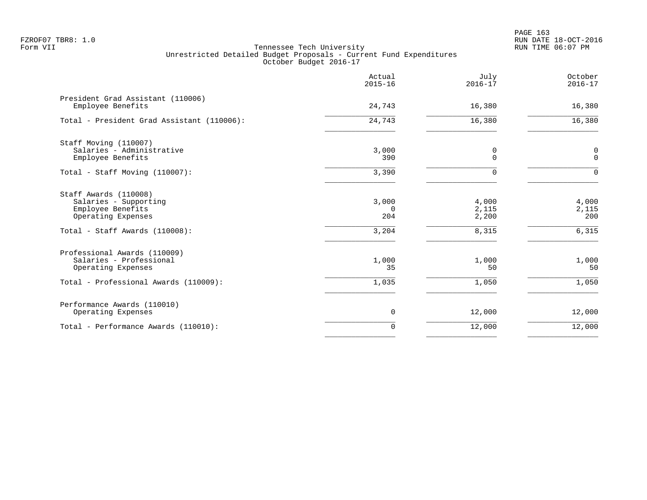|                                                                                                                             | Actual<br>$2015 - 16$             | July<br>$2016 - 17$              | October<br>$2016 - 17$         |
|-----------------------------------------------------------------------------------------------------------------------------|-----------------------------------|----------------------------------|--------------------------------|
| President Grad Assistant (110006)<br>Employee Benefits                                                                      | 24,743                            | 16,380                           | 16,380                         |
| Total - President Grad Assistant (110006):                                                                                  | 24,743                            | 16,380                           | 16,380                         |
| Staff Moving (110007)<br>Salaries - Administrative<br>Employee Benefits                                                     | 3,000<br>390                      | 0<br>$\Omega$                    | 0<br>$\mathbf 0$               |
| Total - Staff Moving (110007):                                                                                              | 3,390                             | $\Omega$                         | $\Omega$                       |
| Staff Awards (110008)<br>Salaries - Supporting<br>Employee Benefits<br>Operating Expenses<br>Total - Staff Awards (110008): | 3,000<br>$\Omega$<br>204<br>3,204 | 4,000<br>2,115<br>2,200<br>8,315 | 4,000<br>2,115<br>200<br>6,315 |
| Professional Awards (110009)<br>Salaries - Professional<br>Operating Expenses                                               | 1,000<br>35                       | 1,000<br>50                      | 1,000<br>50                    |
| Total - Professional Awards (110009):                                                                                       | 1,035                             | 1,050                            | 1,050                          |
| Performance Awards (110010)<br>Operating Expenses                                                                           | $\mathbf 0$                       | 12,000                           | 12,000                         |
| Total - Performance Awards (110010):                                                                                        | $\Omega$                          | 12,000                           | 12,000                         |
|                                                                                                                             |                                   |                                  |                                |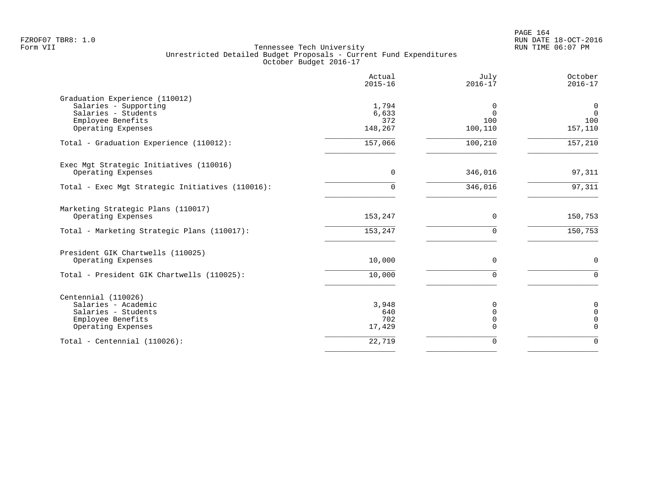|                                                                                                                           | Actual<br>$2015 - 16$            | July<br>$2016 - 17$             | October<br>$2016 - 17$                       |
|---------------------------------------------------------------------------------------------------------------------------|----------------------------------|---------------------------------|----------------------------------------------|
| Graduation Experience (110012)<br>Salaries - Supporting<br>Salaries - Students<br>Employee Benefits<br>Operating Expenses | 1,794<br>6,633<br>372<br>148,267 | 0<br>$\Omega$<br>100<br>100,110 | $\overline{0}$<br>$\Omega$<br>100<br>157,110 |
| Total - Graduation Experience (110012):                                                                                   | 157,066                          | 100,210                         | 157,210                                      |
| Exec Mgt Strategic Initiatives (110016)<br>Operating Expenses                                                             | $\Omega$                         | 346,016                         | 97,311                                       |
| Total - Exec Mgt Strategic Initiatives (110016):                                                                          | $\Omega$                         | 346,016                         | 97,311                                       |
| Marketing Strategic Plans (110017)<br>Operating Expenses                                                                  | 153,247                          | $\Omega$                        | 150,753                                      |
| Total - Marketing Strategic Plans (110017):                                                                               | 153, 247                         | $\Omega$                        | 150, 753                                     |
| President GIK Chartwells (110025)<br>Operating Expenses                                                                   | 10,000                           | $\Omega$                        | $\mathbf 0$                                  |
| Total - President GIK Chartwells (110025):                                                                                | 10,000                           | $\Omega$                        | $\Omega$                                     |
| Centennial (110026)<br>Salaries - Academic<br>Salaries - Students<br>Employee Benefits<br>Operating Expenses              | 3,948<br>640<br>702<br>17,429    | O<br>U<br>0<br>U                | 0<br>$\mathbf 0$<br>$\mathbf 0$<br>$\Omega$  |
| Total - Centennial $(110026)$ :                                                                                           | 22,719                           | 0                               | $\Omega$                                     |
|                                                                                                                           |                                  |                                 |                                              |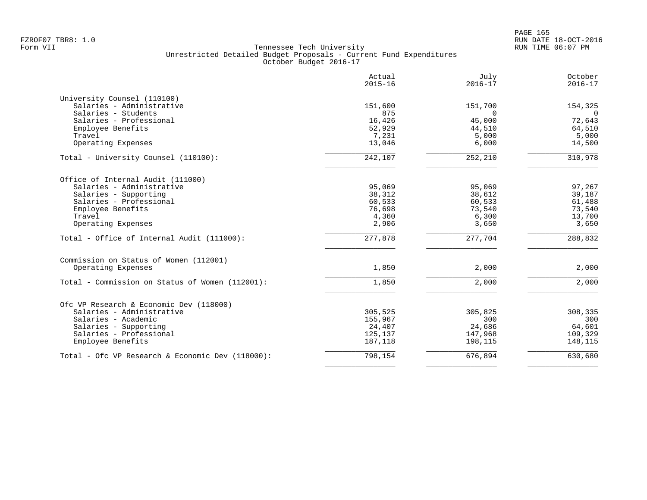| Actual<br>$2015 - 16$ | July<br>$2016 - 17$                                                                                                                                        | October<br>$2016 - 17$                                                                                                                                    |
|-----------------------|------------------------------------------------------------------------------------------------------------------------------------------------------------|-----------------------------------------------------------------------------------------------------------------------------------------------------------|
|                       |                                                                                                                                                            |                                                                                                                                                           |
| 151,600               | 151,700                                                                                                                                                    | 154,325                                                                                                                                                   |
|                       | $\Omega$                                                                                                                                                   | $\Omega$                                                                                                                                                  |
|                       |                                                                                                                                                            | 72,643                                                                                                                                                    |
|                       |                                                                                                                                                            | 64,510                                                                                                                                                    |
|                       |                                                                                                                                                            | 5,000                                                                                                                                                     |
|                       |                                                                                                                                                            | 14,500                                                                                                                                                    |
| 242,107               | 252,210                                                                                                                                                    | 310,978                                                                                                                                                   |
|                       |                                                                                                                                                            |                                                                                                                                                           |
|                       |                                                                                                                                                            | 97,267                                                                                                                                                    |
|                       |                                                                                                                                                            | 39,187                                                                                                                                                    |
|                       |                                                                                                                                                            | 61,488                                                                                                                                                    |
|                       |                                                                                                                                                            | 73,540                                                                                                                                                    |
|                       |                                                                                                                                                            | 13,700                                                                                                                                                    |
| 2,906                 | 3,650                                                                                                                                                      | 3,650                                                                                                                                                     |
| 277,878               | 277,704                                                                                                                                                    | 288,832                                                                                                                                                   |
|                       |                                                                                                                                                            |                                                                                                                                                           |
| 1,850                 | 2,000                                                                                                                                                      | 2,000                                                                                                                                                     |
|                       |                                                                                                                                                            | 2,000                                                                                                                                                     |
|                       |                                                                                                                                                            |                                                                                                                                                           |
|                       |                                                                                                                                                            |                                                                                                                                                           |
|                       |                                                                                                                                                            | 308,335                                                                                                                                                   |
|                       |                                                                                                                                                            | 300                                                                                                                                                       |
|                       |                                                                                                                                                            | 64,601                                                                                                                                                    |
|                       |                                                                                                                                                            | 109,329                                                                                                                                                   |
|                       |                                                                                                                                                            | 148,115                                                                                                                                                   |
| 798,154               |                                                                                                                                                            | 630,680                                                                                                                                                   |
|                       | 875<br>16,426<br>52,929<br>7,231<br>13,046<br>95,069<br>38,312<br>60,533<br>76,698<br>4,360<br>1,850<br>305,525<br>155,967<br>24,407<br>125,137<br>187,118 | 45,000<br>44,510<br>5,000<br>6,000<br>95,069<br>38,612<br>60,533<br>73,540<br>6,300<br>2,000<br>305,825<br>300<br>24,686<br>147,968<br>198,115<br>676,894 |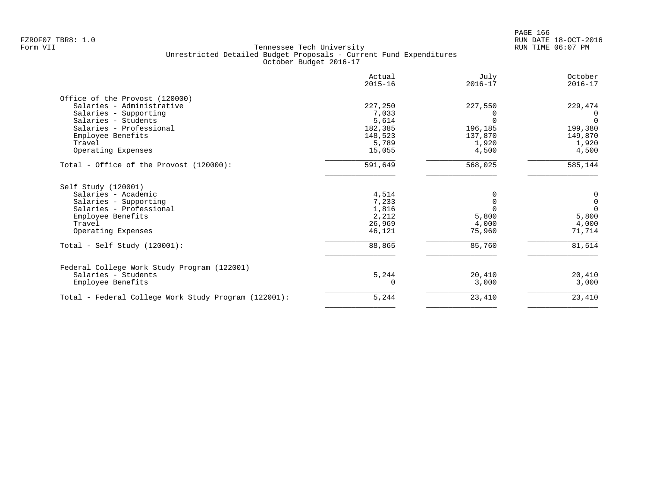|                                                      | Actual<br>$2015 - 16$ | July<br>$2016 - 17$ | October<br>$2016 - 17$ |
|------------------------------------------------------|-----------------------|---------------------|------------------------|
| Office of the Provost (120000)                       |                       |                     |                        |
| Salaries - Administrative                            | 227,250               | 227,550             | 229,474                |
| Salaries - Supporting                                | 7,033                 |                     | $\Omega$               |
| Salaries - Students                                  | 5,614                 |                     | $\Omega$               |
| Salaries - Professional                              | 182,385               | 196,185             | 199,380                |
| Employee Benefits                                    | 148,523               | 137,870             | 149,870                |
| Travel                                               | 5,789                 | 1,920               | 1,920                  |
| Operating Expenses                                   | 15,055                | 4,500               | 4,500                  |
| Total - Office of the Provost (120000):              | 591,649               | 568,025             | 585,144                |
| Self Study (120001)                                  |                       |                     |                        |
| Salaries - Academic                                  | 4,514                 |                     | 0                      |
| Salaries - Supporting                                | 7,233                 |                     | $\mathsf{O}\xspace$    |
| Salaries - Professional                              | 1,816                 |                     | $\Omega$               |
| Employee Benefits                                    | 2,212                 | 5,800               | 5,800                  |
| Travel                                               | 26,969                | 4,000               | 4,000                  |
| Operating Expenses                                   | 46,121                | 75,960              | 71,714                 |
| Total - Self Study $(120001)$ :                      | 88,865                | 85,760              | 81,514                 |
| Federal College Work Study Program (122001)          |                       |                     |                        |
| Salaries - Students                                  | 5,244                 | 20,410              | 20,410                 |
| Employee Benefits                                    |                       | 3,000               | 3,000                  |
| Total - Federal College Work Study Program (122001): | 5,244                 | 23,410              | 23,410                 |
|                                                      |                       |                     |                        |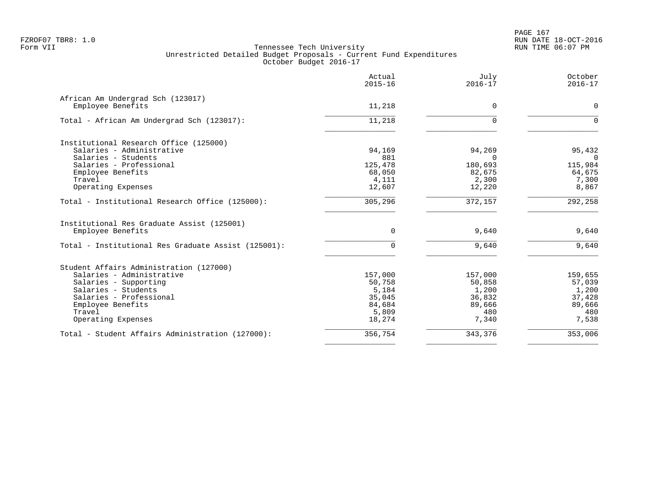|                                                     | Actual<br>$2015 - 16$ | July<br>$2016 - 17$ | October<br>$2016 - 17$ |
|-----------------------------------------------------|-----------------------|---------------------|------------------------|
| African Am Undergrad Sch (123017)                   |                       |                     |                        |
| Employee Benefits                                   | 11,218                | $\mathbf 0$         | 0                      |
| Total - African Am Undergrad Sch (123017):          | 11,218                | $\Omega$            | $\Omega$               |
| Institutional Research Office (125000)              |                       |                     |                        |
| Salaries - Administrative                           | 94,169                | 94,269              | 95,432                 |
| Salaries - Students                                 | 881                   | $\Omega$            | $\mathbf 0$            |
| Salaries - Professional                             | 125,478               | 180,693             | 115,984                |
| Employee Benefits                                   | 68,050                | 82,675              | 64,675                 |
| Travel                                              | 4,111                 | 2,300               | 7,300                  |
| Operating Expenses                                  | 12,607                | 12,220              | 8,867                  |
| Total - Institutional Research Office (125000):     | 305, 296              | 372,157             | 292, 258               |
| Institutional Res Graduate Assist (125001)          |                       |                     |                        |
| Employee Benefits                                   | $\mathbf 0$           | 9,640               | 9,640                  |
| Total - Institutional Res Graduate Assist (125001): | $\mathbf 0$           | 9,640               | 9,640                  |
| Student Affairs Administration (127000)             |                       |                     |                        |
| Salaries - Administrative                           | 157,000               | 157,000             | 159,655                |
| Salaries - Supporting                               | 50,758                | 50,858              | 57,039                 |
| Salaries - Students                                 | 5,184                 | 1,200               | 1,200                  |
| Salaries - Professional                             | 35,045                | 36,832              | 37,428                 |
| Employee Benefits                                   | 84,684                | 89,666              | 89,666                 |
| Travel                                              | 5,809                 | 480                 | 480                    |
| Operating Expenses                                  | 18,274                | 7,340               | 7,538                  |
| Total - Student Affairs Administration (127000):    | 356,754               | 343,376             | 353,006                |
|                                                     |                       |                     |                        |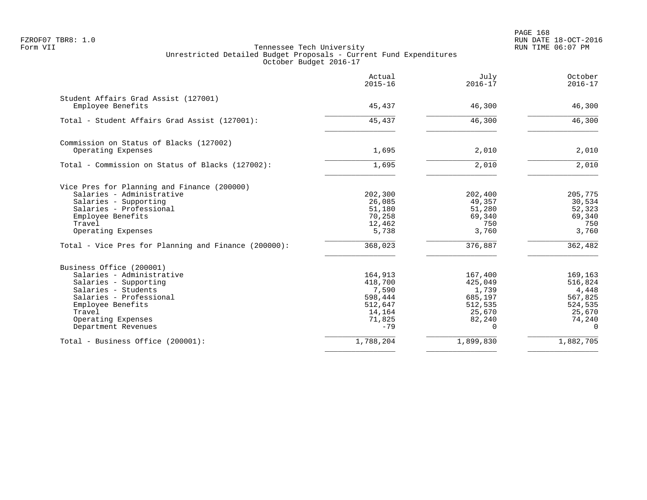PAGE 168 FZROF07 TBR8: 1.0 RUN DATE 18-OCT-2016

|                                                      | Actual<br>$2015 - 16$ | July<br>$2016 - 17$ | October<br>$2016 - 17$ |
|------------------------------------------------------|-----------------------|---------------------|------------------------|
| Student Affairs Grad Assist (127001)                 |                       |                     |                        |
| Employee Benefits                                    | 45,437                | 46,300              | 46,300                 |
| Total - Student Affairs Grad Assist (127001):        | 45,437                | 46,300              | 46,300                 |
| Commission on Status of Blacks (127002)              |                       |                     |                        |
| Operating Expenses                                   | 1,695                 | 2,010               | 2,010                  |
| Total - Commission on Status of Blacks (127002):     | 1,695                 | 2,010               | 2,010                  |
| Vice Pres for Planning and Finance (200000)          |                       |                     |                        |
| Salaries - Administrative                            | 202,300               | 202,400             | 205,775                |
| Salaries - Supporting                                | 26,085                | 49,357              | 30,534                 |
| Salaries - Professional                              | 51,180                | 51,280              | 52,323                 |
| Employee Benefits                                    | 70,258                | 69,340              | 69,340                 |
| Travel<br>Operating Expenses                         | 12,462<br>5,738       | 750<br>3,760        | 750<br>3,760           |
| Total - Vice Pres for Planning and Finance (200000): | 368,023               | 376,887             | 362,482                |
| Business Office (200001)                             |                       |                     |                        |
| Salaries - Administrative                            | 164,913               | 167,400             | 169,163                |
| Salaries - Supporting                                | 418,700               | 425,049             | 516,824                |
| Salaries - Students                                  | 7,590                 | 1,739               | 4,448                  |
| Salaries - Professional                              | 598,444               | 685,197             | 567,825                |
| Employee Benefits                                    | 512,647               | 512,535             | 524,535                |
| Travel                                               | 14,164                | 25,670              | 25,670                 |
| Operating Expenses                                   | 71,825                | 82,240              | 74,240                 |
| Department Revenues                                  | $-79$                 | $\Omega$            | $\Omega$               |
| Total - Business Office (200001):                    | 1,788,204             | 1,899,830           | 1,882,705              |
|                                                      |                       |                     |                        |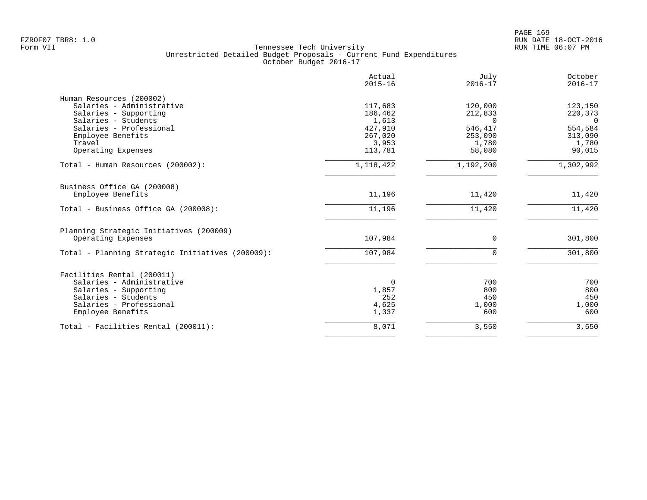|                                                  | Actual<br>$2015 - 16$ | July<br>$2016 - 17$ | October<br>$2016 - 17$ |
|--------------------------------------------------|-----------------------|---------------------|------------------------|
| Human Resources (200002)                         |                       |                     |                        |
| Salaries - Administrative                        | 117,683               | 120,000             | 123,150                |
| Salaries - Supporting                            | 186,462               | 212,833             | 220,373                |
| Salaries - Students                              | 1,613                 | $\Omega$            | $\overline{0}$         |
| Salaries - Professional                          | 427,910               | 546,417             | 554,584                |
| Employee Benefits<br>Travel                      | 267,020               | 253,090             | 313,090                |
| Operating Expenses                               | 3,953<br>113,781      | 1,780<br>58,080     | 1,780<br>90,015        |
|                                                  |                       |                     |                        |
| Total - Human Resources (200002):                | 1,118,422             | 1,192,200           | 1,302,992              |
| Business Office GA (200008)                      |                       |                     |                        |
| Employee Benefits                                | 11,196                | 11,420              | 11,420                 |
| Total - Business Office GA (200008):             | 11,196                | 11,420              | 11,420                 |
| Planning Strategic Initiatives (200009)          |                       |                     |                        |
| Operating Expenses                               | 107,984               | 0                   | 301,800                |
| Total - Planning Strategic Initiatives (200009): | 107,984               | $\Omega$            | 301,800                |
| Facilities Rental (200011)                       |                       |                     |                        |
| Salaries - Administrative                        | 0                     | 700                 | 700                    |
| Salaries - Supporting                            | 1,857                 | 800                 | 800                    |
| Salaries - Students                              | 252                   | 450                 | 450                    |
| Salaries - Professional                          | 4,625                 | 1,000               | 1,000                  |
| Employee Benefits                                | 1,337                 | 600                 | 600                    |
| Total - Facilities Rental (200011):              | 8,071                 | 3,550               | 3,550                  |
|                                                  |                       |                     |                        |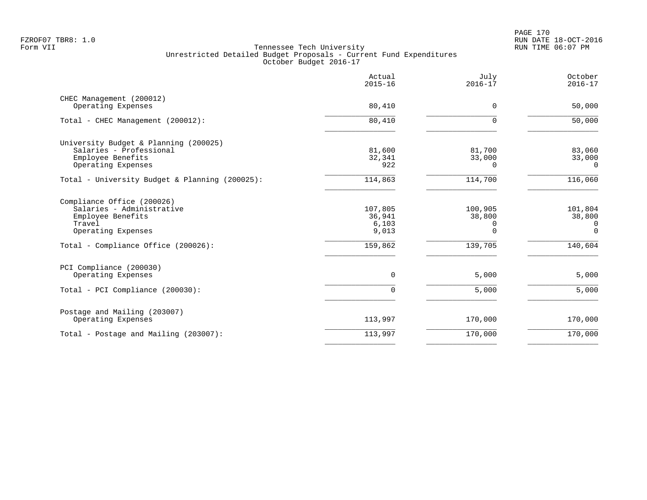|                                                                                                              | Actual<br>$2015 - 16$               | July<br>$2016 - 17$                | October<br>$2016 - 17$                |
|--------------------------------------------------------------------------------------------------------------|-------------------------------------|------------------------------------|---------------------------------------|
| CHEC Management (200012)<br>Operating Expenses                                                               | 80,410                              | 0                                  | 50,000                                |
| Total - CHEC Management (200012):                                                                            | 80,410                              | $\Omega$                           | 50,000                                |
| University Budget & Planning (200025)<br>Salaries - Professional<br>Employee Benefits<br>Operating Expenses  | 81,600<br>32,341<br>922             | 81,700<br>33,000<br>$\Omega$       | 83,060<br>33,000<br>$\Omega$          |
| Total - University Budget & Planning (200025):                                                               | 114,863                             | 114,700                            | 116,060                               |
| Compliance Office (200026)<br>Salaries - Administrative<br>Employee Benefits<br>Travel<br>Operating Expenses | 107,805<br>36,941<br>6,103<br>9,013 | 100,905<br>38,800<br>0<br>$\Omega$ | 101,804<br>38,800<br>0<br>$\mathbf 0$ |
| Total - Compliance Office (200026):                                                                          | 159,862                             | 139,705                            | 140,604                               |
| PCI Compliance (200030)<br>Operating Expenses<br>Total - PCI Compliance (200030):                            | $\mathbf 0$<br>$\Omega$             | 5,000<br>5,000                     | 5,000<br>5,000                        |
| Postage and Mailing (203007)<br>Operating Expenses                                                           | 113,997                             | 170,000                            | 170,000                               |
| Total - Postage and Mailing (203007):                                                                        | 113,997                             | 170,000                            | 170,000                               |
|                                                                                                              |                                     |                                    |                                       |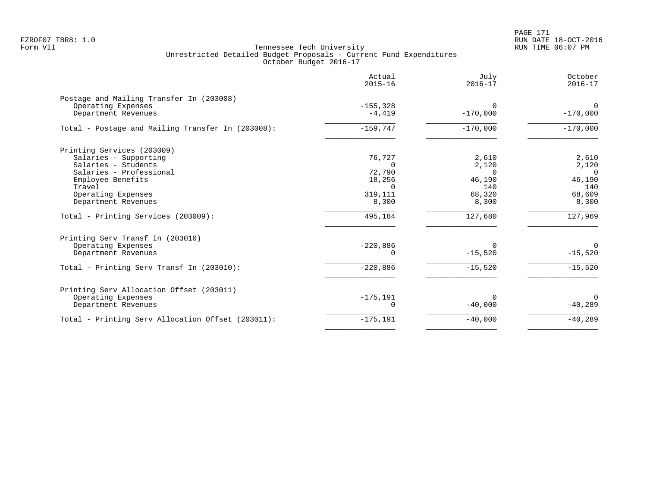|                                                   | Actual<br>$2015 - 16$ | July<br>$2016 - 17$ | October<br>$2016 - 17$ |
|---------------------------------------------------|-----------------------|---------------------|------------------------|
| Postage and Mailing Transfer In (203008)          |                       |                     |                        |
| Operating Expenses                                | $-155, 328$           | $\Omega$            | $\Omega$               |
| Department Revenues                               | $-4,419$              | $-170,000$          | $-170,000$             |
| Total - Postage and Mailing Transfer In (203008): | $-159,747$            | $-170,000$          | $-170,000$             |
| Printing Services (203009)                        |                       |                     |                        |
| Salaries - Supporting                             | 76,727                | 2,610               | 2,610                  |
| Salaries - Students                               |                       | 2,120               | 2,120                  |
| Salaries - Professional                           | 72,790                | $\Omega$            | $\Omega$               |
| Employee Benefits                                 | 18,256                | 46,190              | 46,190                 |
| Travel                                            | $\Omega$              | 140                 | 140                    |
| Operating Expenses                                | 319,111               | 68,320              | 68,609                 |
| Department Revenues                               | 8,300                 | 8,300               | 8,300                  |
| Total - Printing Services (203009):               | 495,184               | 127,680             | 127,969                |
| Printing Serv Transf In (203010)                  |                       |                     |                        |
| Operating Expenses                                | $-220,886$            | $\Omega$            | $\Omega$               |
| Department Revenues                               | 0                     | $-15,520$           | $-15,520$              |
| Total - Printing Serv Transf In (203010):         | $-220,886$            | $-15,520$           | $-15,520$              |
| Printing Serv Allocation Offset (203011)          |                       |                     |                        |
| Operating Expenses                                | $-175, 191$           | $\Omega$            | $\Omega$               |
| Department Revenues                               | 0                     | $-40,000$           | $-40,289$              |
| Total - Printing Serv Allocation Offset (203011): | $-175, 191$           | $-40,000$           | $-40,289$              |
|                                                   |                       |                     |                        |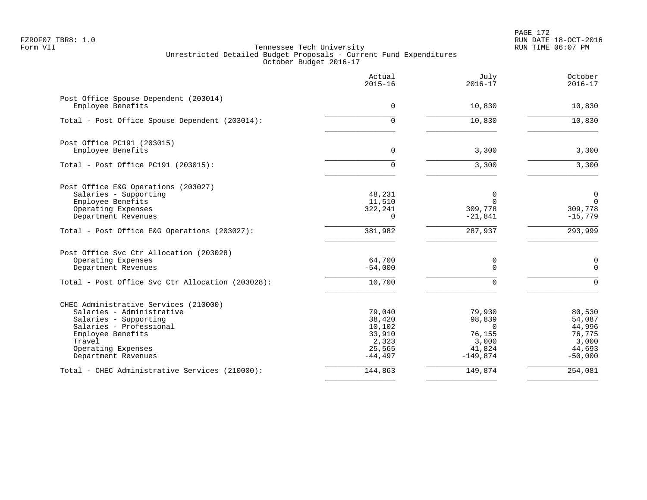PAGE 172 FZROF07 TBR8: 1.0 RUN DATE 18-OCT-2016

|                                                              | Actual<br>$2015 - 16$ | July<br>$2016 - 17$  | October<br>$2016 - 17$ |
|--------------------------------------------------------------|-----------------------|----------------------|------------------------|
| Post Office Spouse Dependent (203014)<br>Employee Benefits   | $\Omega$              | 10,830               | 10,830                 |
| Total - Post Office Spouse Dependent (203014):               | 0                     | 10,830               | 10,830                 |
| Post Office PC191 (203015)                                   |                       |                      |                        |
| Employee Benefits                                            | $\mathbf 0$           | 3,300                | 3,300                  |
| Total - Post Office PC191 (203015):                          | $\Omega$              | 3,300                | 3,300                  |
| Post Office E&G Operations (203027)<br>Salaries - Supporting | 48,231                | 0                    | 0                      |
| Employee Benefits                                            | 11,510                | $\Omega$             | $\Omega$               |
| Operating Expenses<br>Department Revenues                    | 322,241<br>$\Omega$   | 309,778<br>$-21,841$ | 309,778<br>$-15,779$   |
|                                                              |                       |                      |                        |
| Total - Post Office E&G Operations (203027):                 | 381,982               | 287,937              | 293,999                |
| Post Office Svc Ctr Allocation (203028)                      |                       |                      |                        |
| Operating Expenses<br>Department Revenues                    | 64,700<br>$-54,000$   | 0<br>$\Omega$        | 0<br>$\Omega$          |
| Total - Post Office Svc Ctr Allocation (203028):             | 10,700                | $\Omega$             | $\Omega$               |
| CHEC Administrative Services (210000)                        |                       |                      |                        |
| Salaries - Administrative                                    | 79,040                | 79,930               | 80,530                 |
| Salaries - Supporting                                        | 38,420                | 98,839               | 54,087                 |
| Salaries - Professional                                      | 10,102                | $\Omega$             | 44,996                 |
| Employee Benefits                                            | 33,910                | 76,155               | 76,775                 |
| Travel<br>Operating Expenses                                 | 2,323<br>25,565       | 3,000<br>41,824      | 3,000<br>44,693        |
| Department Revenues                                          | $-44, 497$            | $-149,874$           | $-50,000$              |
| Total - CHEC Administrative Services (210000):               | 144,863               | 149,874              | 254,081                |
|                                                              |                       |                      |                        |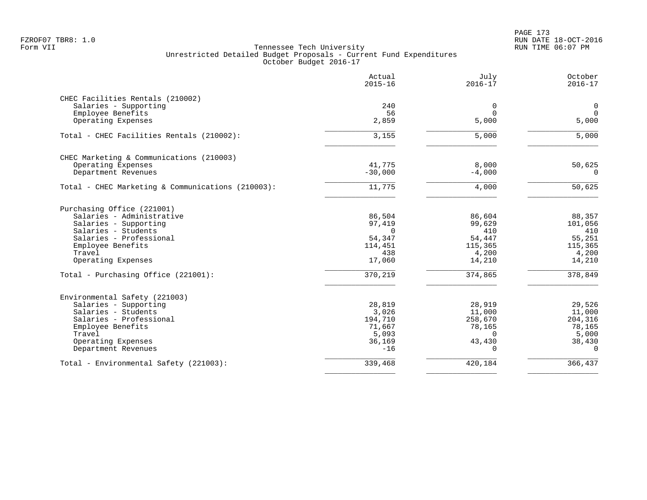|                                                   | Actual<br>$2015 - 16$ | July<br>$2016 - 17$ | October<br>$2016 - 17$ |
|---------------------------------------------------|-----------------------|---------------------|------------------------|
| CHEC Facilities Rentals (210002)                  |                       |                     |                        |
| Salaries - Supporting                             | 240                   | $\mathbf 0$         | $\mathbf 0$            |
| Employee Benefits                                 | 56                    | $\Omega$            | $\mathbf 0$            |
| Operating Expenses                                | 2,859                 | 5,000               | 5,000                  |
| Total - CHEC Facilities Rentals (210002):         | 3,155                 | 5,000               | 5,000                  |
| CHEC Marketing & Communications (210003)          |                       |                     |                        |
| Operating Expenses                                | 41,775                | 8,000               | 50,625                 |
| Department Revenues                               | $-30,000$             | $-4,000$            | $\Omega$               |
| Total - CHEC Marketing & Communications (210003): | 11,775                | 4,000               | $\overline{50,625}$    |
| Purchasing Office (221001)                        |                       |                     |                        |
| Salaries - Administrative                         | 86,504                | 86,604              | 88,357                 |
| Salaries - Supporting                             | 97,419                | 99,629              | 101,056                |
| Salaries - Students                               | $\Omega$              | 410                 | 410                    |
| Salaries - Professional                           | 54,347                | 54,447              | 55,251                 |
| Employee Benefits                                 | 114,451               | 115,365             | 115,365                |
| Travel                                            | 438                   | 4,200               | 4,200                  |
| Operating Expenses                                | 17,060                | 14,210              | 14,210                 |
| Total - Purchasing Office (221001):               | 370,219               | 374,865             | 378,849                |
| Environmental Safety (221003)                     |                       |                     |                        |
| Salaries - Supporting                             | 28,819                | 28,919              | 29,526                 |
| Salaries - Students                               | 3,026                 | 11,000              | 11,000                 |
| Salaries - Professional                           | 194,710               | 258,670             | 204,316                |
| Employee Benefits                                 | 71,667                | 78,165              | 78,165                 |
| Travel                                            | 5,093                 | $\Omega$            | 5,000                  |
| Operating Expenses                                | 36,169                | 43,430              | 38,430                 |
| Department Revenues                               | $-16$                 | $\Omega$            | $\Omega$               |
| Total - Environmental Safety (221003):            | 339,468               | 420,184             | 366,437                |
|                                                   |                       |                     |                        |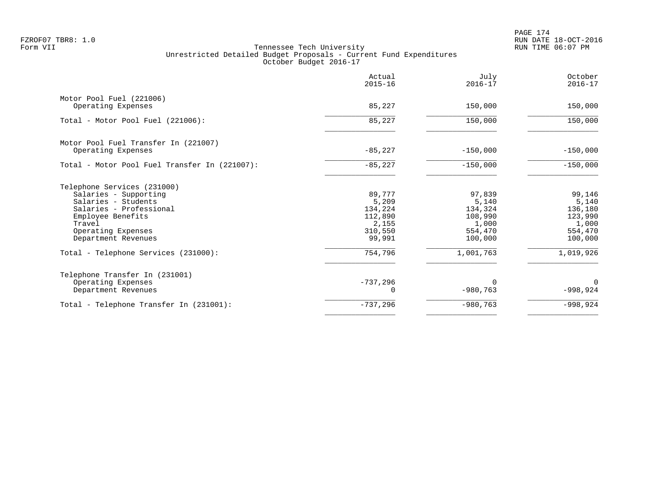PAGE 174 FZROF07 TBR8: 1.0 RUN DATE 18-OCT-2016

|                                                | Actual<br>$2015 - 16$ | July<br>$2016 - 17$ | October<br>$2016 - 17$ |
|------------------------------------------------|-----------------------|---------------------|------------------------|
| Motor Pool Fuel (221006)<br>Operating Expenses | 85,227                | 150,000             | 150,000                |
|                                                |                       |                     |                        |
| Total - Motor Pool Fuel (221006):              | 85,227                | 150,000             | 150,000                |
| Motor Pool Fuel Transfer In (221007)           |                       |                     |                        |
| Operating Expenses                             | $-85,227$             | $-150,000$          | $-150,000$             |
| Total - Motor Pool Fuel Transfer In (221007):  | $-85,227$             | $-150,000$          | $-150,000$             |
| Telephone Services (231000)                    |                       |                     |                        |
| Salaries - Supporting                          | 89,777                | 97,839              | 99,146                 |
| Salaries - Students                            | 5,209                 | 5,140               | 5,140                  |
| Salaries - Professional                        | 134,224               | 134,324             | 136,180                |
| Employee Benefits                              | 112,890               | 108,990             | 123,990                |
| Travel                                         | 2,155<br>310,550      | 1,000<br>554,470    | 1,000<br>554,470       |
| Operating Expenses<br>Department Revenues      | 99,991                | 100,000             | 100,000                |
| Total - Telephone Services (231000):           | 754,796               | 1,001,763           | 1,019,926              |
| Telephone Transfer In (231001)                 |                       |                     |                        |
| Operating Expenses                             | $-737,296$            | $\Omega$            | $\Omega$               |
| Department Revenues                            |                       | $-980,763$          | $-998,924$             |
| Total - Telephone Transfer In (231001):        | $-737,296$            | $-980,763$          | $-998,924$             |
|                                                |                       |                     |                        |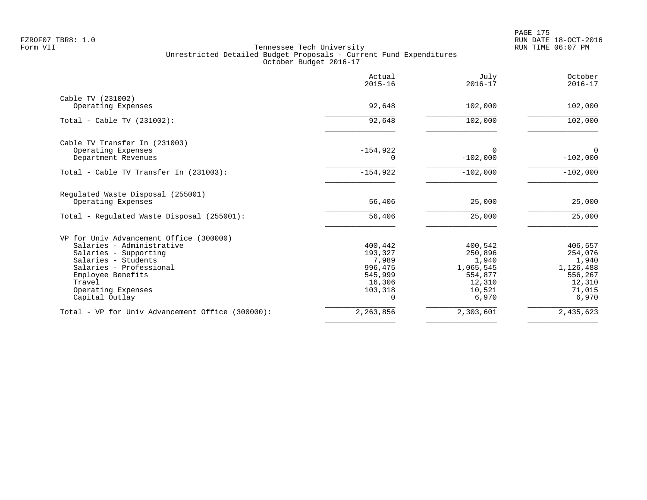|                                                  | Actual<br>$2015 - 16$ | July<br>$2016 - 17$ | October<br>$2016 - 17$ |
|--------------------------------------------------|-----------------------|---------------------|------------------------|
| Cable TV (231002)                                |                       |                     |                        |
| Operating Expenses                               | 92,648                | 102,000             | 102,000                |
| Total - Cable TV $(231002)$ :                    | 92,648                | 102,000             | 102,000                |
| Cable TV Transfer In (231003)                    |                       |                     |                        |
| Operating Expenses                               | $-154,922$            | $\Omega$            | $\mathbf 0$            |
| Department Revenues                              | 0                     | $-102,000$          | $-102,000$             |
| Total - Cable TV Transfer In (231003):           | $-154,922$            | $-102,000$          | $-102,000$             |
| Regulated Waste Disposal (255001)                |                       |                     |                        |
| Operating Expenses                               | 56,406                | 25,000              | 25,000                 |
| Total - Regulated Waste Disposal (255001):       | 56,406                | 25,000              | 25,000                 |
| VP for Univ Advancement Office (300000)          |                       |                     |                        |
| Salaries - Administrative                        | 400,442               | 400,542             | 406,557                |
| Salaries - Supporting                            | 193,327               | 250,896             | 254,076                |
| Salaries - Students                              | 7,989                 | 1,940               | 1,940                  |
| Salaries - Professional                          | 996,475               | 1,065,545           | 1,126,488              |
| Employee Benefits                                | 545,999               | 554,877             | 556,267                |
| Travel                                           | 16,306                | 12,310              | 12,310                 |
| Operating Expenses<br>Capital Outlay             | 103,318<br>$\Omega$   | 10,521<br>6,970     | 71,015<br>6,970        |
| Total - VP for Univ Advancement Office (300000): | 2,263,856             | 2,303,601           | 2,435,623              |
|                                                  |                       |                     |                        |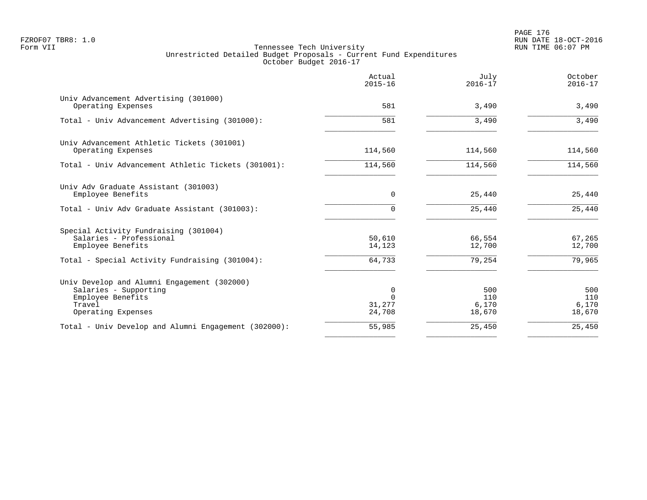PAGE 176 FZROF07 TBR8: 1.0 RUN DATE 18-OCT-2016

|                                                                                                                           | Actual<br>$2015 - 16$             | July<br>$2016 - 17$           | October<br>$2016 - 17$        |
|---------------------------------------------------------------------------------------------------------------------------|-----------------------------------|-------------------------------|-------------------------------|
| Univ Advancement Advertising (301000)<br>Operating Expenses                                                               | 581                               | 3,490                         | 3,490                         |
| Total - Univ Advancement Advertising (301000):                                                                            | 581                               | 3,490                         | 3,490                         |
| Univ Advancement Athletic Tickets (301001)<br>Operating Expenses                                                          | 114,560                           | 114,560                       | 114,560                       |
| Total - Univ Advancement Athletic Tickets (301001):                                                                       | 114,560                           | 114,560                       | 114,560                       |
| Univ Adv Graduate Assistant (301003)<br>Employee Benefits                                                                 | $\Omega$                          | 25,440                        | 25,440                        |
| Total - Univ Adv Graduate Assistant (301003):                                                                             | $\Omega$                          | 25,440                        | 25,440                        |
| Special Activity Fundraising (301004)<br>Salaries - Professional<br>Employee Benefits                                     | 50,610<br>14,123                  | 66,554<br>12,700              | 67,265<br>12,700              |
| Total - Special Activity Fundraising (301004):                                                                            | 64,733                            | 79,254                        | 79,965                        |
| Univ Develop and Alumni Engagement (302000)<br>Salaries - Supporting<br>Employee Benefits<br>Travel<br>Operating Expenses | 0<br>$\Omega$<br>31,277<br>24,708 | 500<br>110<br>6,170<br>18,670 | 500<br>110<br>6,170<br>18,670 |
| Total - Univ Develop and Alumni Engagement (302000):                                                                      | 55,985                            | 25,450                        | 25,450                        |
|                                                                                                                           |                                   |                               |                               |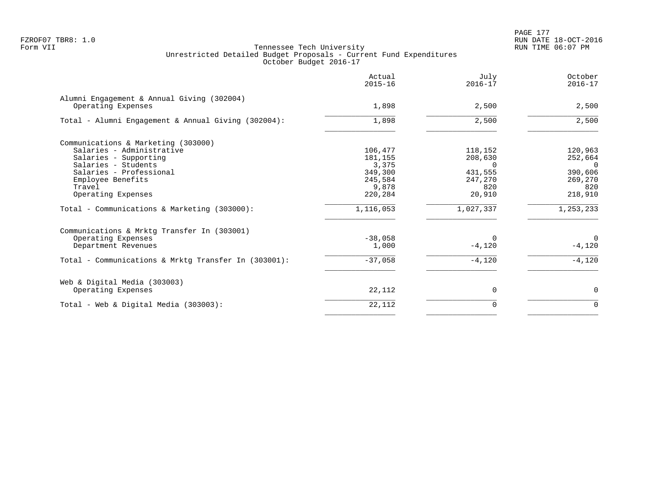|                                                                  | Actual<br>$2015 - 16$ | July<br>$2016 - 17$ | October<br>$2016 - 17$ |
|------------------------------------------------------------------|-----------------------|---------------------|------------------------|
| Alumni Engagement & Annual Giving (302004)<br>Operating Expenses | 1,898                 | 2,500               | 2,500                  |
| Total - Alumni Engagement & Annual Giving (302004):              | 1,898                 | 2,500               | 2,500                  |
| Communications & Marketing (303000)                              |                       |                     |                        |
| Salaries - Administrative                                        | 106,477               | 118,152             | 120,963                |
| Salaries - Supporting                                            | 181,155               | 208,630             | 252,664                |
| Salaries - Students                                              | 3,375                 | $\Omega$            | $\Omega$               |
| Salaries - Professional                                          | 349,300               | 431,555             | 390,606                |
| Employee Benefits                                                | 245,584               | 247,270             | 269,270                |
| Travel                                                           | 9,878                 | 820                 | 820                    |
| Operating Expenses                                               | 220,284               | 20,910              | 218,910                |
| Total - Communications & Marketing (303000):                     | 1,116,053             | 1,027,337           | 1,253,233              |
| Communications & Mrktg Transfer In (303001)                      |                       |                     |                        |
| Operating Expenses                                               | $-38,058$             | $\Omega$            | $\Omega$               |
| Department Revenues                                              | 1,000                 | $-4,120$            | $-4,120$               |
| Total - Communications & Mrktg Transfer In (303001):             | $-37,058$             | $-4,120$            | $-4,120$               |
| Web & Digital Media (303003)                                     |                       |                     |                        |
| Operating Expenses                                               | 22,112                | 0                   | $\mathbf 0$            |
| Total - Web & Digital Media (303003):                            | 22,112                | 0                   | $\mathbf 0$            |
|                                                                  |                       |                     |                        |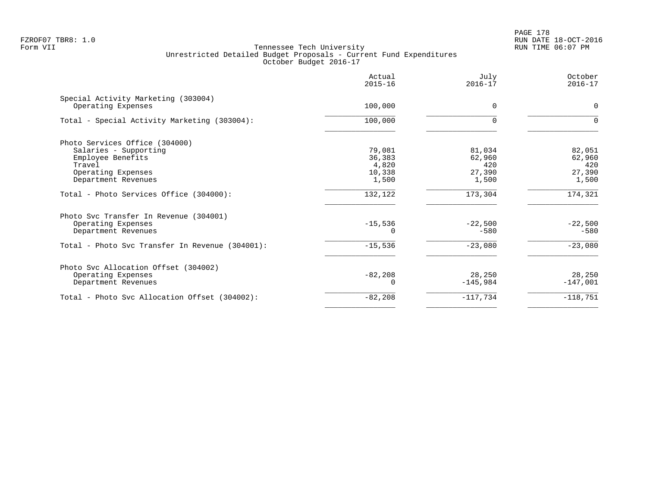|                                                           | Actual<br>$2015 - 16$ | July<br>$2016 - 17$ | October<br>$2016 - 17$ |
|-----------------------------------------------------------|-----------------------|---------------------|------------------------|
| Special Activity Marketing (303004)<br>Operating Expenses | 100,000               | $\Omega$            | $\Omega$               |
| Total - Special Activity Marketing (303004):              | 100,000               | $\Omega$            | $\Omega$               |
| Photo Services Office (304000)                            |                       |                     |                        |
| Salaries - Supporting                                     | 79,081                | 81,034              | 82,051                 |
| Employee Benefits                                         | 36,383                | 62,960              | 62,960                 |
| Travel                                                    | 4,820                 | 420                 | 420                    |
| Operating Expenses                                        | 10,338                | 27,390              | 27,390                 |
| Department Revenues                                       | 1,500                 | 1,500               | 1,500                  |
| Total - Photo Services Office (304000):                   | 132,122               | 173,304             | 174,321                |
| Photo Svc Transfer In Revenue (304001)                    |                       |                     |                        |
| Operating Expenses                                        | $-15,536$             | $-22,500$           | $-22,500$              |
| Department Revenues                                       |                       | $-580$              | $-580$                 |
| Total - Photo Svc Transfer In Revenue (304001):           | $-15,536$             | $-23,080$           | $-23,080$              |
| Photo Svc Allocation Offset (304002)                      |                       |                     |                        |
| Operating Expenses                                        | $-82,208$             | 28,250              | 28,250                 |
| Department Revenues                                       |                       | $-145,984$          | $-147,001$             |
| Total - Photo Svc Allocation Offset (304002):             | $-82,208$             | $-117,734$          | $-118,751$             |
|                                                           |                       |                     |                        |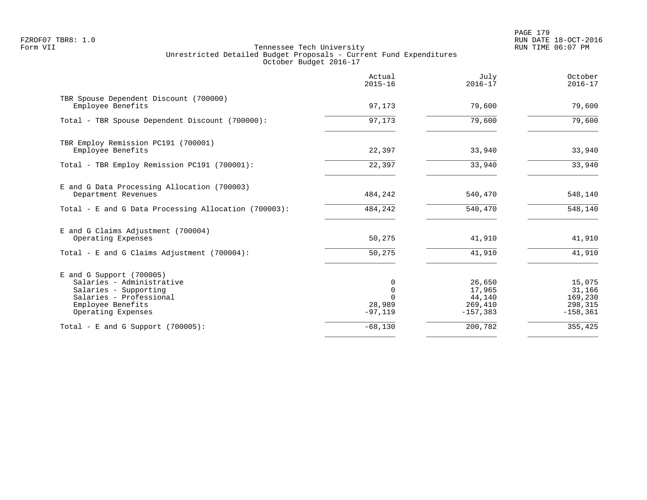|                                                                                                                                                        | Actual<br>$2015 - 16$              | July<br>$2016 - 17$                                  | October<br>$2016 - 17$                                |
|--------------------------------------------------------------------------------------------------------------------------------------------------------|------------------------------------|------------------------------------------------------|-------------------------------------------------------|
| TBR Spouse Dependent Discount (700000)<br>Employee Benefits                                                                                            | 97,173                             | 79,600                                               | 79,600                                                |
| Total - TBR Spouse Dependent Discount (700000):                                                                                                        | 97,173                             | 79,600                                               | 79,600                                                |
| TBR Employ Remission PC191 (700001)<br>Employee Benefits                                                                                               | 22,397                             | 33,940                                               | 33,940                                                |
| Total - TBR Employ Remission PC191 (700001):                                                                                                           | 22,397                             | 33,940                                               | 33,940                                                |
| E and G Data Processing Allocation (700003)<br>Department Revenues                                                                                     | 484,242                            | 540,470                                              | 548,140                                               |
| Total - E and G Data Processing Allocation (700003):                                                                                                   | 484,242                            | 540,470                                              | 548,140                                               |
| E and G Claims Adjustment (700004)<br>Operating Expenses                                                                                               | 50,275                             | 41,910                                               | 41,910                                                |
| Total - E and G Claims Adjustment $(700004)$ :                                                                                                         | 50,275                             | 41,910                                               | 41,910                                                |
| $E$ and G Support (700005)<br>Salaries - Administrative<br>Salaries - Supporting<br>Salaries - Professional<br>Employee Benefits<br>Operating Expenses | $\mathbf 0$<br>28,989<br>$-97,119$ | 26,650<br>17,965<br>44,140<br>269,410<br>$-157, 383$ | 15,075<br>31,166<br>169,230<br>298,315<br>$-158, 361$ |
| Total - E and G Support $(700005)$ :                                                                                                                   | $-68,130$                          | 200,782                                              | 355,425                                               |
|                                                                                                                                                        |                                    |                                                      |                                                       |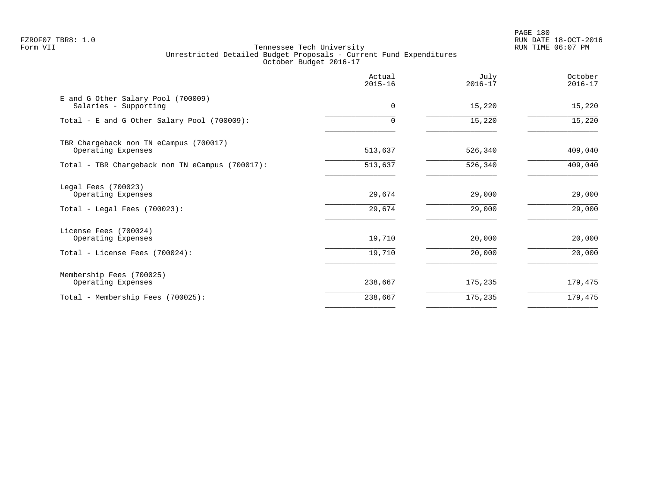PAGE 180 FZROF07 TBR8: 1.0 RUN DATE 18-OCT-2016

|                                                              | Actual<br>$2015 - 16$ | July<br>$2016 - 17$ | October<br>$2016 - 17$ |
|--------------------------------------------------------------|-----------------------|---------------------|------------------------|
| E and G Other Salary Pool (700009)<br>Salaries - Supporting  | $\mathbf 0$           | 15,220              | 15,220                 |
| Total - E and G Other Salary Pool (700009):                  |                       | 15,220              | 15,220                 |
| TBR Chargeback non TN eCampus (700017)<br>Operating Expenses | 513,637               | 526,340             | 409,040                |
| Total - TBR Chargeback non TN eCampus (700017):              | 513,637               | 526,340             | 409,040                |
| Legal Fees (700023)<br>Operating Expenses                    | 29,674                | 29,000              | 29,000                 |
| Total - Legal Fees $(700023)$ :                              | 29,674                | 29,000              | 29,000                 |
| License Fees (700024)<br>Operating Expenses                  | 19,710                | 20,000              | 20,000                 |
| Total - License Fees (700024):                               | 19,710                | 20,000              | 20,000                 |
| Membership Fees (700025)<br>Operating Expenses               | 238,667               | 175,235             | 179,475                |
| Total - Membership Fees (700025):                            | 238,667               | 175,235             | 179,475                |
|                                                              |                       |                     |                        |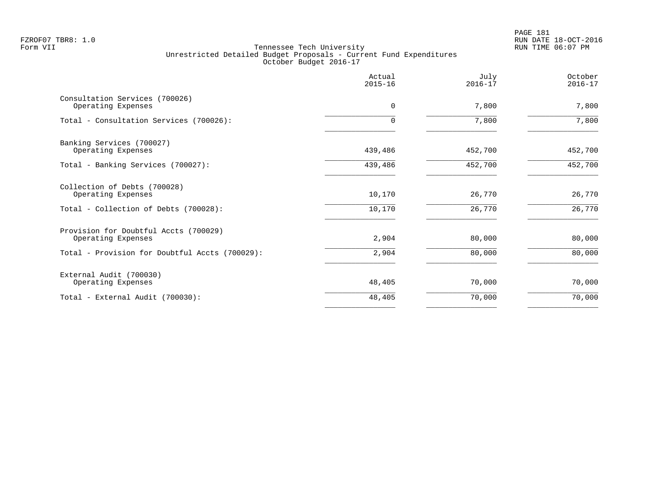PAGE 181 FZROF07 TBR8: 1.0 RUN DATE 18-OCT-2016

|                                                                                             | Actual<br>$2015 - 16$ | July<br>$2016 - 17$ | October<br>$2016 - 17$ |
|---------------------------------------------------------------------------------------------|-----------------------|---------------------|------------------------|
| Consultation Services (700026)<br>Operating Expenses                                        | $\Omega$              | 7,800               | 7,800                  |
| Total - Consultation Services (700026):                                                     | $\Omega$              | 7,800               | 7,800                  |
| Banking Services (700027)<br>Operating Expenses                                             | 439,486               | 452,700             | 452,700                |
| Total - Banking Services (700027):                                                          | 439,486               | 452,700             | 452,700                |
| Collection of Debts (700028)<br>Operating Expenses<br>Total - Collection of Debts (700028): | 10,170<br>10,170      | 26,770<br>26,770    | 26,770<br>26,770       |
| Provision for Doubtful Accts (700029)<br>Operating Expenses                                 | 2,904                 | 80,000              | 80,000                 |
| Total - Provision for Doubtful Accts (700029):                                              | 2,904                 | 80,000              | 80,000                 |
| External Audit (700030)<br>Operating Expenses                                               | 48,405                | 70,000              | 70,000                 |
| Total - External Audit (700030):                                                            | 48,405                | 70,000              | 70,000                 |
|                                                                                             |                       |                     |                        |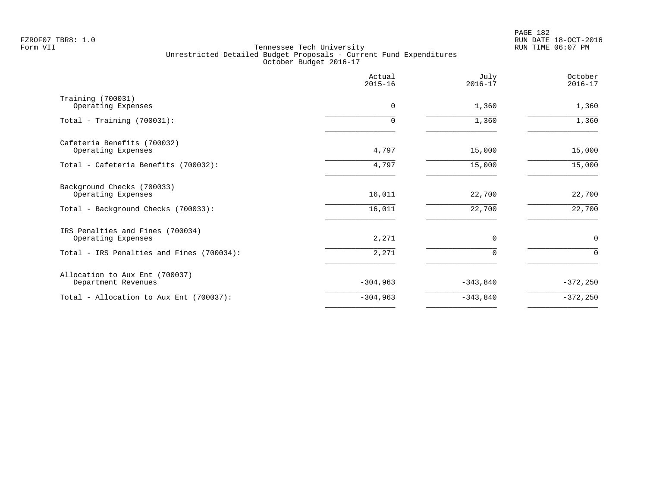PAGE 182 FZROF07 TBR8: 1.0 RUN DATE 18-OCT-2016

|                                                        | Actual<br>$2015 - 16$ | July<br>$2016 - 17$ | October<br>$2016 - 17$ |
|--------------------------------------------------------|-----------------------|---------------------|------------------------|
| Training (700031)<br>Operating Expenses                | 0                     | 1,360               | 1,360                  |
| Total - Training $(700031)$ :                          | 0                     | 1,360               | 1,360                  |
| Cafeteria Benefits (700032)<br>Operating Expenses      | 4,797                 | 15,000              | 15,000                 |
| Total - Cafeteria Benefits (700032):                   | 4,797                 | 15,000              | 15,000                 |
| Background Checks (700033)<br>Operating Expenses       | 16,011                | 22,700              | 22,700                 |
| Total - Background Checks (700033):                    | 16,011                | 22,700              | 22,700                 |
| IRS Penalties and Fines (700034)<br>Operating Expenses | 2,271                 | $\Omega$            | $\mathbf 0$            |
| Total - IRS Penalties and Fines (700034):              | 2,271                 | $\Omega$            | $\mathbf 0$            |
| Allocation to Aux Ent (700037)<br>Department Revenues  | $-304,963$            | $-343,840$          | $-372, 250$            |
| Total - Allocation to Aux Ent (700037):                | $-304,963$            | $-343,840$          | $-372,250$             |
|                                                        |                       |                     |                        |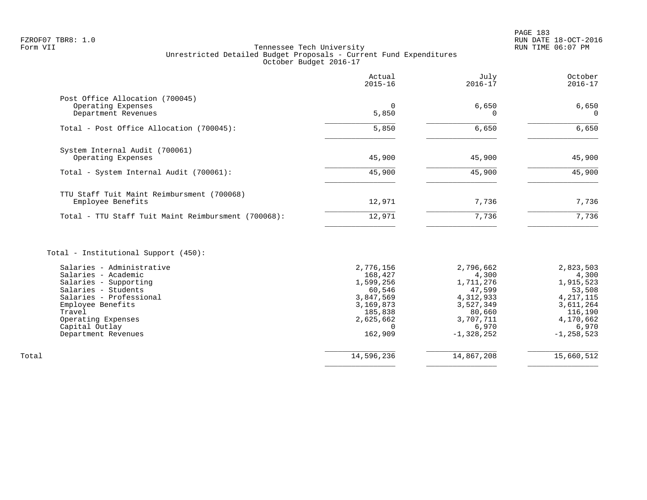# FZROF07 TBR8: 1.0 RUN DATE 18-OCT-2016 Tennessee Tech University Unrestricted Detailed Budget Proposals - Current Fund Expenditures October Budget 2016-17

|                                                     | Actual<br>$2015 - 16$ | July<br>$2016 - 17$ | October<br>$2016 - 17$ |
|-----------------------------------------------------|-----------------------|---------------------|------------------------|
| Post Office Allocation (700045)                     |                       |                     |                        |
| Operating Expenses<br>Department Revenues           | $\Omega$<br>5,850     | 6,650               | 6,650<br>$\Omega$      |
| Total - Post Office Allocation (700045):            | 5,850                 | 6,650               | 6,650                  |
| System Internal Audit (700061)                      |                       |                     |                        |
| Operating Expenses                                  | 45,900                | 45,900              | 45,900                 |
| Total - System Internal Audit (700061):             | 45,900                | 45,900              | 45,900                 |
| TTU Staff Tuit Maint Reimbursment (700068)          |                       |                     |                        |
| Employee Benefits                                   | 12,971                | 7,736               | 7,736                  |
| Total - TTU Staff Tuit Maint Reimbursment (700068): | 12,971                | 7,736               | 7,736                  |
| Total - Institutional Support (450):                |                       |                     |                        |
| Salaries - Administrative                           | 2,776,156             | 2,796,662           | 2,823,503              |
| Salaries - Academic                                 | 168,427               | 4,300               | 4,300                  |
| Salaries - Supporting                               | 1,599,256             | 1,711,276           | 1,915,523              |
| Salaries - Students                                 | 60,546                | 47,599              | 53,508                 |
| Salaries - Professional                             | 3,847,569             | 4,312,933           | 4, 217, 115            |
| Employee Benefits<br>Travel                         | 3,169,873<br>185,838  | 3,527,349<br>80,660 | 3,611,264<br>116,190   |
| Operating Expenses                                  | 2,625,662             | 3,707,711           | 4,170,662              |
| Capital Outlay                                      |                       | 6,970               | 6,970                  |
| Department Revenues                                 | 162,909               | $-1,328,252$        | $-1, 258, 523$         |

 $\overline{\phantom{a}}$  , and the contract of the contract of the contract of the contract of the contract of the contract of the contract of the contract of the contract of the contract of the contract of the contract of the contrac

 $\overline{\phantom{a}}$  , and the contract of the contract of the contract of the contract of the contract of the contract of the contract of the contract of the contract of the contract of the contract of the contract of the contrac Total 14,596,236 14,867,208 15,660,512

Department Revenues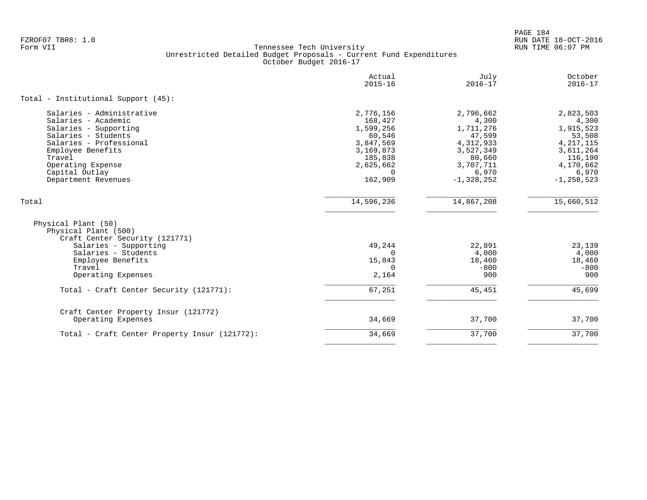PAGE 184 FZROF07 TBR8: 1.0 RUN DATE 18-OCT-2016

|                                                                                                                                                                                                                          | Actual<br>$2015 - 16$                                                                                                | July<br>$2016 - 17$                                                                                                 | October<br>$2016 - 17$                                                                                                   |
|--------------------------------------------------------------------------------------------------------------------------------------------------------------------------------------------------------------------------|----------------------------------------------------------------------------------------------------------------------|---------------------------------------------------------------------------------------------------------------------|--------------------------------------------------------------------------------------------------------------------------|
| Total - Institutional Support (45):                                                                                                                                                                                      |                                                                                                                      |                                                                                                                     |                                                                                                                          |
| Salaries - Administrative<br>Salaries - Academic<br>Salaries - Supporting<br>Salaries - Students<br>Salaries - Professional<br>Employee Benefits<br>Travel<br>Operating Expense<br>Capital Outlay<br>Department Revenues | 2,776,156<br>168,427<br>1,599,256<br>60,546<br>3,847,569<br>3,169,873<br>185,838<br>2,625,662<br>$\Omega$<br>162,909 | 2,796,662<br>4,300<br>1,711,276<br>47,599<br>4,312,933<br>3,527,349<br>80,660<br>3,707,711<br>6,970<br>$-1,328,252$ | 2,823,503<br>4,300<br>1,915,523<br>53,508<br>4, 217, 115<br>3,611,264<br>116,190<br>4,170,662<br>6,970<br>$-1, 258, 523$ |
| Total                                                                                                                                                                                                                    | 14,596,236                                                                                                           | 14,867,208                                                                                                          | 15,660,512                                                                                                               |
| Physical Plant (50)<br>Physical Plant (500)<br>Craft Center Security (121771)<br>Salaries - Supporting<br>Salaries - Students                                                                                            | 49,244<br>$\Omega$                                                                                                   | 22,891<br>4,000                                                                                                     | 23,139<br>4,000                                                                                                          |
| Employee Benefits<br>Travel<br>Operating Expenses                                                                                                                                                                        | 15,843<br>0<br>2,164                                                                                                 | 18,460<br>$-800$<br>900                                                                                             | 18,460<br>$-800$<br>900                                                                                                  |
| Total - Craft Center Security (121771):                                                                                                                                                                                  | 67,251                                                                                                               | 45,451                                                                                                              | 45,699                                                                                                                   |
| Craft Center Property Insur (121772)<br>Operating Expenses                                                                                                                                                               | 34,669                                                                                                               | 37,700                                                                                                              | 37,700                                                                                                                   |
| Total - Craft Center Property Insur (121772):                                                                                                                                                                            | 34,669                                                                                                               | 37,700                                                                                                              | 37,700                                                                                                                   |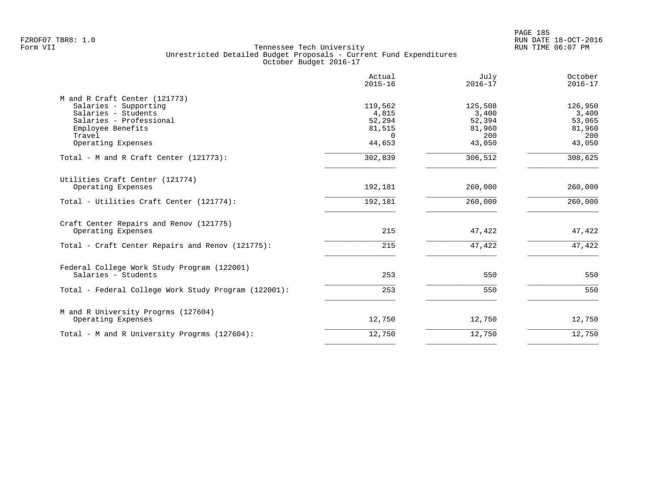|                                                                                                                                                               | Actual<br>$2015 - 16$                                      | July<br>$2016 - 17$                                   | October<br>$2016 - 17$                                |
|---------------------------------------------------------------------------------------------------------------------------------------------------------------|------------------------------------------------------------|-------------------------------------------------------|-------------------------------------------------------|
| M and R Craft Center (121773)<br>Salaries - Supporting<br>Salaries - Students<br>Salaries - Professional<br>Employee Benefits<br>Travel<br>Operating Expenses | 119,562<br>4,815<br>52,294<br>81,515<br>$\Omega$<br>44,653 | 125,508<br>3,400<br>52,394<br>81,960<br>200<br>43,050 | 126,950<br>3,400<br>53,065<br>81,960<br>200<br>43,050 |
| Total - M and R Craft Center (121773):                                                                                                                        | 302,839                                                    | 306,512                                               | 308,625                                               |
| Utilities Craft Center (121774)<br>Operating Expenses<br>Total - Utilities Craft Center (121774):                                                             | 192,181<br>192,181                                         | 260,000<br>260,000                                    | 260,000<br>260,000                                    |
| Craft Center Repairs and Renov (121775)                                                                                                                       |                                                            |                                                       |                                                       |
| Operating Expenses<br>Total - Craft Center Repairs and Renov (121775):                                                                                        | 215<br>215                                                 | 47,422<br>47,422                                      | 47,422<br>47,422                                      |
|                                                                                                                                                               |                                                            |                                                       |                                                       |
| Federal College Work Study Program (122001)<br>Salaries - Students                                                                                            | 253                                                        | 550                                                   | 550                                                   |
| Total - Federal College Work Study Program (122001):                                                                                                          | 253                                                        | 550                                                   | 550                                                   |
| M and R University Progrms (127604)<br>Operating Expenses                                                                                                     | 12,750                                                     | 12,750                                                | 12,750                                                |
| Total - M and R University Progrms (127604):                                                                                                                  | 12,750                                                     | 12,750                                                | 12,750                                                |
|                                                                                                                                                               |                                                            |                                                       |                                                       |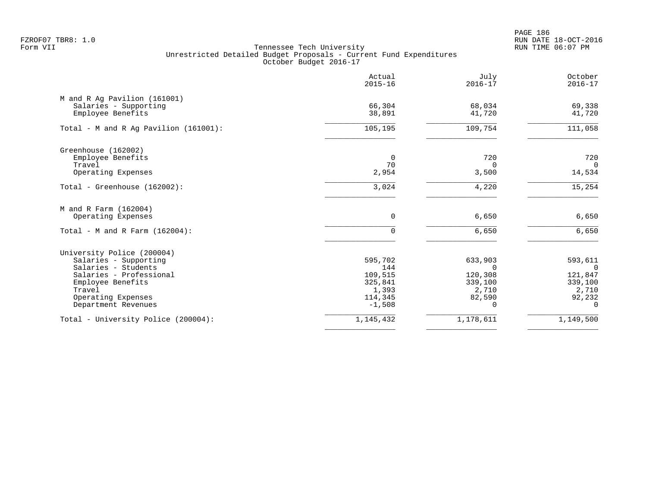PAGE 186 FZROF07 TBR8: 1.0 RUN DATE 18-OCT-2016

|                                                                                                                                                                                   | Actual<br>$2015 - 16$                                                | July<br>$2016 - 17$                                               | October<br>$2016 - 17$                                                      |
|-----------------------------------------------------------------------------------------------------------------------------------------------------------------------------------|----------------------------------------------------------------------|-------------------------------------------------------------------|-----------------------------------------------------------------------------|
| M and R Ag Pavilion (161001)<br>Salaries - Supporting<br>Employee Benefits                                                                                                        | 66,304<br>38,891                                                     | 68,034<br>41,720                                                  | 69,338<br>41,720                                                            |
| Total - M and R Ag Pavilion (161001):                                                                                                                                             | 105, 195                                                             | 109,754                                                           | 111,058                                                                     |
| Greenhouse (162002)<br>Employee Benefits<br>Travel<br>Operating Expenses                                                                                                          | 0<br>70<br>2,954                                                     | 720<br>$\Omega$<br>3,500                                          | 720<br>$\Omega$<br>14,534                                                   |
| Total - Greenhouse (162002):                                                                                                                                                      | 3,024                                                                | 4,220                                                             | 15,254                                                                      |
| M and R Farm (162004)<br>Operating Expenses<br>Total - M and R Farm $(162004)$ :                                                                                                  | $\mathbf 0$<br>$\Omega$                                              | 6,650<br>6,650                                                    | 6,650<br>6,650                                                              |
| University Police (200004)<br>Salaries - Supporting<br>Salaries - Students<br>Salaries - Professional<br>Employee Benefits<br>Travel<br>Operating Expenses<br>Department Revenues | 595,702<br>144<br>109,515<br>325,841<br>1,393<br>114,345<br>$-1,508$ | 633,903<br>$\Omega$<br>120,308<br>339,100<br>2,710<br>82,590<br>0 | 593,611<br>$\Omega$<br>121,847<br>339,100<br>2,710<br>92,232<br>$\mathbf 0$ |
| Total - University Police (200004):                                                                                                                                               | 1,145,432                                                            | 1,178,611                                                         | 1,149,500                                                                   |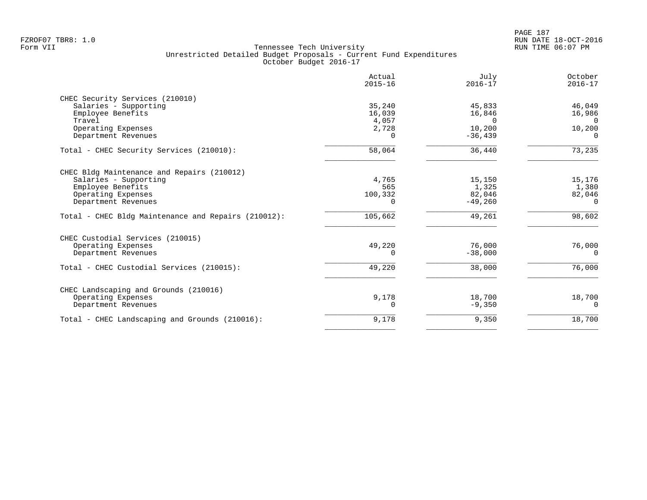| Actual<br>$2015 - 16$ | July<br>$2016 - 17$                               | October<br>$2016 - 17$                                            |
|-----------------------|---------------------------------------------------|-------------------------------------------------------------------|
|                       |                                                   |                                                                   |
| 35,240                | 45,833                                            | 46,049                                                            |
| 16,039                | 16,846                                            | 16,986                                                            |
|                       | $\Omega$                                          | $\Omega$                                                          |
|                       |                                                   | 10,200                                                            |
|                       |                                                   | $\Omega$                                                          |
| 58,064                | 36,440                                            | 73,235                                                            |
|                       |                                                   |                                                                   |
| 4,765                 | 15,150                                            | 15,176                                                            |
|                       |                                                   | 1,380                                                             |
|                       |                                                   | 82,046                                                            |
|                       |                                                   | 0                                                                 |
| 105,662               | 49,261                                            | 98,602                                                            |
|                       |                                                   |                                                                   |
| 49,220                | 76,000                                            | 76,000                                                            |
| U                     |                                                   | $\Omega$                                                          |
| 49,220                | 38,000                                            | 76,000                                                            |
|                       |                                                   |                                                                   |
| 9,178                 | 18,700                                            | 18,700                                                            |
| 0                     | $-9,350$                                          | 0                                                                 |
| 9,178                 | 9,350                                             | 18,700                                                            |
|                       | 4,057<br>2,728<br>$\Omega$<br>565<br>100,332<br>0 | 10,200<br>$-36, 439$<br>1,325<br>82,046<br>$-49,260$<br>$-38,000$ |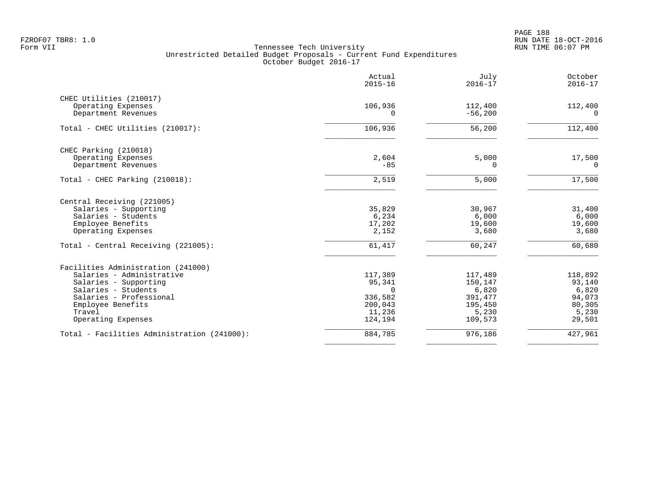PAGE 188 FZROF07 TBR8: 1.0 RUN DATE 18-OCT-2016

|                                             | Actual<br>$2015 - 16$ | July<br>$2016 - 17$  | October<br>$2016 - 17$ |
|---------------------------------------------|-----------------------|----------------------|------------------------|
| CHEC Utilities (210017)                     |                       |                      |                        |
| Operating Expenses<br>Department Revenues   | 106,936<br>$\Omega$   | 112,400<br>$-56,200$ | 112,400<br>0           |
| Total - CHEC Utilities (210017):            | 106,936               | 56,200               | 112,400                |
| CHEC Parking (210018)                       |                       |                      |                        |
| Operating Expenses<br>Department Revenues   | 2,604<br>$-85$        | 5,000<br>0           | 17,500<br>0            |
| Total - CHEC Parking (210018):              | 2,519                 | 5,000                | 17,500                 |
| Central Receiving (221005)                  |                       |                      |                        |
| Salaries - Supporting                       | 35,829                | 30,967               | 31,400                 |
| Salaries - Students                         | 6,234                 | 6,000                | 6,000                  |
| Employee Benefits<br>Operating Expenses     | 17,202<br>2,152       | 19,600<br>3,680      | 19,600<br>3,680        |
| Total - Central Receiving (221005):         | 61,417                | 60,247               | 60,680                 |
| Facilities Administration (241000)          |                       |                      |                        |
| Salaries - Administrative                   | 117,389               | 117,489              | 118,892                |
| Salaries - Supporting                       | 95,341                | 150,147              | 93,140                 |
| Salaries - Students                         | $\Omega$              | 6,820                | 6,820                  |
| Salaries - Professional                     | 336,582               | 391,477              | 94,073                 |
| Employee Benefits<br>Travel                 | 200,043<br>11,236     | 195,450<br>5,230     | 80,305<br>5,230        |
| Operating Expenses                          | 124,194               | 109,573              | 29,501                 |
| Total - Facilities Administration (241000): | 884,785               | 976,186              | 427,961                |
|                                             |                       |                      |                        |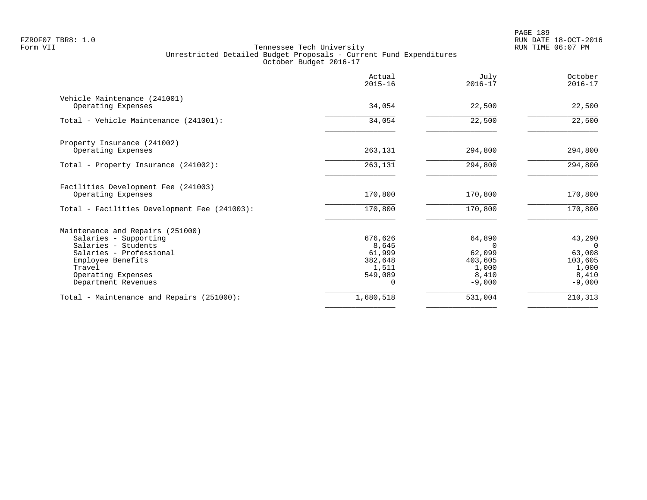|                                                    | Actual<br>$2015 - 16$ | July<br>$2016 - 17$ | October<br>$2016 - 17$ |
|----------------------------------------------------|-----------------------|---------------------|------------------------|
| Vehicle Maintenance (241001)<br>Operating Expenses | 34,054                | 22,500              | 22,500                 |
| Total - Vehicle Maintenance (241001):              | 34,054                | 22,500              | 22,500                 |
|                                                    |                       |                     |                        |
| Property Insurance (241002)<br>Operating Expenses  | 263,131               | 294,800             | 294,800                |
|                                                    |                       |                     |                        |
| Total - Property Insurance (241002):               | 263,131               | 294,800             | 294,800                |
| Facilities Development Fee (241003)                |                       |                     |                        |
| Operating Expenses                                 | 170,800               | 170,800             | 170,800                |
| Total - Facilities Development Fee (241003):       | 170,800               | 170,800             | 170,800                |
| Maintenance and Repairs (251000)                   |                       |                     |                        |
| Salaries - Supporting                              | 676,626               | 64,890              | 43,290                 |
| Salaries - Students                                | 8,645                 | $\Omega$            | $\Omega$               |
| Salaries - Professional                            | 61,999                | 62,099              | 63,008                 |
| Employee Benefits                                  | 382,648               | 403,605             | 103,605                |
| Travel                                             | 1,511                 | 1,000               | 1,000                  |
| Operating Expenses                                 | 549,089               | 8,410               | 8,410                  |
| Department Revenues                                |                       | $-9,000$            | $-9,000$               |
| Total - Maintenance and Repairs (251000):          | 1,680,518             | 531,004             | 210,313                |
|                                                    |                       |                     |                        |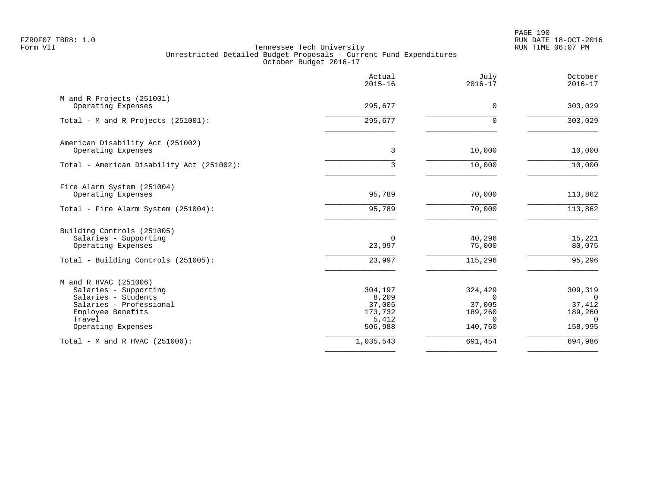PAGE 190 FZROF07 TBR8: 1.0 RUN DATE 18-OCT-2016

|                                                                                                                                                       | Actual<br>$2015 - 16$                                     | July<br>$2016 - 17$                                             | October<br>$2016 - 17$                                          |
|-------------------------------------------------------------------------------------------------------------------------------------------------------|-----------------------------------------------------------|-----------------------------------------------------------------|-----------------------------------------------------------------|
| M and R Projects (251001)<br>Operating Expenses                                                                                                       | 295,677                                                   | $\mathbf 0$                                                     | 303,029                                                         |
| Total - M and R Projects (251001):                                                                                                                    | 295,677                                                   | $\Omega$                                                        | 303,029                                                         |
| American Disability Act (251002)<br>Operating Expenses                                                                                                | 3                                                         | 10,000                                                          | 10,000                                                          |
| Total - American Disability Act (251002):                                                                                                             | 3                                                         | 10,000                                                          | 10,000                                                          |
| Fire Alarm System (251004)<br>Operating Expenses                                                                                                      | 95,789                                                    | 70,000                                                          | 113,862                                                         |
| Total - Fire Alarm System (251004):                                                                                                                   | 95,789                                                    | 70,000                                                          | 113,862                                                         |
| Building Controls (251005)<br>Salaries - Supporting<br>Operating Expenses<br>Total - Building Controls (251005):                                      | $\Omega$<br>23,997<br>23,997                              | 40,296<br>75,000<br>115,296                                     | 15,221<br>80,075<br>95,296                                      |
| M and R HVAC (251006)<br>Salaries - Supporting<br>Salaries - Students<br>Salaries - Professional<br>Employee Benefits<br>Travel<br>Operating Expenses | 304,197<br>8,209<br>37,005<br>173,732<br>5,412<br>506,988 | 324,429<br>$\Omega$<br>37,005<br>189,260<br>$\Omega$<br>140,760 | 309,319<br>$\Omega$<br>37,412<br>189,260<br>$\Omega$<br>158,995 |
| Total - M and R HVAC (251006):                                                                                                                        | 1,035,543                                                 | 691,454                                                         | 694,986                                                         |
|                                                                                                                                                       |                                                           |                                                                 |                                                                 |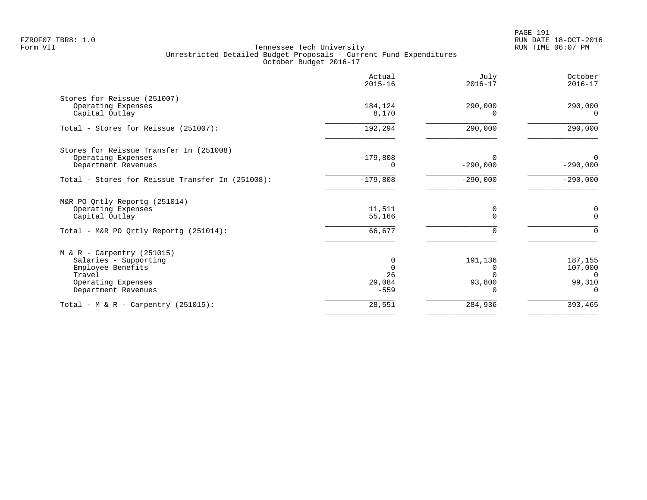PAGE 191 FZROF07 TBR8: 1.0 RUN DATE 18-OCT-2016

| 290,000<br>290,000<br>$\Omega$                                                                        |
|-------------------------------------------------------------------------------------------------------|
|                                                                                                       |
| 290,000                                                                                               |
| $\Omega$<br>$-290,000$                                                                                |
| $-290,000$                                                                                            |
| 0<br>$\Omega$                                                                                         |
|                                                                                                       |
| 187,155<br>107,000<br>$\Omega$<br>99,310<br>$\Omega$                                                  |
| 393,465                                                                                               |
| 290,000<br>$\Omega$<br>$-290,000$<br>$-290,000$<br>0<br>$\Omega$<br>191,136<br>O<br>93,800<br>284,936 |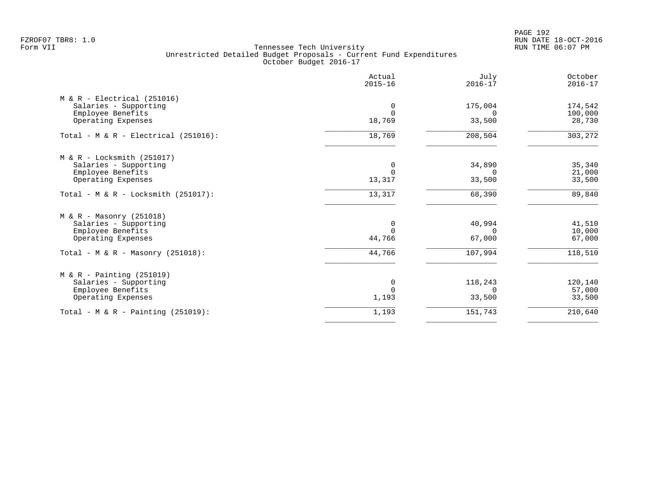PAGE 192 FZROF07 TBR8: 1.0 RUN DATE 18-OCT-2016

|                                                                             | Actual<br>$2015 - 16$ | July<br>$2016 - 17$ | October<br>$2016 - 17$ |
|-----------------------------------------------------------------------------|-----------------------|---------------------|------------------------|
| $M & R - Electrical (251016)$<br>Salaries - Supporting<br>Employee Benefits | 0<br>$\Omega$         | 175,004<br>$\cap$   | 174,542<br>100,000     |
| Operating Expenses                                                          | 18,769                | 33,500              | 28,730                 |
| Total - M & R - Electrical (251016):                                        | 18,769                | 208,504             | 303,272                |
| $M & R - Locksmith (251017)$                                                |                       |                     |                        |
| Salaries - Supporting<br>Employee Benefits                                  | 0<br>$\Omega$         | 34,890<br>$\Omega$  | 35,340<br>21,000       |
| Operating Expenses                                                          | 13,317                | 33,500              | 33,500                 |
| Total - $M & R - Locksmith (251017)$ :                                      | 13,317                | 68,390              | 89,840                 |
| $M & R - Massonry (251018)$                                                 |                       |                     |                        |
| Salaries - Supporting<br>Employee Benefits                                  | 0<br>$\Omega$         | 40,994<br>$\Omega$  | 41,510<br>10,000       |
| Operating Expenses                                                          | 44,766                | 67,000              | 67,000                 |
| Total - M & R - Masonry $(251018)$ :                                        | 44,766                | 107,994             | 118,510                |
| $M & R - \text{Pairting} (251019)$                                          |                       |                     |                        |
|                                                                             |                       |                     | 120,140<br>57,000      |
| Operating Expenses                                                          | 1,193                 | 33,500              | 33,500                 |
| Total - M & R - Painting $(251019)$ :                                       | 1,193                 | 151,743             | 210,640                |
| Salaries - Supporting<br>Employee Benefits                                  | 0<br>$\Omega$         | 118,243<br>$\Omega$ |                        |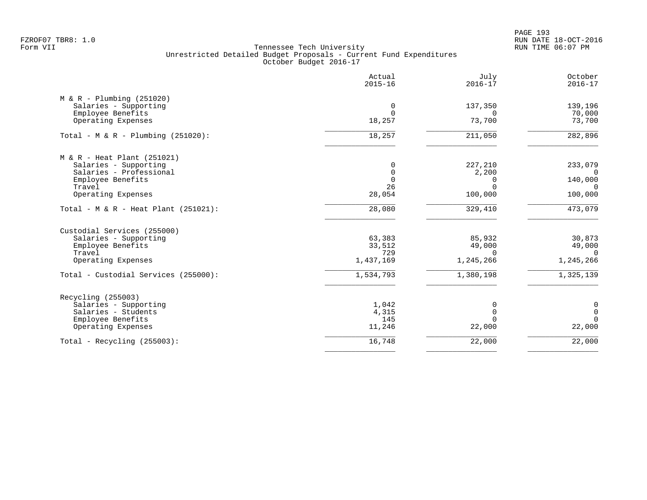PAGE 193 FZROF07 TBR8: 1.0 RUN DATE 18-OCT-2016

|                                                      | Actual<br>$2015 - 16$ | July<br>$2016 - 17$   | October<br>$2016 - 17$ |
|------------------------------------------------------|-----------------------|-----------------------|------------------------|
| $M & R - Plumbing (251020)$<br>Salaries - Supporting | 0                     | 137,350               | 139,196                |
| Employee Benefits                                    | $\Omega$              | $\Omega$              | 70,000                 |
| Operating Expenses                                   | 18,257                | 73,700                | 73,700                 |
| Total - M & R - Plumbing $(251020)$ :                | 18,257                | 211,050               | 282,896                |
| $M & R - Heat Plant (251021)$                        |                       |                       |                        |
| Salaries - Supporting<br>Salaries - Professional     | 0<br>0                | 227,210<br>2,200      | 233,079<br>$\Omega$    |
| Employee Benefits                                    | $\mathbf 0$           | 0                     | 140,000                |
| Travel                                               | 26                    | $\Omega$              | $\Omega$               |
| Operating Expenses                                   | 28,054                | 100,000               | 100,000                |
| Total - M & R - Heat Plant $(251021)$ :              | 28,080                | 329,410               | 473,079                |
| Custodial Services (255000)                          |                       |                       |                        |
| Salaries - Supporting                                | 63,383                | 85,932                | 30,873                 |
| Employee Benefits                                    | 33,512                | 49,000                | 49,000                 |
| Travel<br>Operating Expenses                         | 729<br>1,437,169      | $\Omega$<br>1,245,266 | $\Omega$<br>1,245,266  |
| Total - Custodial Services (255000):                 | 1,534,793             | 1,380,198             | 1,325,139              |
| Recycling (255003)                                   |                       |                       |                        |
| Salaries - Supporting                                | 1,042                 | 0                     | $\mathbf 0$            |
| Salaries - Students                                  | 4,315                 | $\mathbf 0$           | $\mathbf 0$            |
| Employee Benefits                                    | 145                   | $\Omega$              | $\Omega$               |
| Operating Expenses                                   | 11,246                | 22,000                | 22,000                 |
| Total - Recycling $(255003)$ :                       | 16,748                | 22,000                | 22,000                 |
|                                                      |                       |                       |                        |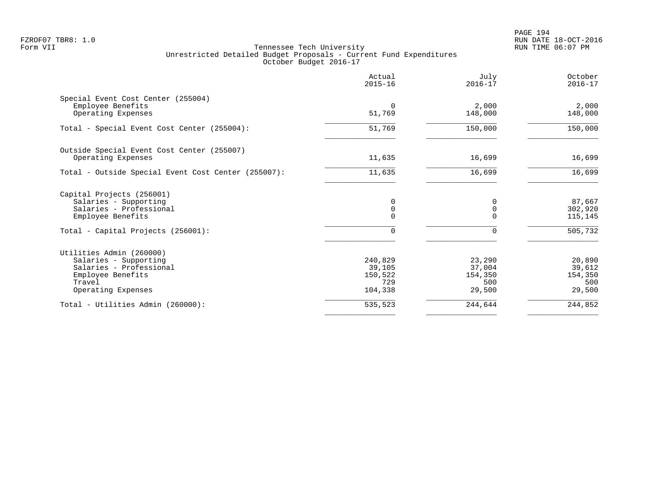|                                                                                                                                   | Actual<br>$2015 - 16$                          | July<br>$2016 - 17$                          | October<br>$2016 - 17$                       |
|-----------------------------------------------------------------------------------------------------------------------------------|------------------------------------------------|----------------------------------------------|----------------------------------------------|
| Special Event Cost Center (255004)<br>Employee Benefits<br>Operating Expenses                                                     | $\Omega$<br>51,769                             | 2,000<br>148,000                             | 2,000<br>148,000                             |
| Total - Special Event Cost Center (255004):                                                                                       | 51,769                                         | 150,000                                      | 150,000                                      |
| Outside Special Event Cost Center (255007)<br>Operating Expenses                                                                  | 11,635                                         | 16,699                                       | 16,699                                       |
| Total - Outside Special Event Cost Center (255007):                                                                               | 11,635                                         | 16,699                                       | 16,699                                       |
| Capital Projects (256001)<br>Salaries - Supporting<br>Salaries - Professional<br>Employee Benefits                                | 0<br>0<br>$\Omega$                             | $\Omega$<br>$\Omega$<br>$\Omega$             | 87,667<br>302,920<br>115,145                 |
| Total - Capital Projects (256001):                                                                                                | 0                                              | $\Omega$                                     | 505,732                                      |
| Utilities Admin (260000)<br>Salaries - Supporting<br>Salaries - Professional<br>Employee Benefits<br>Travel<br>Operating Expenses | 240,829<br>39,105<br>150,522<br>729<br>104,338 | 23,290<br>37,004<br>154,350<br>500<br>29,500 | 20,890<br>39,612<br>154,350<br>500<br>29,500 |
| Total - Utilities Admin (260000):                                                                                                 | 535,523                                        | 244,644                                      | 244,852                                      |
|                                                                                                                                   |                                                |                                              |                                              |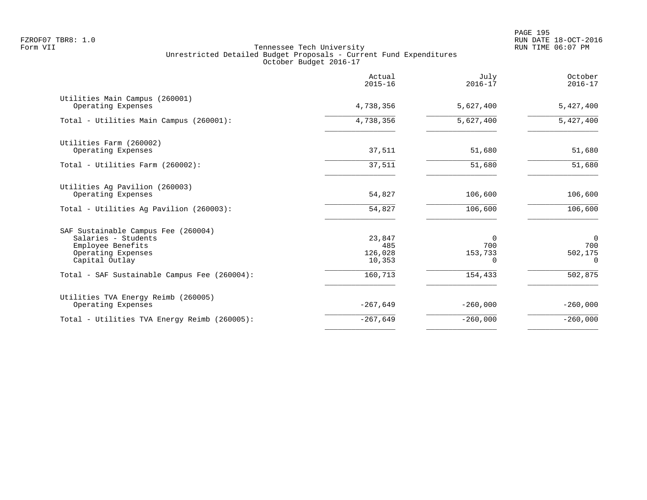|                                                                                                                         | Actual<br>$2015 - 16$              | July<br>$2016 - 17$             | October<br>$2016 - 17$                       |
|-------------------------------------------------------------------------------------------------------------------------|------------------------------------|---------------------------------|----------------------------------------------|
| Utilities Main Campus (260001)<br>Operating Expenses                                                                    | 4,738,356                          | 5,627,400                       | 5,427,400                                    |
| Total - Utilities Main Campus (260001):                                                                                 | 4,738,356                          | 5,627,400                       | 5,427,400                                    |
| Utilities Farm (260002)<br>Operating Expenses                                                                           | 37,511                             | 51,680                          | 51,680                                       |
| Total - Utilities Farm (260002):                                                                                        | 37,511                             | 51,680                          | 51,680                                       |
| Utilities Ag Pavilion (260003)<br>Operating Expenses                                                                    | 54,827                             | 106,600                         | 106,600                                      |
| Total - Utilities Ag Pavilion (260003):                                                                                 | 54,827                             | 106,600                         | 106,600                                      |
| SAF Sustainable Campus Fee (260004)<br>Salaries - Students<br>Employee Benefits<br>Operating Expenses<br>Capital Outlay | 23,847<br>485<br>126,028<br>10,353 | $\Omega$<br>700<br>153,733<br>n | $\overline{0}$<br>700<br>502,175<br>$\Omega$ |
| Total - SAF Sustainable Campus Fee (260004):                                                                            | 160,713                            | 154,433                         | 502,875                                      |
| Utilities TVA Energy Reimb (260005)<br>Operating Expenses                                                               | $-267,649$                         | $-260,000$                      | $-260,000$                                   |
| Total - Utilities TVA Energy Reimb (260005):                                                                            | $-267,649$                         | $-260,000$                      | $-260,000$                                   |
|                                                                                                                         |                                    |                                 |                                              |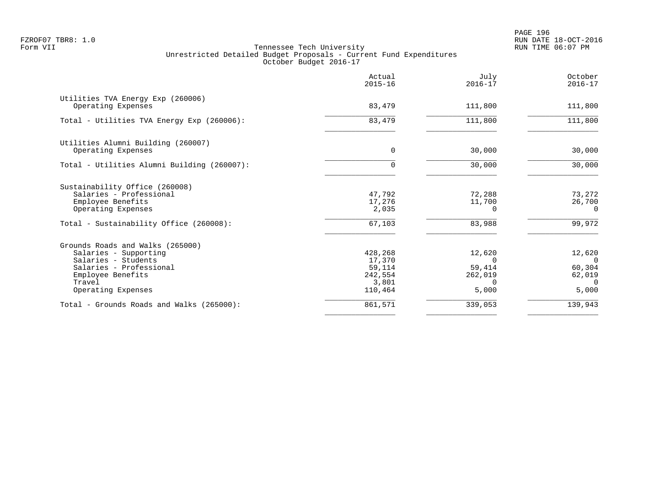|                                                                                                                                                                  | Actual<br>$2015 - 16$                                      | July<br>$2016 - 17$                                          | October<br>$2016 - 17$                                      |
|------------------------------------------------------------------------------------------------------------------------------------------------------------------|------------------------------------------------------------|--------------------------------------------------------------|-------------------------------------------------------------|
| Utilities TVA Energy Exp (260006)<br>Operating Expenses                                                                                                          | 83,479                                                     | 111,800                                                      | 111,800                                                     |
| Total - Utilities TVA Energy Exp (260006):                                                                                                                       | 83,479                                                     | 111,800                                                      | 111,800                                                     |
| Utilities Alumni Building (260007)<br>Operating Expenses                                                                                                         | $\Omega$                                                   | 30,000                                                       | 30,000                                                      |
| Total - Utilities Alumni Building (260007):                                                                                                                      |                                                            | 30,000                                                       | 30,000                                                      |
| Sustainability Office (260008)<br>Salaries - Professional<br>Employee Benefits<br>Operating Expenses                                                             | 47,792<br>17,276<br>2,035                                  | 72,288<br>11,700<br>$\Omega$                                 | 73,272<br>26,700<br>$\Omega$                                |
| Total - Sustainability Office (260008):                                                                                                                          | 67,103                                                     | 83,988                                                       | 99,972                                                      |
| Grounds Roads and Walks (265000)<br>Salaries - Supporting<br>Salaries - Students<br>Salaries - Professional<br>Employee Benefits<br>Travel<br>Operating Expenses | 428,268<br>17,370<br>59,114<br>242,554<br>3,801<br>110,464 | 12,620<br>$\Omega$<br>59,414<br>262,019<br>$\Omega$<br>5,000 | 12,620<br>$\Omega$<br>60,304<br>62,019<br>$\Omega$<br>5,000 |
| Total - Grounds Roads and Walks (265000):                                                                                                                        | 861,571                                                    | 339,053                                                      | 139,943                                                     |
|                                                                                                                                                                  |                                                            |                                                              |                                                             |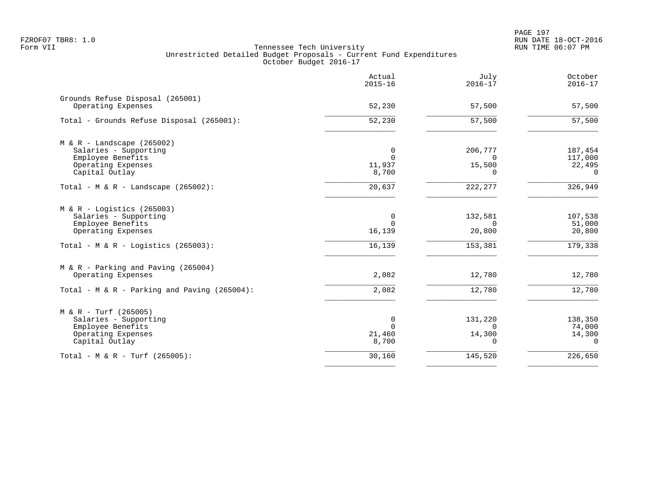PAGE 197 FZROF07 TBR8: 1.0 RUN DATE 18-OCT-2016

|                                                                                                                                         | Actual<br>$2015 - 16$                    | July<br>$2016 - 17$                       | October<br>$2016 - 17$                   |
|-----------------------------------------------------------------------------------------------------------------------------------------|------------------------------------------|-------------------------------------------|------------------------------------------|
| Grounds Refuse Disposal (265001)<br>Operating Expenses                                                                                  | 52,230                                   | 57,500                                    | 57,500                                   |
| Total - Grounds Refuse Disposal (265001):                                                                                               | $\overline{52,230}$                      | 57,500                                    | $\overline{57,500}$                      |
| $M & R -$ Landscape (265002)<br>Salaries - Supporting<br>Employee Benefits<br>Operating Expenses<br>Capital Outlay                      | 0<br>11,937<br>8,700                     | 206,777<br>$\Omega$<br>15,500<br>$\Omega$ | 187,454<br>117,000<br>22,495<br>$\Omega$ |
| Total - $M & R -$ Landscape (265002):                                                                                                   | 20,637                                   | 222,277                                   | 326,949                                  |
| $M & R -$ Logistics (265003)<br>Salaries - Supporting<br>Employee Benefits<br>Operating Expenses<br>Total - M & R - Logistics (265003): | $\Omega$<br>$\Omega$<br>16,139<br>16,139 | 132,581<br>$\Omega$<br>20,800<br>153,381  | 107,538<br>51,000<br>20,800<br>179,338   |
| $M & R - Parking$ and Paving (265004)<br>Operating Expenses                                                                             | 2,082                                    | 12,780                                    | 12,780                                   |
| Total - M & R - Parking and Paving (265004):                                                                                            | 2,082                                    | 12,780                                    | 12,780                                   |
| $M & R - Turf (265005)$<br>Salaries - Supporting<br>Employee Benefits<br>Operating Expenses<br>Capital Outlay                           | $\Omega$<br>$\Omega$<br>21,460<br>8,700  | 131,220<br>$\Omega$<br>14,300<br>$\cap$   | 138,350<br>74,000<br>14,300<br>$\Omega$  |
| Total - M & R - Turf (265005):                                                                                                          | 30,160                                   | 145,520                                   | 226,650                                  |
|                                                                                                                                         |                                          |                                           |                                          |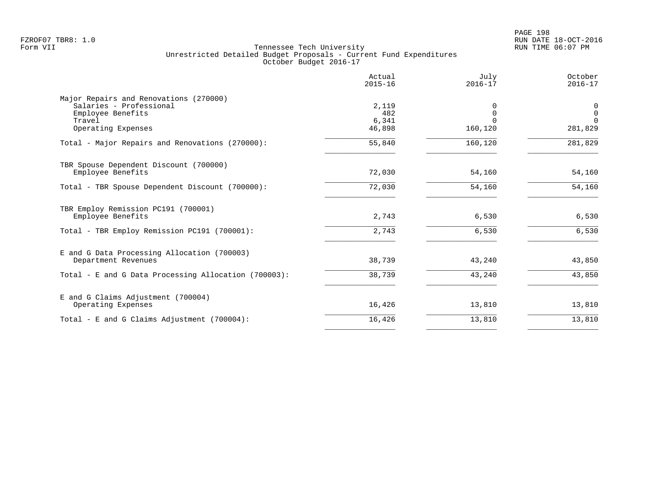|                                                      | Actual<br>$2015 - 16$ | July<br>$2016 - 17$ | October<br>$2016 - 17$   |
|------------------------------------------------------|-----------------------|---------------------|--------------------------|
| Major Repairs and Renovations (270000)               |                       |                     |                          |
| Salaries - Professional                              | 2,119                 |                     | 0                        |
| Employee Benefits<br>Travel                          | 482<br>6,341          |                     | $\mathbf{0}$<br>$\Omega$ |
| Operating Expenses                                   | 46,898                | 160,120             | 281,829                  |
| Total - Major Repairs and Renovations (270000):      | 55,840                | 160,120             | 281,829                  |
| TBR Spouse Dependent Discount (700000)               |                       |                     |                          |
| Employee Benefits                                    | 72,030                | 54,160              | 54,160                   |
| Total - TBR Spouse Dependent Discount (700000):      | 72,030                | 54,160              | 54,160                   |
| TBR Employ Remission PC191 (700001)                  |                       |                     |                          |
| Employee Benefits                                    | 2,743                 | 6,530               | 6,530                    |
| Total - TBR Employ Remission PC191 (700001):         | 2,743                 | 6,530               | 6,530                    |
| E and G Data Processing Allocation (700003)          |                       |                     |                          |
| Department Revenues                                  | 38,739                | 43,240              | 43,850                   |
| Total - E and G Data Processing Allocation (700003): | 38,739                | 43,240              | 43,850                   |
| E and G Claims Adjustment (700004)                   |                       |                     |                          |
| Operating Expenses                                   | 16,426                | 13,810              | 13,810                   |
| Total - E and G Claims Adjustment $(700004)$ :       | 16,426                | 13,810              | 13,810                   |
|                                                      |                       |                     |                          |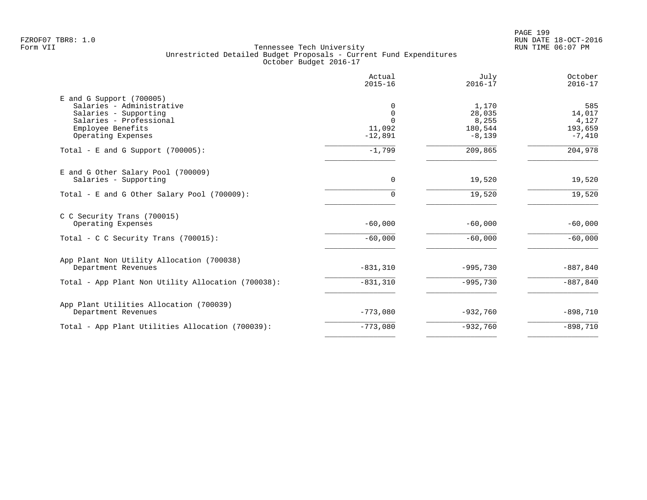PAGE 199 FZROF07 TBR8: 1.0 RUN DATE 18-OCT-2016

| Actual<br>$2015 - 16$                                      | July<br>$2016 - 17$                             | October<br>$2016 - 17$                        |
|------------------------------------------------------------|-------------------------------------------------|-----------------------------------------------|
| $\Omega$<br>$\mathbf 0$<br>$\Omega$<br>11,092<br>$-12,891$ | 1,170<br>28,035<br>8,255<br>180,544<br>$-8,139$ | 585<br>14,017<br>4,127<br>193,659<br>$-7,410$ |
| $-1,799$                                                   | 209,865                                         | 204,978                                       |
| $\mathbf 0$                                                | 19,520                                          | 19,520                                        |
|                                                            |                                                 | 19,520                                        |
| $-60,000$                                                  | $-60,000$                                       | $-60,000$                                     |
| $-60,000$                                                  | $-60,000$                                       | $-60,000$                                     |
| $-831,310$                                                 | $-995,730$                                      | $-887, 840$                                   |
| $-831,310$                                                 | $-995,730$                                      | $-887, 840$                                   |
| $-773,080$                                                 | $-932,760$                                      | $-898,710$                                    |
| $-773,080$                                                 | $-932,760$                                      | $-898,710$                                    |
|                                                            | $\cap$                                          | 19,520                                        |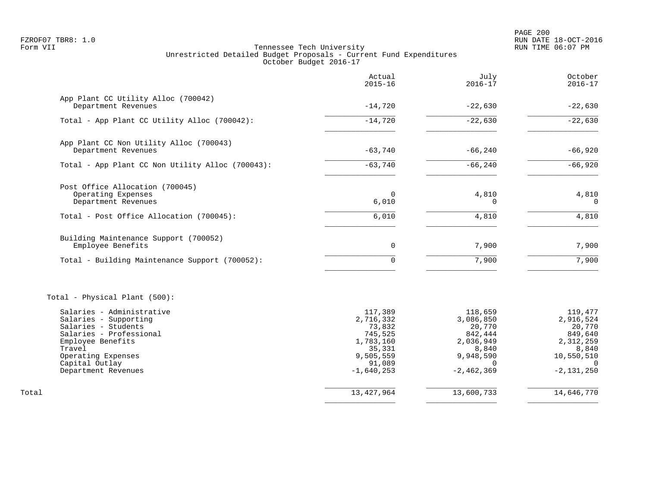PAGE 200 FZROF07 TBR8: 1.0 RUN DATE 18-OCT-2016

|                                                            | Actual<br>$2015 - 16$ | July<br>$2016 - 17$  | October<br>$2016 - 17$ |
|------------------------------------------------------------|-----------------------|----------------------|------------------------|
| App Plant CC Utility Alloc (700042)<br>Department Revenues | $-14,720$             | $-22,630$            | $-22,630$              |
|                                                            |                       |                      |                        |
| Total - App Plant CC Utility Alloc (700042):               | $-14,720$             | $-22,630$            | $-22,630$              |
| App Plant CC Non Utility Alloc (700043)                    |                       |                      |                        |
| Department Revenues                                        | $-63,740$             | $-66, 240$           | $-66,920$              |
| Total - App Plant CC Non Utility Alloc (700043):           | $-63,740$             | $-66, 240$           | $-66,920$              |
| Post Office Allocation (700045)                            |                       |                      |                        |
| Operating Expenses<br>Department Revenues                  | $\Omega$<br>6,010     | 4,810<br>$\Omega$    | 4,810<br>$\Omega$      |
| Total - Post Office Allocation (700045):                   | 6,010                 | 4,810                | 4,810                  |
| Building Maintenance Support (700052)                      |                       |                      |                        |
| Employee Benefits                                          | 0                     | 7,900                | 7,900                  |
| Total - Building Maintenance Support (700052):             | $\Omega$              | 7,900                | 7,900                  |
| Total - Physical Plant (500):                              |                       |                      |                        |
| Salaries - Administrative<br>Salaries - Supporting         | 117,389<br>2,716,332  | 118,659<br>3,086,850 | 119,477<br>2,916,524   |
| Salaries - Students<br>Salaries - Professional             | 73,832<br>745,525     | 20,770<br>842,444    | 20,770<br>849,640      |
| Employee Benefits                                          | 1,783,160             | 2,036,949            | 2,312,259              |
| Travel<br>Operating Expenses                               | 35,331<br>9,505,559   | 8,840<br>9,948,590   | 8,840<br>10,550,510    |
| Capital Outlay                                             | 91,089                | $\Omega$             | $\Omega$               |
| Department Revenues                                        | $-1,640,253$          | $-2, 462, 369$       | $-2, 131, 250$         |
| Total                                                      | 13, 427, 964          | 13,600,733           | 14,646,770             |
|                                                            |                       |                      |                        |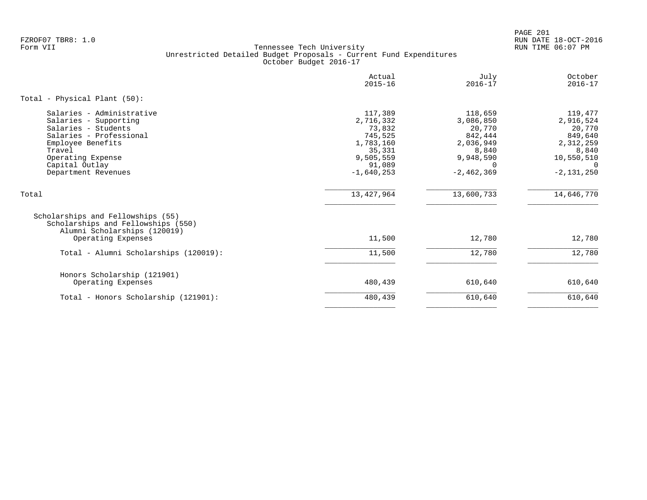PAGE 201 FZROF07 TBR8: 1.0 RUN DATE 18-OCT-2016

|                                                                                                                                                                                                   | Actual<br>$2015 - 16$                                                                                   | July<br>$2016 - 17$                                                                                        | October<br>$2016 - 17$                                                                                      |
|---------------------------------------------------------------------------------------------------------------------------------------------------------------------------------------------------|---------------------------------------------------------------------------------------------------------|------------------------------------------------------------------------------------------------------------|-------------------------------------------------------------------------------------------------------------|
| Total - Physical Plant (50):                                                                                                                                                                      |                                                                                                         |                                                                                                            |                                                                                                             |
| Salaries - Administrative<br>Salaries - Supporting<br>Salaries - Students<br>Salaries - Professional<br>Employee Benefits<br>Travel<br>Operating Expense<br>Capital Outlay<br>Department Revenues | 117,389<br>2,716,332<br>73,832<br>745,525<br>1,783,160<br>35,331<br>9,505,559<br>91,089<br>$-1,640,253$ | 118,659<br>3,086,850<br>20,770<br>842,444<br>2,036,949<br>8,840<br>9,948,590<br>$\Omega$<br>$-2, 462, 369$ | 119,477<br>2,916,524<br>20,770<br>849,640<br>2,312,259<br>8,840<br>10,550,510<br>$\Omega$<br>$-2, 131, 250$ |
| Total                                                                                                                                                                                             | 13, 427, 964                                                                                            | 13,600,733                                                                                                 | 14,646,770                                                                                                  |
| Scholarships and Fellowships (55)<br>Scholarships and Fellowships (550)<br>Alumni Scholarships (120019)<br>Operating Expenses                                                                     | 11,500                                                                                                  | 12,780                                                                                                     | 12,780                                                                                                      |
| Total - Alumni Scholarships (120019):                                                                                                                                                             | 11,500                                                                                                  | 12,780                                                                                                     | 12,780                                                                                                      |
| Honors Scholarship (121901)<br>Operating Expenses                                                                                                                                                 | 480,439                                                                                                 | 610,640                                                                                                    | 610,640                                                                                                     |
| Total - Honors Scholarship (121901):                                                                                                                                                              | 480,439                                                                                                 | 610,640                                                                                                    | 610,640                                                                                                     |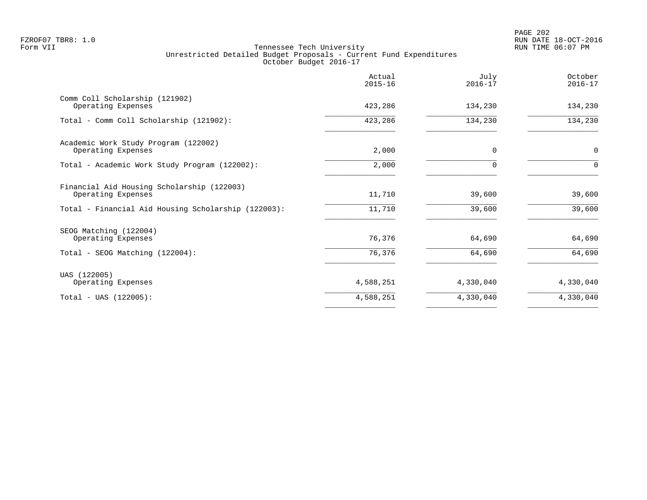|                                                                                                                         | Actual<br>$2015 - 16$ | July<br>$2016 - 17$ | October<br>$2016 - 17$ |
|-------------------------------------------------------------------------------------------------------------------------|-----------------------|---------------------|------------------------|
| Comm Coll Scholarship (121902)<br>Operating Expenses                                                                    | 423,286               | 134,230             | 134,230                |
| Total - Comm Coll Scholarship (121902):                                                                                 | 423,286               | 134,230             | 134,230                |
| Academic Work Study Program (122002)<br>Operating Expenses                                                              | 2,000                 | 0                   | $\mathbf 0$            |
| Total - Academic Work Study Program (122002):                                                                           | 2,000                 | O                   | $\Omega$               |
| Financial Aid Housing Scholarship (122003)<br>Operating Expenses<br>Total - Financial Aid Housing Scholarship (122003): | 11,710<br>11,710      | 39,600<br>39,600    | 39,600<br>39,600       |
| SEOG Matching (122004)<br>Operating Expenses                                                                            | 76,376                | 64,690              | 64,690                 |
| Total - SEOG Matching (122004):                                                                                         | 76,376                | 64,690              | 64,690                 |
| UAS (122005)<br>Operating Expenses                                                                                      | 4,588,251             | 4,330,040           | 4,330,040              |
| $Total - UAS (122005):$                                                                                                 | 4,588,251             | 4,330,040           | 4,330,040              |
|                                                                                                                         |                       |                     |                        |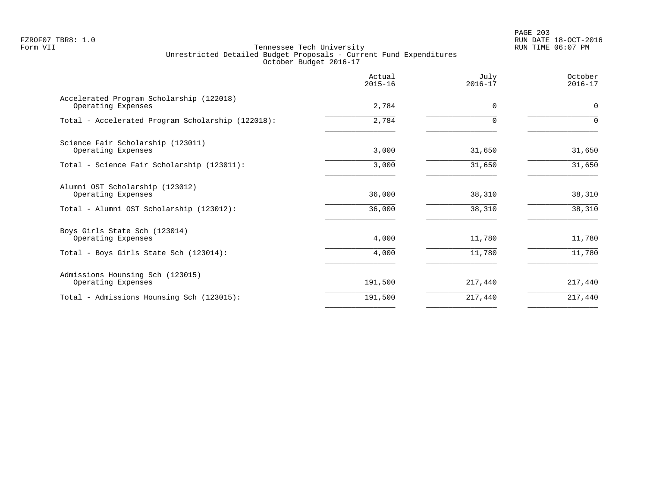PAGE 203 FZROF07 TBR8: 1.0 RUN DATE 18-OCT-2016

|                                                                | Actual<br>$2015 - 16$ | July<br>$2016 - 17$ | October<br>$2016 - 17$ |
|----------------------------------------------------------------|-----------------------|---------------------|------------------------|
| Accelerated Program Scholarship (122018)<br>Operating Expenses | 2,784                 | 0                   | $\mathbf 0$            |
| Total - Accelerated Program Scholarship (122018):              | 2,784                 | 0                   | $\mathbf 0$            |
| Science Fair Scholarship (123011)<br>Operating Expenses        | 3,000                 | 31,650              | 31,650                 |
| Total - Science Fair Scholarship (123011):                     | 3,000                 | 31,650              | 31,650                 |
| Alumni OST Scholarship (123012)<br>Operating Expenses          | 36,000                | 38,310              | 38,310                 |
| Total - Alumni OST Scholarship (123012):                       | 36,000                | 38,310              | 38,310                 |
| Boys Girls State Sch (123014)<br>Operating Expenses            | 4,000                 | 11,780              | 11,780                 |
| Total - Boys Girls State Sch (123014):                         | 4,000                 | 11,780              | 11,780                 |
| Admissions Hounsing Sch (123015)<br>Operating Expenses         | 191,500               | 217,440             | 217,440                |
| Total - Admissions Hounsing Sch (123015):                      | 191,500               | 217,440             | 217,440                |
|                                                                |                       |                     |                        |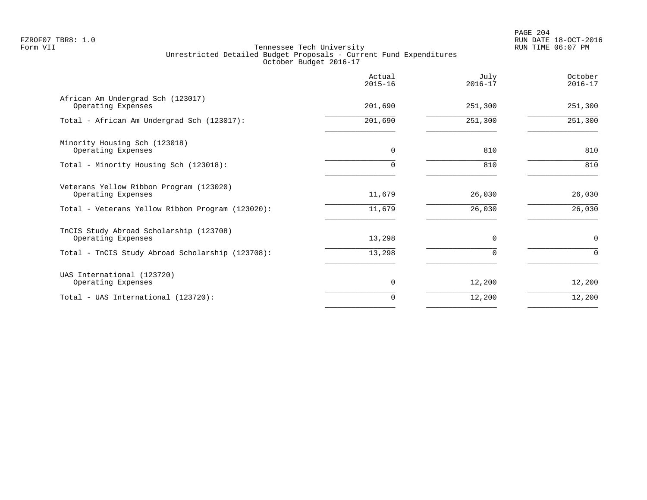|                                                               | Actual<br>$2015 - 16$ | July<br>$2016 - 17$ | October<br>$2016 - 17$ |
|---------------------------------------------------------------|-----------------------|---------------------|------------------------|
| African Am Undergrad Sch (123017)<br>Operating Expenses       | 201,690               | 251,300             | 251,300                |
| Total - African Am Undergrad Sch (123017):                    | 201,690               | 251,300             | 251,300                |
| Minority Housing Sch (123018)<br>Operating Expenses           | 0                     | 810                 | 810                    |
| Total - Minority Housing Sch (123018):                        | 0                     | 810                 | 810                    |
| Veterans Yellow Ribbon Program (123020)<br>Operating Expenses | 11,679                | 26,030              | 26,030                 |
| Total - Veterans Yellow Ribbon Program (123020):              | 11,679                | 26,030              | 26,030                 |
| TnCIS Study Abroad Scholarship (123708)<br>Operating Expenses | 13,298                | $\Omega$            | $\mathbf 0$            |
| Total - TnCIS Study Abroad Scholarship (123708):              | 13,298                | $\Omega$            | $\Omega$               |
| UAS International (123720)<br>Operating Expenses              | 0                     | 12,200              | 12,200                 |
| Total - UAS International (123720):                           | 0                     | 12,200              | 12,200                 |
|                                                               |                       |                     |                        |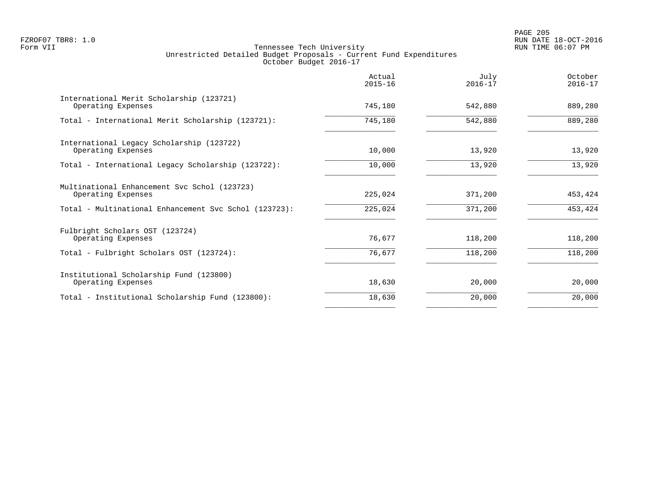|                                                                    | Actual<br>$2015 - 16$ | July<br>$2016 - 17$ | October<br>$2016 - 17$ |
|--------------------------------------------------------------------|-----------------------|---------------------|------------------------|
| International Merit Scholarship (123721)<br>Operating Expenses     | 745,180               | 542,880             | 889,280                |
| Total - International Merit Scholarship (123721):                  | 745,180               | 542,880             | 889,280                |
| International Legacy Scholarship (123722)<br>Operating Expenses    | 10,000                | 13,920              | 13,920                 |
| Total - International Legacy Scholarship (123722):                 | 10,000                | 13,920              | 13,920                 |
| Multinational Enhancement Svc Schol (123723)<br>Operating Expenses | 225,024               | 371,200             | 453,424                |
| Total - Multinational Enhancement Svc Schol (123723):              | 225,024               | 371,200             | 453,424                |
| Fulbright Scholars OST (123724)<br>Operating Expenses              | 76,677                | 118,200             | 118,200                |
| Total - Fulbright Scholars OST (123724):                           | 76,677                | 118,200             | 118,200                |
| Institutional Scholarship Fund (123800)<br>Operating Expenses      | 18,630                | 20,000              | 20,000                 |
| Total - Institutional Scholarship Fund (123800):                   | 18,630                | 20,000              | 20,000                 |
|                                                                    |                       |                     |                        |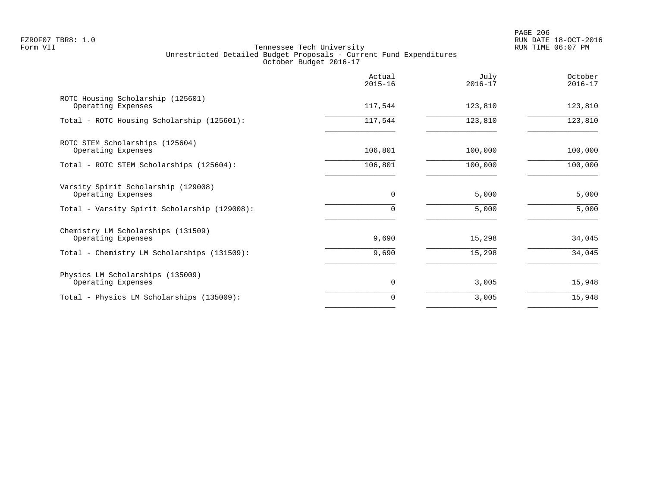|                                                           | Actual<br>$2015 - 16$ | July<br>$2016 - 17$ | October<br>$2016 - 17$ |
|-----------------------------------------------------------|-----------------------|---------------------|------------------------|
| ROTC Housing Scholarship (125601)<br>Operating Expenses   | 117,544               | 123,810             | 123,810                |
| Total - ROTC Housing Scholarship (125601):                | 117,544               | 123,810             | 123,810                |
| ROTC STEM Scholarships (125604)<br>Operating Expenses     | 106,801               | 100,000             | 100,000                |
| Total - ROTC STEM Scholarships (125604):                  | 106,801               | 100,000             | 100,000                |
| Varsity Spirit Scholarship (129008)<br>Operating Expenses | $\mathbf 0$           | 5,000               | 5,000                  |
| Total - Varsity Spirit Scholarship (129008):              | $\Omega$              | 5,000               | 5,000                  |
| Chemistry LM Scholarships (131509)<br>Operating Expenses  | 9,690                 | 15,298              | 34,045                 |
| Total - Chemistry LM Scholarships (131509):               | 9,690                 | 15,298              | 34,045                 |
| Physics LM Scholarships (135009)<br>Operating Expenses    | 0                     | 3,005               | 15,948                 |
| Total - Physics LM Scholarships (135009):                 | 0                     | 3,005               | 15,948                 |
|                                                           |                       |                     |                        |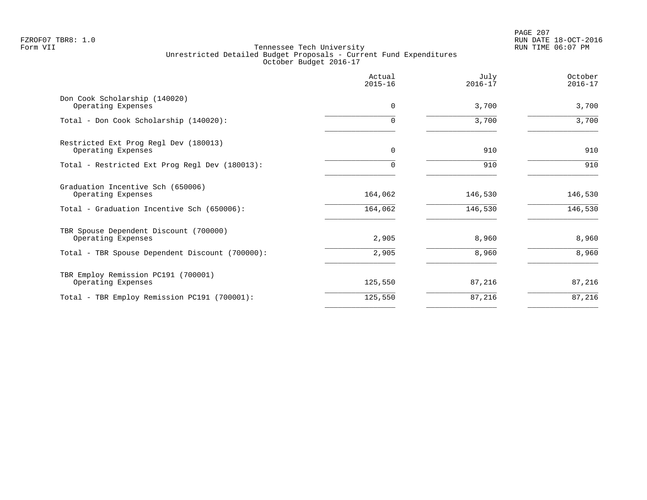|                                                                                                       | Actual<br>$2015 - 16$ | July<br>$2016 - 17$ | October<br>$2016 - 17$ |
|-------------------------------------------------------------------------------------------------------|-----------------------|---------------------|------------------------|
| Don Cook Scholarship (140020)<br>Operating Expenses                                                   | $\Omega$              | 3,700               | 3,700                  |
| Total - Don Cook Scholarship (140020):                                                                | $\Omega$              | 3,700               | 3,700                  |
| Restricted Ext Prog Regl Dev (180013)<br>Operating Expenses                                           | 0                     | 910                 | 910                    |
| Total - Restricted Ext Prog Regl Dev (180013):                                                        | 0                     | 910                 | 910                    |
| Graduation Incentive Sch (650006)<br>Operating Expenses<br>Total - Graduation Incentive Sch (650006): | 164,062<br>164,062    | 146,530<br>146,530  | 146,530<br>146,530     |
| TBR Spouse Dependent Discount (700000)<br>Operating Expenses                                          | 2,905                 | 8,960               | 8,960                  |
| Total - TBR Spouse Dependent Discount (700000):                                                       | 2,905                 | 8,960               | 8,960                  |
| TBR Employ Remission PC191 (700001)<br>Operating Expenses                                             | 125,550               | 87,216              | 87,216                 |
| Total - TBR Employ Remission PC191 (700001):                                                          | 125,550               | 87,216              | 87,216                 |
|                                                                                                       |                       |                     |                        |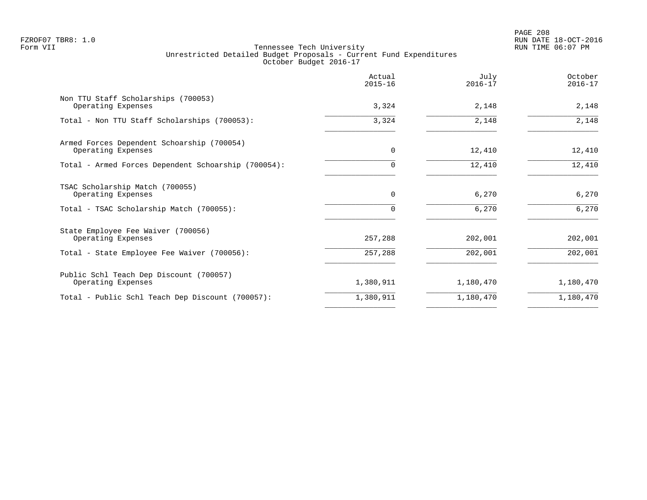PAGE 208 FZROF07 TBR8: 1.0 RUN DATE 18-OCT-2016

|                                                                                                   | Actual<br>$2015 - 16$   | July<br>$2016 - 17$ | October<br>$2016 - 17$ |
|---------------------------------------------------------------------------------------------------|-------------------------|---------------------|------------------------|
| Non TTU Staff Scholarships (700053)<br>Operating Expenses                                         | 3,324                   | 2,148               | 2,148                  |
| Total - Non TTU Staff Scholarships (700053):                                                      | 3,324                   | 2,148               | 2,148                  |
| Armed Forces Dependent Schoarship (700054)<br>Operating Expenses                                  | 0                       | 12,410              | 12,410                 |
| Total - Armed Forces Dependent Schoarship (700054):                                               | $\Omega$                | 12,410              | 12,410                 |
| TSAC Scholarship Match (700055)<br>Operating Expenses<br>Total - TSAC Scholarship Match (700055): | $\mathbf 0$<br>$\Omega$ | 6,270<br>6,270      | 6,270<br>6,270         |
| State Employee Fee Waiver (700056)                                                                |                         |                     |                        |
| Operating Expenses<br>Total - State Employee Fee Waiver (700056):                                 | 257,288<br>257,288      | 202,001<br>202,001  | 202,001<br>202,001     |
| Public Schl Teach Dep Discount (700057)<br>Operating Expenses                                     | 1,380,911               | 1,180,470           | 1,180,470              |
| Total - Public Schl Teach Dep Discount (700057):                                                  | 1,380,911               | 1,180,470           | 1,180,470              |
|                                                                                                   |                         |                     |                        |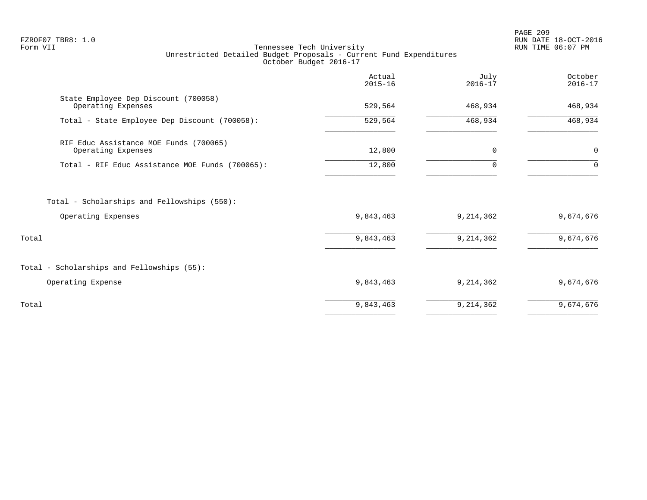PAGE 209 FZROF07 TBR8: 1.0 RUN DATE 18-OCT-2016

|                                                                   | Actual<br>$2015 - 16$ | July<br>$2016 - 17$ | October<br>$2016 - 17$ |
|-------------------------------------------------------------------|-----------------------|---------------------|------------------------|
| State Employee Dep Discount (700058)<br>Operating Expenses        | 529,564               | 468,934             | 468,934                |
| Total - State Employee Dep Discount (700058):                     | 529,564               | 468,934             | 468,934                |
| RIF Educ Assistance MOE Funds (700065)<br>Operating Expenses      | 12,800                | 0                   | 0                      |
| Total - RIF Educ Assistance MOE Funds (700065):                   | 12,800                | $\Omega$            | $\Omega$               |
| Total - Scholarships and Fellowships (550):<br>Operating Expenses | 9,843,463             | 9,214,362           | 9,674,676              |
| Total                                                             | 9,843,463             | 9, 214, 362         | 9,674,676              |
| Total - Scholarships and Fellowships (55):                        |                       |                     |                        |
| Operating Expense                                                 | 9,843,463             | 9,214,362           | 9,674,676              |
| Total                                                             | 9,843,463             | 9,214,362           | 9,674,676              |
|                                                                   |                       |                     |                        |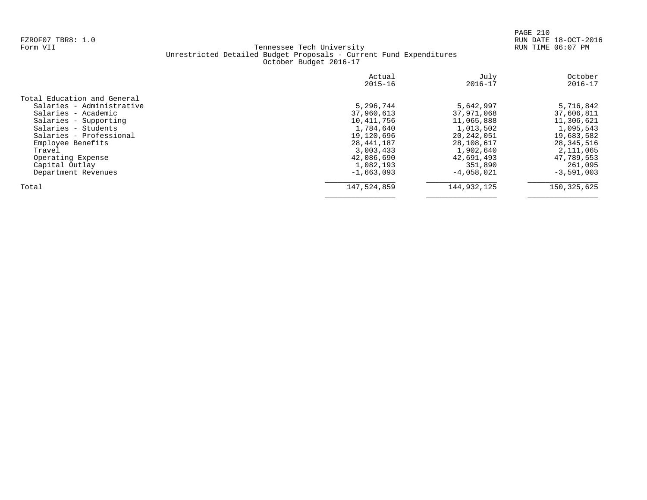| October<br>$2016 - 17$ |
|------------------------|
|                        |
| 5,716,842              |
| 37,606,811             |
| 11,306,621             |
| 1,095,543              |
| 19,683,582             |
| 28,345,516             |
| 2,111,065              |
| 47,789,553             |
| 261,095                |
| $-3,591,003$           |
| 150, 325, 625          |
|                        |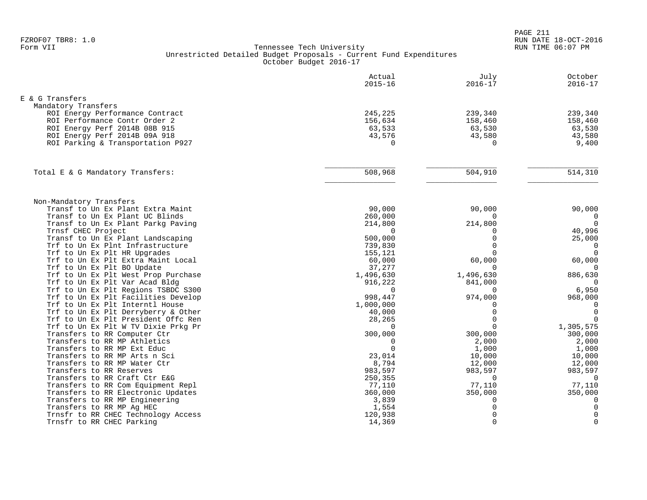|                                                                        | Actual<br>$2015 - 16$ | July<br>$2016 - 17$ | October<br>$2016 - 17$ |
|------------------------------------------------------------------------|-----------------------|---------------------|------------------------|
| E & G Transfers                                                        |                       |                     |                        |
| Mandatory Transfers                                                    |                       |                     |                        |
| ROI Energy Performance Contract                                        | 245,225               | 239,340             | 239,340                |
| ROI Performance Contr Order 2                                          | 156,634               | 158,460             | 158,460                |
| ROI Energy Perf 2014B 08B 915                                          | 63,533                | 63,530              | 63,530                 |
| ROI Energy Perf 2014B 09A 918                                          | 43,576                | 43,580              | 43,580                 |
| ROI Parking & Transportation P927                                      | $\Omega$              | $\Omega$            | 9,400                  |
|                                                                        |                       |                     |                        |
| Total E & G Mandatory Transfers:                                       | 508,968               | 504,910             | 514,310                |
|                                                                        |                       |                     |                        |
| Non-Mandatory Transfers<br>Transf to Un Ex Plant Extra Maint           | 90,000                | 90,000              | 90,000                 |
| Transf to Un Ex Plant UC Blinds                                        | 260,000               | $\Omega$            | $\mathbf 0$            |
| Transf to Un Ex Plant Parkg Paving                                     | 214,800               | 214,800             | $\Omega$               |
| Trnsf CHEC Project                                                     | $\Omega$              | $\Omega$            | 40,996                 |
| Transf to Un Ex Plant Landscaping                                      | 500,000               | $\Omega$            | 25,000                 |
| Trf to Un Ex Plnt Infrastructure                                       | 739,830               | $\Omega$            | $\mathbf 0$            |
| Trf to Un Ex Plt HR Upgrades                                           | 155,121               | $\Omega$            | $\mathbf 0$            |
| Trf to Un Ex Plt Extra Maint Local                                     | 60,000                | 60,000              | 60,000                 |
| Trf to Un Ex Plt BO Update                                             | 37,277                | $\Omega$            | $\Omega$               |
| Trf to Un Ex Plt West Prop Purchase                                    | 1,496,630             | 1,496,630           | 886,630                |
| Trf to Un Ex Plt Var Acad Bldg                                         | 916,222               | 841,000             | 0                      |
| Trf to Un Ex Plt Regions TSBDC S300                                    | $\Omega$              | $\Omega$            | 6,950                  |
| Trf to Un Ex Plt Facilities Develop<br>Trf to Un Ex Plt Interntl House | 998,447<br>1,000,000  | 974,000<br>$\Omega$ | 968,000<br>$\Omega$    |
| Trf to Un Ex Plt Derryberry & Other                                    | 40,000                | $\Omega$            | $\Omega$               |
| Trf to Un Ex Plt President Offc Ren                                    | 28,265                | $\Omega$            | $\mathbf 0$            |
| Trf to Un Ex Plt W TV Dixie Prkg Pr                                    | $\mathbf 0$           | $\Omega$            | 1,305,575              |
| Transfers to RR Computer Ctr                                           | 300,000               | 300,000             | 300,000                |
| Transfers to RR MP Athletics                                           | $\Omega$              | 2,000               | 2,000                  |
| Transfers to RR MP Ext Educ                                            | $\Omega$              | 1,000               | 1,000                  |
| Transfers to RR MP Arts n Sci                                          | 23,014                | 10,000              | 10,000                 |
| Transfers to RR MP Water Ctr                                           | 8,794                 | 12,000              | 12,000                 |
| Transfers to RR Reserves                                               | 983,597               | 983,597             | 983,597                |
| Transfers to RR Craft Ctr E&G                                          | 250,355               | $\Omega$            | $\Omega$               |
| Transfers to RR Com Equipment Repl                                     | 77,110                | 77,110              | 77,110                 |
| Transfers to RR Electronic Updates                                     | 360,000               | 350,000             | 350,000                |
| Transfers to RR MP Engineering                                         | 3,839                 | 0                   | 0                      |
| Transfers to RR MP Aq HEC                                              | 1,554                 | 0                   | $\mathbf 0$            |
| Trnsfr to RR CHEC Technology Access                                    | 120,938               | $\Omega$            | $\mathbf 0$            |
| Trnsfr to RR CHEC Parking                                              | 14,369                | $\Omega$            | $\overline{0}$         |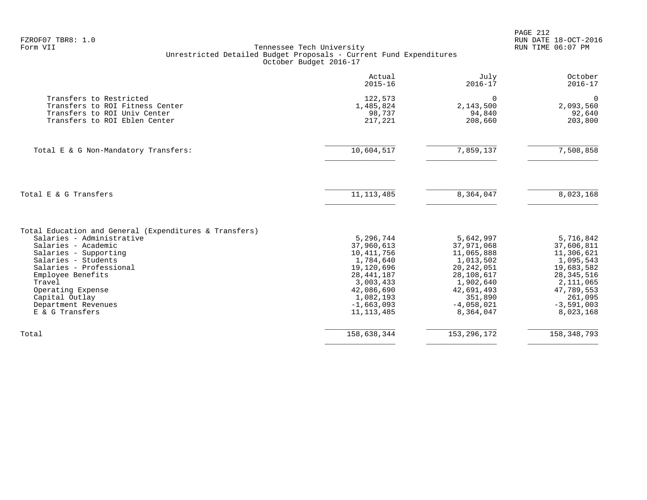|                   |                                                                    | PAGE 212 |
|-------------------|--------------------------------------------------------------------|----------|
| FZROF07 TBR8: 1.0 |                                                                    | RUN DATE |
| Form VII          | Tennessee Tech University                                          | RUN TIME |
|                   | Unrestricted Detailed Budget Proposals - Current Fund Expenditures |          |
|                   | October Budget 2016-17                                             |          |

|                                                                                                                             | Actual<br>$2015 - 16$                     | July<br>$2016 - 17$                        | October<br>$2016 - 17$                     |
|-----------------------------------------------------------------------------------------------------------------------------|-------------------------------------------|--------------------------------------------|--------------------------------------------|
| Transfers to Restricted<br>Transfers to ROI Fitness Center<br>Transfers to ROI Univ Center<br>Transfers to ROI Eblen Center | 122,573<br>1,485,824<br>98,737<br>217,221 | $\Omega$<br>2,143,500<br>94,840<br>208,660 | $\Omega$<br>2,093,560<br>92,640<br>203,800 |
| Total E & G Non-Mandatory Transfers:                                                                                        | 10,604,517                                | 7,859,137                                  | 7,508,858                                  |
| Total E & G Transfers                                                                                                       | 11, 113, 485                              | 8,364,047                                  | 8,023,168                                  |
| Total Education and General (Expenditures & Transfers)                                                                      |                                           |                                            |                                            |
| Salaries - Administrative                                                                                                   | 5,296,744                                 | 5,642,997                                  | 5,716,842                                  |
| Salaries - Academic                                                                                                         | 37,960,613                                | 37,971,068                                 | 37,606,811                                 |
| Salaries - Supporting                                                                                                       | 10,411,756                                | 11,065,888                                 | 11,306,621                                 |
| Salaries - Students                                                                                                         | 1,784,640                                 | 1,013,502                                  | 1,095,543                                  |
| Salaries - Professional                                                                                                     | 19,120,696                                | 20, 242, 051                               | 19,683,582                                 |
| Employee Benefits                                                                                                           | 28, 441, 187                              | 28,108,617                                 | 28, 345, 516                               |
| Travel                                                                                                                      | 3,003,433                                 | 1,902,640                                  | 2,111,065                                  |
| Operating Expense                                                                                                           | 42,086,690                                | 42,691,493                                 | 47,789,553                                 |
| Capital Outlay                                                                                                              | 1,082,193                                 | 351,890                                    | 261,095                                    |
| Department Revenues<br>E & G Transfers                                                                                      | $-1,663,093$<br>11, 113, 485              | $-4,058,021$<br>8,364,047                  | $-3,591,003$<br>8,023,168                  |
| Total                                                                                                                       | 158,638,344                               | 153, 296, 172                              | 158, 348, 793                              |
|                                                                                                                             |                                           |                                            |                                            |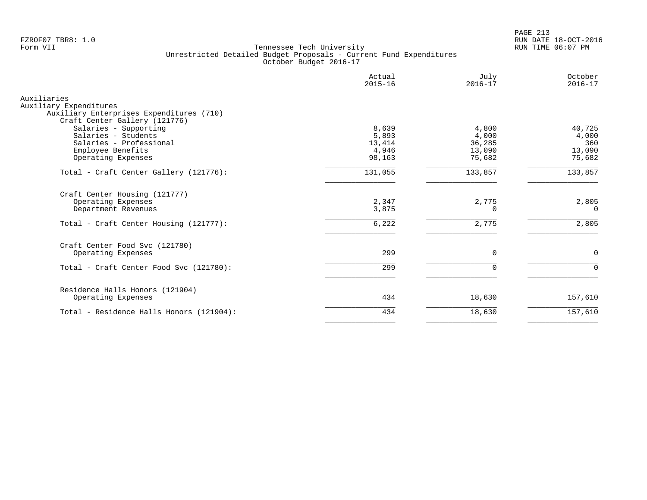PAGE 213 FZROF07 TBR8: 1.0 RUN DATE 18-OCT-2016

| Actual<br>$2015 - 16$             | July<br>$2016 - 17$                | October<br>$2016 - 17$           |
|-----------------------------------|------------------------------------|----------------------------------|
|                                   |                                    |                                  |
| 8,639<br>5,893<br>13,414<br>4,946 | 4,800<br>4,000<br>36,285<br>13,090 | 40,725<br>4,000<br>360<br>13,090 |
| 98,163                            | 75,682                             | 75,682                           |
| 131,055                           | 133,857                            | 133,857                          |
| 2,347<br>3,875                    | 2,775<br>$\Omega$                  | 2,805<br>$\Omega$                |
| 6,222                             | 2,775                              | 2,805                            |
| 299                               | 0                                  | $\mathbf 0$                      |
| 299                               | $\Omega$                           | $\Omega$                         |
|                                   |                                    |                                  |
| 434                               | 18,630                             | 157,610                          |
| 434                               | 18,630                             | 157,610                          |
|                                   |                                    |                                  |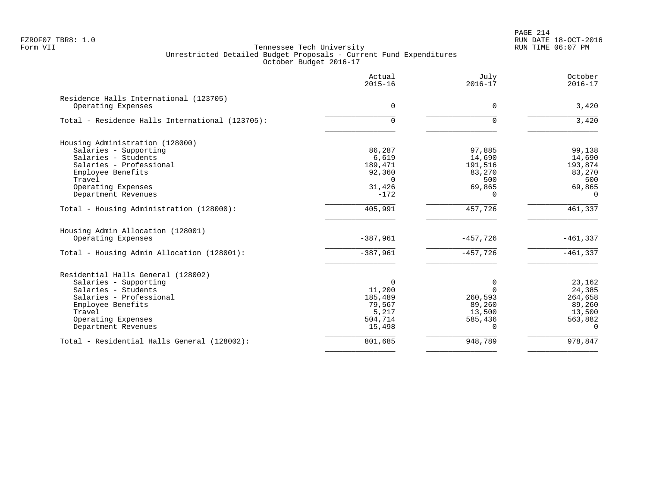PAGE 214 FZROF07 TBR8: 1.0 RUN DATE 18-OCT-2016

|                                                              | Actual<br>$2015 - 16$ | July<br>$2016 - 17$ | October<br>$2016 - 17$ |
|--------------------------------------------------------------|-----------------------|---------------------|------------------------|
| Residence Halls International (123705)<br>Operating Expenses | $\Omega$              | $\Omega$            | 3,420                  |
|                                                              |                       |                     |                        |
| Total - Residence Halls International (123705):              | 0                     | $\Omega$            | 3,420                  |
| Housing Administration (128000)                              |                       |                     |                        |
| Salaries - Supporting                                        | 86,287                | 97,885              | 99,138                 |
| Salaries - Students                                          | 6,619                 | 14,690              | 14,690                 |
| Salaries - Professional                                      | 189,471               | 191,516             | 193,874                |
| Employee Benefits                                            | 92,360                | 83,270              | 83,270                 |
| Travel                                                       | $\cap$                | 500                 | 500                    |
| Operating Expenses                                           | 31,426                | 69,865              | 69,865                 |
| Department Revenues                                          | $-172$                | $\Omega$            | $\Omega$               |
| Total - Housing Administration (128000):                     | 405,991               | 457,726             | 461,337                |
| Housing Admin Allocation (128001)                            |                       |                     |                        |
| Operating Expenses                                           | $-387,961$            | $-457,726$          | $-461, 337$            |
| Total - Housing Admin Allocation (128001):                   | $-387,961$            | $-457,726$          | $-461, 337$            |
| Residential Halls General (128002)                           |                       |                     |                        |
| Salaries - Supporting                                        | $\Omega$              | 0                   | 23,162                 |
| Salaries - Students                                          | 11,200                | $\Omega$            | 24,385                 |
| Salaries - Professional                                      | 185,489               | 260,593             | 264,658                |
| Employee Benefits                                            | 79,567                | 89,260              | 89,260                 |
| Travel                                                       | 5,217                 | 13,500              | 13,500                 |
| Operating Expenses                                           | 504,714               | 585,436             | 563,882                |
| Department Revenues                                          | 15,498                | $\Omega$            | $\Omega$               |
| Total - Residential Halls General (128002):                  | 801,685               | 948,789             | 978,847                |
|                                                              |                       |                     |                        |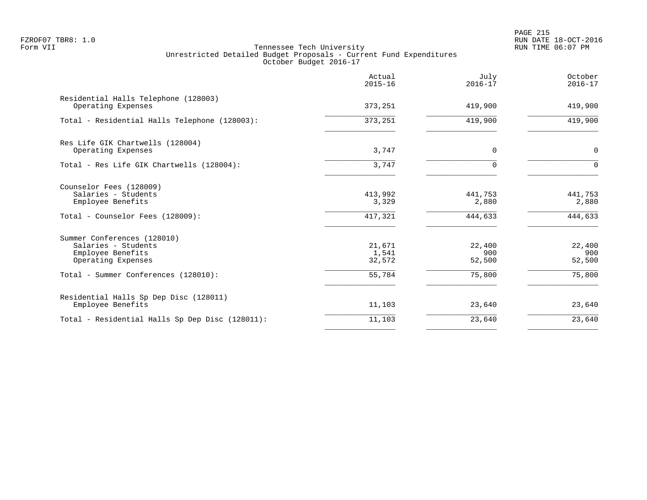PAGE 215 FZROF07 TBR8: 1.0 RUN DATE 18-OCT-2016

|                                                                                                         | Actual<br>$2015 - 16$       | July<br>$2016 - 17$         | October<br>$2016 - 17$      |
|---------------------------------------------------------------------------------------------------------|-----------------------------|-----------------------------|-----------------------------|
| Residential Halls Telephone (128003)<br>Operating Expenses                                              | 373,251                     | 419,900                     | 419,900                     |
| Total - Residential Halls Telephone (128003):                                                           | 373,251                     | 419,900                     | 419,900                     |
| Res Life GIK Chartwells (128004)<br>Operating Expenses                                                  | 3,747                       | 0                           | $\mathbf 0$                 |
| Total - Res Life GIK Chartwells (128004):                                                               | 3,747                       | U                           | $\Omega$                    |
| Counselor Fees (128009)<br>Salaries - Students<br>Employee Benefits<br>Total - Counselor Fees (128009): | 413,992<br>3,329<br>417,321 | 441,753<br>2,880<br>444,633 | 441,753<br>2,880<br>444,633 |
| Summer Conferences (128010)<br>Salaries - Students<br>Employee Benefits<br>Operating Expenses           | 21,671<br>1,541<br>32,572   | 22,400<br>900<br>52,500     | 22,400<br>900<br>52,500     |
| Total - Summer Conferences (128010):                                                                    | 55,784                      | 75,800                      | 75,800                      |
| Residential Halls Sp Dep Disc (128011)<br>Employee Benefits                                             | 11,103                      | 23,640                      | 23,640                      |
| Total - Residential Halls Sp Dep Disc (128011):                                                         | 11,103                      | 23,640                      | 23,640                      |
|                                                                                                         |                             |                             |                             |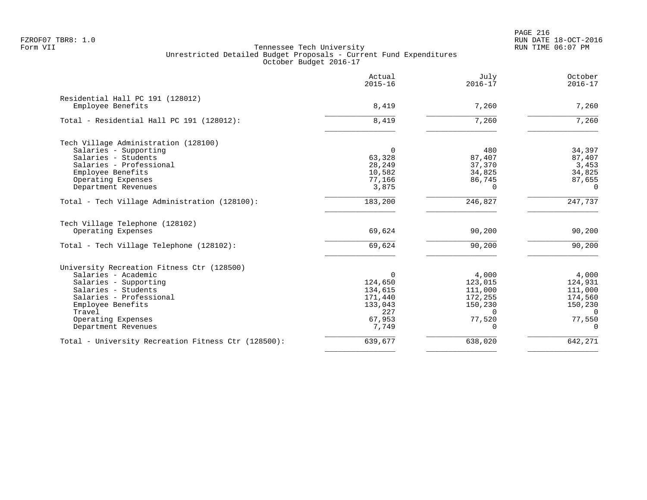PAGE 216 FZROF07 TBR8: 1.0 RUN DATE 18-OCT-2016

|                                                                                                                                                                                                   | Actual<br>$2015 - 16$                                                 | July<br>$2016 - 17$                                                     | October<br>$2016 - 17$                                                  |
|---------------------------------------------------------------------------------------------------------------------------------------------------------------------------------------------------|-----------------------------------------------------------------------|-------------------------------------------------------------------------|-------------------------------------------------------------------------|
| Residential Hall PC 191 (128012)<br>Employee Benefits                                                                                                                                             | 8,419                                                                 | 7,260                                                                   | 7,260                                                                   |
| Total - Residential Hall PC 191 (128012):                                                                                                                                                         | 8,419                                                                 | 7,260                                                                   | 7,260                                                                   |
| Tech Village Administration (128100)<br>Salaries - Supporting<br>Salaries - Students<br>Salaries - Professional<br>Employee Benefits                                                              | $\Omega$<br>63,328<br>28,249<br>10,582                                | 480<br>87,407<br>37,370<br>34,825                                       | 34,397<br>87,407<br>3,453<br>34,825                                     |
| Operating Expenses<br>Department Revenues                                                                                                                                                         | 77,166<br>3,875                                                       | 86,745<br>$\Omega$                                                      | 87,655<br>$\Omega$                                                      |
| Total - Tech Village Administration (128100):                                                                                                                                                     | 183,200                                                               | 246,827                                                                 | 247,737                                                                 |
| Tech Village Telephone (128102)<br>Operating Expenses                                                                                                                                             | 69,624                                                                | 90,200                                                                  | 90,200                                                                  |
| Total - Tech Village Telephone (128102):                                                                                                                                                          | 69,624                                                                | 90,200                                                                  | 90,200                                                                  |
| University Recreation Fitness Ctr (128500)<br>Salaries - Academic<br>Salaries - Supporting<br>Salaries - Students<br>Salaries - Professional<br>Employee Benefits<br>Travel<br>Operating Expenses | $\Omega$<br>124,650<br>134,615<br>171,440<br>133,043<br>227<br>67,953 | 4,000<br>123,015<br>111,000<br>172,255<br>150,230<br>$\Omega$<br>77,520 | 4,000<br>124,931<br>111,000<br>174,560<br>150,230<br>$\Omega$<br>77,550 |
| Department Revenues                                                                                                                                                                               | 7,749                                                                 | $\Omega$                                                                | $\Omega$                                                                |
| Total - University Recreation Fitness Ctr (128500):                                                                                                                                               | 639,677                                                               | 638,020                                                                 | 642,271                                                                 |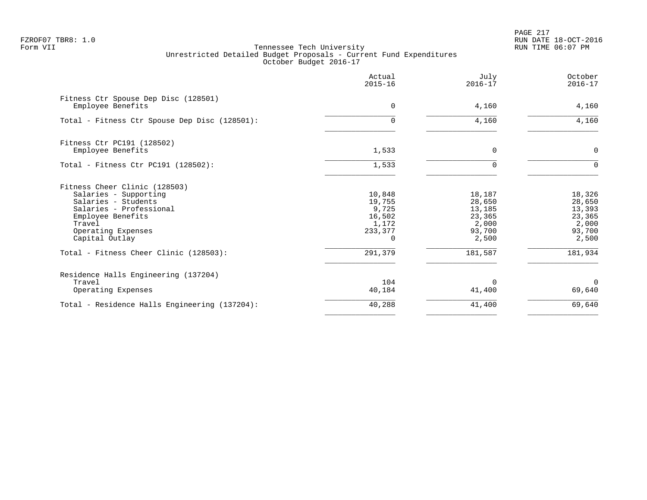|                                                           | Actual<br>$2015 - 16$ | July<br>$2016 - 17$ | October<br>$2016 - 17$ |
|-----------------------------------------------------------|-----------------------|---------------------|------------------------|
| Fitness Ctr Spouse Dep Disc (128501)<br>Employee Benefits | 0                     | 4,160               | 4,160                  |
| Total - Fitness Ctr Spouse Dep Disc (128501):             | $\cap$                | 4,160               | 4,160                  |
| Fitness Ctr PC191 (128502)                                |                       |                     |                        |
| Employee Benefits                                         | 1,533                 | $\Omega$            | $\mathbf 0$            |
| Total - Fitness Ctr PC191 (128502):                       | 1,533                 | $\Omega$            | $\Omega$               |
| Fitness Cheer Clinic (128503)                             |                       |                     |                        |
| Salaries - Supporting                                     | 10,848                | 18,187              | 18,326                 |
| Salaries - Students                                       | 19,755                | 28,650              | 28,650                 |
| Salaries - Professional                                   | 9,725<br>16,502       | 13,185<br>23,365    | 13,393<br>23,365       |
| Employee Benefits<br>Travel                               | 1,172                 | 2,000               | 2,000                  |
| Operating Expenses                                        | 233,377               | 93,700              | 93,700                 |
| Capital Outlay                                            | $\Omega$              | 2,500               | 2,500                  |
| Total - Fitness Cheer Clinic (128503):                    | 291,379               | 181,587             | 181,934                |
| Residence Halls Engineering (137204)                      |                       |                     |                        |
| Travel                                                    | 104                   | $\Omega$            | $\Omega$               |
| Operating Expenses                                        | 40,184                | 41,400              | 69,640                 |
| Total - Residence Halls Engineering (137204):             | 40,288                | 41,400              | 69,640                 |
|                                                           |                       |                     |                        |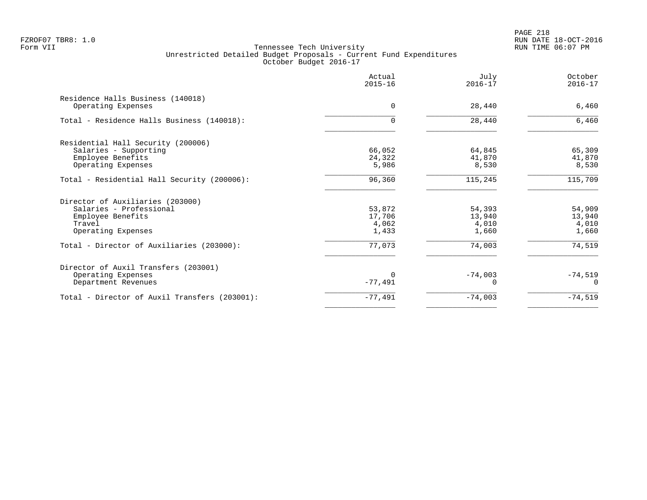PAGE 218 FZROF07 TBR8: 1.0 RUN DATE 18-OCT-2016

|                                                                                                                  | Actual<br>$2015 - 16$              | July<br>$2016 - 17$                | October<br>$2016 - 17$             |
|------------------------------------------------------------------------------------------------------------------|------------------------------------|------------------------------------|------------------------------------|
| Residence Halls Business (140018)<br>Operating Expenses                                                          | $\Omega$                           | 28,440                             | 6,460                              |
| Total - Residence Halls Business (140018):                                                                       | $\Omega$                           | 28,440                             | 6,460                              |
| Residential Hall Security (200006)<br>Salaries - Supporting<br>Employee Benefits<br>Operating Expenses           | 66,052<br>24,322<br>5,986          | 64,845<br>41,870<br>8,530          | 65,309<br>41,870<br>8,530          |
| Total - Residential Hall Security (200006):                                                                      | 96,360                             | 115,245                            | 115,709                            |
| Director of Auxiliaries (203000)<br>Salaries - Professional<br>Employee Benefits<br>Travel<br>Operating Expenses | 53,872<br>17,706<br>4,062<br>1,433 | 54,393<br>13,940<br>4,010<br>1,660 | 54,909<br>13,940<br>4,010<br>1,660 |
| Total - Director of Auxiliaries (203000):                                                                        | 77,073                             | 74,003                             | 74,519                             |
| Director of Auxil Transfers (203001)<br>Operating Expenses<br>Department Revenues                                | $-77,491$                          | $-74,003$<br>U                     | $-74,519$<br>$\Omega$              |
| Total - Director of Auxil Transfers (203001):                                                                    | $-77,491$                          | $-74,003$                          | $-74,519$                          |
|                                                                                                                  |                                    |                                    |                                    |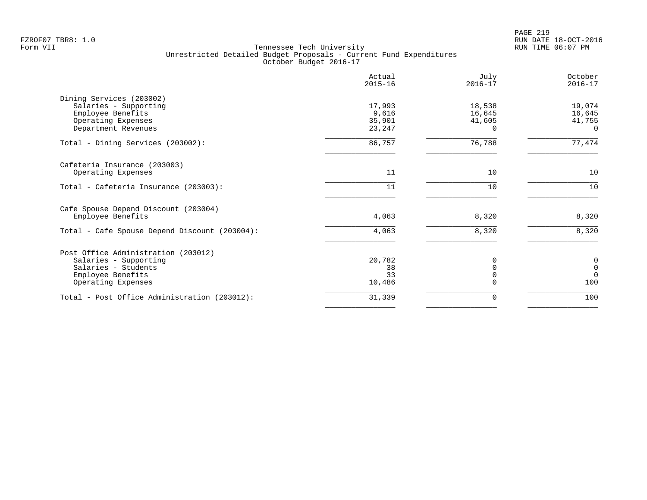PAGE 219 FZROF07 TBR8: 1.0 RUN DATE 18-OCT-2016

|                                                                                                                                | Actual<br>$2015 - 16$               | July<br>$2016 - 17$                    | October<br>$2016 - 17$                              |
|--------------------------------------------------------------------------------------------------------------------------------|-------------------------------------|----------------------------------------|-----------------------------------------------------|
| Dining Services (203002)<br>Salaries - Supporting<br>Employee Benefits<br>Operating Expenses<br>Department Revenues            | 17,993<br>9,616<br>35,901<br>23,247 | 18,538<br>16,645<br>41,605<br>$\Omega$ | 19,074<br>16,645<br>41,755<br>$\Omega$              |
| Total - Dining Services (203002):                                                                                              | 86,757                              | 76,788                                 | 77,474                                              |
| Cafeteria Insurance (203003)<br>Operating Expenses                                                                             | 11                                  | 10                                     | 10                                                  |
| Total - Cafeteria Insurance (203003):                                                                                          | 11                                  | 10                                     | 10                                                  |
| Cafe Spouse Depend Discount (203004)<br>Employee Benefits                                                                      | 4,063                               | 8,320                                  | 8,320                                               |
| Total - Cafe Spouse Depend Discount (203004):                                                                                  | 4,063                               | 8,320                                  | 8,320                                               |
| Post Office Administration (203012)<br>Salaries - Supporting<br>Salaries - Students<br>Employee Benefits<br>Operating Expenses | 20,782<br>38<br>33<br>10,486        | 0<br>$\Omega$<br>$\Omega$              | $\pmb{0}$<br>$\mathsf{O}\xspace$<br>$\Omega$<br>100 |
| Total - Post Office Administration (203012):                                                                                   | 31,339                              | 0                                      | 100                                                 |
|                                                                                                                                |                                     |                                        |                                                     |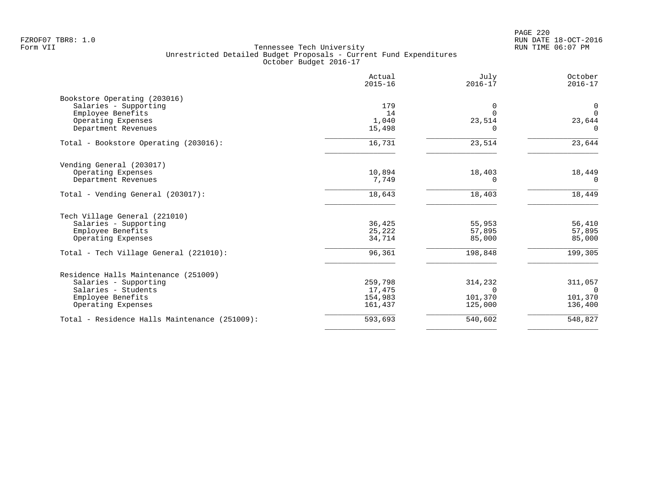PAGE 220 FZROF07 TBR8: 1.0 RUN DATE 18-OCT-2016

|                                               | Actual<br>$2015 - 16$ | July<br>$2016 - 17$ | October<br>$2016 - 17$ |
|-----------------------------------------------|-----------------------|---------------------|------------------------|
| Bookstore Operating (203016)                  |                       |                     |                        |
| Salaries - Supporting                         | 179                   | 0                   | $\overline{0}$         |
| Employee Benefits                             | 14                    |                     | $\Omega$               |
| Operating Expenses                            | 1,040                 | 23,514              | 23,644                 |
| Department Revenues                           | 15,498                | <sup>n</sup>        | $\Omega$               |
| Total - Bookstore Operating (203016):         | 16,731                | 23,514              | 23,644                 |
| Vending General (203017)                      |                       |                     |                        |
| Operating Expenses                            | 10,894                | 18,403              | 18,449                 |
| Department Revenues                           | 7,749                 | 0                   | $\Omega$               |
| Total - Vending General (203017):             | 18,643                | 18,403              | 18,449                 |
| Tech Village General (221010)                 |                       |                     |                        |
| Salaries - Supporting                         | 36,425                | 55,953              | 56,410                 |
| Employee Benefits                             | 25,222                | 57,895              | 57,895                 |
| Operating Expenses                            | 34,714                | 85,000              | 85,000                 |
| Total - Tech Village General (221010):        | 96,361                | 198,848             | 199,305                |
|                                               |                       |                     |                        |
| Residence Halls Maintenance (251009)          | 259,798               |                     |                        |
| Salaries - Supporting<br>Salaries - Students  | 17,475                | 314,232<br>$\Omega$ | 311,057<br>$\cap$      |
| Employee Benefits                             | 154,983               | 101,370             | 101,370                |
| Operating Expenses                            | 161,437               | 125,000             | 136,400                |
|                                               |                       |                     |                        |
| Total - Residence Halls Maintenance (251009): | 593,693               | 540,602             | 548,827                |
|                                               |                       |                     |                        |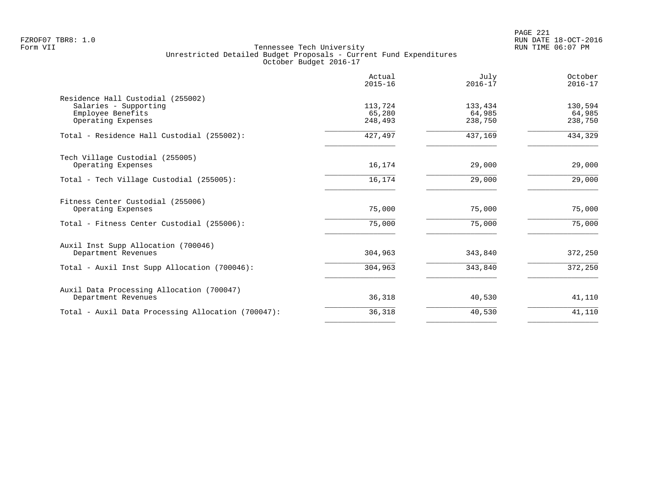|                                                                                                       | Actual<br>$2015 - 16$        | July<br>$2016 - 17$          | October<br>$2016 - 17$       |
|-------------------------------------------------------------------------------------------------------|------------------------------|------------------------------|------------------------------|
| Residence Hall Custodial (255002)<br>Salaries - Supporting<br>Employee Benefits<br>Operating Expenses | 113,724<br>65,280<br>248,493 | 133,434<br>64,985<br>238,750 | 130,594<br>64,985<br>238,750 |
| Total - Residence Hall Custodial (255002):                                                            | 427,497                      | 437,169                      | 434,329                      |
| Tech Village Custodial (255005)<br>Operating Expenses                                                 | 16,174                       | 29,000                       | 29,000                       |
| Total - Tech Village Custodial (255005):                                                              | 16,174                       | 29,000                       | 29,000                       |
| Fitness Center Custodial (255006)<br>Operating Expenses                                               | 75,000                       | 75,000                       | 75,000                       |
| Total - Fitness Center Custodial (255006):                                                            | 75,000                       | 75,000                       | 75,000                       |
| Auxil Inst Supp Allocation (700046)<br>Department Revenues                                            | 304,963                      | 343,840                      | 372,250                      |
| Total - Auxil Inst Supp Allocation (700046):                                                          | 304,963                      | 343,840                      | 372,250                      |
| Auxil Data Processing Allocation (700047)<br>Department Revenues                                      | 36,318                       | 40,530                       | 41,110                       |
| Total - Auxil Data Processing Allocation (700047):                                                    | 36,318                       | 40,530                       | 41,110                       |
|                                                                                                       |                              |                              |                              |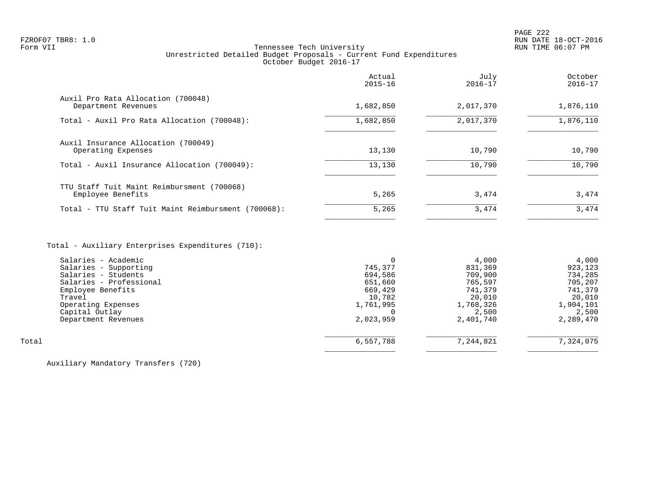# FZROF07 TBR8: 1.0 RUN DATE 18-OCT-2016 Tennessee Tech University Unrestricted Detailed Budget Proposals - Current Fund Expenditures October Budget 2016-17

|                                                                 | Actual<br>$2015 - 16$ | July<br>$2016 - 17$ | October<br>$2016 - 17$ |
|-----------------------------------------------------------------|-----------------------|---------------------|------------------------|
| Auxil Pro Rata Allocation (700048)<br>Department Revenues       | 1,682,850             | 2,017,370           | 1,876,110              |
| Total - Auxil Pro Rata Allocation (700048):                     | 1,682,850             | 2,017,370           | 1,876,110              |
| Auxil Insurance Allocation (700049)<br>Operating Expenses       | 13,130                | 10,790              | 10,790                 |
| Total - Auxil Insurance Allocation (700049):                    | 13,130                | 10,790              | 10,790                 |
| TTU Staff Tuit Maint Reimbursment (700068)<br>Employee Benefits | 5,265                 | 3,474               | 3,474                  |
| Total - TTU Staff Tuit Maint Reimbursment (700068):             | 5,265                 | 3,474               | 3,474                  |
|                                                                 |                       |                     |                        |

# Total - Auxiliary Enterprises Expenditures (710):

|       | Salaries - Academic     |           | 4,000     | 4,000     |
|-------|-------------------------|-----------|-----------|-----------|
|       | Salaries - Supporting   | 745,377   | 831,369   | 923,123   |
|       | Salaries - Students     | 694,586   | 709,900   | 734,285   |
|       | Salaries - Professional | 651,660   | 765,597   | 705,207   |
|       | Employee Benefits       | 669,429   | 741,379   | 741,379   |
|       | Travel                  | 10,782    | 20,010    | 20,010    |
|       | Operating Expenses      | 1,761,995 | 1,768,326 | 1,904,101 |
|       | Capital Outlay          |           | 2,500     | 2,500     |
|       | Department Revenues     | 2,023,959 | 2,401,740 | 2,289,470 |
|       |                         |           |           |           |
| Total |                         | 6,557,788 | 7,244,821 | 7,324,075 |
|       |                         |           |           |           |

Auxiliary Mandatory Transfers (720)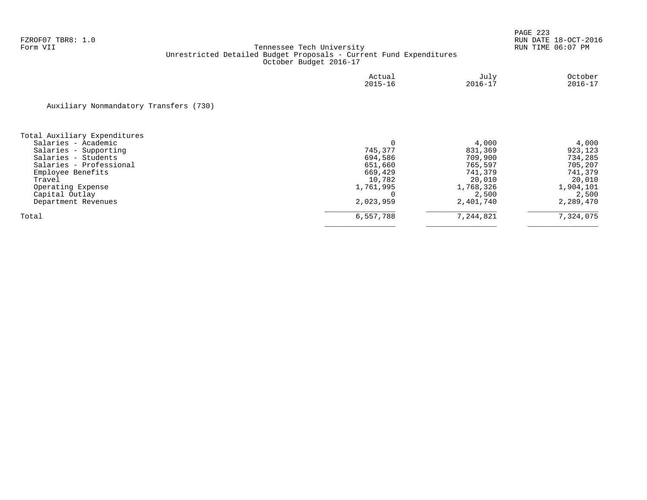|                                        | Actual<br>$2015 - 16$ | July<br>$2016 - 17$ | October<br>$2016 - 17$ |
|----------------------------------------|-----------------------|---------------------|------------------------|
| Auxiliary Nonmandatory Transfers (730) |                       |                     |                        |
| Total Auxiliary Expenditures           |                       |                     |                        |
| Salaries - Academic                    |                       | 4,000               | 4,000                  |
| Salaries - Supporting                  | 745,377               | 831,369             | 923,123                |
| Salaries - Students                    | 694,586               | 709,900             | 734,285                |
| Salaries - Professional                | 651,660               | 765,597             | 705,207                |
| Employee Benefits                      | 669,429               | 741,379             | 741,379                |
| Travel                                 | 10,782                | 20,010              | 20,010                 |
| Operating Expense                      | 1,761,995             | 1,768,326           | 1,904,101              |
| Capital Outlay                         |                       | 2,500               | 2,500                  |
| Department Revenues                    | 2,023,959             | 2,401,740           | 2,289,470              |
| Total                                  | 6,557,788             | 7,244,821           | 7,324,075              |
|                                        |                       |                     |                        |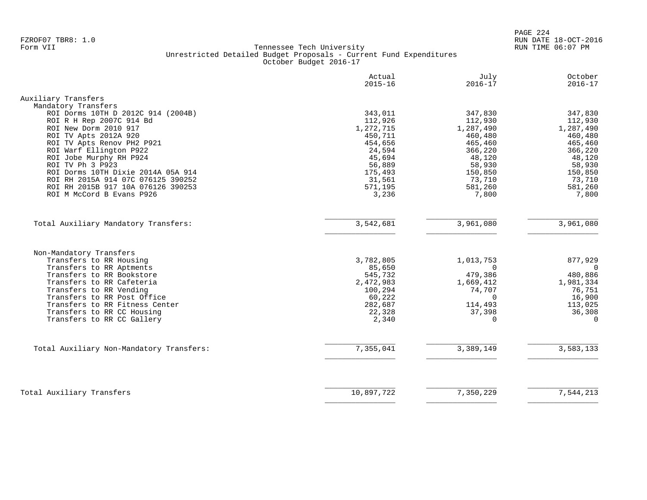PAGE 224 FZROF07 TBR8: 1.0 RUN DATE 18-OCT-2016

|                                                       | Actual<br>$2015 - 16$ | July<br>$2016 - 17$ | October<br>$2016 - 17$ |
|-------------------------------------------------------|-----------------------|---------------------|------------------------|
| Auxiliary Transfers                                   |                       |                     |                        |
| Mandatory Transfers                                   |                       |                     |                        |
| ROI Dorms 10TH D 2012C 914 (2004B)                    | 343,011               | 347,830             | 347,830                |
| ROI R H Rep 2007C 914 Bd                              | 112,926               | 112,930             | 112,930                |
| ROI New Dorm 2010 917                                 | 1,272,715             | 1,287,490           | 1,287,490              |
| ROI TV Apts 2012A 920                                 | 450,711               | 460,480             | 460,480                |
| ROI TV Apts Renov PH2 P921<br>ROI Warf Ellington P922 | 454,656<br>24,594     | 465,460<br>366,220  | 465,460<br>366,220     |
| ROI Jobe Murphy RH P924                               | 45,694                | 48,120              | 48,120                 |
| ROI TV Ph 3 P923                                      | 56,889                | 58,930              | 58,930                 |
| ROI Dorms 10TH Dixie 2014A 05A 914                    | 175,493               | 150,850             | 150,850                |
| ROI RH 2015A 914 07C 076125 390252                    | 31,561                | 73,710              | 73,710                 |
| ROI RH 2015B 917 10A 076126 390253                    | 571,195               | 581,260             | 581,260                |
| ROI M McCord B Evans P926                             | 3,236                 | 7,800               | 7,800                  |
|                                                       |                       |                     |                        |
| Total Auxiliary Mandatory Transfers:                  | 3,542,681             | 3,961,080           | 3,961,080              |
| Non-Mandatory Transfers                               |                       |                     |                        |
| Transfers to RR Housing                               | 3,782,805             | 1,013,753           | 877,929                |
| Transfers to RR Aptments                              | 85,650                | $\Omega$            | $\mathbf 0$            |
| Transfers to RR Bookstore                             | 545,732               | 479,386             | 480,886                |
| Transfers to RR Cafeteria                             | 2,472,983             | 1,669,412           | 1,981,334              |
| Transfers to RR Vending                               | 100,294               | 74,707              | 76,751                 |
| Transfers to RR Post Office                           | 60,222                | $\Omega$            | 16,900                 |
| Transfers to RR Fitness Center                        | 282,687               | 114,493             | 113,025                |
| Transfers to RR CC Housing                            | 22,328                | 37,398              | 36,308                 |
| Transfers to RR CC Gallery                            | 2,340                 | $\mathbf 0$         | $\mathbf 0$            |
|                                                       |                       |                     |                        |
| Total Auxiliary Non-Mandatory Transfers:              | 7,355,041             | 3,389,149           | 3,583,133              |
|                                                       |                       |                     |                        |
| Total Auxiliary Transfers                             | 10,897,722            | 7,350,229           | 7,544,213              |
|                                                       |                       |                     |                        |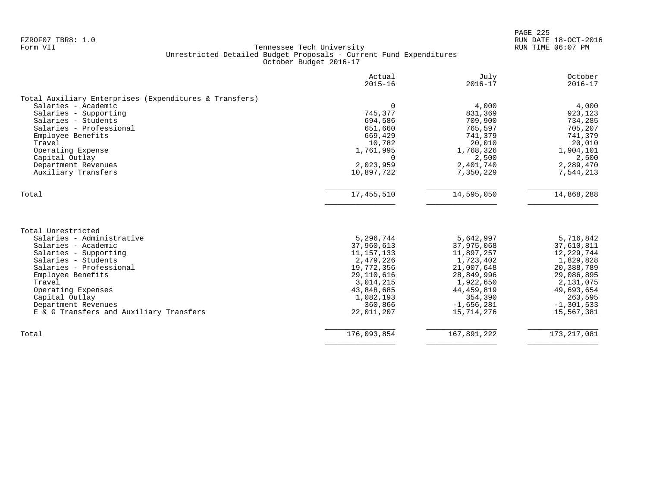|                                                        | Actual<br>$2015 - 16$ | July<br>$2016 - 17$ | October<br>$2016 - 17$ |
|--------------------------------------------------------|-----------------------|---------------------|------------------------|
|                                                        |                       |                     |                        |
| Total Auxiliary Enterprises (Expenditures & Transfers) |                       |                     |                        |
| Salaries - Academic                                    | 0                     | 4,000               | 4,000                  |
| Salaries - Supporting                                  | 745,377               | 831,369             | 923,123                |
| Salaries - Students                                    | 694,586               | 709,900             | 734,285                |
| Salaries - Professional                                | 651,660               | 765,597             | 705,207                |
| Employee Benefits                                      | 669,429               | 741,379             | 741,379                |
| Travel                                                 | 10,782                | 20,010              | 20,010                 |
| Operating Expense                                      | 1,761,995             | 1,768,326           | 1,904,101              |
| Capital Outlay                                         | $\Omega$              | 2,500               | 2,500                  |
| Department Revenues                                    | 2,023,959             | 2,401,740           | 2,289,470              |
| Auxiliary Transfers                                    | 10,897,722            | 7,350,229           | 7,544,213              |
| Total                                                  | 17,455,510            | 14,595,050          | 14,868,288             |
|                                                        |                       |                     |                        |
| Total Unrestricted                                     |                       |                     |                        |
| Salaries - Administrative                              | 5,296,744             | 5,642,997           | 5,716,842              |
| Salaries - Academic                                    | 37,960,613            | 37,975,068          | 37,610,811             |
| Salaries - Supporting                                  | 11, 157, 133          | 11,897,257          | 12,229,744             |
| Salaries - Students                                    | 2,479,226             | 1,723,402           | 1,829,828              |
| Salaries - Professional                                | 19,772,356            | 21,007,648          | 20,388,789             |
| Employee Benefits                                      | 29, 110, 616          | 28,849,996          | 29,086,895             |
| Travel                                                 | 3,014,215             | 1,922,650           | 2,131,075              |
| Operating Expenses                                     | 43,848,685            | 44, 459, 819        | 49,693,654             |
| Capital Outlay                                         | 1,082,193             | 354,390             | 263,595                |
| Department Revenues                                    | 360,866               | $-1,656,281$        | $-1, 301, 533$         |
| E & G Transfers and Auxiliary Transfers                | 22,011,207            | 15,714,276          | 15,567,381             |
|                                                        |                       |                     |                        |
| Total                                                  | 176,093,854           | 167,891,222         | 173, 217, 081          |
|                                                        |                       |                     |                        |